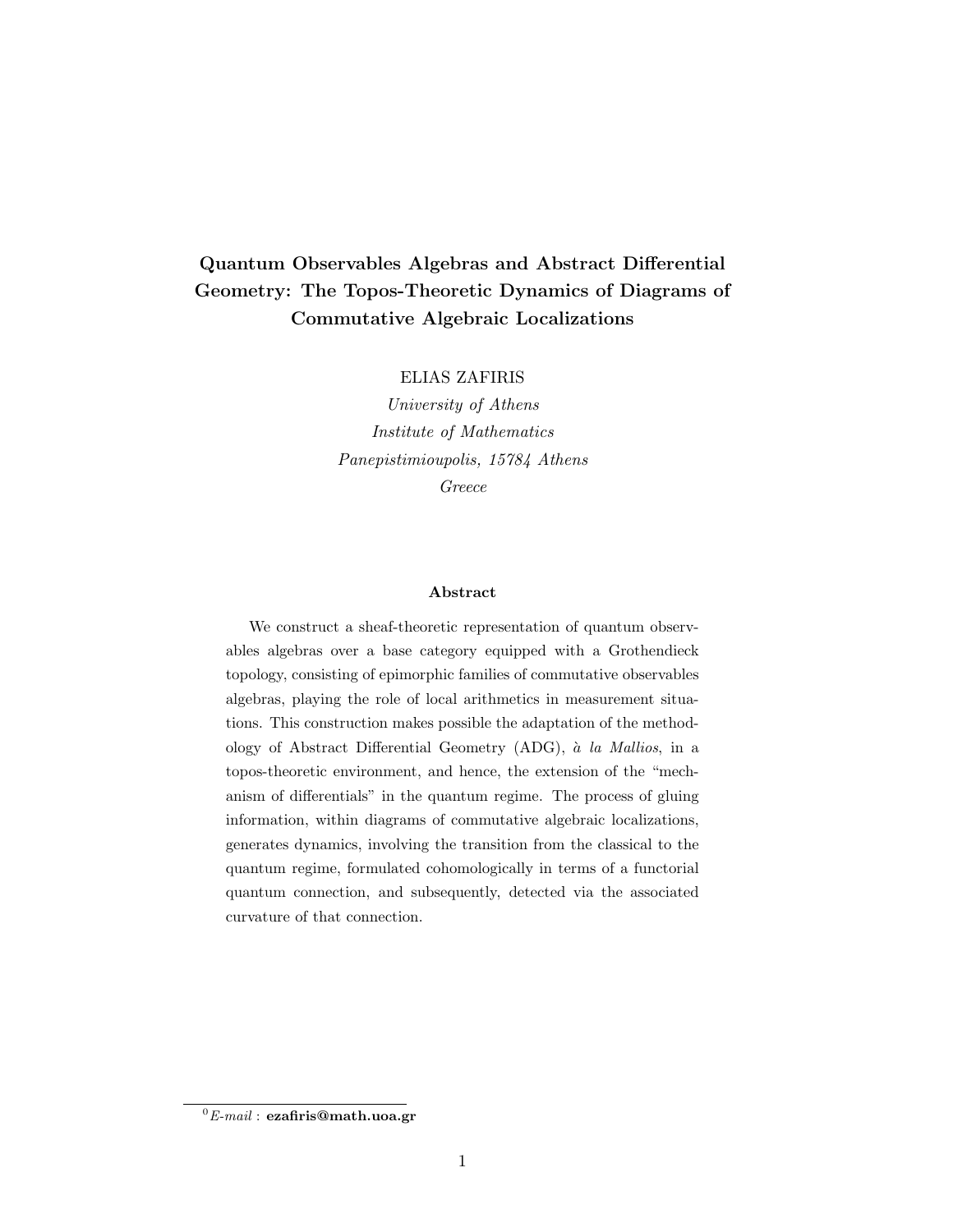## Quantum Observables Algebras and Abstract Differential Geometry: The Topos-Theoretic Dynamics of Diagrams of Commutative Algebraic Localizations

ELIAS ZAFIRIS

University of Athens Institute of Mathematics Panepistimioupolis, 15784 Athens Greece

#### Abstract

We construct a sheaf-theoretic representation of quantum observables algebras over a base category equipped with a Grothendieck topology, consisting of epimorphic families of commutative observables algebras, playing the role of local arithmetics in measurement situations. This construction makes possible the adaptation of the methodology of Abstract Differential Geometry (ADG),  $\dot{a}$  la Mallios, in a topos-theoretic environment, and hence, the extension of the "mechanism of differentials" in the quantum regime. The process of gluing information, within diagrams of commutative algebraic localizations, generates dynamics, involving the transition from the classical to the quantum regime, formulated cohomologically in terms of a functorial quantum connection, and subsequently, detected via the associated curvature of that connection.

 ${}^{0}E$ -mail : ezafiris@math.uoa.gr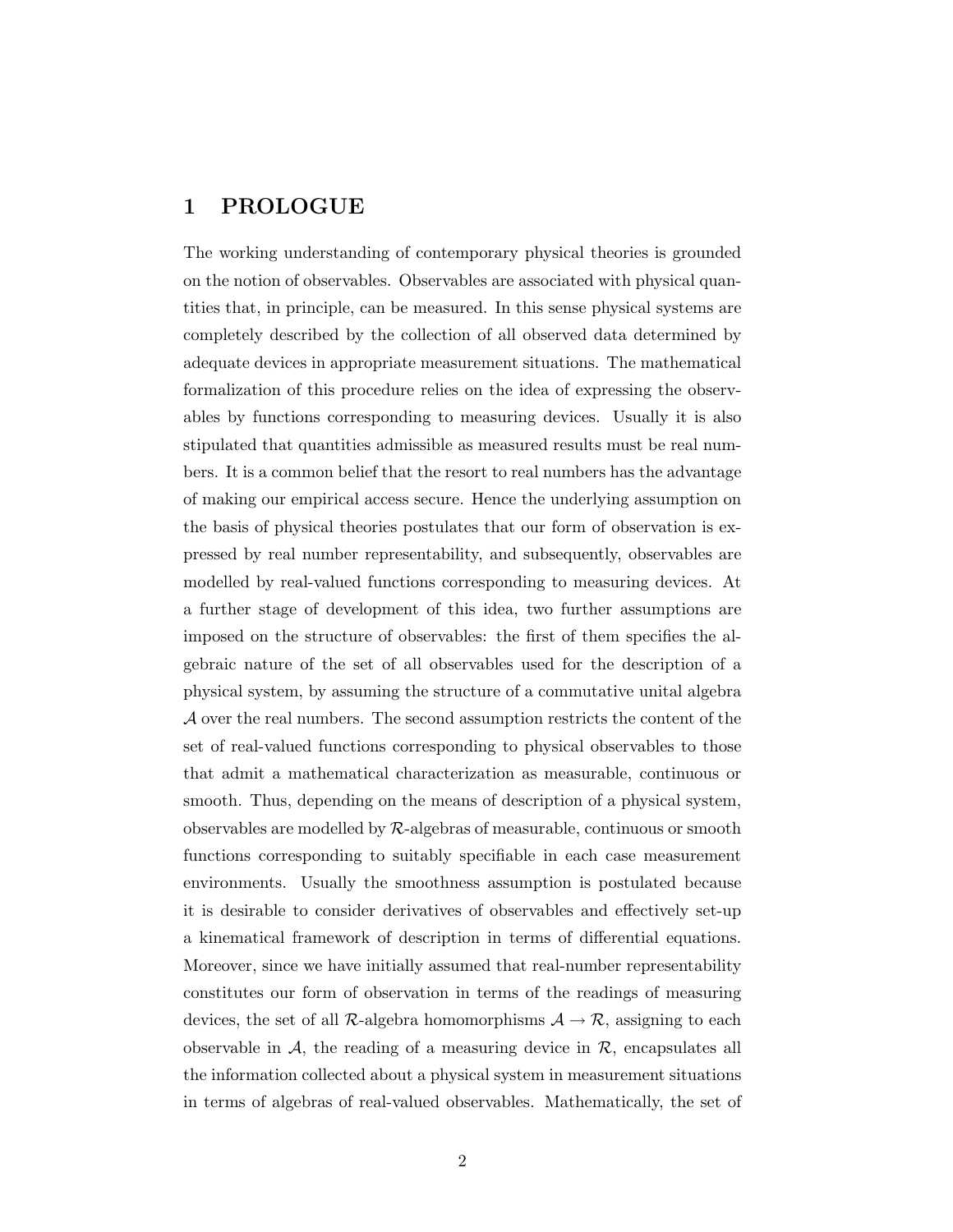## 1 PROLOGUE

The working understanding of contemporary physical theories is grounded on the notion of observables. Observables are associated with physical quantities that, in principle, can be measured. In this sense physical systems are completely described by the collection of all observed data determined by adequate devices in appropriate measurement situations. The mathematical formalization of this procedure relies on the idea of expressing the observables by functions corresponding to measuring devices. Usually it is also stipulated that quantities admissible as measured results must be real numbers. It is a common belief that the resort to real numbers has the advantage of making our empirical access secure. Hence the underlying assumption on the basis of physical theories postulates that our form of observation is expressed by real number representability, and subsequently, observables are modelled by real-valued functions corresponding to measuring devices. At a further stage of development of this idea, two further assumptions are imposed on the structure of observables: the first of them specifies the algebraic nature of the set of all observables used for the description of a physical system, by assuming the structure of a commutative unital algebra A over the real numbers. The second assumption restricts the content of the set of real-valued functions corresponding to physical observables to those that admit a mathematical characterization as measurable, continuous or smooth. Thus, depending on the means of description of a physical system, observables are modelled by  $R$ -algebras of measurable, continuous or smooth functions corresponding to suitably specifiable in each case measurement environments. Usually the smoothness assumption is postulated because it is desirable to consider derivatives of observables and effectively set-up a kinematical framework of description in terms of differential equations. Moreover, since we have initially assumed that real-number representability constitutes our form of observation in terms of the readings of measuring devices, the set of all R-algebra homomorphisms  $A \to \mathcal{R}$ , assigning to each observable in  $\mathcal{A}$ , the reading of a measuring device in  $\mathcal{R}$ , encapsulates all the information collected about a physical system in measurement situations in terms of algebras of real-valued observables. Mathematically, the set of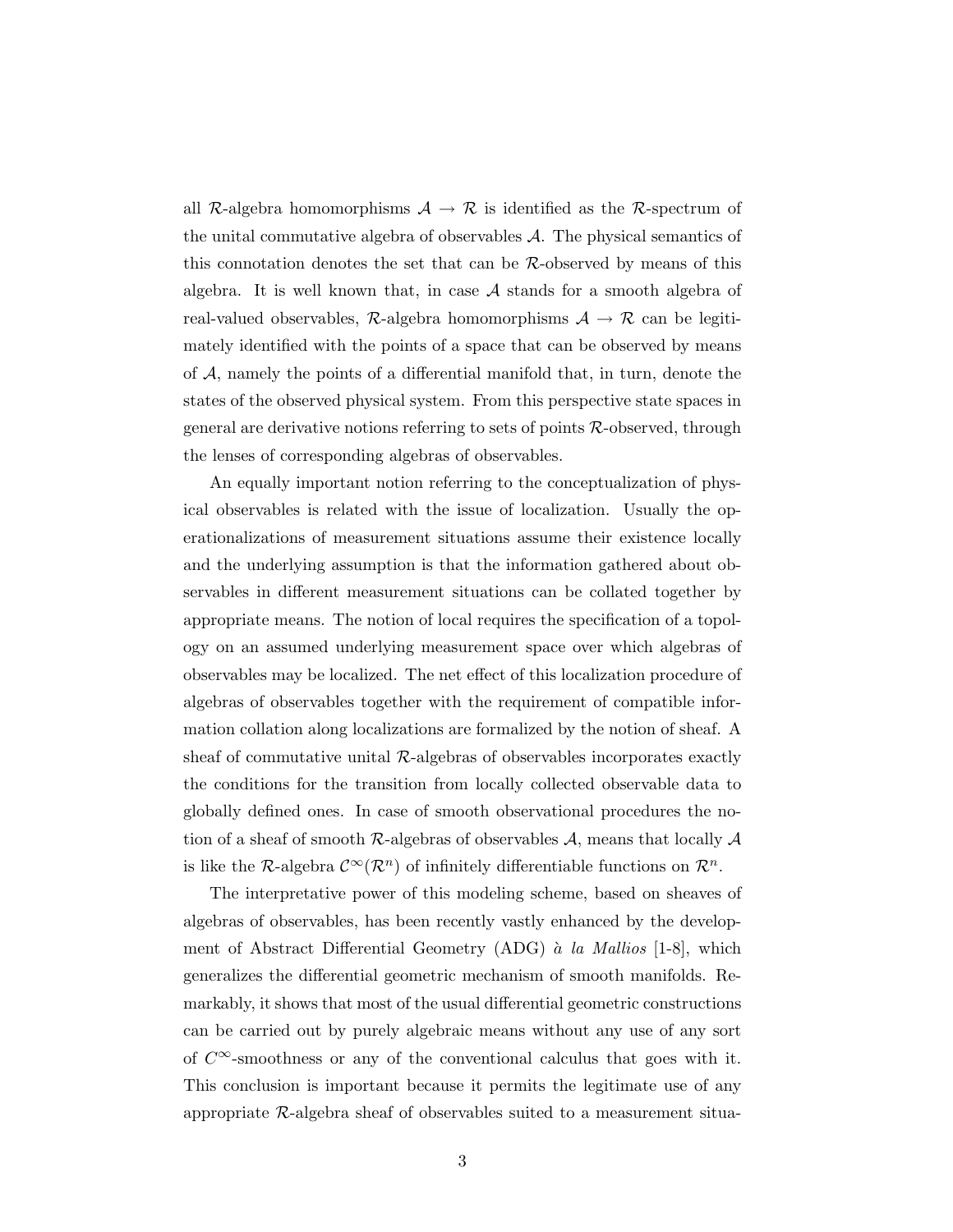all R-algebra homomorphisms  $A \to \mathcal{R}$  is identified as the R-spectrum of the unital commutative algebra of observables  $A$ . The physical semantics of this connotation denotes the set that can be R-observed by means of this algebra. It is well known that, in case  $A$  stands for a smooth algebra of real-valued observables, R-algebra homomorphisms  $A \to \mathcal{R}$  can be legitimately identified with the points of a space that can be observed by means of  $A$ , namely the points of a differential manifold that, in turn, denote the states of the observed physical system. From this perspective state spaces in general are derivative notions referring to sets of points R-observed, through the lenses of corresponding algebras of observables.

An equally important notion referring to the conceptualization of physical observables is related with the issue of localization. Usually the operationalizations of measurement situations assume their existence locally and the underlying assumption is that the information gathered about observables in different measurement situations can be collated together by appropriate means. The notion of local requires the specification of a topology on an assumed underlying measurement space over which algebras of observables may be localized. The net effect of this localization procedure of algebras of observables together with the requirement of compatible information collation along localizations are formalized by the notion of sheaf. A sheaf of commutative unital  $\mathcal{R}$ -algebras of observables incorporates exactly the conditions for the transition from locally collected observable data to globally defined ones. In case of smooth observational procedures the notion of a sheaf of smooth  $\mathcal{R}$ -algebras of observables  $\mathcal{A}$ , means that locally  $\mathcal{A}$ is like the R-algebra  $\mathcal{C}^{\infty}(\mathcal{R}^n)$  of infinitely differentiable functions on  $\mathcal{R}^n$ .

The interpretative power of this modeling scheme, based on sheaves of algebras of observables, has been recently vastly enhanced by the development of Abstract Differential Geometry (ADG) à la Mallios  $[1-8]$ , which generalizes the differential geometric mechanism of smooth manifolds. Remarkably, it shows that most of the usual differential geometric constructions can be carried out by purely algebraic means without any use of any sort of  $C^{\infty}$ -smoothness or any of the conventional calculus that goes with it. This conclusion is important because it permits the legitimate use of any appropriate R-algebra sheaf of observables suited to a measurement situa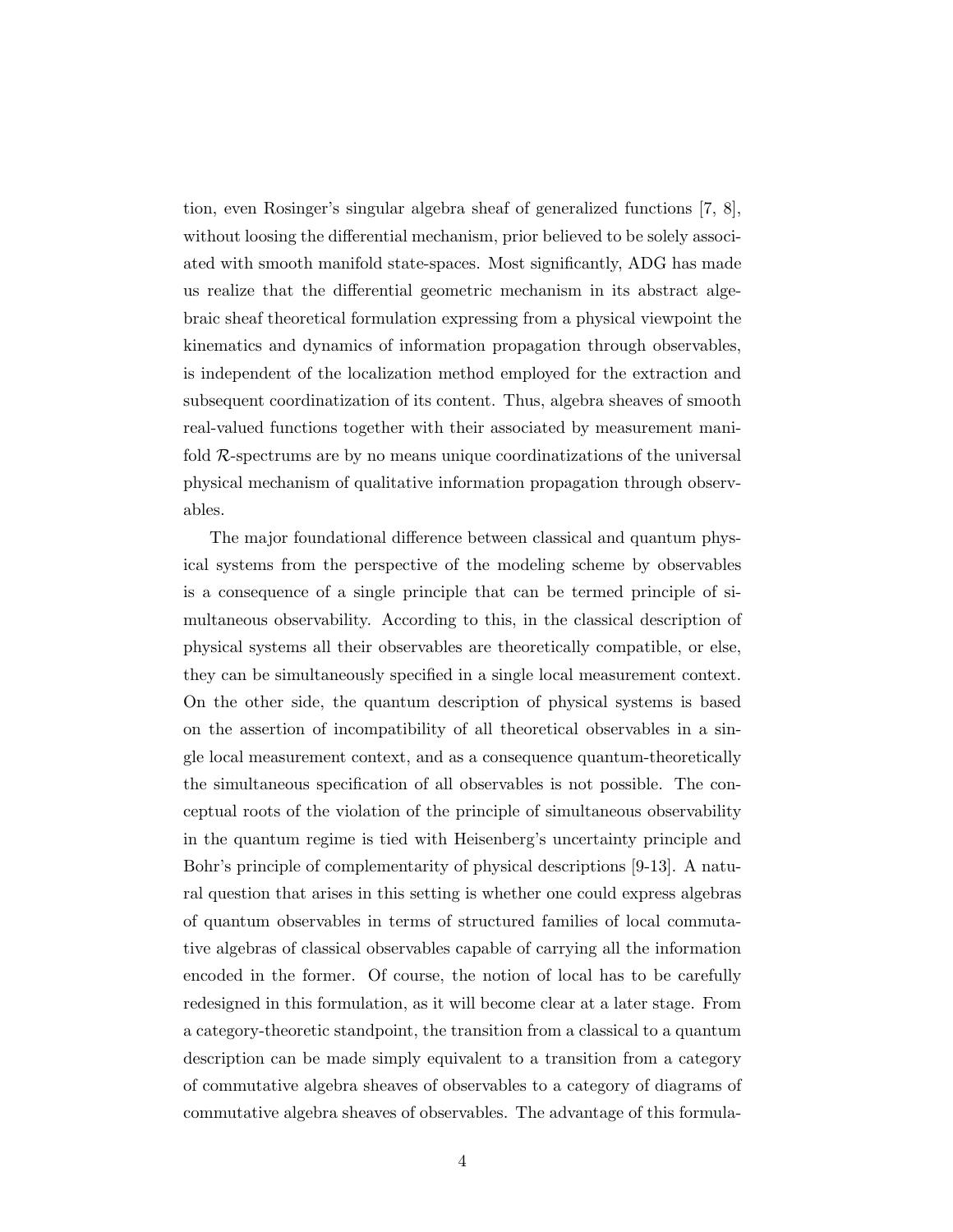tion, even Rosinger's singular algebra sheaf of generalized functions [7, 8], without loosing the differential mechanism, prior believed to be solely associated with smooth manifold state-spaces. Most significantly, ADG has made us realize that the differential geometric mechanism in its abstract algebraic sheaf theoretical formulation expressing from a physical viewpoint the kinematics and dynamics of information propagation through observables, is independent of the localization method employed for the extraction and subsequent coordinatization of its content. Thus, algebra sheaves of smooth real-valued functions together with their associated by measurement manifold R-spectrums are by no means unique coordinatizations of the universal physical mechanism of qualitative information propagation through observables.

The major foundational difference between classical and quantum physical systems from the perspective of the modeling scheme by observables is a consequence of a single principle that can be termed principle of simultaneous observability. According to this, in the classical description of physical systems all their observables are theoretically compatible, or else, they can be simultaneously specified in a single local measurement context. On the other side, the quantum description of physical systems is based on the assertion of incompatibility of all theoretical observables in a single local measurement context, and as a consequence quantum-theoretically the simultaneous specification of all observables is not possible. The conceptual roots of the violation of the principle of simultaneous observability in the quantum regime is tied with Heisenberg's uncertainty principle and Bohr's principle of complementarity of physical descriptions [9-13]. A natural question that arises in this setting is whether one could express algebras of quantum observables in terms of structured families of local commutative algebras of classical observables capable of carrying all the information encoded in the former. Of course, the notion of local has to be carefully redesigned in this formulation, as it will become clear at a later stage. From a category-theoretic standpoint, the transition from a classical to a quantum description can be made simply equivalent to a transition from a category of commutative algebra sheaves of observables to a category of diagrams of commutative algebra sheaves of observables. The advantage of this formula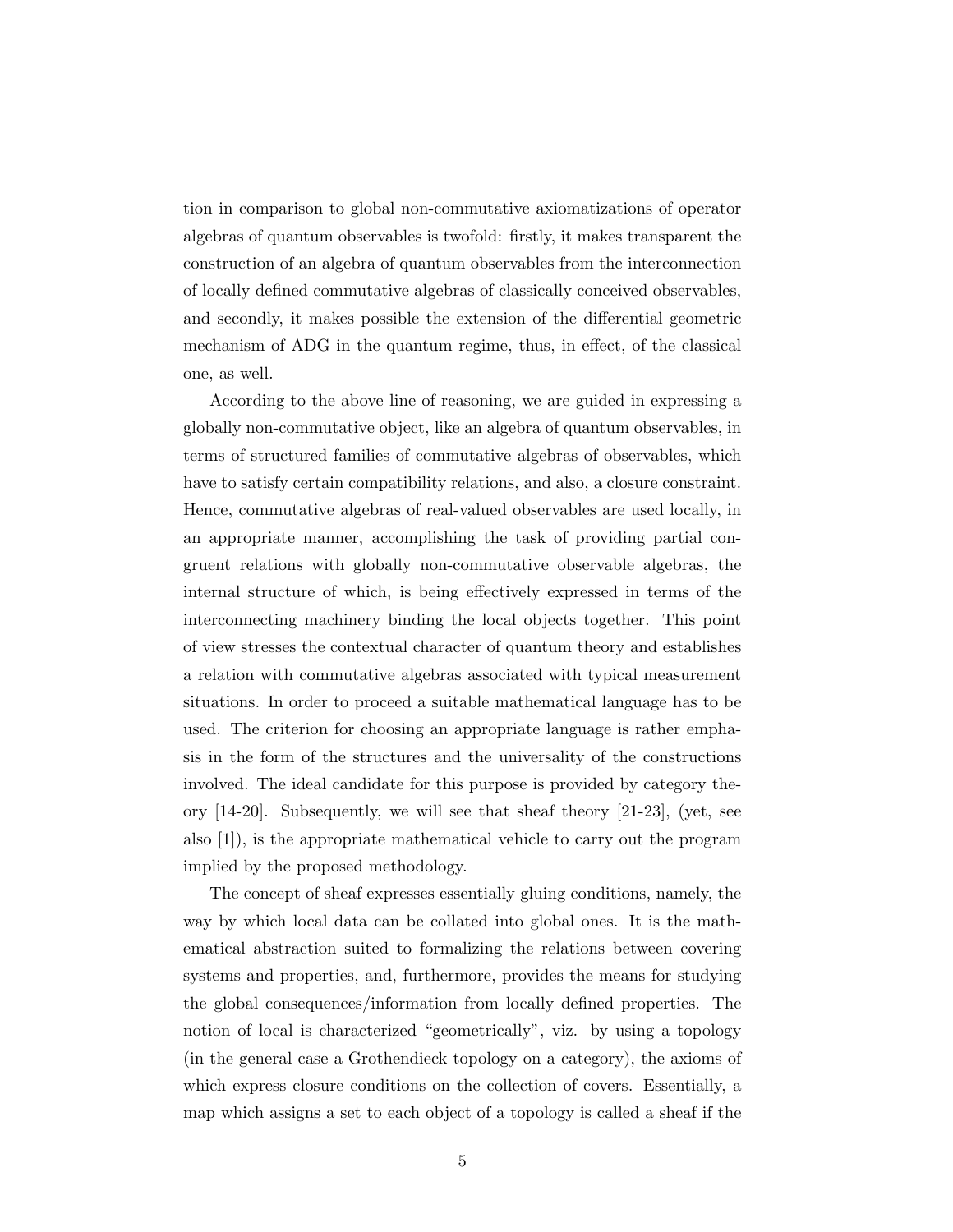tion in comparison to global non-commutative axiomatizations of operator algebras of quantum observables is twofold: firstly, it makes transparent the construction of an algebra of quantum observables from the interconnection of locally defined commutative algebras of classically conceived observables, and secondly, it makes possible the extension of the differential geometric mechanism of ADG in the quantum regime, thus, in effect, of the classical one, as well.

According to the above line of reasoning, we are guided in expressing a globally non-commutative object, like an algebra of quantum observables, in terms of structured families of commutative algebras of observables, which have to satisfy certain compatibility relations, and also, a closure constraint. Hence, commutative algebras of real-valued observables are used locally, in an appropriate manner, accomplishing the task of providing partial congruent relations with globally non-commutative observable algebras, the internal structure of which, is being effectively expressed in terms of the interconnecting machinery binding the local objects together. This point of view stresses the contextual character of quantum theory and establishes a relation with commutative algebras associated with typical measurement situations. In order to proceed a suitable mathematical language has to be used. The criterion for choosing an appropriate language is rather emphasis in the form of the structures and the universality of the constructions involved. The ideal candidate for this purpose is provided by category theory [14-20]. Subsequently, we will see that sheaf theory [21-23], (yet, see also [1]), is the appropriate mathematical vehicle to carry out the program implied by the proposed methodology.

The concept of sheaf expresses essentially gluing conditions, namely, the way by which local data can be collated into global ones. It is the mathematical abstraction suited to formalizing the relations between covering systems and properties, and, furthermore, provides the means for studying the global consequences/information from locally defined properties. The notion of local is characterized "geometrically", viz. by using a topology (in the general case a Grothendieck topology on a category), the axioms of which express closure conditions on the collection of covers. Essentially, a map which assigns a set to each object of a topology is called a sheaf if the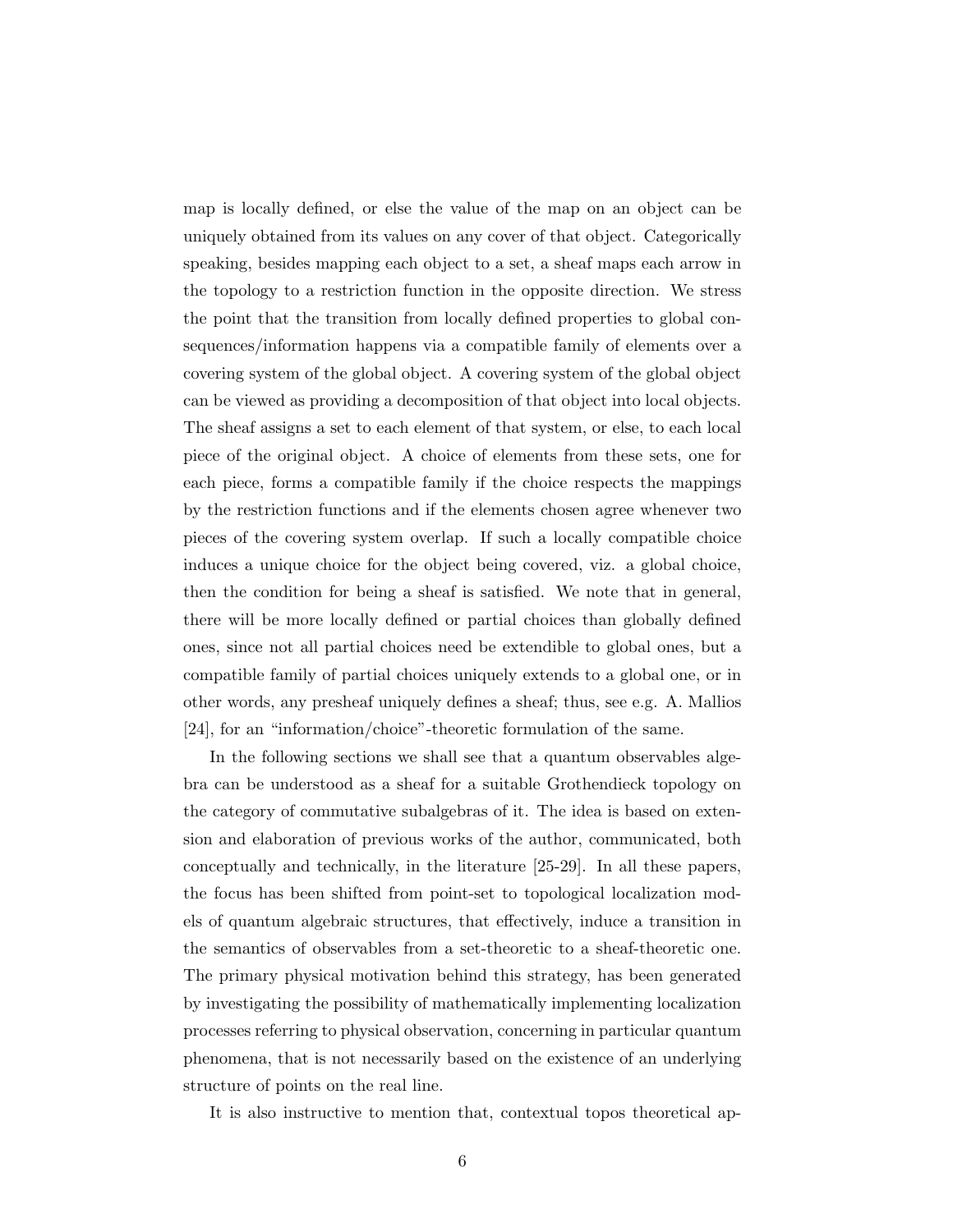map is locally defined, or else the value of the map on an object can be uniquely obtained from its values on any cover of that object. Categorically speaking, besides mapping each object to a set, a sheaf maps each arrow in the topology to a restriction function in the opposite direction. We stress the point that the transition from locally defined properties to global consequences/information happens via a compatible family of elements over a covering system of the global object. A covering system of the global object can be viewed as providing a decomposition of that object into local objects. The sheaf assigns a set to each element of that system, or else, to each local piece of the original object. A choice of elements from these sets, one for each piece, forms a compatible family if the choice respects the mappings by the restriction functions and if the elements chosen agree whenever two pieces of the covering system overlap. If such a locally compatible choice induces a unique choice for the object being covered, viz. a global choice, then the condition for being a sheaf is satisfied. We note that in general, there will be more locally defined or partial choices than globally defined ones, since not all partial choices need be extendible to global ones, but a compatible family of partial choices uniquely extends to a global one, or in other words, any presheaf uniquely defines a sheaf; thus, see e.g. A. Mallios [24], for an "information/choice"-theoretic formulation of the same.

In the following sections we shall see that a quantum observables algebra can be understood as a sheaf for a suitable Grothendieck topology on the category of commutative subalgebras of it. The idea is based on extension and elaboration of previous works of the author, communicated, both conceptually and technically, in the literature [25-29]. In all these papers, the focus has been shifted from point-set to topological localization models of quantum algebraic structures, that effectively, induce a transition in the semantics of observables from a set-theoretic to a sheaf-theoretic one. The primary physical motivation behind this strategy, has been generated by investigating the possibility of mathematically implementing localization processes referring to physical observation, concerning in particular quantum phenomena, that is not necessarily based on the existence of an underlying structure of points on the real line.

It is also instructive to mention that, contextual topos theoretical ap-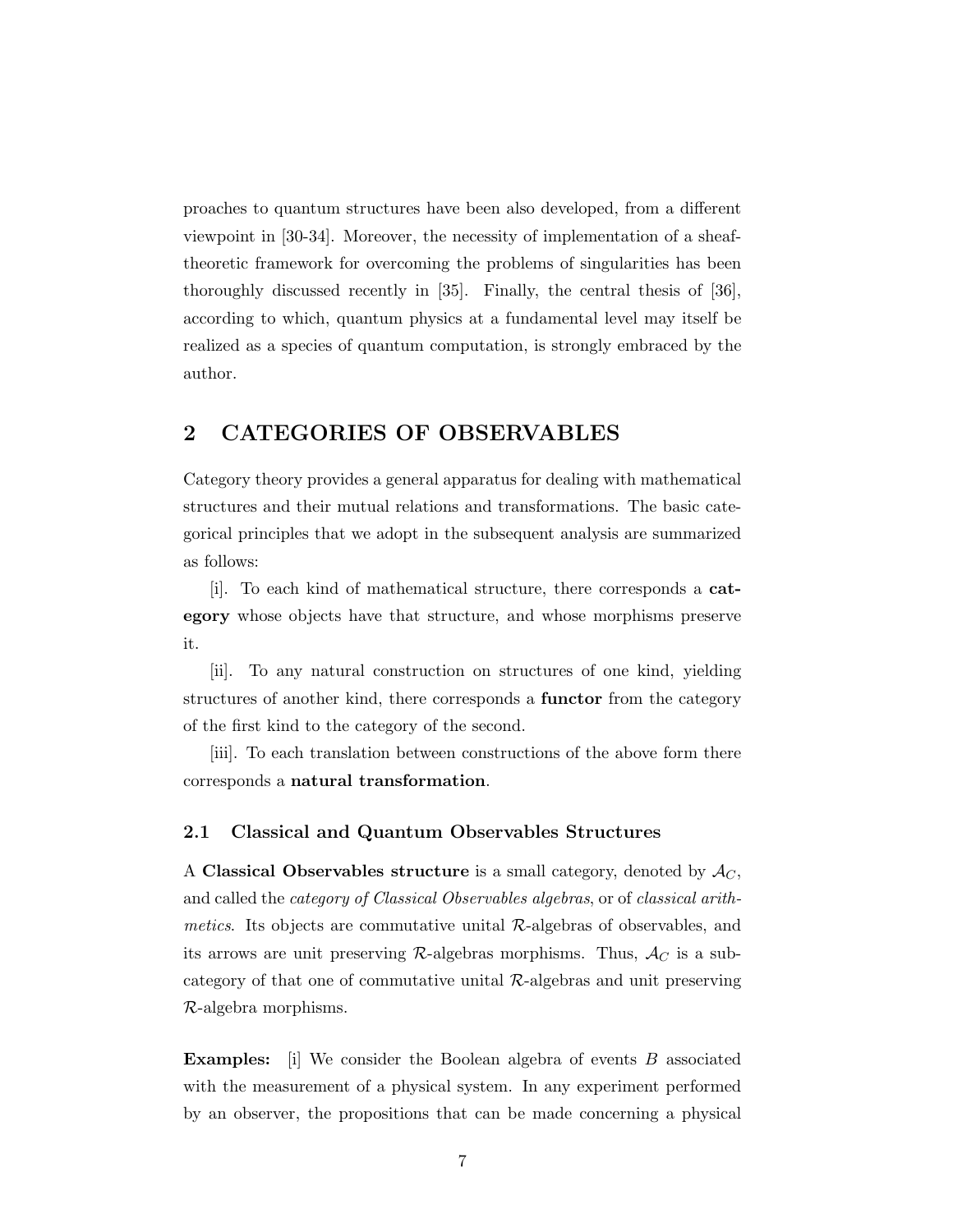proaches to quantum structures have been also developed, from a different viewpoint in [30-34]. Moreover, the necessity of implementation of a sheaftheoretic framework for overcoming the problems of singularities has been thoroughly discussed recently in [35]. Finally, the central thesis of [36], according to which, quantum physics at a fundamental level may itself be realized as a species of quantum computation, is strongly embraced by the author.

## 2 CATEGORIES OF OBSERVABLES

Category theory provides a general apparatus for dealing with mathematical structures and their mutual relations and transformations. The basic categorical principles that we adopt in the subsequent analysis are summarized as follows:

[i]. To each kind of mathematical structure, there corresponds a category whose objects have that structure, and whose morphisms preserve it.

[ii]. To any natural construction on structures of one kind, yielding structures of another kind, there corresponds a functor from the category of the first kind to the category of the second.

[iii]. To each translation between constructions of the above form there corresponds a natural transformation.

#### 2.1 Classical and Quantum Observables Structures

A Classical Observables structure is a small category, denoted by  $A_C$ , and called the category of Classical Observables algebras, or of classical arithmetics. Its objects are commutative unital  $\mathcal{R}$ -algebras of observables, and its arrows are unit preserving R-algebras morphisms. Thus,  $\mathcal{A}_C$  is a subcategory of that one of commutative unital R-algebras and unit preserving R-algebra morphisms.

Examples: [i] We consider the Boolean algebra of events B associated with the measurement of a physical system. In any experiment performed by an observer, the propositions that can be made concerning a physical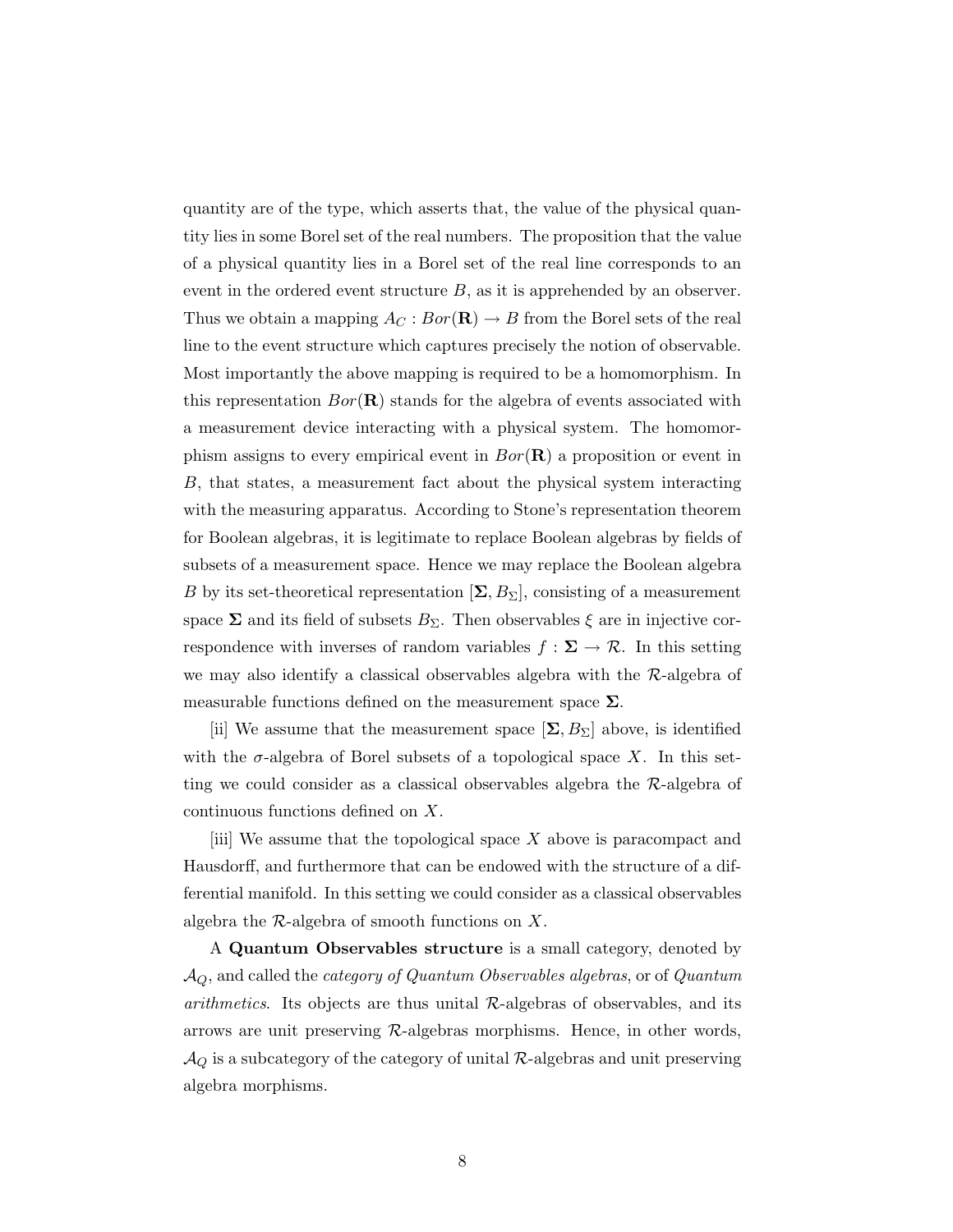quantity are of the type, which asserts that, the value of the physical quantity lies in some Borel set of the real numbers. The proposition that the value of a physical quantity lies in a Borel set of the real line corresponds to an event in the ordered event structure  $B$ , as it is apprehended by an observer. Thus we obtain a mapping  $A_C : Bor(\mathbf{R}) \to B$  from the Borel sets of the real line to the event structure which captures precisely the notion of observable. Most importantly the above mapping is required to be a homomorphism. In this representation  $Bor(\mathbf{R})$  stands for the algebra of events associated with a measurement device interacting with a physical system. The homomorphism assigns to every empirical event in  $Bor(\mathbf{R})$  a proposition or event in B, that states, a measurement fact about the physical system interacting with the measuring apparatus. According to Stone's representation theorem for Boolean algebras, it is legitimate to replace Boolean algebras by fields of subsets of a measurement space. Hence we may replace the Boolean algebra B by its set-theoretical representation  $[\Sigma, B_{\Sigma}]$ , consisting of a measurement space  $\Sigma$  and its field of subsets  $B_{\Sigma}$ . Then observables  $\xi$  are in injective correspondence with inverses of random variables  $f : \Sigma \to \mathcal{R}$ . In this setting we may also identify a classical observables algebra with the  $\mathcal{R}\text{-algebra}$  of measurable functions defined on the measurement space  $\Sigma$ .

[ii] We assume that the measurement space  $[\Sigma, B_{\Sigma}]$  above, is identified with the  $\sigma$ -algebra of Borel subsets of a topological space X. In this setting we could consider as a classical observables algebra the  $\mathcal{R}\text{-algebra}$  of continuous functions defined on X.

[iii] We assume that the topological space X above is paracompact and Hausdorff, and furthermore that can be endowed with the structure of a differential manifold. In this setting we could consider as a classical observables algebra the  $\mathcal{R}$ -algebra of smooth functions on X.

A Quantum Observables structure is a small category, denoted by  $\mathcal{A}_Q$ , and called the *category of Quantum Observables algebras*, or of *Quantum*  $arithmetics$ . Its objects are thus unital  $R$ -algebras of observables, and its arrows are unit preserving R-algebras morphisms. Hence, in other words,  $\mathcal{A}_Q$  is a subcategory of the category of unital R-algebras and unit preserving algebra morphisms.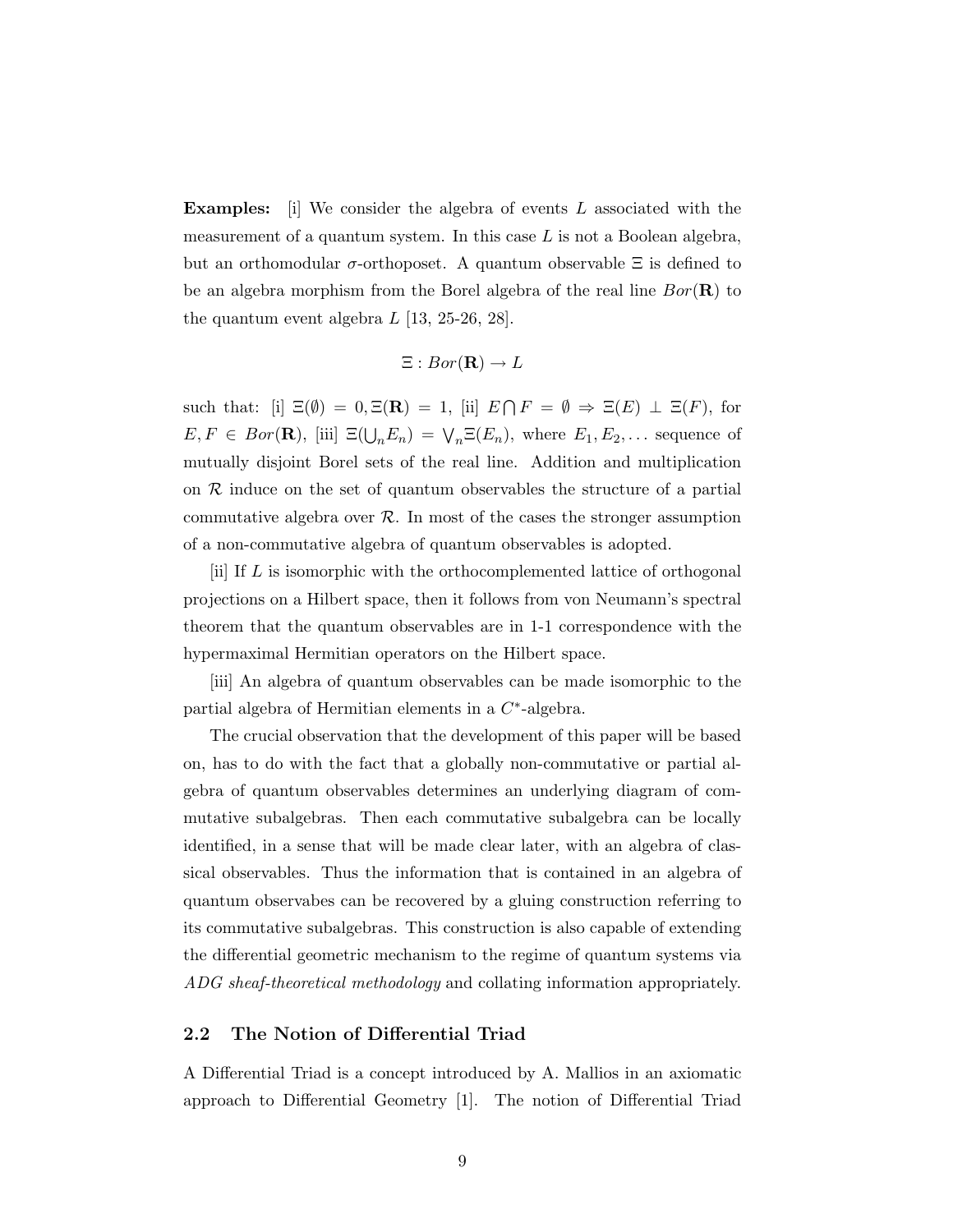**Examples:** [i] We consider the algebra of events  $L$  associated with the measurement of a quantum system. In this case  $L$  is not a Boolean algebra, but an orthomodular  $\sigma$ -orthoposet. A quantum observable  $\Xi$  is defined to be an algebra morphism from the Borel algebra of the real line  $Bor(\mathbf{R})$  to the quantum event algebra  $L$  [13, 25-26, 28].

$$
\Xi: Bor(\mathbf{R}) \to L
$$

such that: [i]  $\Xi(\emptyset) = 0, \Xi(\mathbf{R}) = 1$ , [ii]  $E \cap F = \emptyset \Rightarrow \Xi(E) \perp \Xi(F)$ , for  $E, F \in Bor(\mathbf{R}),$  [iii]  $\Xi(\bigcup_n E_n) = \bigvee_n \Xi(E_n)$ , where  $E_1, E_2, \ldots$  sequence of mutually disjoint Borel sets of the real line. Addition and multiplication on  $R$  induce on the set of quantum observables the structure of a partial commutative algebra over  $R$ . In most of the cases the stronger assumption of a non-commutative algebra of quantum observables is adopted.

[ii] If L is isomorphic with the orthocomplemented lattice of orthogonal projections on a Hilbert space, then it follows from von Neumann's spectral theorem that the quantum observables are in 1-1 correspondence with the hypermaximal Hermitian operators on the Hilbert space.

[iii] An algebra of quantum observables can be made isomorphic to the partial algebra of Hermitian elements in a  $C^*$ -algebra.

The crucial observation that the development of this paper will be based on, has to do with the fact that a globally non-commutative or partial algebra of quantum observables determines an underlying diagram of commutative subalgebras. Then each commutative subalgebra can be locally identified, in a sense that will be made clear later, with an algebra of classical observables. Thus the information that is contained in an algebra of quantum observabes can be recovered by a gluing construction referring to its commutative subalgebras. This construction is also capable of extending the differential geometric mechanism to the regime of quantum systems via ADG sheaf-theoretical methodology and collating information appropriately.

#### 2.2 The Notion of Differential Triad

A Differential Triad is a concept introduced by A. Mallios in an axiomatic approach to Differential Geometry [1]. The notion of Differential Triad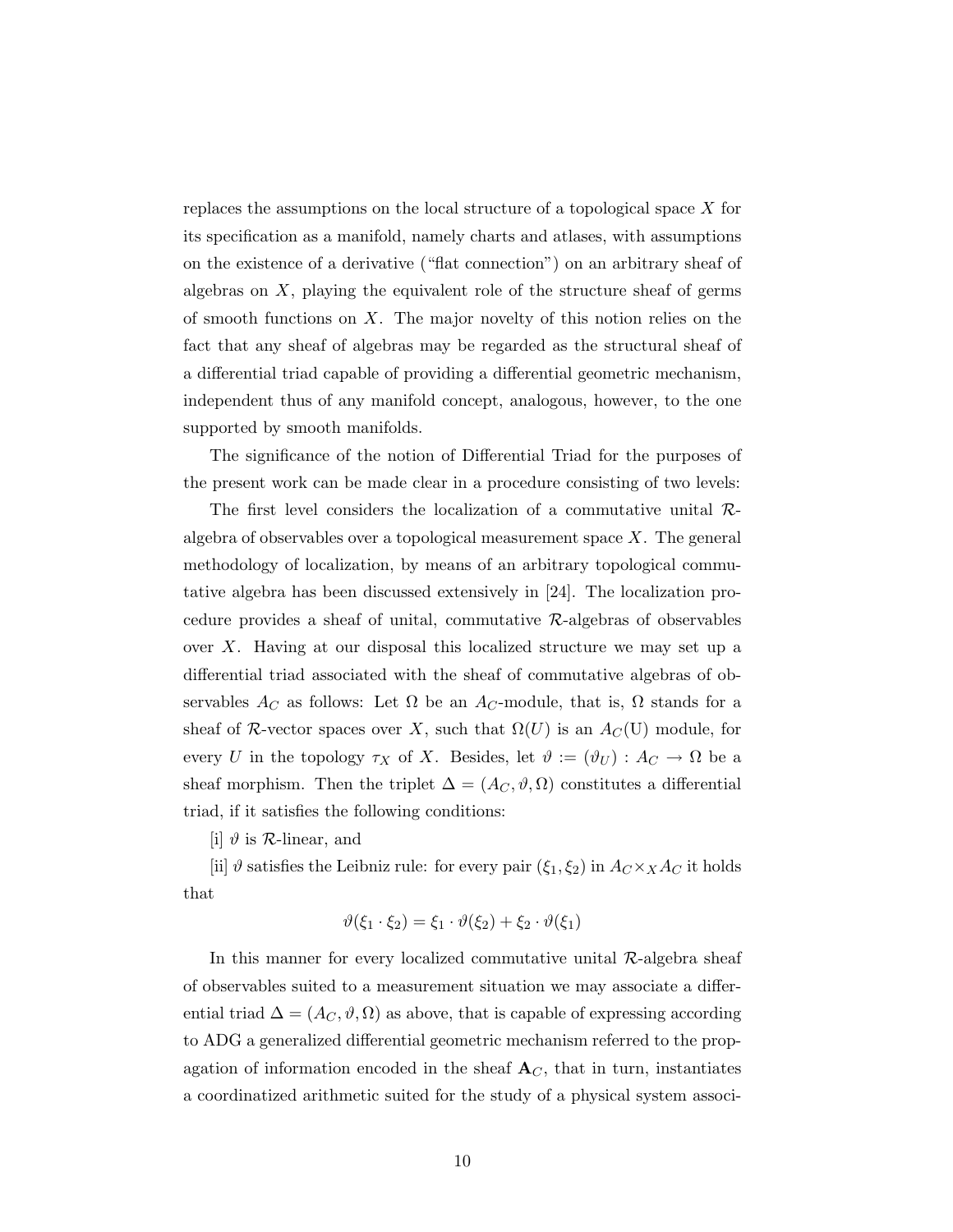replaces the assumptions on the local structure of a topological space X for its specification as a manifold, namely charts and atlases, with assumptions on the existence of a derivative ("flat connection") on an arbitrary sheaf of algebras on  $X$ , playing the equivalent role of the structure sheaf of germs of smooth functions on X. The major novelty of this notion relies on the fact that any sheaf of algebras may be regarded as the structural sheaf of a differential triad capable of providing a differential geometric mechanism, independent thus of any manifold concept, analogous, however, to the one supported by smooth manifolds.

The significance of the notion of Differential Triad for the purposes of the present work can be made clear in a procedure consisting of two levels:

The first level considers the localization of a commutative unital  $\mathcal{R}$ algebra of observables over a topological measurement space  $X$ . The general methodology of localization, by means of an arbitrary topological commutative algebra has been discussed extensively in [24]. The localization procedure provides a sheaf of unital, commutative  $\mathcal{R}\text{-algebras of observables}$ over X. Having at our disposal this localized structure we may set up a differential triad associated with the sheaf of commutative algebras of observables  $A_C$  as follows: Let  $\Omega$  be an  $A_C$ -module, that is,  $\Omega$  stands for a sheaf of R-vector spaces over X, such that  $\Omega(U)$  is an  $A_C(U)$  module, for every U in the topology  $\tau_X$  of X. Besides, let  $\vartheta := (\vartheta_U) : A_C \to \Omega$  be a sheaf morphism. Then the triplet  $\Delta = (A_C, \vartheta, \Omega)$  constitutes a differential triad, if it satisfies the following conditions:

[i]  $\vartheta$  is  $\mathcal{R}\text{-linear}$ , and

[ii]  $\vartheta$  satisfies the Leibniz rule: for every pair  $(\xi_1, \xi_2)$  in  $A_C \times_X A_C$  it holds that

$$
\vartheta(\xi_1 \cdot \xi_2) = \xi_1 \cdot \vartheta(\xi_2) + \xi_2 \cdot \vartheta(\xi_1)
$$

In this manner for every localized commutative unital  $\mathcal{R}\text{-algebra sheaf}$ of observables suited to a measurement situation we may associate a differential triad  $\Delta = (A_C, \vartheta, \Omega)$  as above, that is capable of expressing according to ADG a generalized differential geometric mechanism referred to the propagation of information encoded in the sheaf  $A_C$ , that in turn, instantiates a coordinatized arithmetic suited for the study of a physical system associ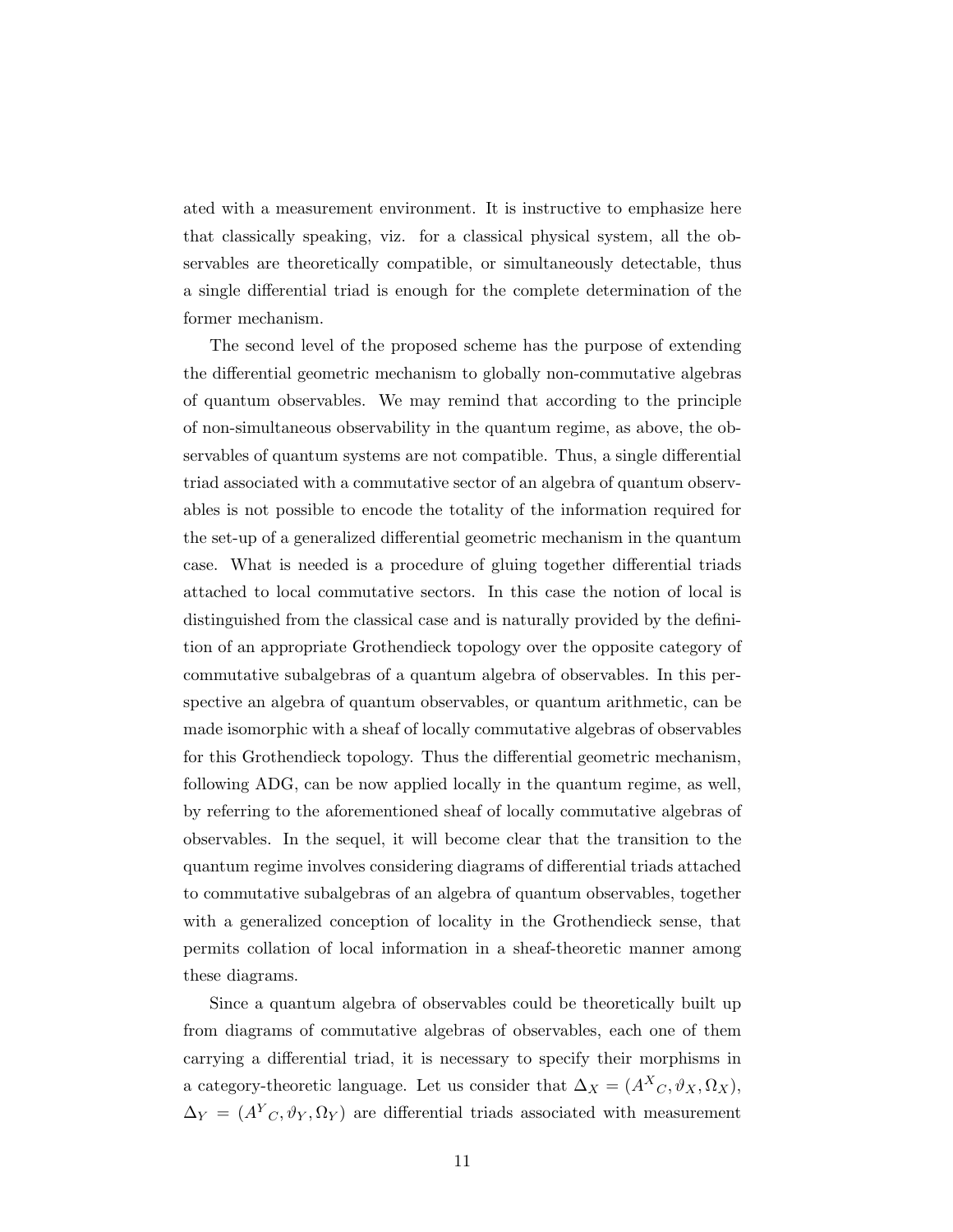ated with a measurement environment. It is instructive to emphasize here that classically speaking, viz. for a classical physical system, all the observables are theoretically compatible, or simultaneously detectable, thus a single differential triad is enough for the complete determination of the former mechanism.

The second level of the proposed scheme has the purpose of extending the differential geometric mechanism to globally non-commutative algebras of quantum observables. We may remind that according to the principle of non-simultaneous observability in the quantum regime, as above, the observables of quantum systems are not compatible. Thus, a single differential triad associated with a commutative sector of an algebra of quantum observables is not possible to encode the totality of the information required for the set-up of a generalized differential geometric mechanism in the quantum case. What is needed is a procedure of gluing together differential triads attached to local commutative sectors. In this case the notion of local is distinguished from the classical case and is naturally provided by the definition of an appropriate Grothendieck topology over the opposite category of commutative subalgebras of a quantum algebra of observables. In this perspective an algebra of quantum observables, or quantum arithmetic, can be made isomorphic with a sheaf of locally commutative algebras of observables for this Grothendieck topology. Thus the differential geometric mechanism, following ADG, can be now applied locally in the quantum regime, as well, by referring to the aforementioned sheaf of locally commutative algebras of observables. In the sequel, it will become clear that the transition to the quantum regime involves considering diagrams of differential triads attached to commutative subalgebras of an algebra of quantum observables, together with a generalized conception of locality in the Grothendieck sense, that permits collation of local information in a sheaf-theoretic manner among these diagrams.

Since a quantum algebra of observables could be theoretically built up from diagrams of commutative algebras of observables, each one of them carrying a differential triad, it is necessary to specify their morphisms in a category-theoretic language. Let us consider that  $\Delta_X = (A^X{}_C, \vartheta_X, \Omega_X)$ ,  $\Delta_Y = (A^Y_C, \vartheta_Y, \Omega_Y)$  are differential triads associated with measurement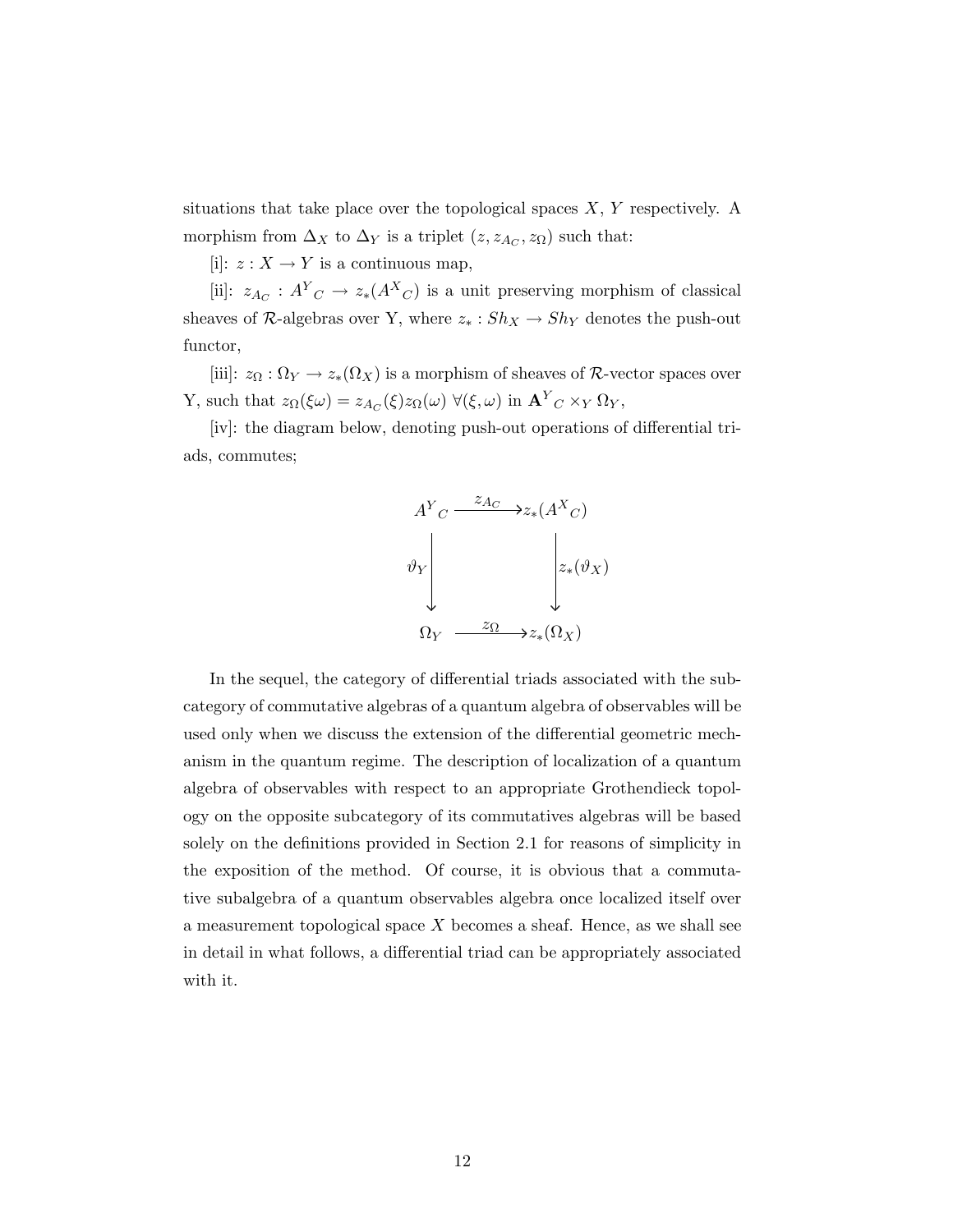situations that take place over the topological spaces  $X, Y$  respectively. A morphism from  $\Delta_X$  to  $\Delta_Y$  is a triplet  $(z, z_{A_C}, z_{\Omega})$  such that:

[i]:  $z: X \to Y$  is a continuous map,

[ii]:  $z_{A_C}$ :  $A^Y_C \rightarrow z_*(A^X_C)$  is a unit preserving morphism of classical sheaves of  $\mathcal{R}\text{-algebras over Y, where } z_* : Sh_X \to Sh_Y$  denotes the push-out functor,

[iii]:  $z_{\Omega} : \Omega_Y \to z_*(\Omega_X)$  is a morphism of sheaves of R-vector spaces over Y, such that  $z_{\Omega}(\xi\omega) = z_{A_C}(\xi)z_{\Omega}(\omega)$   $\forall (\xi,\omega)$  in  ${\bf A}^Y{}_C \times_Y \Omega_Y$ ,

[iv]: the diagram below, denoting push-out operations of differential triads, commutes;



In the sequel, the category of differential triads associated with the subcategory of commutative algebras of a quantum algebra of observables will be used only when we discuss the extension of the differential geometric mechanism in the quantum regime. The description of localization of a quantum algebra of observables with respect to an appropriate Grothendieck topology on the opposite subcategory of its commutatives algebras will be based solely on the definitions provided in Section 2.1 for reasons of simplicity in the exposition of the method. Of course, it is obvious that a commutative subalgebra of a quantum observables algebra once localized itself over a measurement topological space  $X$  becomes a sheaf. Hence, as we shall see in detail in what follows, a differential triad can be appropriately associated with it.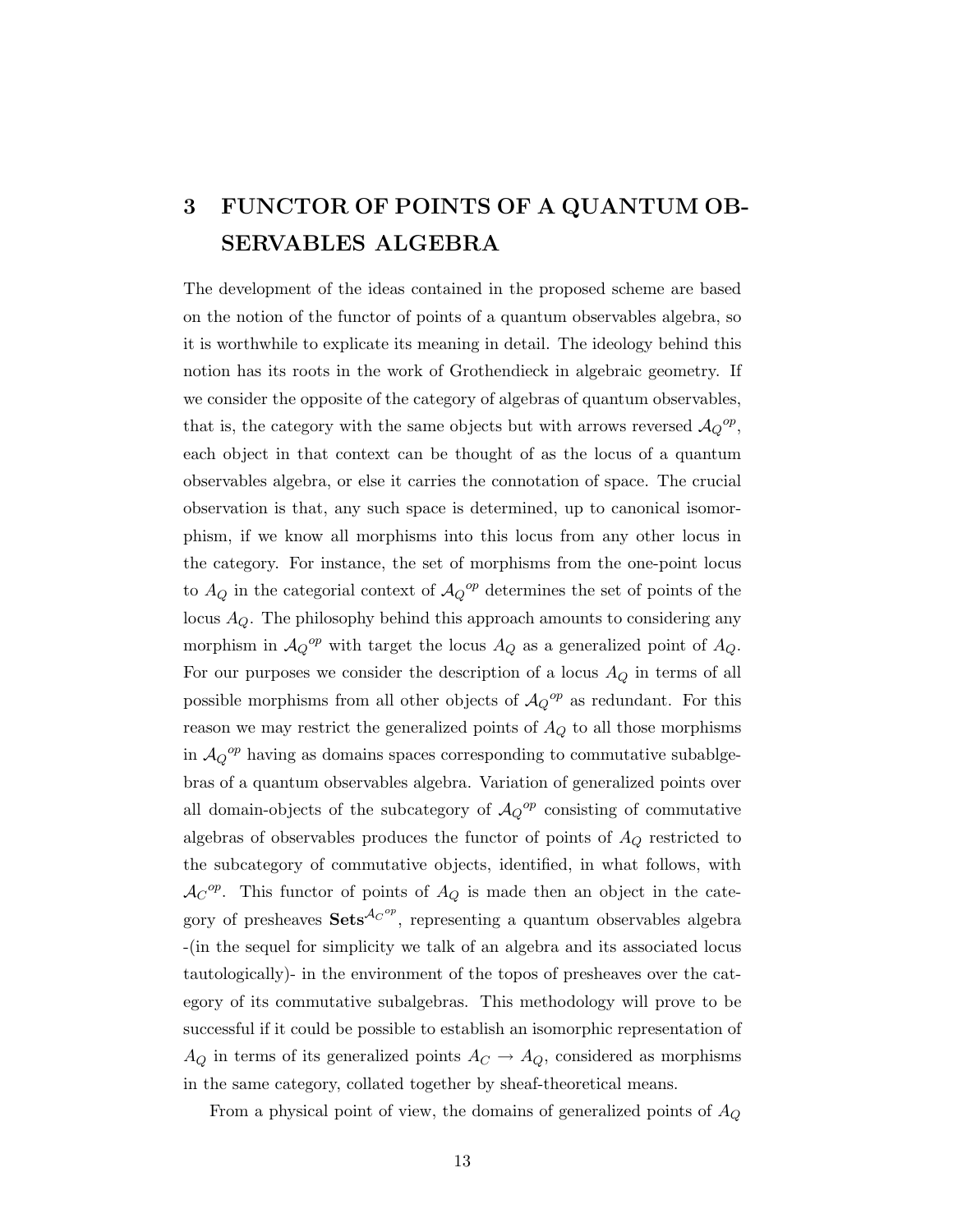## 3 FUNCTOR OF POINTS OF A QUANTUM OB-SERVABLES ALGEBRA

The development of the ideas contained in the proposed scheme are based on the notion of the functor of points of a quantum observables algebra, so it is worthwhile to explicate its meaning in detail. The ideology behind this notion has its roots in the work of Grothendieck in algebraic geometry. If we consider the opposite of the category of algebras of quantum observables, that is, the category with the same objects but with arrows reversed  $\mathcal{A}_Q{}^{op}$ , each object in that context can be thought of as the locus of a quantum observables algebra, or else it carries the connotation of space. The crucial observation is that, any such space is determined, up to canonical isomorphism, if we know all morphisms into this locus from any other locus in the category. For instance, the set of morphisms from the one-point locus to  $A_Q$  in the categorial context of  $A_Q^{\, op}$  determines the set of points of the locus  $A_Q$ . The philosophy behind this approach amounts to considering any morphism in  $A_Q^{op}$  with target the locus  $A_Q$  as a generalized point of  $A_Q$ . For our purposes we consider the description of a locus  $A_Q$  in terms of all possible morphisms from all other objects of  $A_Q^{op}$  as redundant. For this reason we may restrict the generalized points of  $A_Q$  to all those morphisms in  $A_Q^{op}$  having as domains spaces corresponding to commutative subablgebras of a quantum observables algebra. Variation of generalized points over all domain-objects of the subcategory of  $\mathcal{A}_Q^{\, op}$  consisting of commutative algebras of observables produces the functor of points of  $A_Q$  restricted to the subcategory of commutative objects, identified, in what follows, with  $AC^{op}$ . This functor of points of  $A_Q$  is made then an object in the category of presheaves  $\textbf{Sets}^{\mathcal{A}_C^{op}}$ , representing a quantum observables algebra -(in the sequel for simplicity we talk of an algebra and its associated locus tautologically)- in the environment of the topos of presheaves over the category of its commutative subalgebras. This methodology will prove to be successful if it could be possible to establish an isomorphic representation of  $A_Q$  in terms of its generalized points  $A_C \rightarrow A_Q$ , considered as morphisms in the same category, collated together by sheaf-theoretical means.

From a physical point of view, the domains of generalized points of  $A_Q$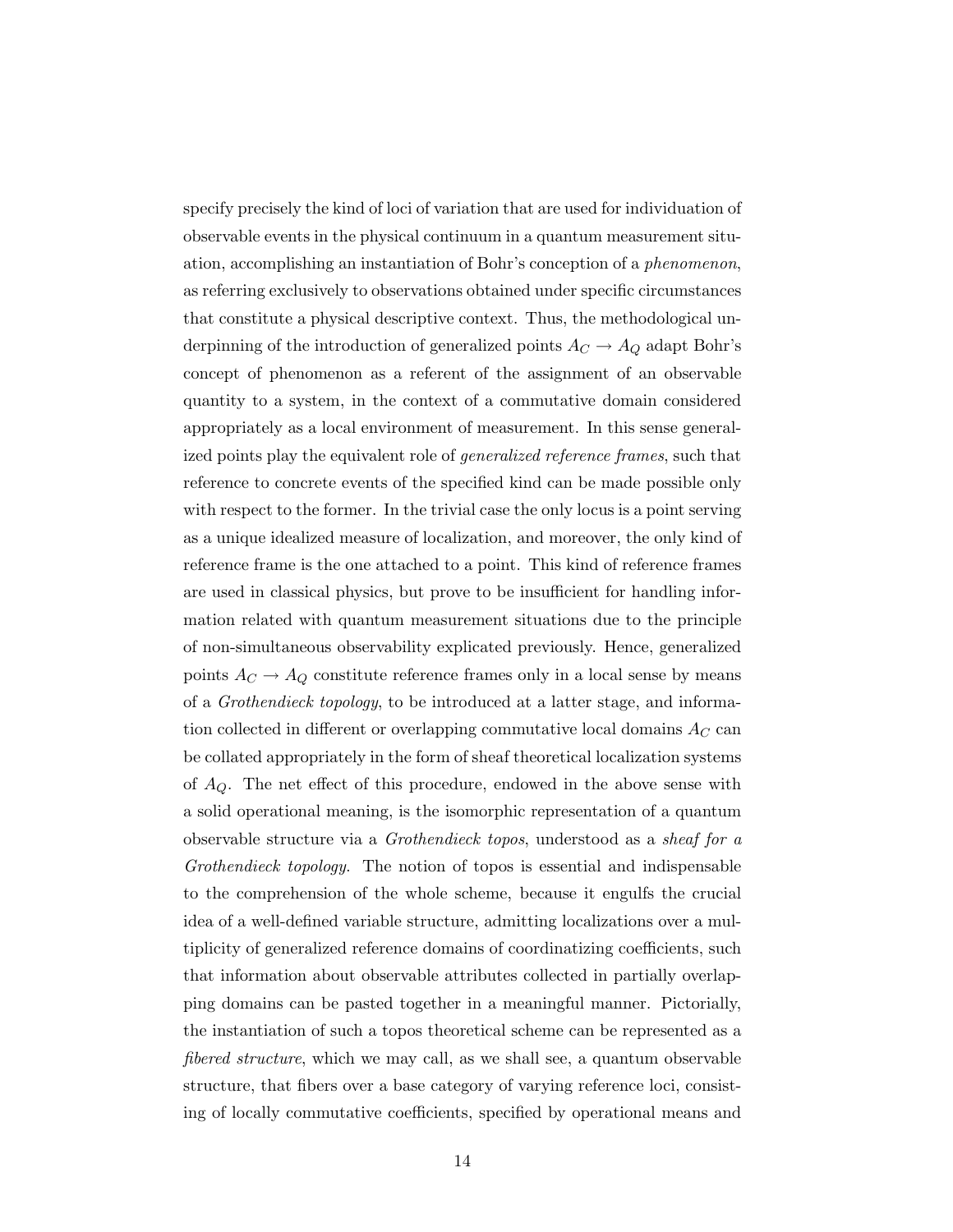specify precisely the kind of loci of variation that are used for individuation of observable events in the physical continuum in a quantum measurement situation, accomplishing an instantiation of Bohr's conception of a phenomenon, as referring exclusively to observations obtained under specific circumstances that constitute a physical descriptive context. Thus, the methodological underpinning of the introduction of generalized points  $A_C \rightarrow A_Q$  adapt Bohr's concept of phenomenon as a referent of the assignment of an observable quantity to a system, in the context of a commutative domain considered appropriately as a local environment of measurement. In this sense generalized points play the equivalent role of generalized reference frames, such that reference to concrete events of the specified kind can be made possible only with respect to the former. In the trivial case the only locus is a point serving as a unique idealized measure of localization, and moreover, the only kind of reference frame is the one attached to a point. This kind of reference frames are used in classical physics, but prove to be insufficient for handling information related with quantum measurement situations due to the principle of non-simultaneous observability explicated previously. Hence, generalized points  $A_C \rightarrow A_Q$  constitute reference frames only in a local sense by means of a Grothendieck topology, to be introduced at a latter stage, and information collected in different or overlapping commutative local domains  $A_C$  can be collated appropriately in the form of sheaf theoretical localization systems of  $A_Q$ . The net effect of this procedure, endowed in the above sense with a solid operational meaning, is the isomorphic representation of a quantum observable structure via a Grothendieck topos, understood as a sheaf for a Grothendieck topology. The notion of topos is essential and indispensable to the comprehension of the whole scheme, because it engulfs the crucial idea of a well-defined variable structure, admitting localizations over a multiplicity of generalized reference domains of coordinatizing coefficients, such that information about observable attributes collected in partially overlapping domains can be pasted together in a meaningful manner. Pictorially, the instantiation of such a topos theoretical scheme can be represented as a fibered structure, which we may call, as we shall see, a quantum observable structure, that fibers over a base category of varying reference loci, consisting of locally commutative coefficients, specified by operational means and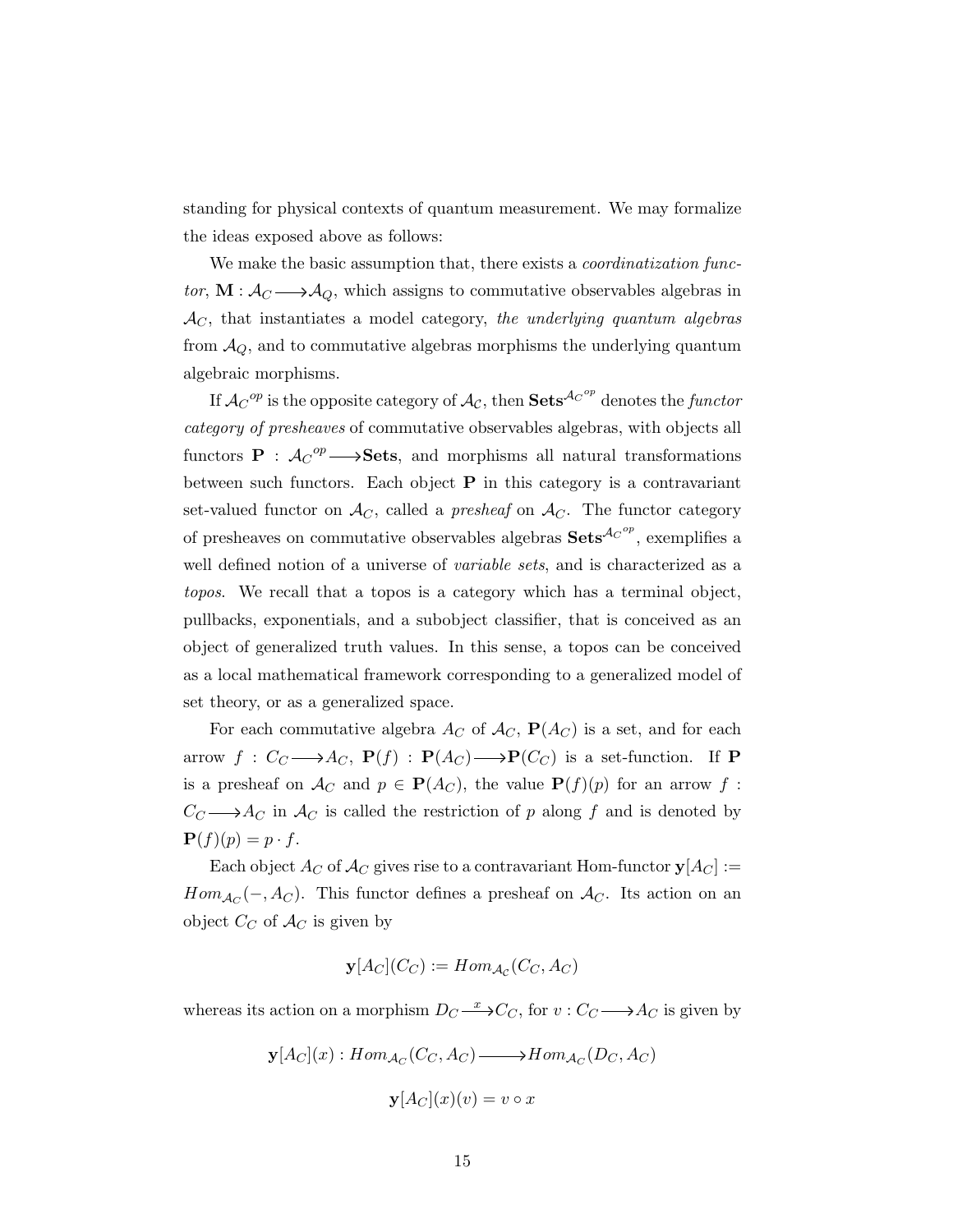standing for physical contexts of quantum measurement. We may formalize the ideas exposed above as follows:

We make the basic assumption that, there exists a *coordinatization func*tor,  $\mathbf{M}$ :  $\mathcal{A}_{C} \longrightarrow \mathcal{A}_{Q}$ , which assigns to commutative observables algebras in  $\mathcal{A}_C$ , that instantiates a model category, the underlying quantum algebras from  $A<sub>Q</sub>$ , and to commutative algebras morphisms the underlying quantum algebraic morphisms.

If  $\mathcal{A}_{C}{}^{op}$  is the opposite category of  $\mathcal{A}_{C},$  then  $\mathbf{Sets}^{\mathcal{A}_{C}{}^{op}}$  denotes the *functor* category of presheaves of commutative observables algebras, with objects all functors  $P : A_C^{op} \longrightarrow$ **Sets**, and morphisms all natural transformations between such functors. Each object  $P$  in this category is a contravariant set-valued functor on  $A_C$ , called a *presheaf* on  $A_C$ . The functor category of presheaves on commutative observables algebras  $\textbf{Sets}^{\mathcal{A}_{C}^{op}}$ , exemplifies a well defined notion of a universe of *variable sets*, and is characterized as a topos. We recall that a topos is a category which has a terminal object, pullbacks, exponentials, and a subobject classifier, that is conceived as an object of generalized truth values. In this sense, a topos can be conceived as a local mathematical framework corresponding to a generalized model of set theory, or as a generalized space.

For each commutative algebra  $A_C$  of  $\mathcal{A}_C$ ,  $\mathbf{P}(A_C)$  is a set, and for each arrow  $f: C_C \longrightarrow A_C$ ,  $P(f): P(A_C) \longrightarrow P(C_C)$  is a set-function. If P is a presheaf on  $\mathcal{A}_{C}$  and  $p \in \mathbf{P}(A_{C})$ , the value  $\mathbf{P}(f)(p)$  for an arrow f:  $C_C \longrightarrow A_C$  in  $A_C$  is called the restriction of p along f and is denoted by  $\mathbf{P}(f)(p) = p \cdot f$ .

Each object  $A_C$  of  $A_C$  gives rise to a contravariant Hom-functor  $y[A_C] :=$  $Hom_{\mathcal{A}_{C}}(-, A_{C})$ . This functor defines a presheaf on  $\mathcal{A}_{C}$ . Its action on an object  $C_C$  of  $\mathcal{A}_C$  is given by

$$
\mathbf{y}[A_C](C_C) := Hom_{\mathcal{A}_C}(C_C, A_C)
$$

whereas its action on a morphism  $D_C \rightarrow C_C$ , for  $v : C_C \rightarrow A_C$  is given by

$$
\mathbf{y}[A_C](x) : Hom_{\mathcal{A}_C}(C_C, A_C) \longrightarrow Hom_{\mathcal{A}_C}(D_C, A_C)
$$

$$
\mathbf{y}[A_C](x)(v) = v \circ x
$$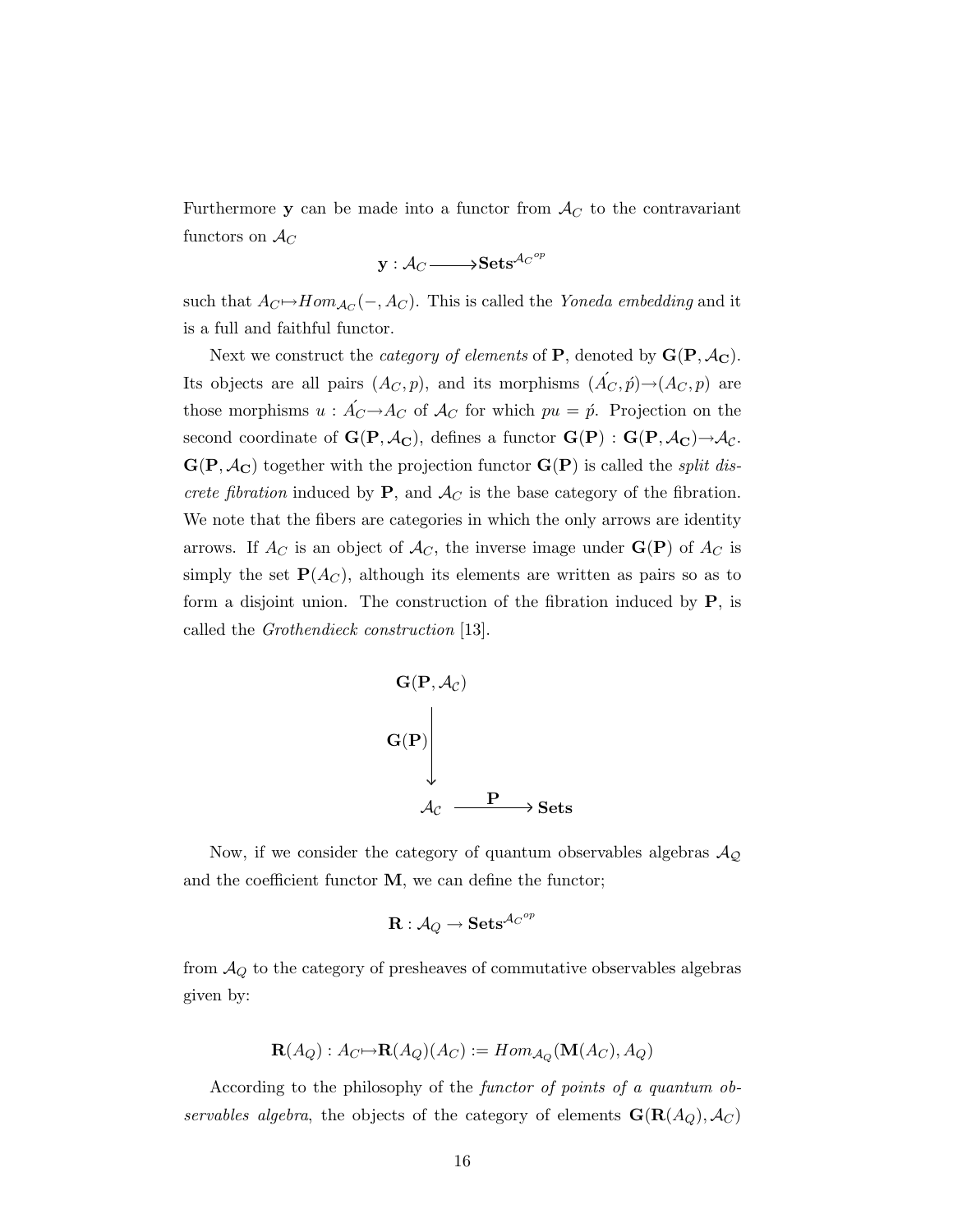Furthermore y can be made into a functor from  $\mathcal{A}_C$  to the contravariant functors on  $\mathcal{A}_C$ 

$$
\mathbf{y}:\mathcal{A}_{C}{\longrightarrow}\mathbf{Sets}^{\mathcal{A}_{C}^{op}}
$$

such that  $A_C \rightarrow Hom_{\mathcal{A}_C}(-, A_C)$ . This is called the Yoneda embedding and it is a full and faithful functor.

Next we construct the *category of elements* of **P**, denoted by  $G(P, \mathcal{A}_C)$ . Its objects are all pairs  $(A_C, p)$ , and its morphisms  $(\hat{A}_C, \hat{p}) \rightarrow (A_C, p)$  are those morphisms  $u : A_C \to A_C$  of  $A_C$  for which  $pu = \hat{p}$ . Projection on the second coordinate of  $\mathbf{G}(\mathbf{P}, \mathcal{A}_{\mathbf{C}})$ , defines a functor  $\mathbf{G}(\mathbf{P}) : \mathbf{G}(\mathbf{P}, \mathcal{A}_{\mathbf{C}}) \rightarrow \mathcal{A}_{\mathcal{C}}$ .  $\mathbf{G}(\mathbf{P}, \mathcal{A}_{\mathbf{C}})$  together with the projection functor  $\mathbf{G}(\mathbf{P})$  is called the *split dis*crete fibration induced by  $P$ , and  $A_C$  is the base category of the fibration. We note that the fibers are categories in which the only arrows are identity arrows. If  $A_C$  is an object of  $A_C$ , the inverse image under  $\mathbf{G}(\mathbf{P})$  of  $A_C$  is simply the set  $P(A_C)$ , although its elements are written as pairs so as to form a disjoint union. The construction of the fibration induced by  $P$ , is called the Grothendieck construction [13].



Now, if we consider the category of quantum observables algebras  $\mathcal{A}_{\mathcal{Q}}$ and the coefficient functor  $M$ , we can define the functor;

$$
\mathbf{R}: \mathcal{A}_Q \rightarrow \mathbf{Sets}^{\mathcal{A}_C^{op}}
$$

from  $A_Q$  to the category of presheaves of commutative observables algebras given by:

$$
\mathbf{R}(A_Q): A_C \rightarrow \mathbf{R}(A_Q)(A_C) := Hom_{\mathcal{A}_Q}(\mathbf{M}(A_C), A_Q)
$$

According to the philosophy of the functor of points of a quantum observables algebra, the objects of the category of elements  $\mathbf{G}(\mathbf{R}(A_Q), \mathcal{A}_C)$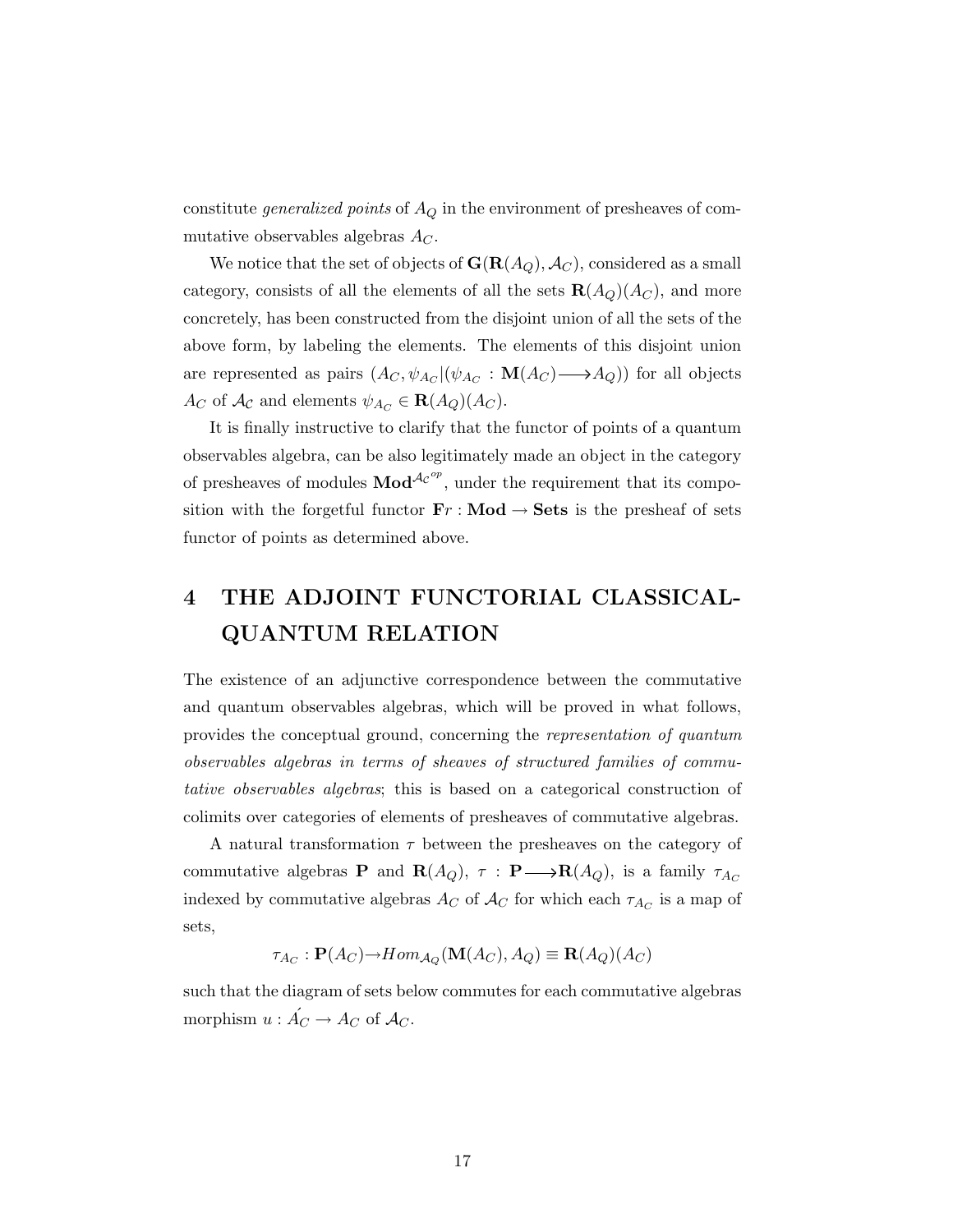constitute *generalized points* of  $A_Q$  in the environment of presheaves of commutative observables algebras  $A_C$ .

We notice that the set of objects of  $\mathbf{G}(\mathbf{R}(A_Q), \mathcal{A}_C)$ , considered as a small category, consists of all the elements of all the sets  $\mathbf{R}(A_{Q})(A_{C})$ , and more concretely, has been constructed from the disjoint union of all the sets of the above form, by labeling the elements. The elements of this disjoint union are represented as pairs  $(A_C, \psi_{A_C} | (\psi_{A_C} : M(A_C) \longrightarrow A_Q))$  for all objects  $A_C$  of  $\mathcal{A}_{\mathcal{C}}$  and elements  $\psi_{A_C} \in \mathbf{R}(A_Q)(A_C)$ .

It is finally instructive to clarify that the functor of points of a quantum observables algebra, can be also legitimately made an object in the category of presheaves of modules  $\mathbf{Mod}^{\mathcal{A}_{\mathcal{C}}^{op}}$ , under the requirement that its composition with the forgetful functor  $\mathbf{F}r : \mathbf{Mod} \to \mathbf{Sets}$  is the presheaf of sets functor of points as determined above.

## 4 THE ADJOINT FUNCTORIAL CLASSICAL-QUANTUM RELATION

The existence of an adjunctive correspondence between the commutative and quantum observables algebras, which will be proved in what follows, provides the conceptual ground, concerning the representation of quantum observables algebras in terms of sheaves of structured families of commutative observables algebras; this is based on a categorical construction of colimits over categories of elements of presheaves of commutative algebras.

A natural transformation  $\tau$  between the presheaves on the category of commutative algebras **P** and **R**(A<sub>Q</sub>),  $\tau$  : **P**  $\longrightarrow$ **R**(A<sub>Q</sub>), is a family  $\tau_{A_C}$ indexed by commutative algebras  $A_C$  of  $\mathcal{A}_C$  for which each  $\tau_{A_C}$  is a map of sets,

$$
\tau_{A_C} : \mathbf{P}(A_C) \to Hom_{\mathcal{A}_Q}(\mathbf{M}(A_C), A_Q) \equiv \mathbf{R}(A_Q)(A_C)
$$

such that the diagram of sets below commutes for each commutative algebras morphism  $u : \n\mathcal{A}_C \to \mathcal{A}_C$  of  $\mathcal{A}_C$ .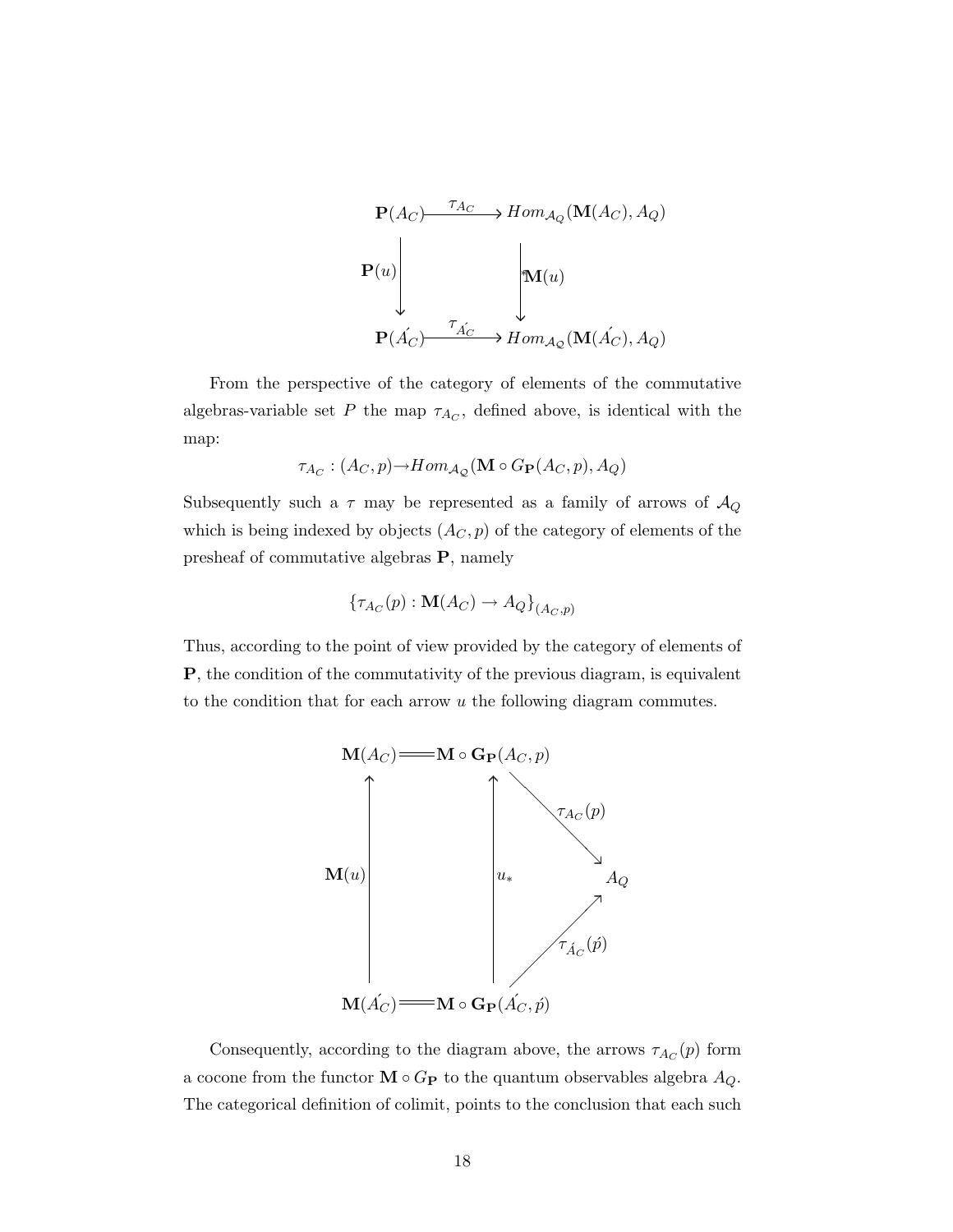

From the perspective of the category of elements of the commutative algebras-variable set P the map  $\tau_{A_C}$ , defined above, is identical with the map:

$$
\tau_{A_C}: (A_C, p) {\rightarrow} Hom_{\mathcal{A}_Q}(\mathbf{M} \circ G_{\mathbf{P}}(A_C, p), A_Q)
$$

Subsequently such a  $\tau$  may be represented as a family of arrows of  $\mathcal{A}_Q$ which is being indexed by objects  $(A_C, p)$  of the category of elements of the presheaf of commutative algebras P, namely

$$
\{\tau_{A_C}(p) : \mathbf{M}(A_C) \to A_Q\}_{(A_C, p)}
$$

Thus, according to the point of view provided by the category of elements of P, the condition of the commutativity of the previous diagram, is equivalent to the condition that for each arrow u the following diagram commutes.



Consequently, according to the diagram above, the arrows  $\tau_{A_C}(p)$  form a cocone from the functor  $\mathbf{M}\circ G_{\mathbf{P}}$  to the quantum observables algebra  $A_Q.$ The categorical definition of colimit, points to the conclusion that each such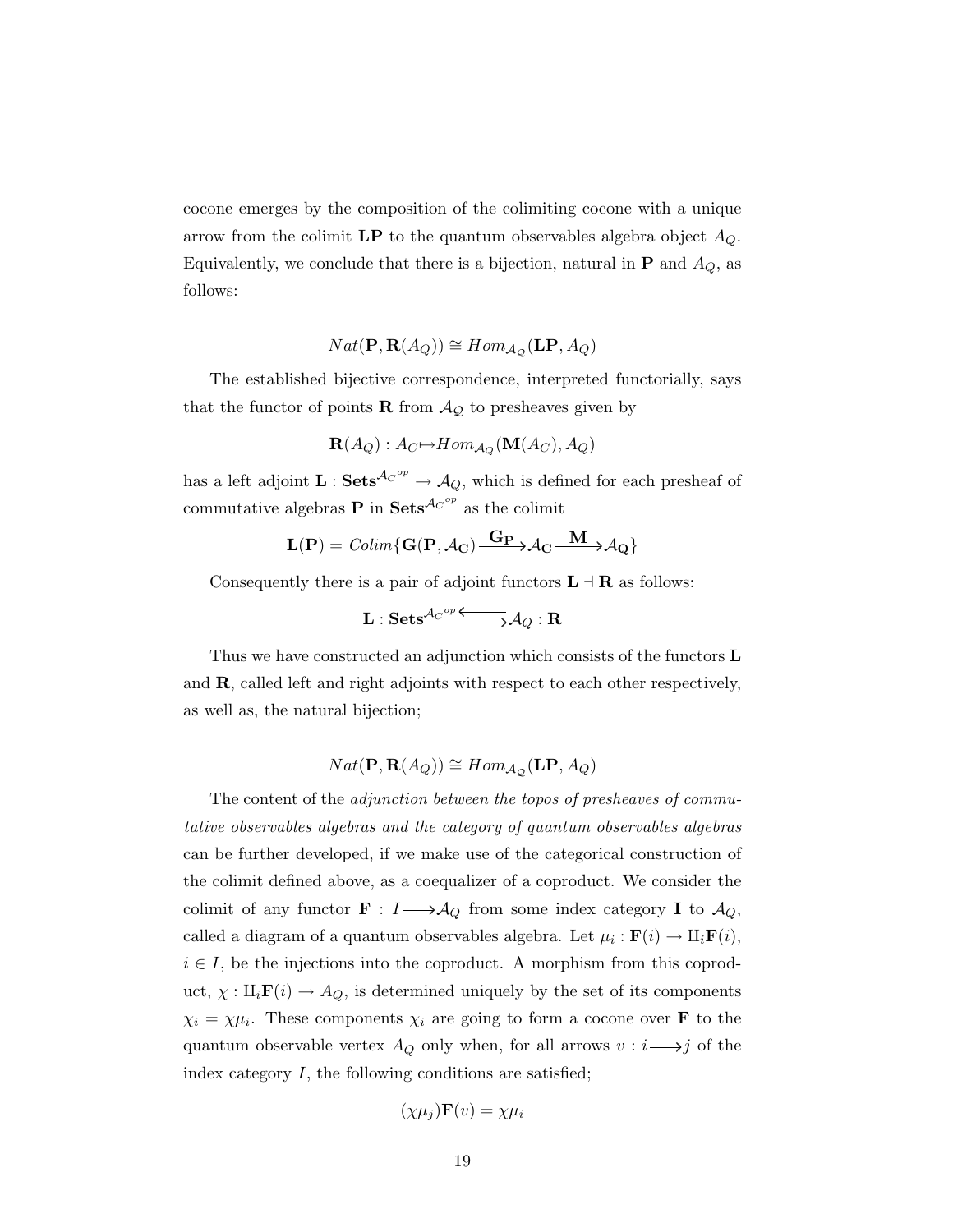cocone emerges by the composition of the colimiting cocone with a unique arrow from the colimit LP to the quantum observables algebra object  $A_Q$ . Equivalently, we conclude that there is a bijection, natural in **P** and  $A_Q$ , as follows:

$$
Nat(\mathbf{P}, \mathbf{R}(A_Q)) \cong Hom_{\mathcal{A}_{\mathcal{Q}}}(\mathbf{LP}, A_Q)
$$

The established bijective correspondence, interpreted functorially, says that the functor of points **R** from  $\mathcal{A}_{\mathcal{Q}}$  to presheaves given by

$$
\mathbf{R}(A_Q):A_C\!\!\mapsto\!\!Hom_{\mathcal{A}_Q}(\mathbf{M}(A_C),A_Q)
$$

has a left adjoint  $\mathbf{L} : \mathbf{Sets}^{\mathcal{A}_{C}^{op}} \to \mathcal{A}_{Q}$ , which is defined for each presheaf of commutative algebras **P** in  $\textbf{Sets}^{\mathcal{A}_{C}^{op}}$  as the colimit

$$
\mathbf{L}(\mathbf{P})=\mathit{Colim}\{\mathbf{G}(\mathbf{P},\mathcal{A}_{\mathbf{C}})\frac{\mathbf{G}_{\mathbf{P}}}{\longrightarrow}\mathcal{A}_{\mathbf{C}}\frac{\mathbf{M}}{\longrightarrow}\mathcal{A}_{\mathbf{Q}}\}
$$

Consequently there is a pair of adjoint functors  $L \dashv R$  as follows:

$$
\mathbf{L}: \mathbf{Sets}^{\mathcal{A}_{C}^{op}} \overline{\xrightarrow{\hspace{1.5cm}} } \mathcal{A}_{Q}: \mathbf{R}
$$

Thus we have constructed an adjunction which consists of the functors L and R, called left and right adjoints with respect to each other respectively, as well as, the natural bijection;

$$
Nat(\mathbf{P}, \mathbf{R}(A_Q)) \cong Hom_{\mathcal{A}_{\mathcal{Q}}}(\mathbf{LP}, A_Q)
$$

The content of the adjunction between the topos of presheaves of commutative observables algebras and the category of quantum observables algebras can be further developed, if we make use of the categorical construction of the colimit defined above, as a coequalizer of a coproduct. We consider the colimit of any functor  $\mathbf{F} : I \longrightarrow A_Q$  from some index category **I** to  $A_Q$ , called a diagram of a quantum observables algebra. Let  $\mu_i : \mathbf{F}(i) \to \mathrm{II}_i\mathbf{F}(i)$ ,  $i \in I$ , be the injections into the coproduct. A morphism from this coproduct,  $\chi: \mathcal{U}_i \mathbf{F}(i) \to A_Q$ , is determined uniquely by the set of its components  $\chi_i = \chi \mu_i$ . These components  $\chi_i$  are going to form a cocone over **F** to the quantum observable vertex  $A_Q$  only when, for all arrows  $v : i \longrightarrow j$  of the index category  $I$ , the following conditions are satisfied;

$$
(\chi \mu_j) \mathbf{F}(v) = \chi \mu_i
$$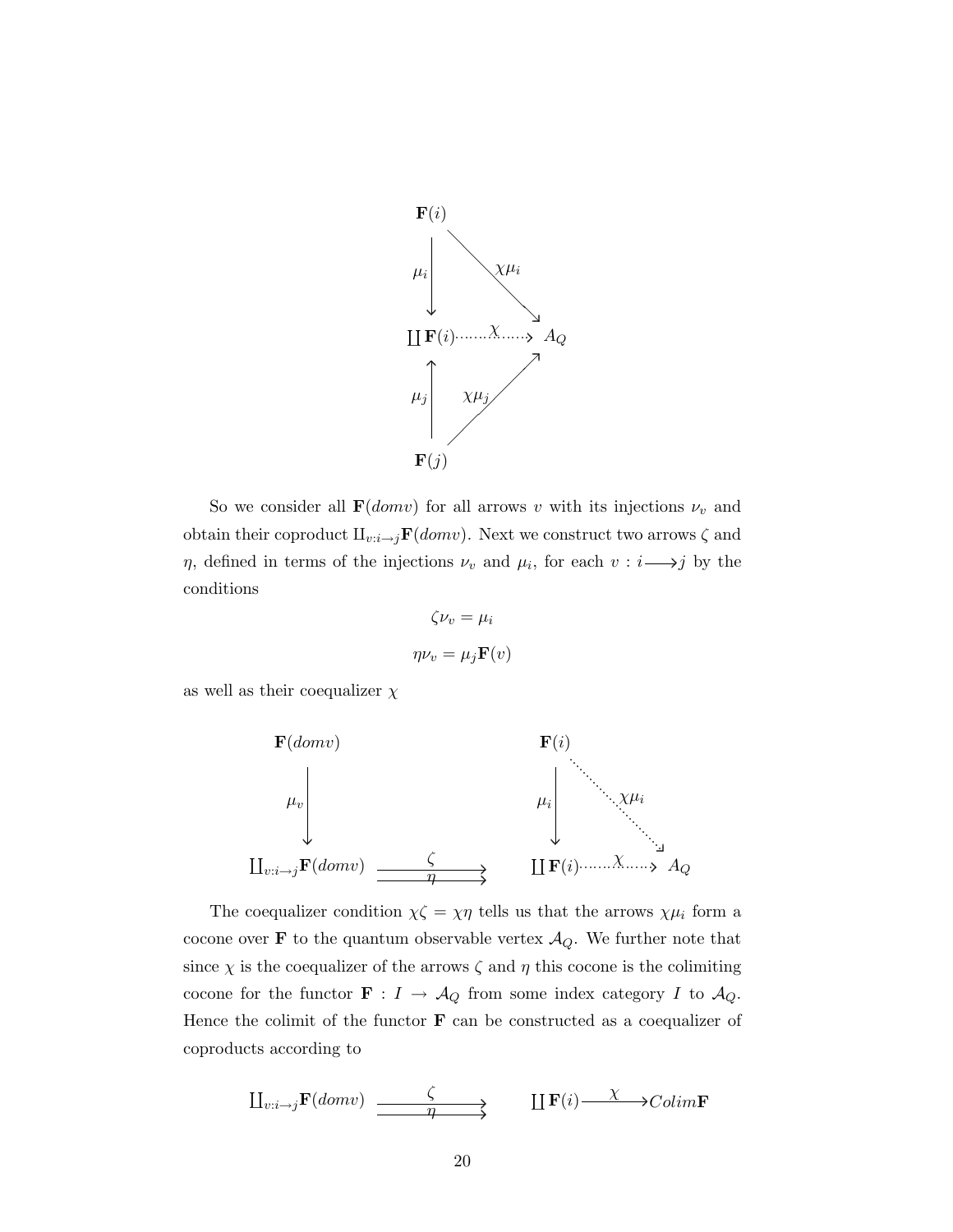

So we consider all  $\mathbf{F}(domv)$  for all arrows v with its injections  $\nu_v$  and obtain their coproduct  $\amalg_{v:i\rightarrow j}\mathbf{F}(domv)$ . Next we construct two arrows  $\zeta$  and  $\eta$ , defined in terms of the injections  $\nu_v$  and  $\mu_i$ , for each  $v : i \longrightarrow j$  by the conditions

$$
\zeta \nu_v = \mu_i
$$

$$
\eta \nu_v = \mu_j \mathbf{F}(v)
$$

as well as their coequalizer  $\chi$ 



The coequalizer condition  $\chi \zeta = \chi \eta$  tells us that the arrows  $\chi \mu_i$  form a cocone over **F** to the quantum observable vertex  $\mathcal{A}_Q$ . We further note that since  $\chi$  is the coequalizer of the arrows  $\zeta$  and  $\eta$  this cocone is the colimiting cocone for the functor  $\mathbf{F} : I \to \mathcal{A}_Q$  from some index category I to  $\mathcal{A}_Q$ . Hence the colimit of the functor  ${\bf F}$  can be constructed as a coequalizer of coproducts according to

$$
\underline{\Pi}_{v:i \to j} \mathbf{F}(domv) \xrightarrow{\zeta} \underline{\Pi} \mathbf{F}(i) \xrightarrow{\chi} Colim\mathbf{F}
$$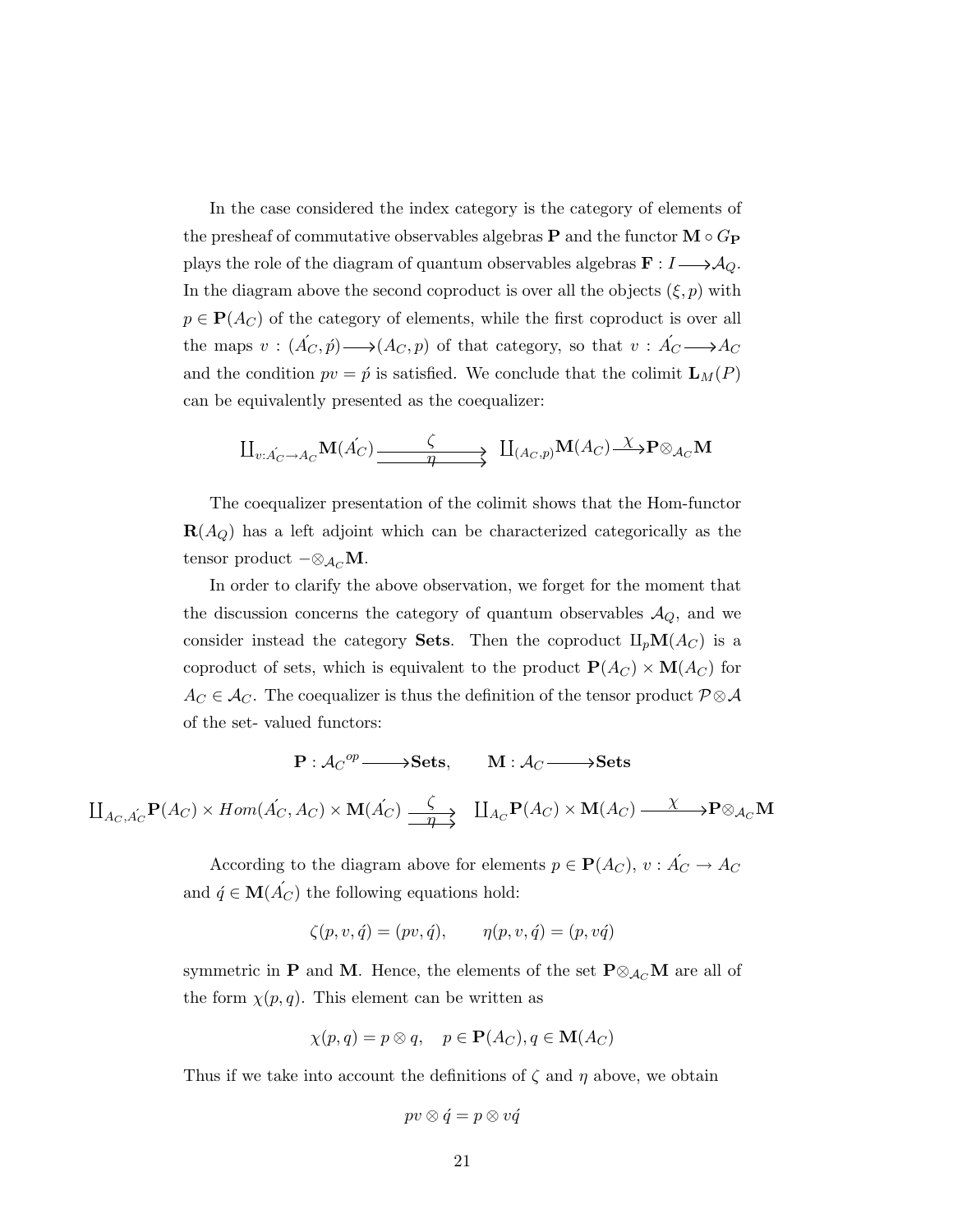In the case considered the index category is the category of elements of the presheaf of commutative observables algebras **P** and the functor  $\mathbf{M} \circ G_{\mathbf{P}}$ plays the role of the diagram of quantum observables algebras  $\mathbf{F}: I \longrightarrow \mathcal{A}_Q$ . In the diagram above the second coproduct is over all the objects  $(\xi, p)$  with  $p \in \mathbf{P}(A_C)$  of the category of elements, while the first coproduct is over all the maps  $v : (\n\vec{A}_C, \vec{p}) \longrightarrow (A_C, p)$  of that category, so that  $v : \vec{A}_C \longrightarrow \vec{A}_C$ and the condition  $pv = \acute{p}$  is satisfied. We conclude that the colimit  $\mathbf{L}_M(P)$ can be equivalently presented as the coequalizer:

$$
\amalg_{v: A_C' \to A_C} \mathbf{M}(A_C) \xrightarrow{\zeta} \amalg_{(A_C, p)} \mathbf{M}(A_C) \xrightarrow{\chi} \mathbf{P} \otimes_{A_C} \mathbf{M}
$$

The coequalizer presentation of the colimit shows that the Hom-functor  $\mathbf{R}(A_{Q})$  has a left adjoint which can be characterized categorically as the tensor product  $-\otimes_{\mathcal{A}_C} \mathbf{M}$ .

In order to clarify the above observation, we forget for the moment that the discussion concerns the category of quantum observables  $A_Q$ , and we consider instead the category **Sets**. Then the coproduct  $\mathbb{L}_p\mathbf{M}(A_C)$  is a coproduct of sets, which is equivalent to the product  $\mathbf{P}(A_C) \times \mathbf{M}(A_C)$  for  $A_C \in \mathcal{A}_C$ . The coequalizer is thus the definition of the tensor product  $\mathcal{P} \otimes \mathcal{A}$ of the set- valued functors:

## $P : {\cal A}_C{}^{op} \longrightarrow$ Sets, M :  ${\cal A}_C$   $\longrightarrow$  Sets

 $\coprod_{A_C, A_C'} \mathbf{P}(A_C) \times Hom(\acute{A_C}, A_C) \times \mathbf{M}(\acute{A_C}) \xrightarrow[\text{def}]\hspace{-0.2cm} \longrightarrow]{}$  $\overrightarrow{q} \qquad \coprod_{A_C} \mathbf{P}(A_C) \times \mathbf{M}(A_C) \longrightarrow \mathbf{P} \otimes_{\mathcal{A}_C} \mathbf{M}$ 

> According to the diagram above for elements  $p \in \mathbf{P}(A_C)$ ,  $v : A_C \to A_C$ and  $\acute{q} \in \mathbf{M}(\acute{A}_{C})$  the following equations hold:

$$
\zeta(p, v, \acute{q}) = (pv, \acute{q}), \qquad \eta(p, v, \acute{q}) = (p, v\acute{q})
$$

symmetric in **P** and **M**. Hence, the elements of the set  $\mathbf{P} \otimes_{\mathcal{A}_{C}} \mathbf{M}$  are all of the form  $\chi(p,q)$ . This element can be written as

$$
\chi(p,q) = p \otimes q, \quad p \in \mathbf{P}(A_C), q \in \mathbf{M}(A_C)
$$

Thus if we take into account the definitions of  $\zeta$  and  $\eta$  above, we obtain

$$
pv \otimes \acute{q} = p \otimes v\acute{q}
$$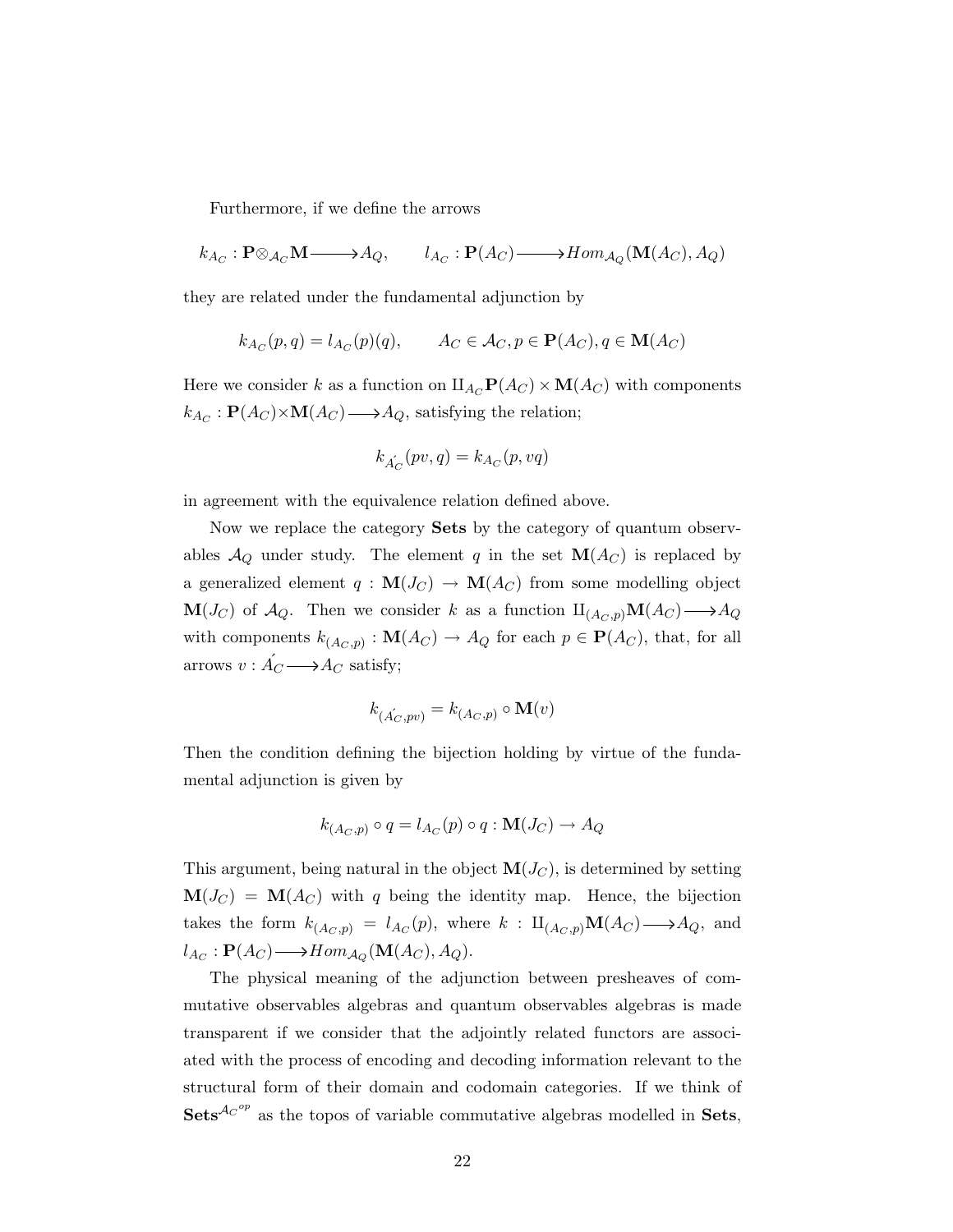Furthermore, if we define the arrows

$$
k_{A_C}: \mathbf{P} \otimes_{\mathcal{A}_C} \mathbf{M} \longrightarrow A_Q, \qquad l_{A_C}: \mathbf{P}(A_C) \longrightarrow Hom_{\mathcal{A}_Q}(\mathbf{M}(A_C), A_Q)
$$

they are related under the fundamental adjunction by

$$
k_{A_C}(p,q) = l_{A_C}(p)(q), \qquad A_C \in \mathcal{A}_C, p \in \mathbf{P}(A_C), q \in \mathbf{M}(A_C)
$$

Here we consider k as a function on  $\amalg_{A_C} \mathbf{P}(A_C) \times \mathbf{M}(A_C)$  with components  $k_{A_C} : \mathbf{P}(A_C) \times \mathbf{M}(A_C) \longrightarrow A_Q$ , satisfying the relation;

$$
k_{A_C}(pv,q) = k_{A_C}(p, vq)
$$

in agreement with the equivalence relation defined above.

Now we replace the category Sets by the category of quantum observables  $\mathcal{A}_Q$  under study. The element q in the set  $\mathbf{M}(A_C)$  is replaced by a generalized element  $q : M(J_C) \to M(A_C)$  from some modelling object  $\mathbf{M}(J_C)$  of  $\mathcal{A}_Q$ . Then we consider k as a function  $\amalg_{(A_C ,p)}\mathbf{M}(A_C) \longrightarrow A_Q$ with components  $k_{(A_C, p)} : \mathbf{M}(A_C) \to A_Q$  for each  $p \in \mathbf{P}(A_C)$ , that, for all arrows  $v : A_C' \longrightarrow A_C$  satisfy;

$$
k_{(\vec{A}_C, pv)} = k_{(A_C, p)} \circ \mathbf{M}(v)
$$

Then the condition defining the bijection holding by virtue of the fundamental adjunction is given by

$$
k_{(A_C,p)} \circ q = l_{A_C}(p) \circ q : \mathbf{M}(J_C) \to A_Q
$$

This argument, being natural in the object  $\mathbf{M}(J_C)$ , is determined by setting  $\mathbf{M}(J_C) = \mathbf{M}(A_C)$  with q being the identity map. Hence, the bijection takes the form  $k_{(A_C,p)} = l_{A_C}(p)$ , where  $k : \amalg_{(A_C,p)} \mathbf{M}(A_C) \longrightarrow A_Q$ , and  $l_{A_C}: \mathbf{P}(A_C) \longrightarrow Hom_{\mathcal{A}_Q}(\mathbf{M}(A_C), A_Q).$ 

The physical meaning of the adjunction between presheaves of commutative observables algebras and quantum observables algebras is made transparent if we consider that the adjointly related functors are associated with the process of encoding and decoding information relevant to the structural form of their domain and codomain categories. If we think of  $\textbf{Sets}^{\mathcal{A}_{C}^{op}}$  as the topos of variable commutative algebras modelled in Sets,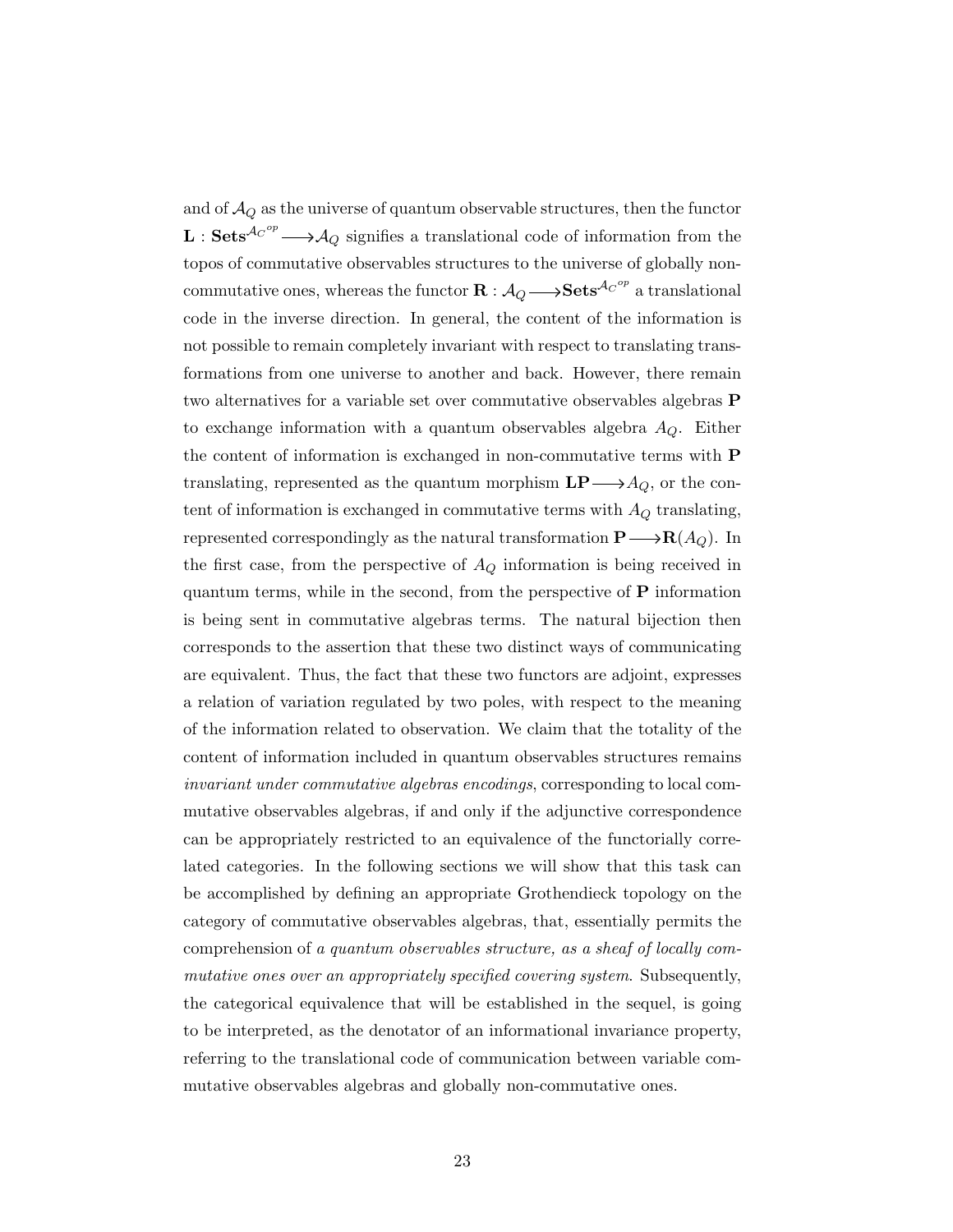and of  $\mathcal{A}_Q$  as the universe of quantum observable structures, then the functor  $\mathbf{L} : \mathbf{Sets}^{\mathcal{A}_{C}^{op}} \longrightarrow \mathcal{A}_{Q}$  signifies a translational code of information from the topos of commutative observables structures to the universe of globally noncommutative ones, whereas the functor  $\mathbf{R}:\mathcal{A}_{Q}{\longrightarrow} \mathbf{Sets}^{\mathcal{A}_{C}^{op}}$  a translational code in the inverse direction. In general, the content of the information is not possible to remain completely invariant with respect to translating transformations from one universe to another and back. However, there remain two alternatives for a variable set over commutative observables algebras P to exchange information with a quantum observables algebra  $A_Q$ . Either the content of information is exchanged in non-commutative terms with P translating, represented as the quantum morphism  $\mathbf{LP}{\longrightarrow}A_Q$ , or the content of information is exchanged in commutative terms with  $A_Q$  translating, represented correspondingly as the natural transformation  $\mathbf{P} \longrightarrow \mathbf{R}(A_Q)$ . In the first case, from the perspective of  $A_Q$  information is being received in quantum terms, while in the second, from the perspective of  $P$  information is being sent in commutative algebras terms. The natural bijection then corresponds to the assertion that these two distinct ways of communicating are equivalent. Thus, the fact that these two functors are adjoint, expresses a relation of variation regulated by two poles, with respect to the meaning of the information related to observation. We claim that the totality of the content of information included in quantum observables structures remains invariant under commutative algebras encodings, corresponding to local commutative observables algebras, if and only if the adjunctive correspondence can be appropriately restricted to an equivalence of the functorially correlated categories. In the following sections we will show that this task can be accomplished by defining an appropriate Grothendieck topology on the category of commutative observables algebras, that, essentially permits the comprehension of a quantum observables structure, as a sheaf of locally commutative ones over an appropriately specified covering system. Subsequently, the categorical equivalence that will be established in the sequel, is going to be interpreted, as the denotator of an informational invariance property, referring to the translational code of communication between variable commutative observables algebras and globally non-commutative ones.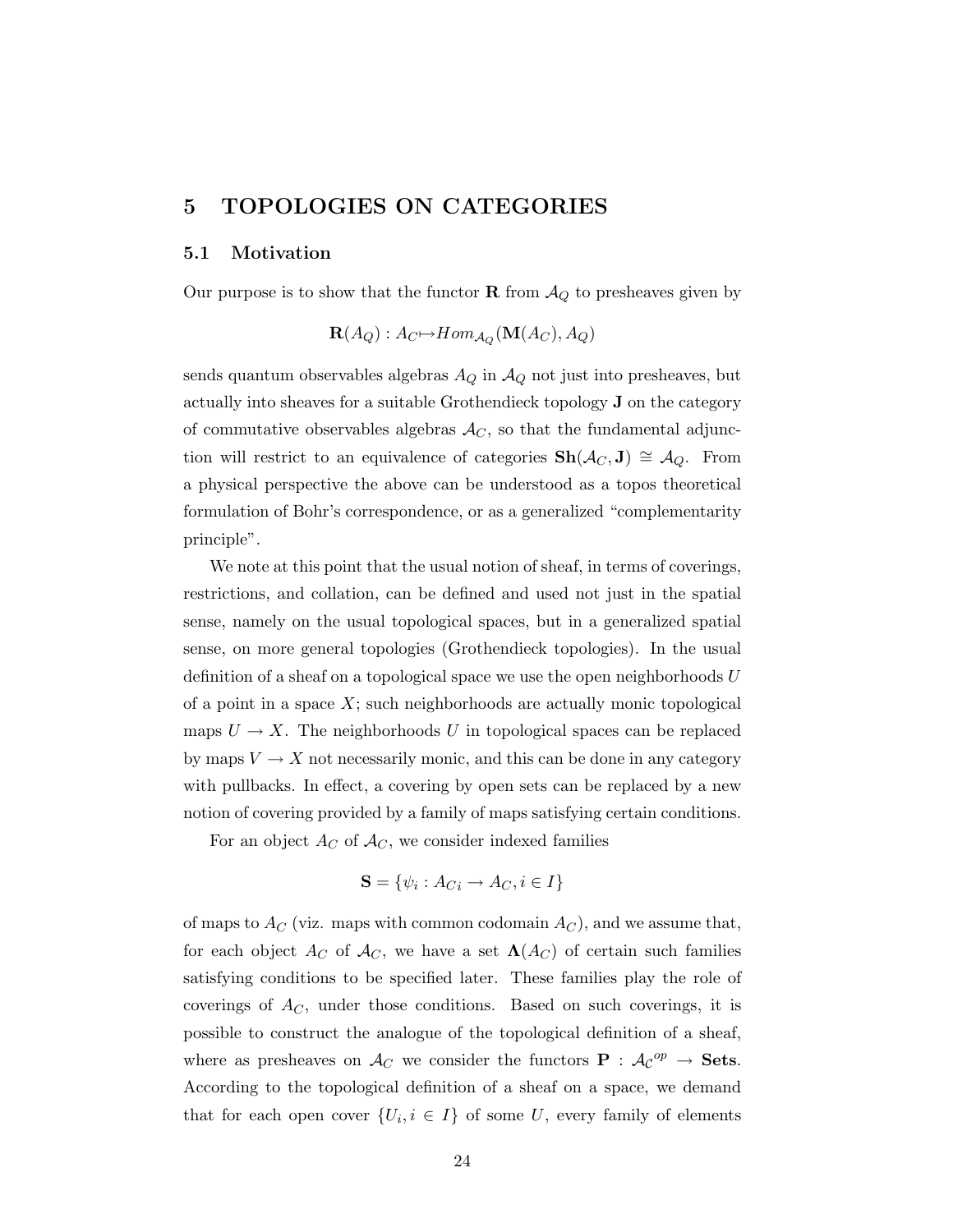### 5 TOPOLOGIES ON CATEGORIES

#### 5.1 Motivation

Our purpose is to show that the functor **R** from  $\mathcal{A}_Q$  to presheaves given by

$$
\mathbf{R}(A_Q):A_C{\mapsto} Hom_{\mathcal{A}_Q}(\mathbf{M}(A_C),A_Q)
$$

sends quantum observables algebras  $A_Q$  in  $A_Q$  not just into presheaves, but actually into sheaves for a suitable Grothendieck topology J on the category of commutative observables algebras  $A_C$ , so that the fundamental adjunction will restrict to an equivalence of categories  $\mathbf{Sh}(\mathcal{A}_{C}, \mathbf{J}) \cong \mathcal{A}_{Q}$ . From a physical perspective the above can be understood as a topos theoretical formulation of Bohr's correspondence, or as a generalized "complementarity principle".

We note at this point that the usual notion of sheaf, in terms of coverings, restrictions, and collation, can be defined and used not just in the spatial sense, namely on the usual topological spaces, but in a generalized spatial sense, on more general topologies (Grothendieck topologies). In the usual definition of a sheaf on a topological space we use the open neighborhoods  $U$ of a point in a space  $X$ ; such neighborhoods are actually monic topological maps  $U \to X$ . The neighborhoods U in topological spaces can be replaced by maps  $V \to X$  not necessarily monic, and this can be done in any category with pullbacks. In effect, a covering by open sets can be replaced by a new notion of covering provided by a family of maps satisfying certain conditions.

For an object  $A_C$  of  $\mathcal{A}_C$ , we consider indexed families

$$
\mathbf{S} = \{ \psi_i : A_{Ci} \to A_C, i \in I \}
$$

of maps to  $A_C$  (viz. maps with common codomain  $A_C$ ), and we assume that, for each object  $A_C$  of  $\mathcal{A}_C$ , we have a set  $\Lambda(A_C)$  of certain such families satisfying conditions to be specified later. These families play the role of coverings of  $A_C$ , under those conditions. Based on such coverings, it is possible to construct the analogue of the topological definition of a sheaf, where as presheaves on  $\mathcal{A}_C$  we consider the functors  $P : \mathcal{A}_C^{op} \to \mathbf{Sets}.$ According to the topological definition of a sheaf on a space, we demand that for each open cover  $\{U_i, i \in I\}$  of some U, every family of elements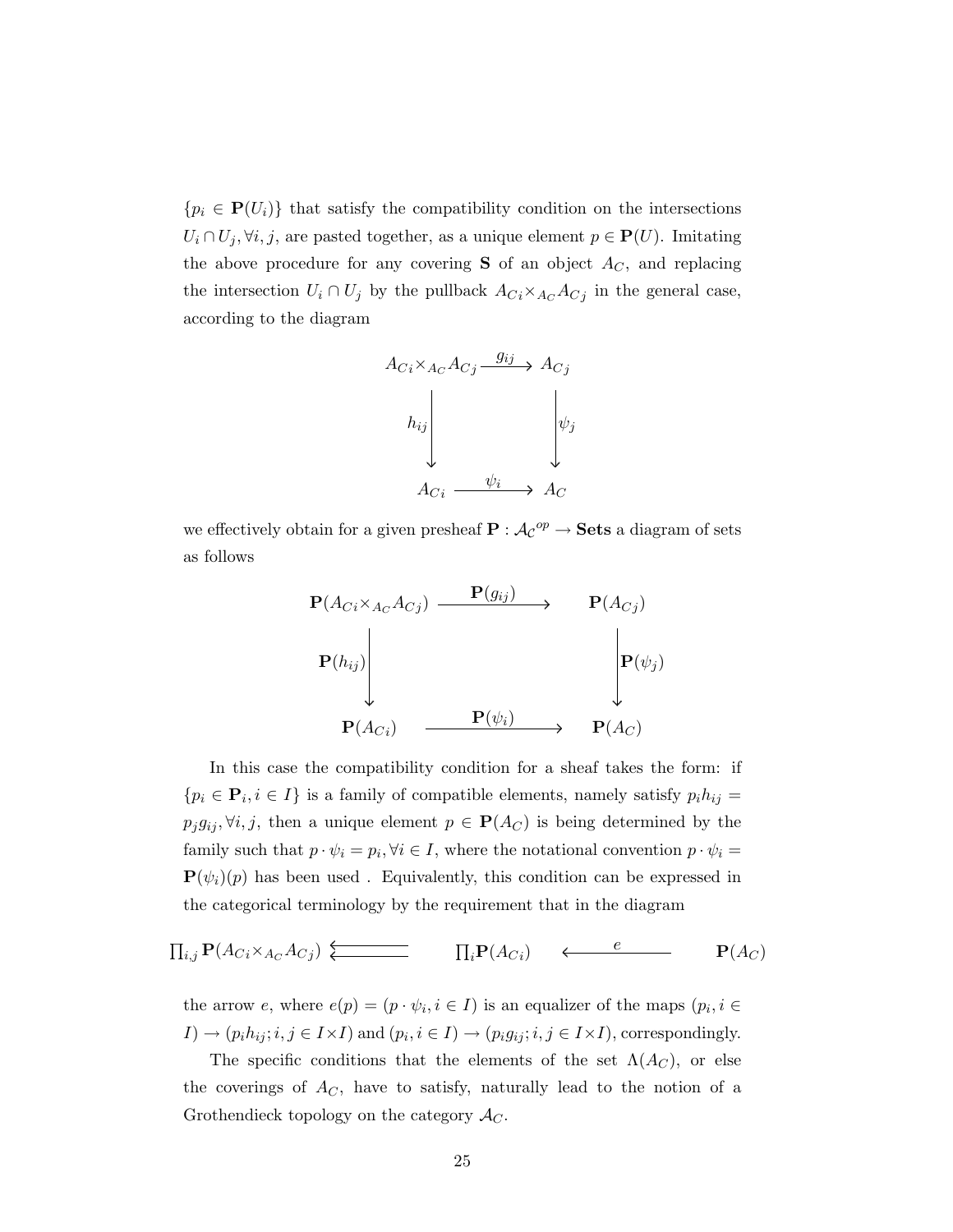${p_i \in \mathbf{P}(U_i)}$  that satisfy the compatibility condition on the intersections  $U_i \cap U_j, \forall i, j$ , are pasted together, as a unique element  $p \in \mathbf{P}(U)$ . Imitating the above procedure for any covering  $S$  of an object  $A_C$ , and replacing the intersection  $U_i \cap U_j$  by the pullback  $A_{C_i} \times_{A_C} A_{C_j}$  in the general case, according to the diagram



we effectively obtain for a given presheaf  $\mathbf{P} : \mathcal{A}_{\mathcal{C}}^{op} \to \mathbf{Sets}$  a diagram of sets as follows



In this case the compatibility condition for a sheaf takes the form: if  $\{p_i \in \mathbf{P}_i, i \in I\}$  is a family of compatible elements, namely satisfy  $p_i h_{ij} =$  $p_j g_{ij}, \forall i, j$ , then a unique element  $p \in \mathbf{P}(A_C)$  is being determined by the family such that  $p \cdot \psi_i = p_i, \forall i \in I$ , where the notational convention  $p \cdot \psi_i =$  $\mathbf{P}(\psi_i)(p)$  has been used. Equivalently, this condition can be expressed in the categorical terminology by the requirement that in the diagram

$$
\prod_{i,j} \mathbf{P}(A_{Ci} \times_{A_C} A_{Cj}) \xleftarrow{\bullet} \qquad \qquad \prod_i \mathbf{P}(A_{Ci}) \qquad \qquad \xleftarrow{e} \qquad \qquad \mathbf{P}(A_C)
$$

the arrow e, where  $e(p) = (p \cdot \psi_i, i \in I)$  is an equalizer of the maps  $(p_i, i \in I)$  $I) \to (p_i h_{ij}; i, j \in I \times I)$  and  $(p_i, i \in I) \to (p_i g_{ij}; i, j \in I \times I)$ , correspondingly.

The specific conditions that the elements of the set  $\Lambda(A_C)$ , or else the coverings of  $A_C$ , have to satisfy, naturally lead to the notion of a Grothendieck topology on the category  $\mathcal{A}_{C}$ .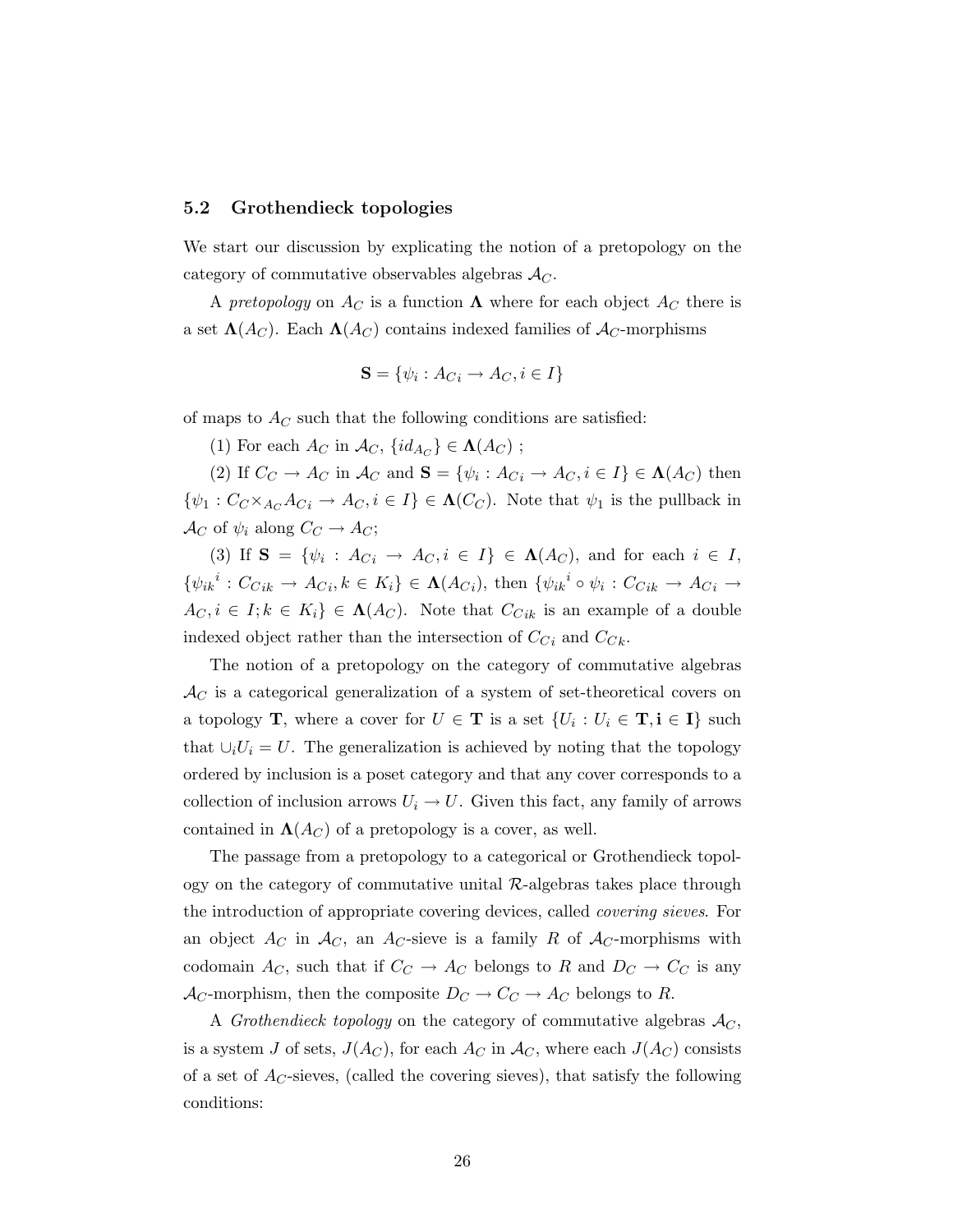#### 5.2 Grothendieck topologies

We start our discussion by explicating the notion of a pretopology on the category of commutative observables algebras  $A_C$ .

A pretopology on  $A_C$  is a function  $\Lambda$  where for each object  $A_C$  there is a set  $\Lambda(A_C)$ . Each  $\Lambda(A_C)$  contains indexed families of  $\mathcal{A}_C$ -morphisms

$$
\mathbf{S} = \{ \psi_i : A_{Ci} \to A_C, i \in I \}
$$

of maps to  $A_C$  such that the following conditions are satisfied:

(1) For each  $A_C$  in  $\mathcal{A}_C$ ,  $\{id_{A_C}\}\in \Lambda(A_C)$ ;

(2) If  $C_C \to A_C$  in  $\mathcal{A}_C$  and  $\mathbf{S} = \{\psi_i : A_{C_i} \to A_C, i \in I\} \in \Lambda(A_C)$  then  $\{\psi_1: C_C \times_{A_C} A_{C_i} \to A_C, i \in I\} \in \Lambda(C_C)$ . Note that  $\psi_1$  is the pullback in  $\mathcal{A}_C$  of  $\psi_i$  along  $C_C \rightarrow A_C$ ;

(3) If  $S = \{\psi_i : A_{Ci} \to A_C, i \in I\} \in \Lambda(A_C)$ , and for each  $i \in I$ ,  $\{\psi_{ik}^i : C_{Cik} \to A_{Ci}, k \in K_i\} \in \Lambda(A_{Ci}),$  then  $\{\psi_{ik}^i \circ \psi_i : C_{Cik} \to A_{Ci} \to$  $A_C, i \in I; k \in K_i$   $\in \Lambda(A_C)$ . Note that  $C_{Cik}$  is an example of a double indexed object rather than the intersection of  $C_{C_i}$  and  $C_{C_k}$ .

The notion of a pretopology on the category of commutative algebras  $\mathcal{A}_{C}$  is a categorical generalization of a system of set-theoretical covers on a topology **T**, where a cover for  $U \in \mathbf{T}$  is a set  $\{U_i : U_i \in \mathbf{T}, i \in \mathbf{I}\}\)$  such that  $\bigcup_i U_i = U$ . The generalization is achieved by noting that the topology ordered by inclusion is a poset category and that any cover corresponds to a collection of inclusion arrows  $U_i \rightarrow U$ . Given this fact, any family of arrows contained in  $\Lambda(A_C)$  of a pretopology is a cover, as well.

The passage from a pretopology to a categorical or Grothendieck topology on the category of commutative unital R-algebras takes place through the introduction of appropriate covering devices, called covering sieves. For an object  $A_C$  in  $A_C$ , an  $A_C$ -sieve is a family R of  $A_C$ -morphisms with codomain  $A_C$ , such that if  $C_C \rightarrow A_C$  belongs to R and  $D_C \rightarrow C_C$  is any  $\mathcal{A}_C$ -morphism, then the composite  $D_C \to C_C \to A_C$  belongs to R.

A Grothendieck topology on the category of commutative algebras  $A_C$ , is a system J of sets,  $J(A_C)$ , for each  $A_C$  in  $A_C$ , where each  $J(A_C)$  consists of a set of  $A_C$ -sieves, (called the covering sieves), that satisfy the following conditions: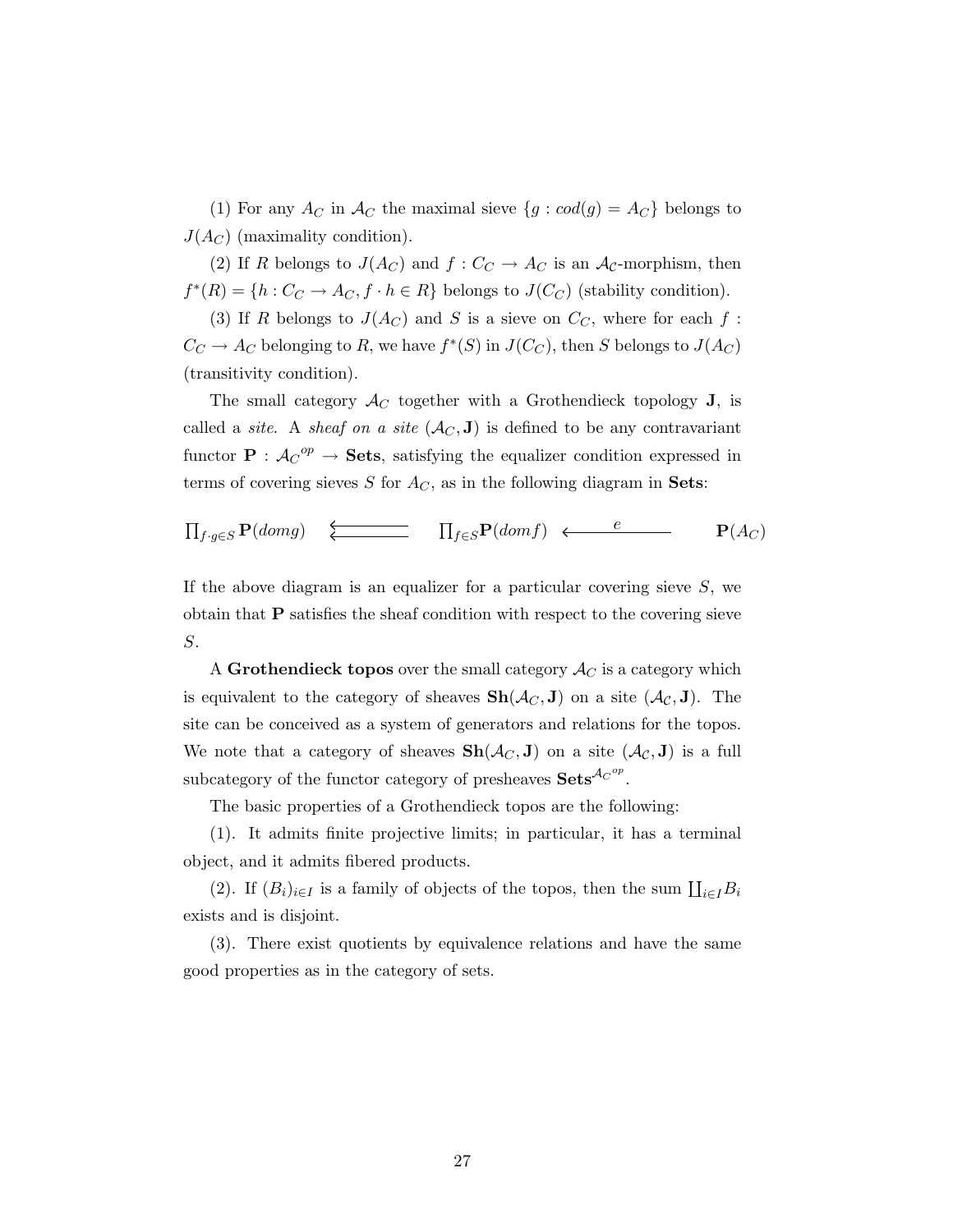(1) For any  $A_C$  in  $A_C$  the maximal sieve  $\{g : cod(g) = A_C\}$  belongs to  $J(A_C)$  (maximality condition).

(2) If R belongs to  $J(A_C)$  and  $f: C_C \to A_C$  is an  $A_C$ -morphism, then  $f^*(R) = \{h : C_C \to A_C, f \cdot h \in R\}$  belongs to  $J(C_C)$  (stability condition).

(3) If R belongs to  $J(A_C)$  and S is a sieve on  $C_C$ , where for each f:  $C_C \to A_C$  belonging to R, we have  $f^*(S)$  in  $J(C_C)$ , then S belongs to  $J(A_C)$ (transitivity condition).

The small category  $\mathcal{A}_{C}$  together with a Grothendieck topology **J**, is called a *site.* A *sheaf on a site*  $(\mathcal{A}_{C}, \mathbf{J})$  is defined to be any contravariant functor  $P: \mathcal{A}_{C}^{op} \to \mathbf{Sets}$ , satisfying the equalizer condition expressed in terms of covering sieves S for  $A_C$ , as in the following diagram in Sets:

 $\prod_{f\cdot g\in S} \mathbf{P}(domg)$  ;  $\overleftarrow{e}$   $\prod_{f \in S} \mathbf{P}(dom f)$   $\overrightarrow{e}$   $\mathbf{P}(A_C)$ 

If the above diagram is an equalizer for a particular covering sieve  $S$ , we obtain that P satisfies the sheaf condition with respect to the covering sieve S.

A Grothendieck topos over the small category  $\mathcal{A}_C$  is a category which is equivalent to the category of sheaves  $\text{Sh}(\mathcal{A}_{C}, \mathbf{J})$  on a site  $(\mathcal{A}_{C}, \mathbf{J})$ . The site can be conceived as a system of generators and relations for the topos. We note that a category of sheaves  $\text{Sh}(\mathcal{A}_{C},J)$  on a site  $(\mathcal{A}_{C},J)$  is a full subcategory of the functor category of presheaves  $\textbf{Sets}^{\mathcal{A}_{C}^{op}}$ .

The basic properties of a Grothendieck topos are the following:

(1). It admits finite projective limits; in particular, it has a terminal object, and it admits fibered products.

(2). If  $(B_i)_{i \in I}$  is a family of objects of the topos, then the sum  $\prod_{i \in I} B_i$ exists and is disjoint.

(3). There exist quotients by equivalence relations and have the same good properties as in the category of sets.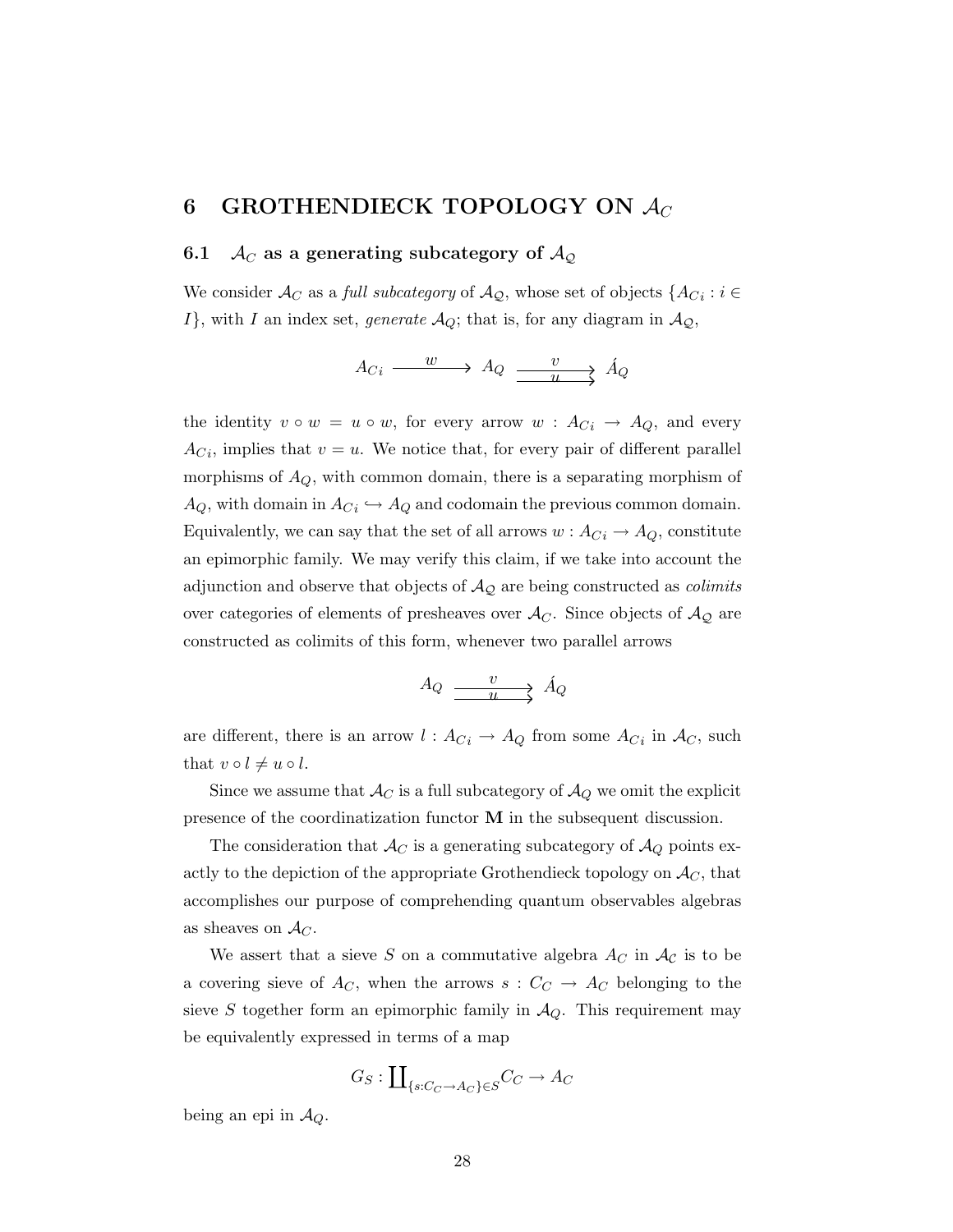## 6 GROTHENDIECK TOPOLOGY ON  $\mathcal{A}_C$

#### 6.1  $\mathcal{A}_{C}$  as a generating subcategory of  $\mathcal{A}_{Q}$

We consider  $\mathcal{A}_C$  as a *full subcategory* of  $\mathcal{A}_{\mathcal{Q}}$ , whose set of objects  $\{A_{Ci}: i \in$ I}, with I an index set, generate  $\mathcal{A}_Q$ ; that is, for any diagram in  $\mathcal{A}_{\mathcal{Q}}$ ,

$$
A_{Ci} \xrightarrow{w} A_Q \xrightarrow{v} \overrightarrow{A_Q}
$$

the identity  $v \circ w = u \circ w$ , for every arrow  $w : A_{C_i} \to A_Q$ , and every  $AC_i$ , implies that  $v = u$ . We notice that, for every pair of different parallel morphisms of  $A_Q$ , with common domain, there is a separating morphism of  $A_Q$ , with domain in  $A_{Ci} \hookrightarrow A_Q$  and codomain the previous common domain. Equivalently, we can say that the set of all arrows  $w : A_{C_i} \to A_Q$ , constitute an epimorphic family. We may verify this claim, if we take into account the adjunction and observe that objects of  $A_{\mathcal{Q}}$  are being constructed as *colimits* over categories of elements of presheaves over  $A_C$ . Since objects of  $A_Q$  are constructed as colimits of this form, whenever two parallel arrows

$$
A_Q \xrightarrow{~~v~~} \hat{A}_Q
$$

are different, there is an arrow  $l: A_{C_i} \to A_Q$  from some  $A_{C_i}$  in  $A_C$ , such that  $v \circ l \neq u \circ l$ .

Since we assume that  $\mathcal{A}_{C}$  is a full subcategory of  $\mathcal{A}_{Q}$  we omit the explicit presence of the coordinatization functor M in the subsequent discussion.

The consideration that  $\mathcal{A}_{C}$  is a generating subcategory of  $\mathcal{A}_{Q}$  points exactly to the depiction of the appropriate Grothendieck topology on  $\mathcal{A}_{C}$ , that accomplishes our purpose of comprehending quantum observables algebras as sheaves on  $\mathcal{A}_C$ .

We assert that a sieve S on a commutative algebra  $A_C$  in  $\mathcal{A}_C$  is to be a covering sieve of  $A_C$ , when the arrows  $s: C_C \to A_C$  belonging to the sieve S together form an epimorphic family in  $\mathcal{A}_Q$ . This requirement may be equivalently expressed in terms of a map

$$
G_S: \coprod_{\{s:C_C \to A_C\} \in S} C_C \to A_C
$$

being an epi in  $\mathcal{A}_{Q}$ .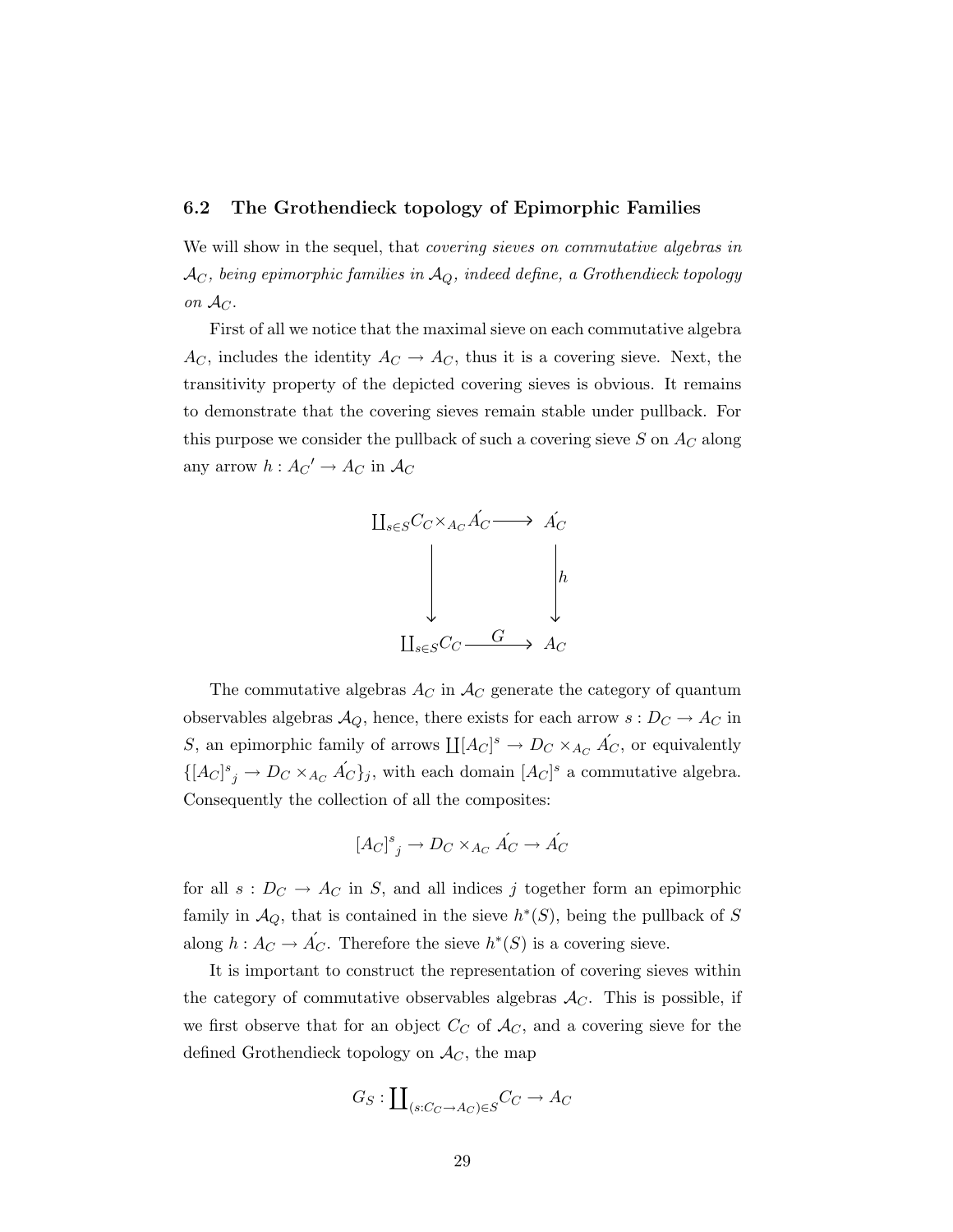#### 6.2 The Grothendieck topology of Epimorphic Families

We will show in the sequel, that *covering sieves on commutative algebras in*  $\mathcal{A}_{C},$  being epimorphic families in  $\mathcal{A}_{Q},$  indeed define, a Grothendieck topology on  $\mathcal{A}_C$ .

First of all we notice that the maximal sieve on each commutative algebra  $A_C$ , includes the identity  $A_C \rightarrow A_C$ , thus it is a covering sieve. Next, the transitivity property of the depicted covering sieves is obvious. It remains to demonstrate that the covering sieves remain stable under pullback. For this purpose we consider the pullback of such a covering sieve  $S$  on  $A_C$  along any arrow  $h: A_C' \to A_C$  in  $A_C$ 



The commutative algebras  $A_C$  in  $A_C$  generate the category of quantum observables algebras  $\mathcal{A}_Q$ , hence, there exists for each arrow  $s: D_C \to A_C$  in S, an epimorphic family of arrows  $\coprod [A_C]^s \to D_C \times_{A_C} A_C'$ , or equivalently  $\{ [A_C]_{j}^s \to D_C \times_{A_C} \Lambda_C \}_{j}$ , with each domain  $[A_C]^s$  a commutative algebra. Consequently the collection of all the composites:

$$
[A_C]^s{}_j \to D_C \times_{A_C} A_C \to A_C
$$

for all  $s: D_C \to A_C$  in S, and all indices j together form an epimorphic family in  $\mathcal{A}_Q$ , that is contained in the sieve  $h^*(S)$ , being the pullback of S along  $h: A_C \to \Lambda_C'$ . Therefore the sieve  $h^*(S)$  is a covering sieve.

It is important to construct the representation of covering sieves within the category of commutative observables algebras  $\mathcal{A}_C$ . This is possible, if we first observe that for an object  $C_C$  of  $\mathcal{A}_C$ , and a covering sieve for the defined Grothendieck topology on  $\mathcal{A}_{C}$ , the map

$$
G_S: \coprod_{(s:C_C \to A_C) \in S} C_C \to A_C
$$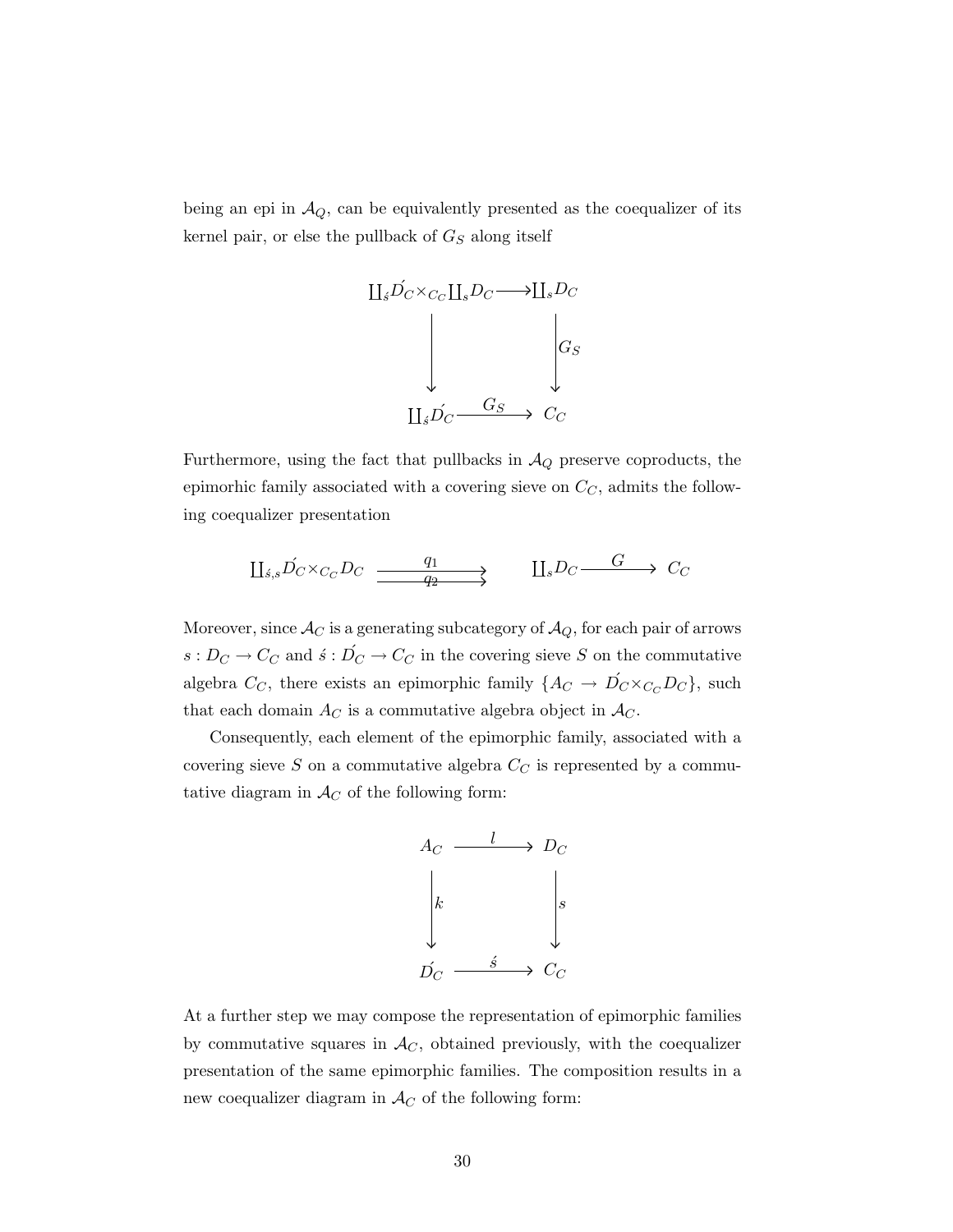being an epi in  $\mathcal{A}_{Q}$ , can be equivalently presented as the coequalizer of its kernel pair, or else the pullback of  $G_S$  along itself



Furthermore, using the fact that pullbacks in  $A_Q$  preserve coproducts, the epimorhic family associated with a covering sieve on  $C_C$ , admits the following coequalizer presentation

$$
\underline{\Pi}_{\underline{s},\underline{s}} \underline{\dot{D}_C} \times_{C_C} \underline{D_C} \xrightarrow{\underline{q_1}} \underline{\Pi}_{\underline{s}} \underline{D_C} \xrightarrow{\underline{G}} \underline{C_C}
$$

Moreover, since  $\mathcal{A}_C$  is a generating subcategory of  $\mathcal{A}_Q$ , for each pair of arrows  $s: D_C \to C_C$  and  $\acute{s}: \acute{D_C} \to C_C$  in the covering sieve S on the commutative algebra  $C_C$ , there exists an epimorphic family  $\{A_C \to D'_C \times_{C_C} D_C\}$ , such that each domain  $A_C$  is a commutative algebra object in  $A_C$ .

Consequently, each element of the epimorphic family, associated with a covering sieve  $S$  on a commutative algebra  $C_C$  is represented by a commutative diagram in  $\mathcal{A}_C$  of the following form:



At a further step we may compose the representation of epimorphic families by commutative squares in  $A_C$ , obtained previously, with the coequalizer presentation of the same epimorphic families. The composition results in a new coequalizer diagram in  $\mathcal{A}_C$  of the following form: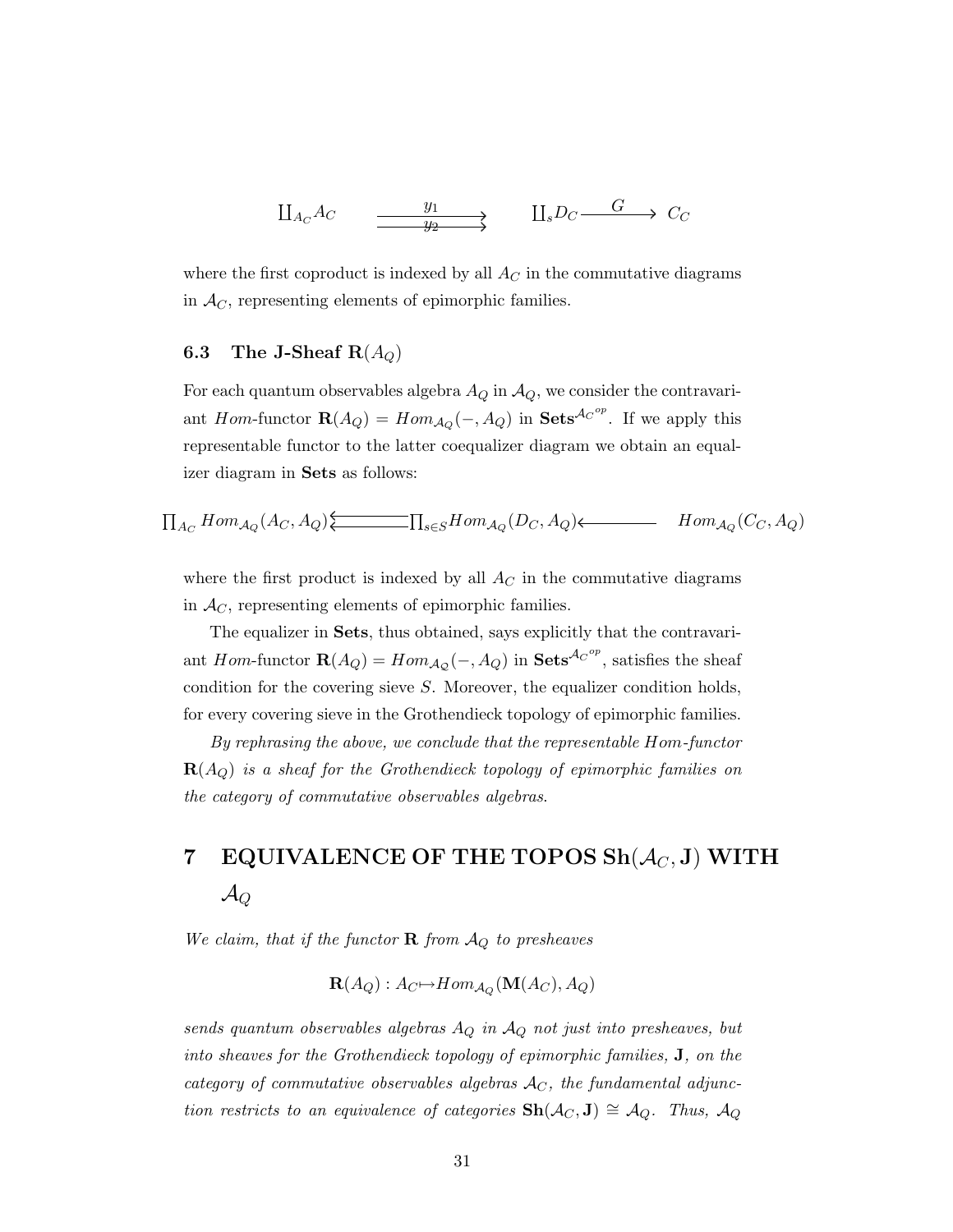$$
\begin{array}{ccc}\n\coprod_{A_C} A_C & \xrightarrow{\quad y_1} & \xrightarrow{\quad y_2} & \coprod_s D_C \xrightarrow{\quad G} & C_C\n\end{array}
$$

where the first coproduct is indexed by all  $A_C$  in the commutative diagrams in  $A_C$ , representing elements of epimorphic families.

### 6.3 The J-Sheaf  $R(A_Q)$

For each quantum observables algebra  $A_Q$  in  $A_Q$ , we consider the contravariant Hom-functor  $\mathbf{R}(A_Q) = Hom_{\mathcal{A}_Q}(-, A_Q)$  in  $\mathbf{Sets}^{\mathcal{A}_C^{op}}$ . If we apply this representable functor to the latter coequalizer diagram we obtain an equalizer diagram in Sets as follows:

$$
\prod_{A_C} Hom_{\mathcal{A}_Q}(A_C, A_Q) \underbrace{\Longleftarrow} \prod_{s \in S} Hom_{\mathcal{A}_Q}(D_C, A_Q) \underbrace{\longleftarrow} Hom_{\mathcal{A}_Q}(C_C, A_Q)
$$

where the first product is indexed by all  $A_C$  in the commutative diagrams in  $A_C$ , representing elements of epimorphic families.

The equalizer in Sets, thus obtained, says explicitly that the contravariant Hom-functor  $\mathbf{R}(A_Q) = Hom_{\mathcal{A}_Q}(-, A_Q)$  in  $\mathbf{Sets}^{\mathcal{A}_C^{op}}$ , satisfies the sheaf condition for the covering sieve  $S$ . Moreover, the equalizer condition holds, for every covering sieve in the Grothendieck topology of epimorphic families.

By rephrasing the above, we conclude that the representable Hom-functor  $\mathbf{R}(A_{Q})$  is a sheaf for the Grothendieck topology of epimorphic families on the category of commutative observables algebras.

# $7$  EQUIVALENCE OF THE TOPOS  $\text{Sh}(\mathcal{A}_{C}, \mathbf{J})$  WITH  $\mathcal{A}_{Q}$

We claim, that if the functor **R** from  $\mathcal{A}_Q$  to presheaves

$$
\mathbf{R}(A_Q): A_C \rightarrow Hom_{\mathcal{A}_Q}(\mathbf{M}(A_C), A_Q)
$$

sends quantum observables algebras  $A_Q$  in  $A_Q$  not just into presheaves, but into sheaves for the Grothendieck topology of epimorphic families, J, on the category of commutative observables algebras  $A_C$ , the fundamental adjunction restricts to an equivalence of categories  $\text{Sh}(\mathcal{A}_{C}, \mathbf{J}) \cong \mathcal{A}_{Q}$ . Thus,  $\mathcal{A}_{Q}$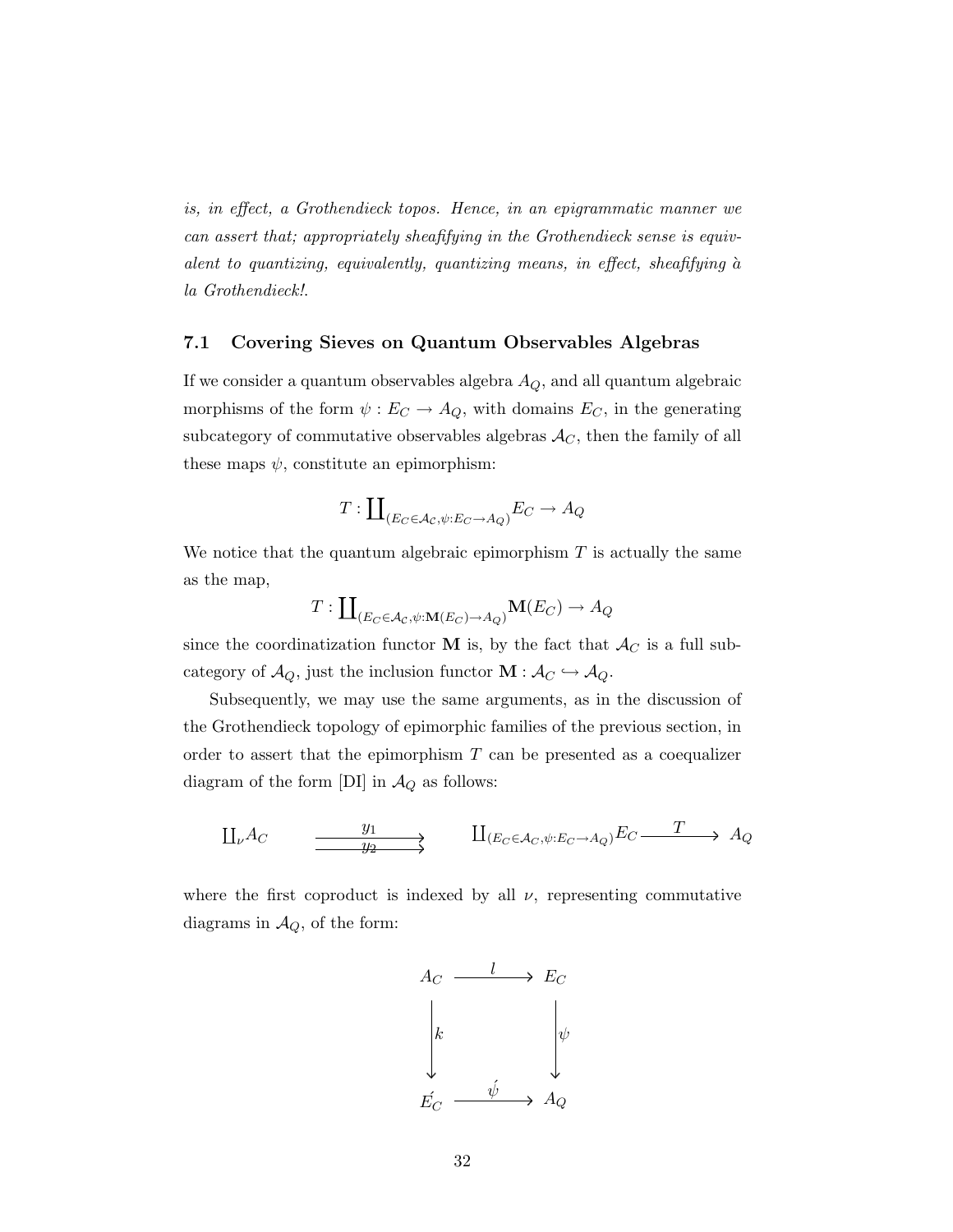is, in effect, a Grothendieck topos. Hence, in an epigrammatic manner we can assert that; appropriately sheafifying in the Grothendieck sense is equivalent to quantizing, equivalently, quantizing means, in effect, sheafifying  $\alpha$ la Grothendieck!.

#### 7.1 Covering Sieves on Quantum Observables Algebras

If we consider a quantum observables algebra  $A_Q$ , and all quantum algebraic morphisms of the form  $\psi : E_C \to A_Q$ , with domains  $E_C$ , in the generating subcategory of commutative observables algebras  $A_C$ , then the family of all these maps  $\psi$ , constitute an epimorphism:

$$
T:\coprod\nolimits_{(E_C\in{\cal A}_C,\psi:E_C\rightarrow A_Q)}E_C\rightarrow A_Q
$$

We notice that the quantum algebraic epimorphism  $T$  is actually the same as the map,

$$
T: \coprod_{(E_C \in \mathcal{A}_C, \psi: \mathbf{M}(E_C) \to A_Q)} \mathbf{M}(E_C) \to A_Q
$$

since the coordinatization functor **M** is, by the fact that  $\mathcal{A}_C$  is a full subcategory of  $\mathcal{A}_{Q}$ , just the inclusion functor  $\mathbf{M} : \mathcal{A}_{C} \hookrightarrow \mathcal{A}_{Q}$ .

Subsequently, we may use the same arguments, as in the discussion of the Grothendieck topology of epimorphic families of the previous section, in order to assert that the epimorphism  $T$  can be presented as a coequalizer diagram of the form [DI] in  $\mathcal{A}_Q$  as follows:

$$
\underline{\Pi}_{\nu} A_C \qquad \xrightarrow{\qquad y_1} \qquad \qquad \underline{\Pi}_{(E_C \in \mathcal{A}_C, \psi: E_C \to A_Q)} E_C \xrightarrow{\qquad T} A_Q
$$

where the first coproduct is indexed by all  $\nu$ , representing commutative diagrams in  $\mathcal{A}_Q$ , of the form:

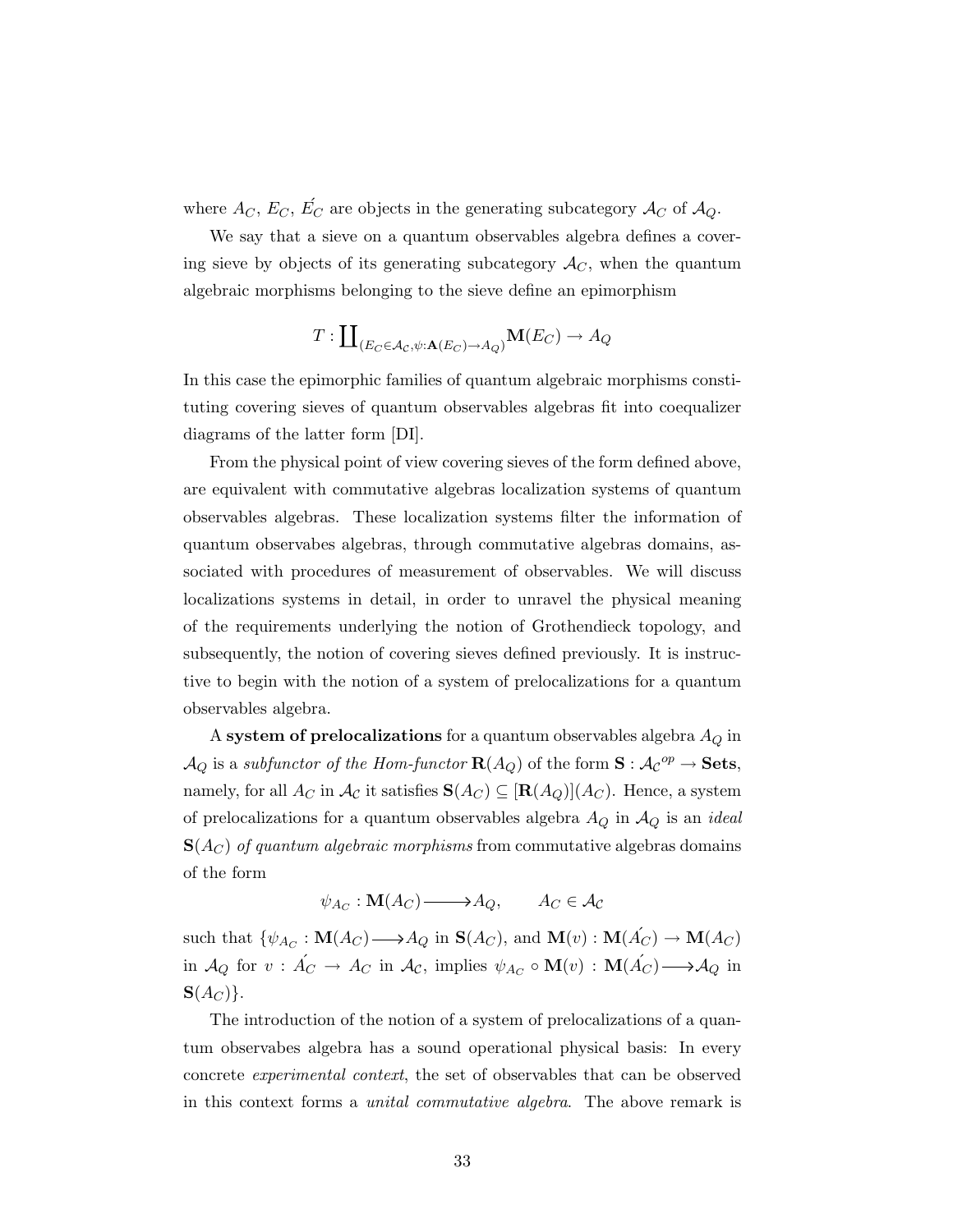where  $A_C$ ,  $E_C$ ,  $E_C$  are objects in the generating subcategory  $A_C$  of  $A_Q$ .

We say that a sieve on a quantum observables algebra defines a covering sieve by objects of its generating subcategory  $\mathcal{A}_C$ , when the quantum algebraic morphisms belonging to the sieve define an epimorphism

$$
T: \coprod_{(E_C \in \mathcal{A}_C, \psi: \mathbf{A}(E_C) \to A_Q)} \mathbf{M}(E_C) \to A_Q
$$

In this case the epimorphic families of quantum algebraic morphisms constituting covering sieves of quantum observables algebras fit into coequalizer diagrams of the latter form [DI].

From the physical point of view covering sieves of the form defined above, are equivalent with commutative algebras localization systems of quantum observables algebras. These localization systems filter the information of quantum observabes algebras, through commutative algebras domains, associated with procedures of measurement of observables. We will discuss localizations systems in detail, in order to unravel the physical meaning of the requirements underlying the notion of Grothendieck topology, and subsequently, the notion of covering sieves defined previously. It is instructive to begin with the notion of a system of prelocalizations for a quantum observables algebra.

A system of prelocalizations for a quantum observables algebra  $A_Q$  in  $\mathcal{A}_Q$  is a subfunctor of the Hom-functor  $\mathbf{R}(A_Q)$  of the form  $\mathbf{S} : \mathcal{A}_{\mathcal{C}}^{op} \to \mathbf{Sets},$ namely, for all  $A_C$  in  $\mathcal{A}_C$  it satisfies  $\mathbf{S}(A_C) \subseteq [\mathbf{R}(A_Q)](A_C)$ . Hence, a system of prelocalizations for a quantum observables algebra  $A_Q$  in  $A_Q$  is an *ideal*  $\mathbf{S}(A_C)$  of quantum algebraic morphisms from commutative algebras domains of the form

$$
\psi_{A_C} : \mathbf{M}(A_C) \longrightarrow A_Q, \qquad A_C \in \mathcal{A}_C
$$

such that  $\{\psi_{A_C} : \mathbf{M}(A_C) \longrightarrow A_Q \text{ in } \mathbf{S}(A_C), \text{ and } \mathbf{M}(v) : \mathbf{M}(\mathbf{A}_C) \longrightarrow \mathbf{M}(A_C)$ in  $\mathcal{A}_Q$  for  $v : \n\mathcal{A}_C \to \mathcal{A}_C$  in  $\mathcal{A}_C$ , implies  $\psi_{A_C} \circ \mathbf{M}(v) : \mathbf{M}(\n\mathcal{A}_C) \longrightarrow \mathcal{A}_Q$  in  $S(A_C)$ .

The introduction of the notion of a system of prelocalizations of a quantum observabes algebra has a sound operational physical basis: In every concrete experimental context, the set of observables that can be observed in this context forms a *unital commutative algebra*. The above remark is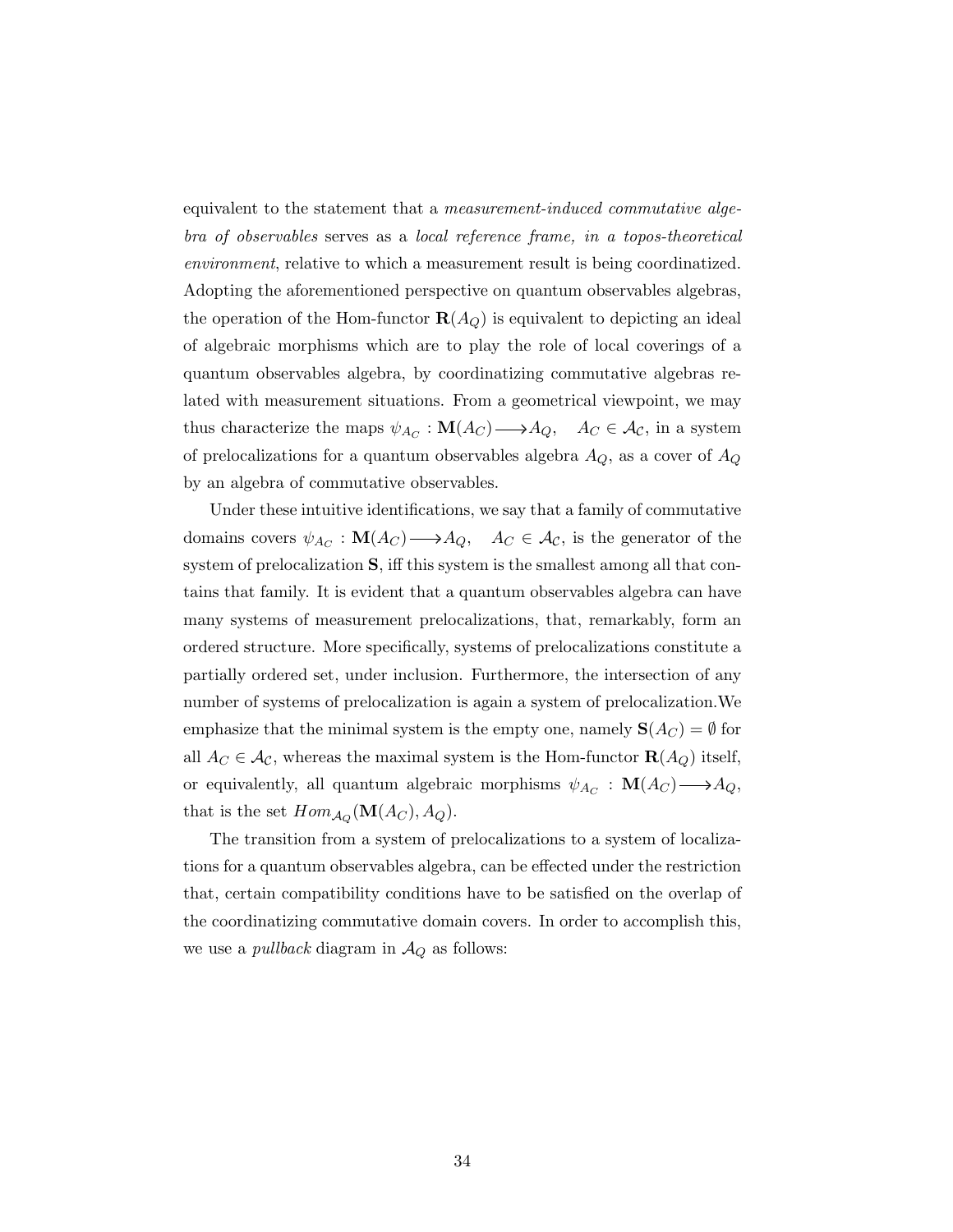equivalent to the statement that a measurement-induced commutative algebra of observables serves as a local reference frame, in a topos-theoretical environment, relative to which a measurement result is being coordinatized. Adopting the aforementioned perspective on quantum observables algebras, the operation of the Hom-functor  $\mathbf{R}(A_{\mathcal{O}})$  is equivalent to depicting an ideal of algebraic morphisms which are to play the role of local coverings of a quantum observables algebra, by coordinatizing commutative algebras related with measurement situations. From a geometrical viewpoint, we may thus characterize the maps  $\psi_{A_C} : \mathbf{M}(A_C) \longrightarrow A_Q, \quad A_C \in \mathcal{A_C}$ , in a system of prelocalizations for a quantum observables algebra  ${\cal A}_Q,$  as a cover of  ${\cal A}_Q$ by an algebra of commutative observables.

Under these intuitive identifications, we say that a family of commutative domains covers  $\psi_{A_C} : \mathbf{M}(A_C) \longrightarrow A_Q, \quad A_C \in \mathcal{A_C}$ , is the generator of the system of prelocalization S, iff this system is the smallest among all that contains that family. It is evident that a quantum observables algebra can have many systems of measurement prelocalizations, that, remarkably, form an ordered structure. More specifically, systems of prelocalizations constitute a partially ordered set, under inclusion. Furthermore, the intersection of any number of systems of prelocalization is again a system of prelocalization.We emphasize that the minimal system is the empty one, namely  $\mathbf{S}(A_C) = \emptyset$  for all  $A_C \in \mathcal{A}_{\mathcal{C}}$ , whereas the maximal system is the Hom-functor  $\mathbf{R}(A_Q)$  itself, or equivalently, all quantum algebraic morphisms  $\psi_{A_C} : \mathbf{M}(A_C) \longrightarrow A_Q$ , that is the set  $Hom_{\mathcal{A}_Q}(\mathbf{M}(A_C),A_Q)$ .

The transition from a system of prelocalizations to a system of localizations for a quantum observables algebra, can be effected under the restriction that, certain compatibility conditions have to be satisfied on the overlap of the coordinatizing commutative domain covers. In order to accomplish this, we use a *pullback* diagram in  $A_Q$  as follows: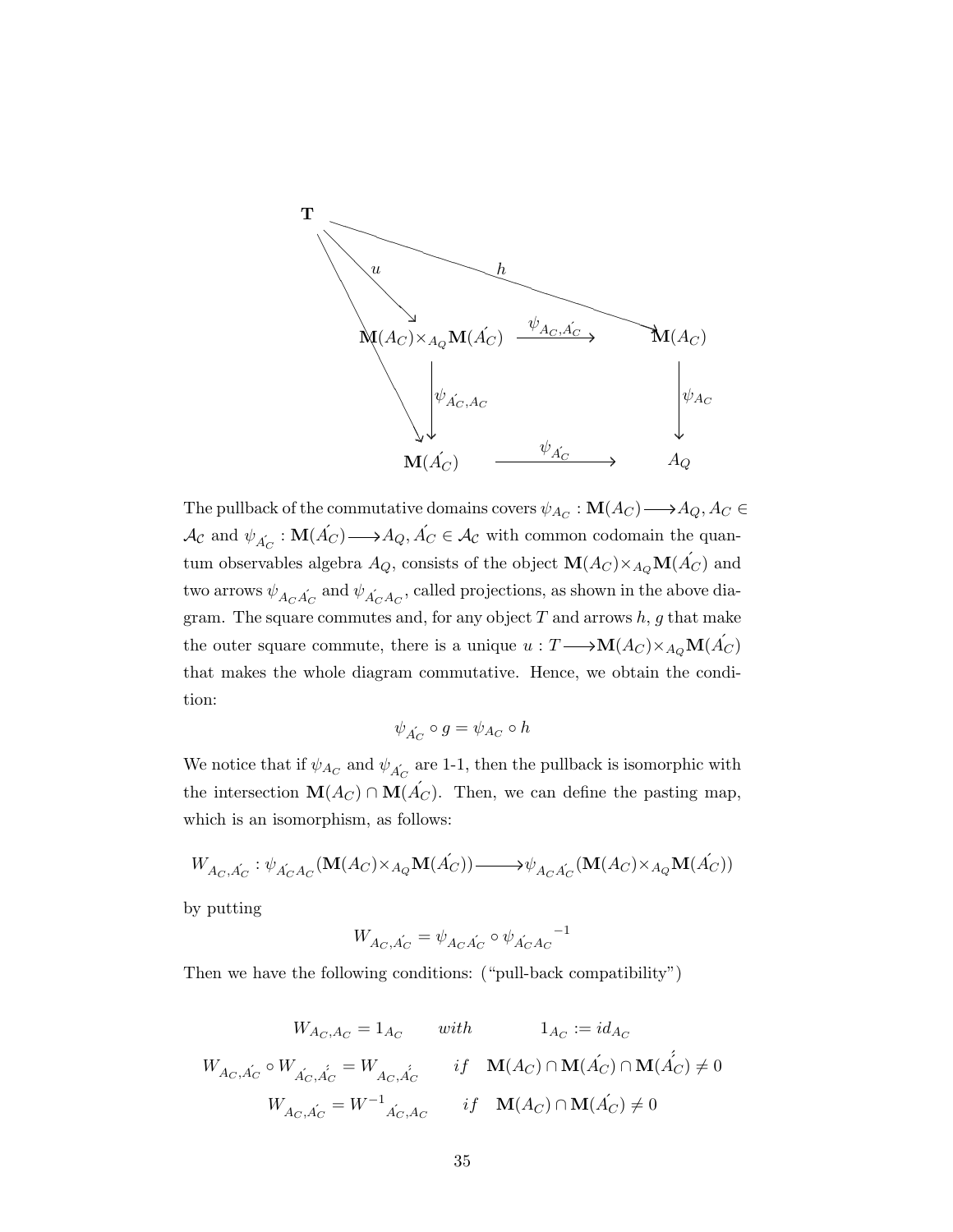

The pullback of the commutative domains covers  $\psi_{A_C} : \mathbf{M}(A_C) \longrightarrow A_Q, A_C \in \mathbb{C}$  $\mathcal{A}_{\mathcal{C}}$  and  $\psi_{A'_{\mathcal{C}}} : \mathbf{M}(\mathcal{A}_{\mathcal{C}}) \longrightarrow \mathcal{A}_{Q}, \mathcal{A}'_{\mathcal{C}} \in \mathcal{A}_{\mathcal{C}}$  with common codomain the quantum observables algebra  $A_Q$ , consists of the object  $\mathbf{M}(A_C) \times_{A_Q} \mathbf{M}(A_C)$  and two arrows  $\psi_{A_C A_C'}$  and  $\psi_{A_C A_C}$ , called projections, as shown in the above diagram. The square commutes and, for any object  $T$  and arrows  $h, g$  that make the outer square commute, there is a unique  $u : T \longrightarrow M(A_C) \times_{A_Q} M(A_C)$ that makes the whole diagram commutative. Hence, we obtain the condition:

$$
\psi_{A_C^{'}}\circ g=\psi_{A_C}\circ h
$$

We notice that if  $\psi_{A_C}$  and  $\psi_{A_C}$  are 1-1, then the pullback is isomorphic with the intersection  $\mathbf{M}(A_C) \cap \mathbf{M}(A_C)$ . Then, we can define the pasting map, which is an isomorphism, as follows:

$$
W_{A_C, A_C'} : \psi_{A_C'A_C}(\mathbf{M}(A_C) \times_{A_Q} \mathbf{M}(A_C')) \longrightarrow \psi_{A_C A_C'}(\mathbf{M}(A_C) \times_{A_Q} \mathbf{M}(A_C'))
$$

by putting

$$
W_{A_C,\acute A_C}=\psi_{A_C\acute A_C}\circ\psi_{\acute A_C\acute A_C}^{\quad \ \ -1}
$$

Then we have the following conditions: ("pull-back compatibility")

$$
W_{A_C, A_C} = 1_{A_C} \qquad with \qquad 1_{A_C} := id_{A_C}
$$

$$
W_{A_C, A_C} \circ W_{A_C, A_C} = W_{A_C, A_C} \qquad if \quad \mathbf{M}(A_C) \cap \mathbf{M}(A_C) \cap \mathbf{M}(A_C) \neq 0
$$

$$
W_{A_C, A_C} = W^{-1}_{A_C, A_C} \qquad if \quad \mathbf{M}(A_C) \cap \mathbf{M}(A_C) \neq 0
$$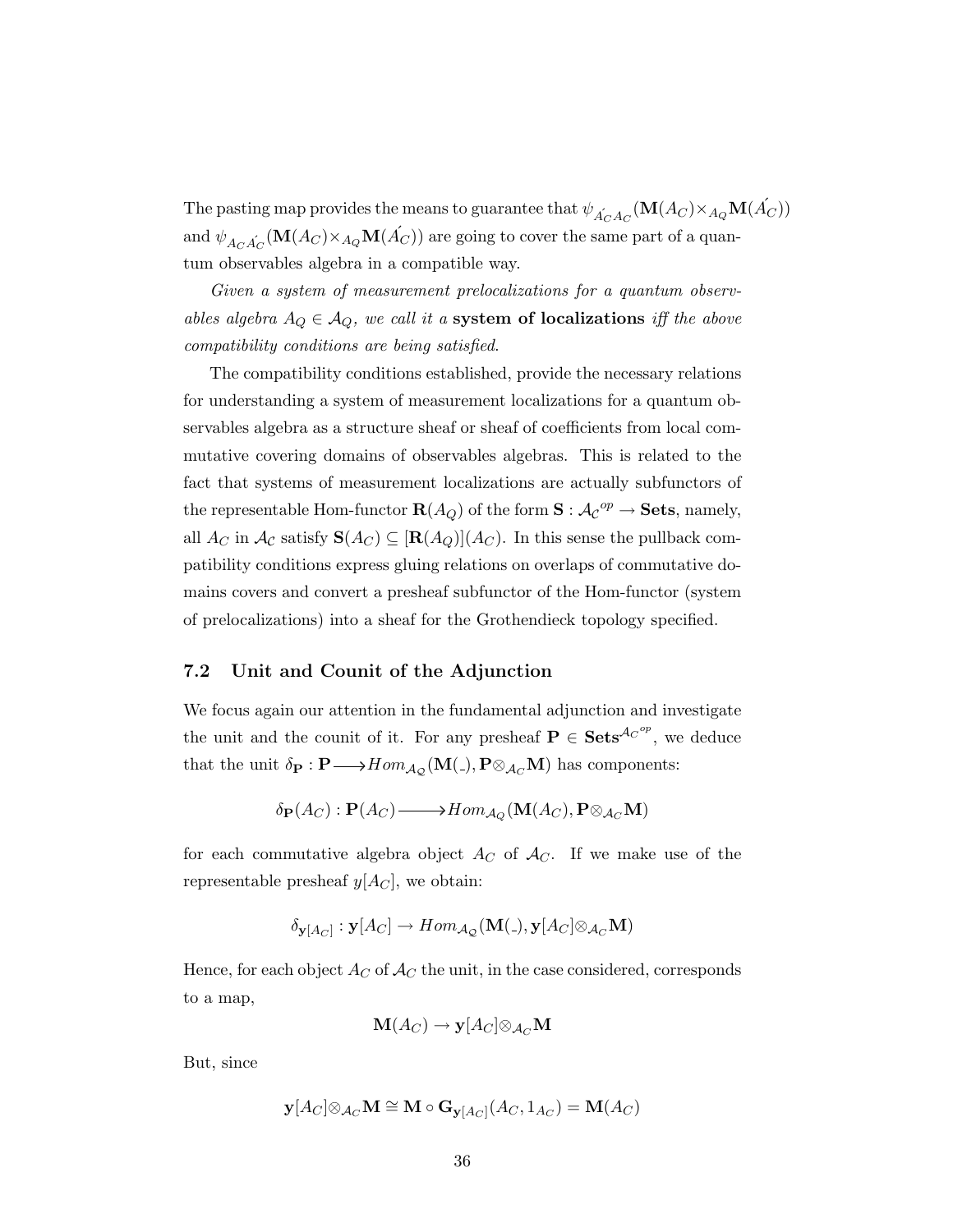The pasting map provides the means to guarantee that  $\psi_{A_C^{'}A_C}(\mathbf{M}(A_C)\times_{A_Q}\mathbf{M}(A_C))$ and  $\psi_{A_C A_C} ({\bf M}(A_C)\times_{A_Q} {\bf M}(A_C'))$  are going to cover the same part of a quantum observables algebra in a compatible way.

Given a system of measurement prelocalizations for a quantum observables algebra  $A_Q \in \mathcal{A}_Q$ , we call it a system of localizations iff the above compatibility conditions are being satisfied.

The compatibility conditions established, provide the necessary relations for understanding a system of measurement localizations for a quantum observables algebra as a structure sheaf or sheaf of coefficients from local commutative covering domains of observables algebras. This is related to the fact that systems of measurement localizations are actually subfunctors of the representable Hom-functor  $\mathbf{R}(A_Q)$  of the form  $\mathbf{S} : \mathcal{A}_{\mathcal{C}}^{op} \to \mathbf{Sets}$ , namely, all  $A_C$  in  $\mathcal{A}_C$  satisfy  $\mathbf{S}(A_C) \subseteq [\mathbf{R}(A_Q)](A_C)$ . In this sense the pullback compatibility conditions express gluing relations on overlaps of commutative domains covers and convert a presheaf subfunctor of the Hom-functor (system of prelocalizations) into a sheaf for the Grothendieck topology specified.

#### 7.2 Unit and Counit of the Adjunction

We focus again our attention in the fundamental adjunction and investigate the unit and the counit of it. For any presheaf  $P \in \text{Sets}^{\mathcal{A}_C^{op}}$ , we deduce that the unit  $\delta_{\mathbf{P}} : \mathbf{P} \longrightarrow Hom_{\mathcal{A}_{\mathcal{Q}}}(\mathbf{M}(.), \mathbf{P} \otimes_{\mathcal{A}_{C}} \mathbf{M})$  has components:

$$
\delta_{\mathbf{P}}(A_C) : \mathbf{P}(A_C) \longrightarrow Hom_{\mathcal{A}_Q}(\mathbf{M}(A_C), \mathbf{P} \otimes_{\mathcal{A}_C} \mathbf{M})
$$

for each commutative algebra object  $A_C$  of  $A_C$ . If we make use of the representable presheaf  $y[A_C]$ , we obtain:

$$
\delta_{\mathbf{y}[A_C]} : \mathbf{y}[A_C] \to Hom_{\mathcal{A}_{\mathcal{Q}}}(\mathbf{M}(.), \mathbf{y}[A_C] \otimes_{\mathcal{A}_C} \mathbf{M})
$$

Hence, for each object  $A_C$  of  $A_C$  the unit, in the case considered, corresponds to a map,

$$
\mathbf{M}(A_C) \to \mathbf{y}[A_C] \otimes_{\mathcal{A}_C} \mathbf{M}
$$

But, since

$$
\mathbf{y}[A_C] \otimes_{\mathcal{A}_C} \mathbf{M} \cong \mathbf{M} \circ \mathbf{G}_{\mathbf{y}[A_C]}(A_C, 1_{A_C}) = \mathbf{M}(A_C)
$$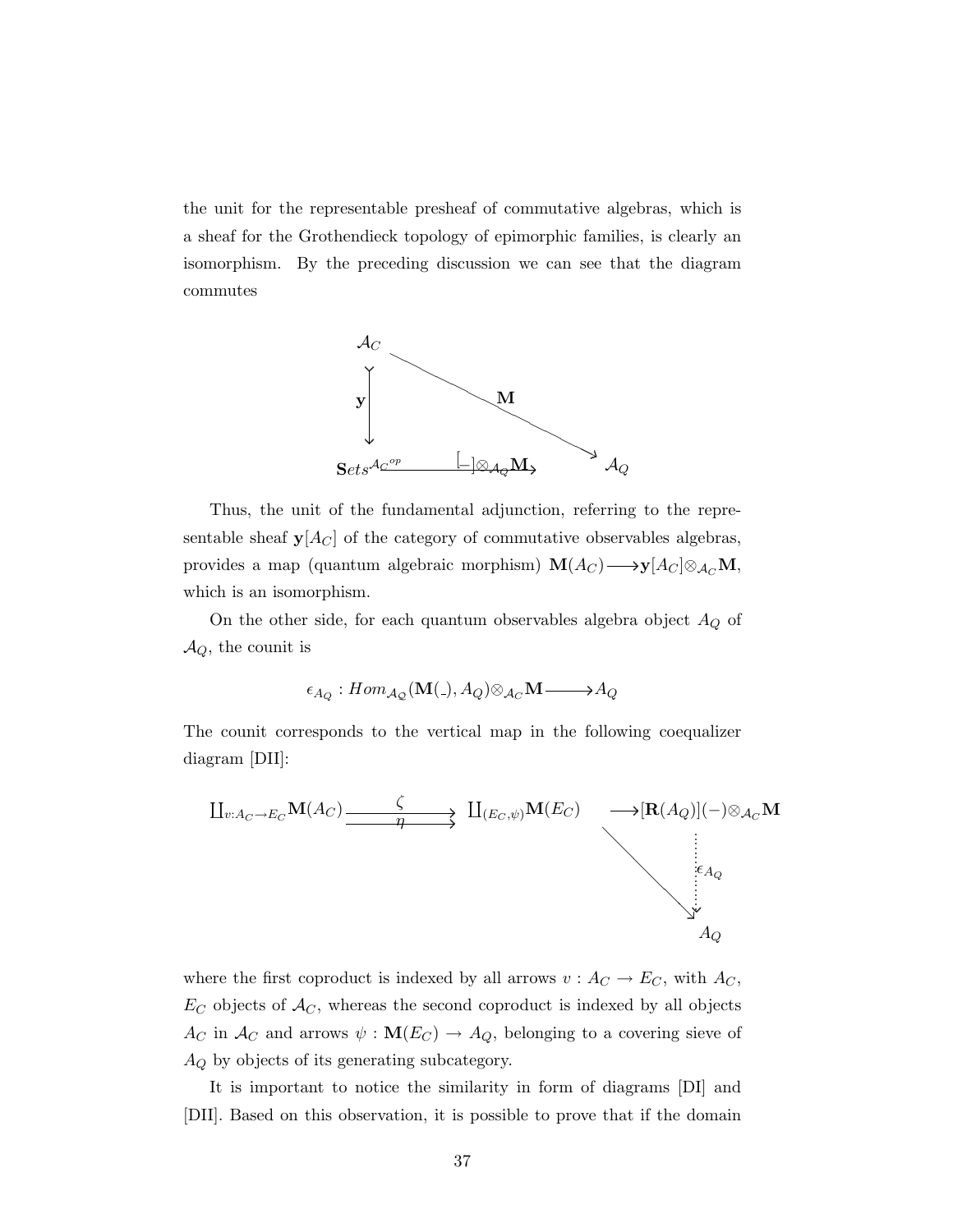the unit for the representable presheaf of commutative algebras, which is a sheaf for the Grothendieck topology of epimorphic families, is clearly an isomorphism. By the preceding discussion we can see that the diagram commutes



Thus, the unit of the fundamental adjunction, referring to the representable sheaf  $y[A_C]$  of the category of commutative observables algebras, provides a map (quantum algebraic morphism)  $\mathbf{M}(A_C) \longrightarrow \mathbf{y}[A_C] \otimes_{\mathcal{A}_C} \mathbf{M}$ , which is an isomorphism.

On the other side, for each quantum observables algebra object  $A_Q$  of  $\mathcal{A}_Q$ , the counit is

$$
\epsilon_{A_Q}:Hom_{\mathcal{A}_Q}(\mathbf{M}(\Lambda),A_Q)\otimes_{\mathcal{A}_C}\mathbf{M}\longrightarrow A_Q
$$

The counit corresponds to the vertical map in the following coequalizer diagram [DII]:

$$
\begin{array}{ccc}\n\coprod_{v:A_C \to E_C} \mathbf{M}(A_C) \xrightarrow{\zeta} & \coprod_{(E_C,\psi)} \mathbf{M}(E_C) & \longrightarrow [\mathbf{R}(A_Q)](-) \otimes_{\mathcal{A}_C} \mathbf{M} \\
\downarrow^{\epsilon} & \downarrow^{\epsilon} & \downarrow^{\epsilon} \\
\downarrow^{\epsilon} & & \downarrow^{\epsilon} \\
 & & A_Q\n\end{array}
$$

where the first coproduct is indexed by all arrows  $v : A_C \to E_C$ , with  $A_C$ ,  $E_C$  objects of  $\mathcal{A}_C$ , whereas the second coproduct is indexed by all objects  $A_C$  in  $\mathcal{A}_C$  and arrows  $\psi : \mathbf{M}(E_C) \to A_Q$ , belonging to a covering sieve of  $A_Q$  by objects of its generating subcategory.

It is important to notice the similarity in form of diagrams [DI] and [DII]. Based on this observation, it is possible to prove that if the domain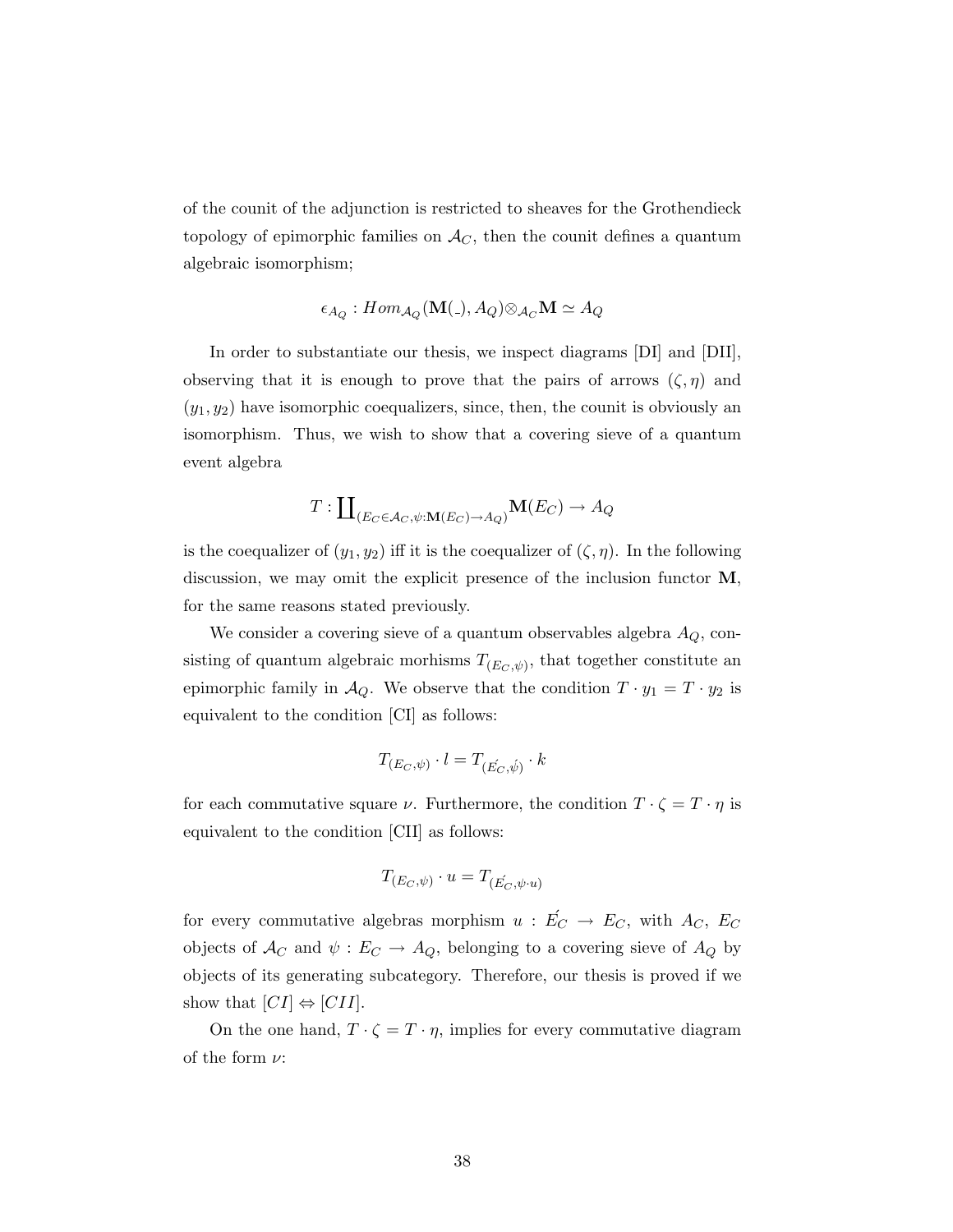of the counit of the adjunction is restricted to sheaves for the Grothendieck topology of epimorphic families on  $A_C$ , then the counit defines a quantum algebraic isomorphism;

$$
\epsilon_{A_Q}:Hom_{\mathcal{A}_Q}(\mathbf{M}(\Lambda),A_Q)\otimes_{\mathcal{A}_C}\mathbf{M}\simeq A_Q
$$

In order to substantiate our thesis, we inspect diagrams [DI] and [DII], observing that it is enough to prove that the pairs of arrows  $(\zeta, \eta)$  and  $(y_1, y_2)$  have isomorphic coequalizers, since, then, the counit is obviously an isomorphism. Thus, we wish to show that a covering sieve of a quantum event algebra

$$
T: \coprod_{(E_C \in \mathcal{A}_C, \psi: \mathbf{M}(E_C) \to A_Q)} \mathbf{M}(E_C) \to A_Q
$$

is the coequalizer of  $(y_1, y_2)$  iff it is the coequalizer of  $(\zeta, \eta)$ . In the following discussion, we may omit the explicit presence of the inclusion functor M, for the same reasons stated previously.

We consider a covering sieve of a quantum observables algebra  $A_Q$ , consisting of quantum algebraic morhisms  $T_{(E_C, \psi)}$ , that together constitute an epimorphic family in  $\mathcal{A}_Q$ . We observe that the condition  $T \cdot y_1 = T \cdot y_2$  is equivalent to the condition [CI] as follows:

$$
T_{(E_C,\psi)}\cdot l=T_{(E_C,\psi)}\cdot k
$$

for each commutative square  $\nu$ . Furthermore, the condition  $T \cdot \zeta = T \cdot \eta$  is equivalent to the condition [CII] as follows:

$$
T_{(E_C,\psi)}\cdot u=T_{(E_C,\psi\cdot u)}
$$

for every commutative algebras morphism  $u : E'_C \rightarrow E_C$ , with  $A_C$ ,  $E_C$ objects of  $\mathcal{A}_{C}$  and  $\psi : E_{C} \to A_{Q}$ , belonging to a covering sieve of  $A_{Q}$  by objects of its generating subcategory. Therefore, our thesis is proved if we show that  $[CI] \Leftrightarrow [CII]$ .

On the one hand,  $T \cdot \zeta = T \cdot \eta$ , implies for every commutative diagram of the form  $\nu$ :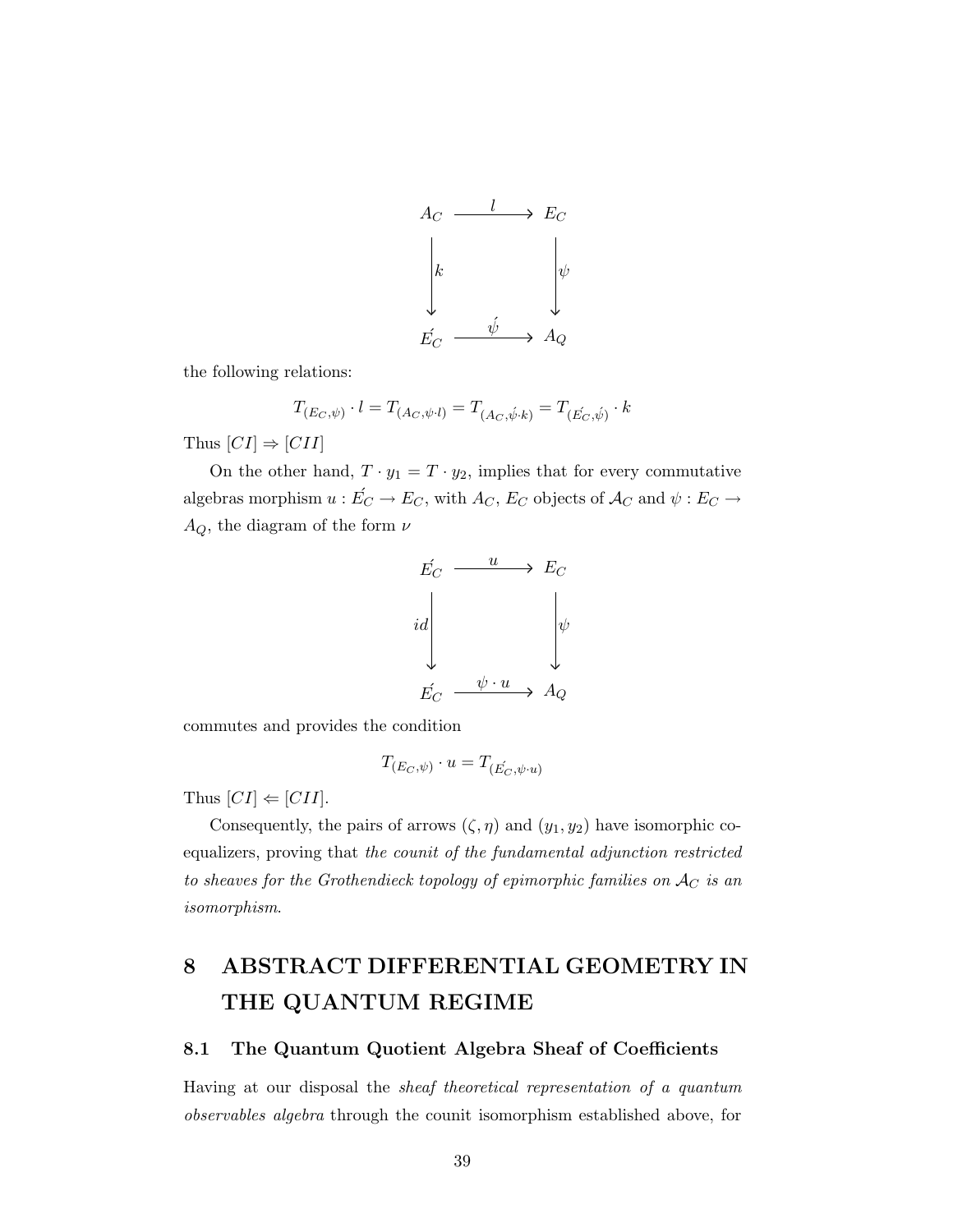

the following relations:

$$
T_{(E_C,\psi)} \cdot l = T_{(A_C,\psi \cdot l)} = T_{(A_C,\psi \cdot k)} = T_{(E_C,\psi)} \cdot k
$$

Thus  $|CI| \Rightarrow |CII|$ 

On the other hand,  $T \cdot y_1 = T \cdot y_2$ , implies that for every commutative algebras morphism  $u : \check{E_C} \to E_C$ , with  $A_C$ ,  $E_C$  objects of  $\mathcal{A_C}$  and  $\psi : E_C \to E_C$  $A_Q$ , the diagram of the form  $\nu$ 



commutes and provides the condition

$$
T_{(E_C,\psi)} \cdot u = T_{(\tilde{E_C},\psi \cdot u)}
$$

Thus  $[CI] \leftarrow [CII]$ .

Consequently, the pairs of arrows  $(\zeta, \eta)$  and  $(y_1, y_2)$  have isomorphic coequalizers, proving that the counit of the fundamental adjunction restricted to sheaves for the Grothendieck topology of epimorphic families on  $\mathcal{A}_C$  is an isomorphism.

## 8 ABSTRACT DIFFERENTIAL GEOMETRY IN THE QUANTUM REGIME

#### 8.1 The Quantum Quotient Algebra Sheaf of Coefficients

Having at our disposal the sheaf theoretical representation of a quantum observables algebra through the counit isomorphism established above, for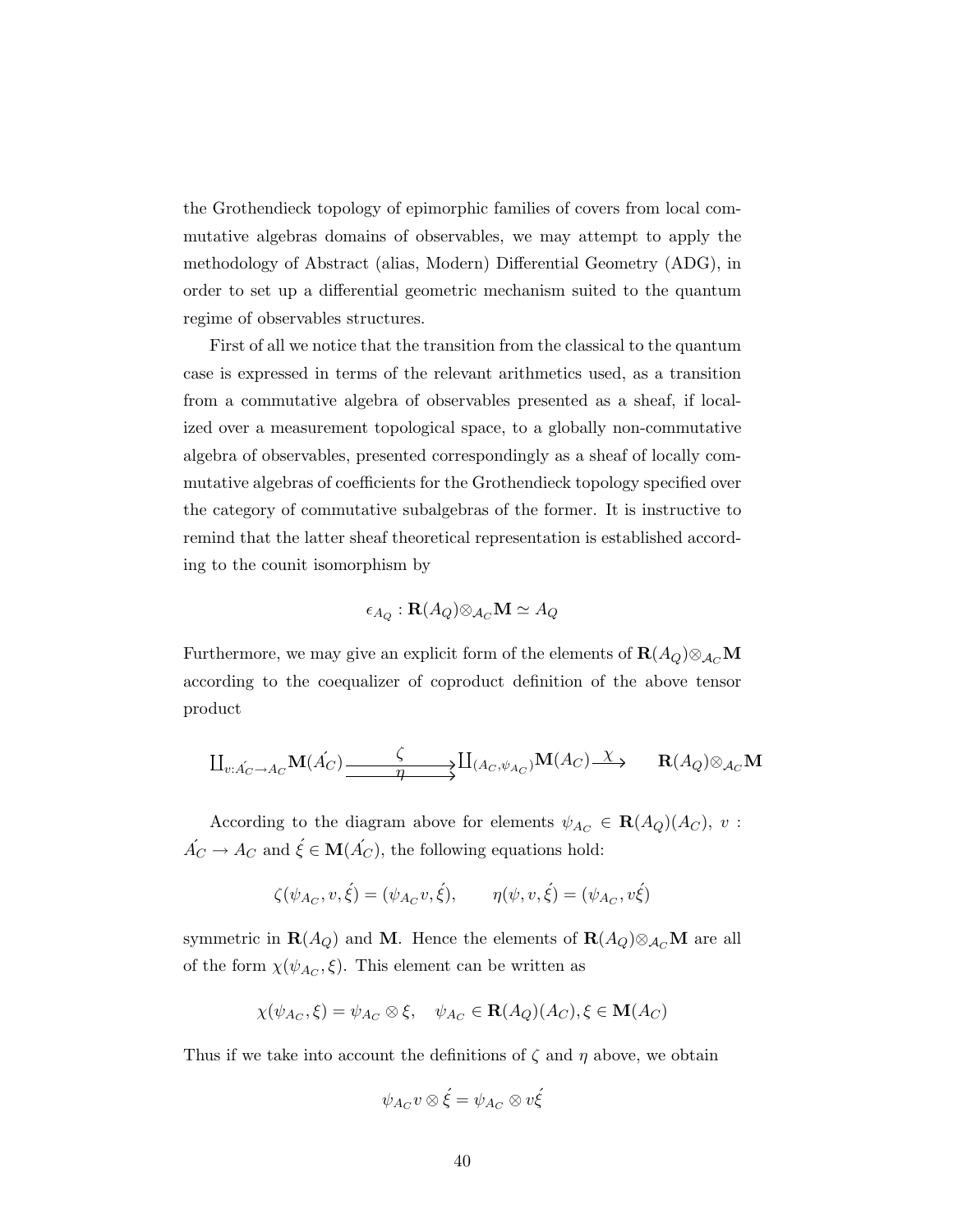the Grothendieck topology of epimorphic families of covers from local commutative algebras domains of observables, we may attempt to apply the methodology of Abstract (alias, Modern) Differential Geometry (ADG), in order to set up a differential geometric mechanism suited to the quantum regime of observables structures.

First of all we notice that the transition from the classical to the quantum case is expressed in terms of the relevant arithmetics used, as a transition from a commutative algebra of observables presented as a sheaf, if localized over a measurement topological space, to a globally non-commutative algebra of observables, presented correspondingly as a sheaf of locally commutative algebras of coefficients for the Grothendieck topology specified over the category of commutative subalgebras of the former. It is instructive to remind that the latter sheaf theoretical representation is established according to the counit isomorphism by

$$
\epsilon_{A_Q}: \mathbf{R}(A_Q) \otimes_{\mathcal{A}_C} \mathbf{M} \simeq A_Q
$$

Furthermore, we may give an explicit form of the elements of  $\mathbf{R}(A_Q) \otimes_{\mathcal{A}_C} \mathbf{M}$ according to the coequalizer of coproduct definition of the above tensor product

$$
\amalg_{v: A_C \to A_C} \mathbf{M}(A_C) \xrightarrow{\zeta} \amalg_{(A_C, \psi_{A_C})} \mathbf{M}(A_C) \xrightarrow{\chi} \mathbf{R}(A_Q) \otimes_{A_C} \mathbf{M}
$$

According to the diagram above for elements  $\psi_{A_C} \in \mathbf{R}(A_Q)(A_C)$ , v:  $\acute{A}_{C} \rightarrow A_{C}$  and  $\acute{\xi} \in \mathbf{M}(\acute{A}_{C}),$  the following equations hold:

$$
\zeta(\psi_{A_C}, v, \xi) = (\psi_{A_C} v, \xi), \qquad \eta(\psi, v, \xi) = (\psi_{A_C}, v \xi)
$$

symmetric in  $\mathbf{R}(A_Q)$  and M. Hence the elements of  $\mathbf{R}(A_Q) \otimes_{\mathcal{A}_C} \mathbf{M}$  are all of the form  $\chi(\psi_{A_C}, \xi)$ . This element can be written as

$$
\chi(\psi_{A_C}, \xi) = \psi_{A_C} \otimes \xi, \quad \psi_{A_C} \in \mathbf{R}(A_Q)(A_C), \xi \in \mathbf{M}(A_C)
$$

Thus if we take into account the definitions of  $\zeta$  and  $\eta$  above, we obtain

$$
\psi_{A_C} v \otimes \acute{\xi} = \psi_{A_C} \otimes v \acute{\xi}
$$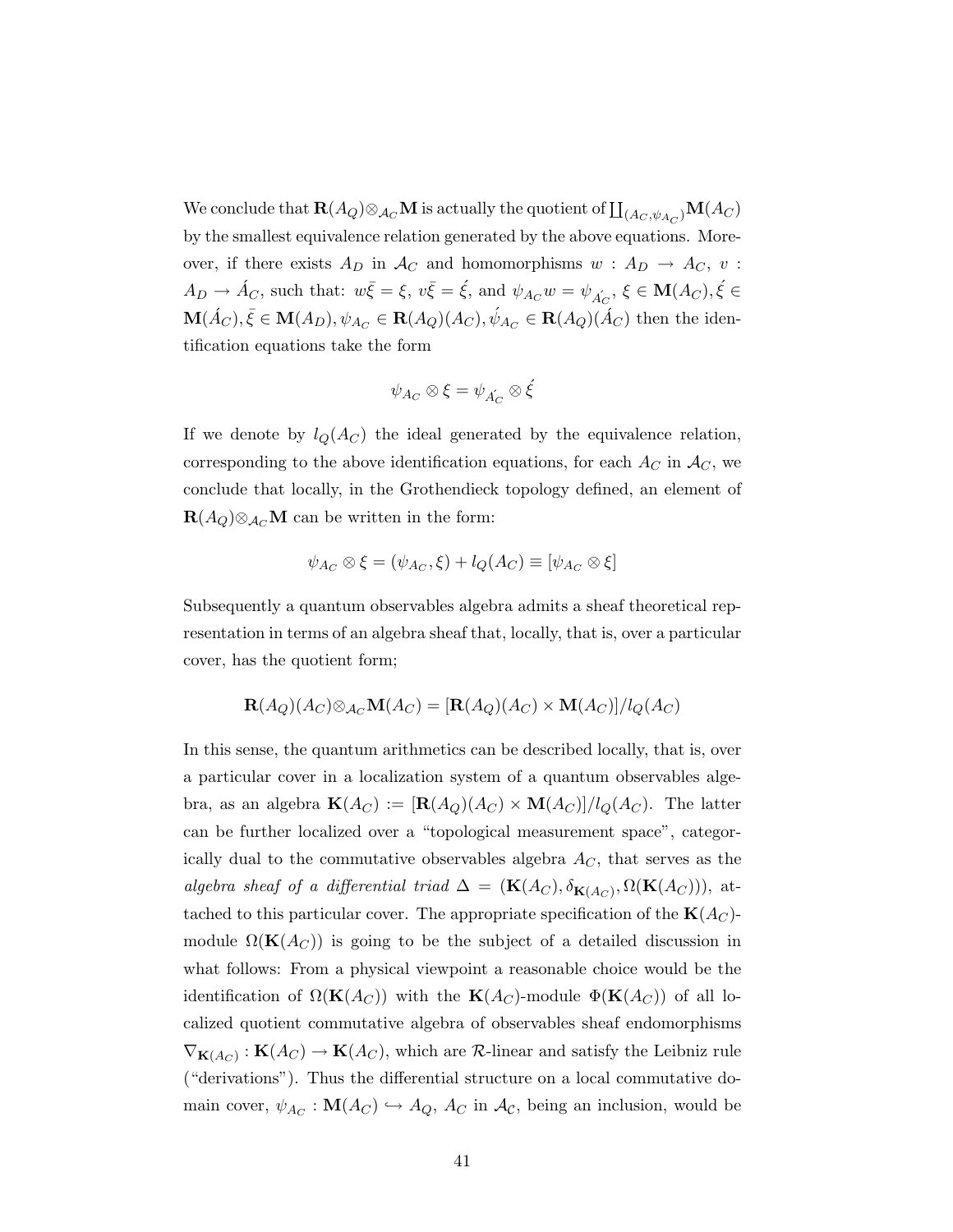We conclude that  $\mathbf{R}(A_Q) \otimes_{\mathcal{A}_C} \mathbf{M}$  is actually the quotient of  $\coprod_{(A_C, \psi_{A_C})} \mathbf{M}(A_C)$ by the smallest equivalence relation generated by the above equations. Moreover, if there exists  $A_D$  in  $A_C$  and homomorphisms  $w : A_D \rightarrow A_C$ ,  $v :$  $A_D \to \hat{A}_C$ , such that:  $w\bar{\xi} = \xi$ ,  $v\bar{\xi} = \xi$ , and  $\psi_{A_C} w = \psi_{A_C}$ ,  $\xi \in M(A_C)$ ,  $\xi \in$  $\mathbf{M}(\hat{A}_C), \bar{\xi} \in \mathbf{M}(A_D), \psi_{A_C} \in \mathbf{R}(A_Q)(A_C), \psi_{A_C} \in \mathbf{R}(A_Q)(\hat{A}_C)$  then the identification equations take the form

$$
\psi_{A_C}\otimes \xi=\psi_{\acute{A_C}}\otimes \acute{\xi}
$$

If we denote by  $l_Q(A_C)$  the ideal generated by the equivalence relation, corresponding to the above identification equations, for each  $A_C$  in  $A_C$ , we conclude that locally, in the Grothendieck topology defined, an element of  $\mathbf{R}(A_Q) \otimes_{\mathcal{A}_C} \mathbf{M}$  can be written in the form:

$$
\psi_{A_C} \otimes \xi = (\psi_{A_C}, \xi) + l_Q(A_C) \equiv [\psi_{A_C} \otimes \xi]
$$

Subsequently a quantum observables algebra admits a sheaf theoretical representation in terms of an algebra sheaf that, locally, that is, over a particular cover, has the quotient form;

$$
\mathbf{R}(A_Q)(A_C) \otimes_{\mathcal{A}_C} \mathbf{M}(A_C) = [\mathbf{R}(A_Q)(A_C) \times \mathbf{M}(A_C)]/l_Q(A_C)
$$

In this sense, the quantum arithmetics can be described locally, that is, over a particular cover in a localization system of a quantum observables algebra, as an algebra  $\mathbf{K}(A_C) := [\mathbf{R}(A_Q)(A_C) \times \mathbf{M}(A_C)]/l_Q(A_C)$ . The latter can be further localized over a "topological measurement space", categorically dual to the commutative observables algebra  $A_C$ , that serves as the algebra sheaf of a differential triad  $\Delta = (\mathbf{K}(A_C), \delta_{\mathbf{K}(A_C)}, \Omega(\mathbf{K}(A_C))),$  attached to this particular cover. The appropriate specification of the  $K(A_C)$ module  $\Omega(\mathbf{K}(A_C))$  is going to be the subject of a detailed discussion in what follows: From a physical viewpoint a reasonable choice would be the identification of  $\Omega(\mathbf{K}(A_C))$  with the  $\mathbf{K}(A_C)$ -module  $\Phi(\mathbf{K}(A_C))$  of all localized quotient commutative algebra of observables sheaf endomorphisms  $\nabla_{\mathbf{K}(A_C)} : \mathbf{K}(A_C) \to \mathbf{K}(A_C)$ , which are R-linear and satisfy the Leibniz rule ("derivations"). Thus the differential structure on a local commutative domain cover,  $\psi_{A_C} : \mathbf{M}(A_C) \hookrightarrow A_Q$ ,  $A_C$  in  $\mathcal{A_C}$ , being an inclusion, would be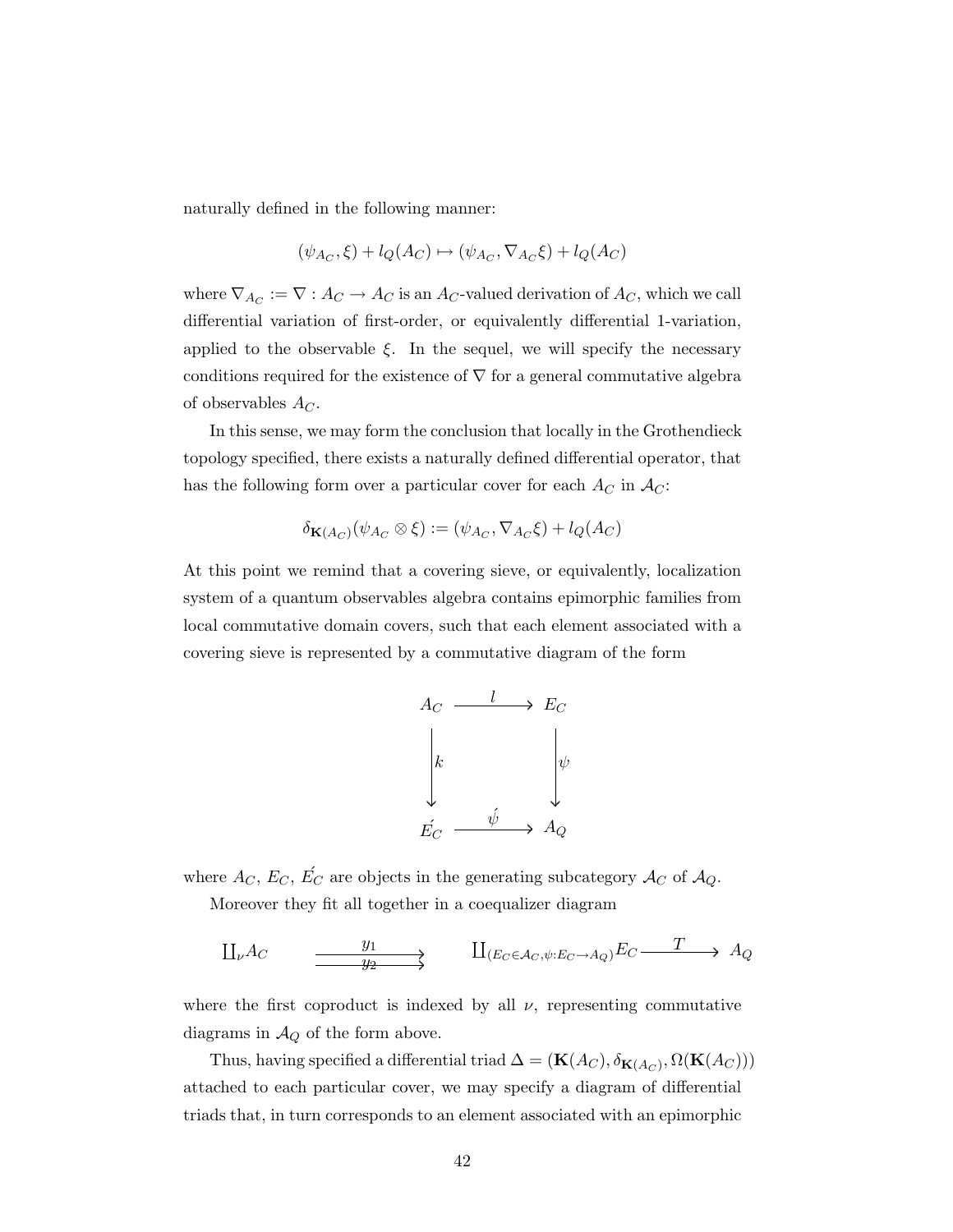naturally defined in the following manner:

$$
(\psi_{A_C}, \xi) + l_Q(A_C) \mapsto (\psi_{A_C}, \nabla_{A_C}\xi) + l_Q(A_C)
$$

where  $\nabla_{A_C} := \nabla : A_C \to A_C$  is an  $A_C$ -valued derivation of  $A_C$ , which we call differential variation of first-order, or equivalently differential 1-variation, applied to the observable  $\xi$ . In the sequel, we will specify the necessary conditions required for the existence of  $\nabla$  for a general commutative algebra of observables  $A_C$ .

In this sense, we may form the conclusion that locally in the Grothendieck topology specified, there exists a naturally defined differential operator, that has the following form over a particular cover for each  $A_C$  in  $A_C$ :

$$
\delta_{\mathbf{K}(A_C)}(\psi_{A_C} \otimes \xi) := (\psi_{A_C}, \nabla_{A_C} \xi) + l_Q(A_C)
$$

At this point we remind that a covering sieve, or equivalently, localization system of a quantum observables algebra contains epimorphic families from local commutative domain covers, such that each element associated with a covering sieve is represented by a commutative diagram of the form



where  $A_C$ ,  $E_C$ ,  $E_C$  are objects in the generating subcategory  $A_C$  of  $A_Q$ .

Moreover they fit all together in a coequalizer diagram

$$
\underline{\Pi}_{\nu} A_C \qquad \xrightarrow{\qquad y_1} \qquad \qquad \underline{\Pi}_{(E_C \in \mathcal{A}_C, \psi: E_C \to A_Q)} E_C \xrightarrow{\qquad T} A_Q
$$

where the first coproduct is indexed by all  $\nu$ , representing commutative diagrams in  $\mathcal{A}_Q$  of the form above.

Thus, having specified a differential triad  $\Delta = (\mathbf{K}(A_C), \delta_{\mathbf{K}(A_C)}, \Omega(\mathbf{K}(A_C)))$ attached to each particular cover, we may specify a diagram of differential triads that, in turn corresponds to an element associated with an epimorphic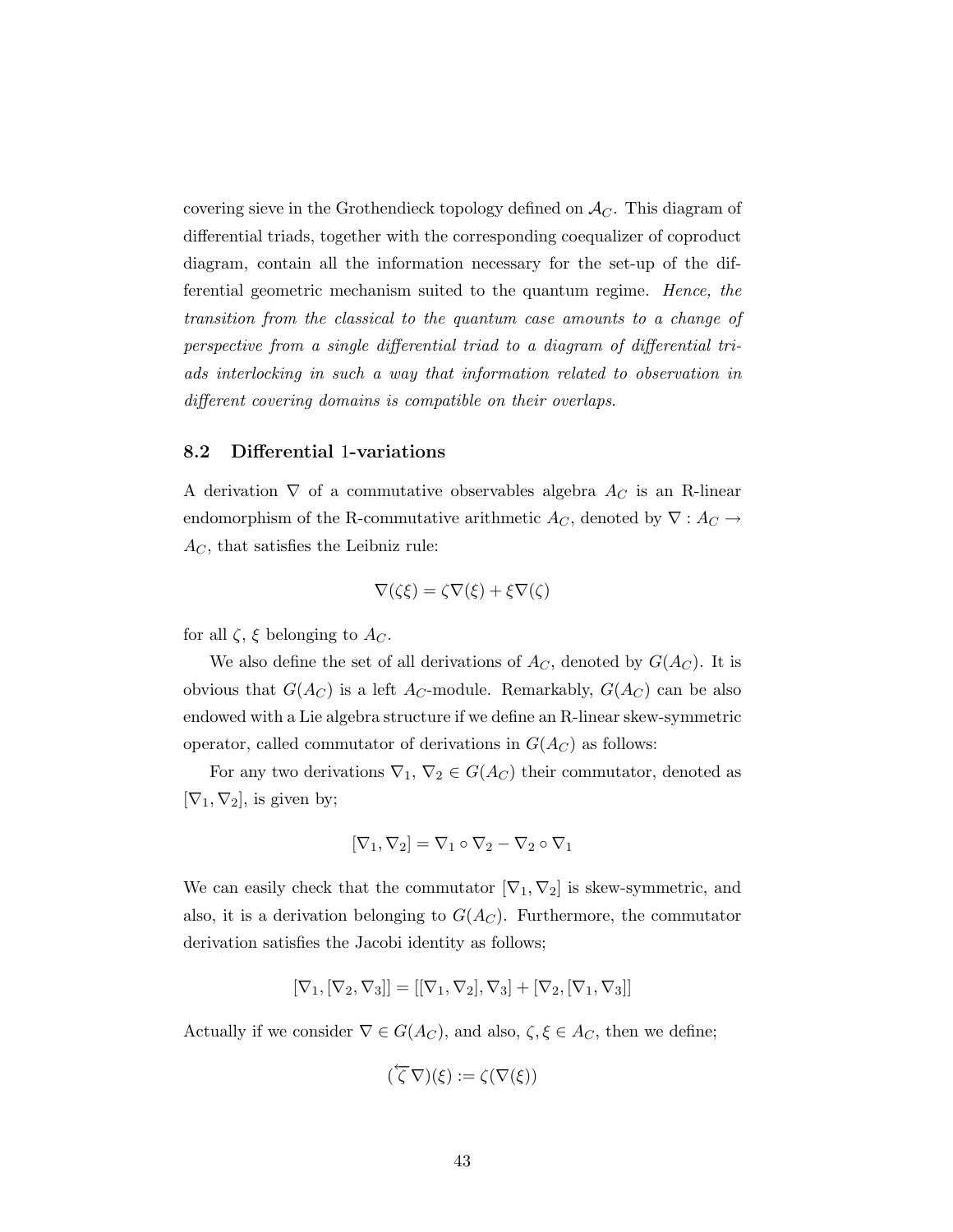covering sieve in the Grothendieck topology defined on  $A_C$ . This diagram of differential triads, together with the corresponding coequalizer of coproduct diagram, contain all the information necessary for the set-up of the differential geometric mechanism suited to the quantum regime. Hence, the transition from the classical to the quantum case amounts to a change of perspective from a single differential triad to a diagram of differential triads interlocking in such a way that information related to observation in different covering domains is compatible on their overlaps.

#### 8.2 Differential 1-variations

A derivation  $\nabla$  of a commutative observables algebra  $A_C$  is an R-linear endomorphism of the R-commutative arithmetic  $A_C$ , denoted by  $\nabla : A_C \rightarrow$  $A_C$ , that satisfies the Leibniz rule:

$$
\nabla(\zeta\xi) = \zeta \nabla(\xi) + \xi \nabla(\zeta)
$$

for all  $\zeta$ ,  $\xi$  belonging to  $A_C$ .

We also define the set of all derivations of  $A_C$ , denoted by  $G(A_C)$ . It is obvious that  $G(A_C)$  is a left  $A_C$ -module. Remarkably,  $G(A_C)$  can be also endowed with a Lie algebra structure if we define an R-linear skew-symmetric operator, called commutator of derivations in  $G(A_C)$  as follows:

For any two derivations  $\nabla_1$ ,  $\nabla_2 \in G(A_C)$  their commutator, denoted as  $[\nabla_1, \nabla_2]$ , is given by;

$$
[\nabla_1,\nabla_2]=\nabla_1\circ\nabla_2-\nabla_2\circ\nabla_1
$$

We can easily check that the commutator  $[\nabla_1, \nabla_2]$  is skew-symmetric, and also, it is a derivation belonging to  $G(A_C)$ . Furthermore, the commutator derivation satisfies the Jacobi identity as follows;

$$
[\nabla_1,[\nabla_2,\nabla_3]]=[[\nabla_1,\nabla_2],\nabla_3]+[\nabla_2,[\nabla_1,\nabla_3]]
$$

Actually if we consider  $\nabla \in G(A_C)$ , and also,  $\zeta, \xi \in A_C$ , then we define;

$$
(\overleftarrow{\zeta}\nabla)(\xi):=\zeta(\nabla(\xi))
$$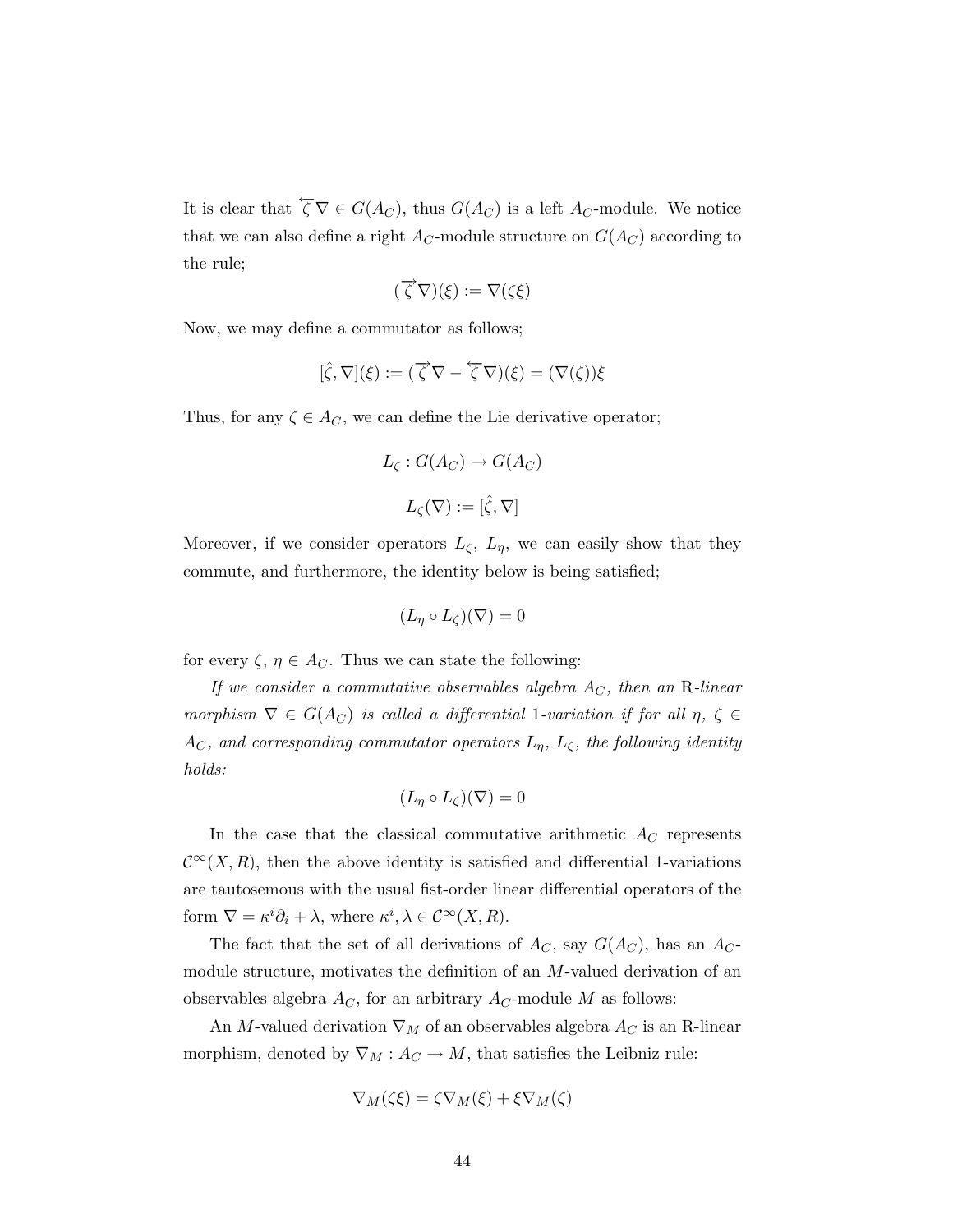It is clear that  $\overleftarrow{\zeta} \nabla \in G(A_C)$ , thus  $G(A_C)$  is a left  $A_C$ -module. We notice that we can also define a right  $A_C$ -module structure on  $G(A_C)$  according to the rule;

$$
(\overrightarrow{\zeta}\nabla)(\xi) := \nabla(\zeta\xi)
$$

Now, we may define a commutator as follows;

$$
[\hat{\zeta},\nabla](\xi):=(\overrightarrow{\zeta}\nabla-\overleftarrow{\zeta}\nabla)(\xi)=(\nabla(\zeta))\xi
$$

Thus, for any  $\zeta \in A_C$ , we can define the Lie derivative operator;

$$
L_{\zeta}: G(A_C) \to G(A_C)
$$
  

$$
L_{\zeta}(\nabla) := [\hat{\zeta}, \nabla]
$$

Moreover, if we consider operators  $L_{\zeta}$ ,  $L_{\eta}$ , we can easily show that they commute, and furthermore, the identity below is being satisfied;

$$
(L_{\eta} \circ L_{\zeta})(\nabla) = 0
$$

for every  $\zeta, \eta \in A_C$ . Thus we can state the following:

If we consider a commutative observables algebra  $A_C$ , then an R-linear morphism  $\nabla \in G(A_C)$  is called a differential 1-variation if for all  $\eta, \zeta \in$  $A_C$ , and corresponding commutator operators  $L_{\eta}$ ,  $L_{\zeta}$ , the following identity holds:

$$
(L_{\eta} \circ L_{\zeta})(\nabla) = 0
$$

In the case that the classical commutative arithmetic  $A_C$  represents  $\mathcal{C}^{\infty}(X,\mathbb{R})$ , then the above identity is satisfied and differential 1-variations are tautosemous with the usual fist-order linear differential operators of the form  $\nabla = \kappa^i \partial_i + \lambda$ , where  $\kappa^i, \lambda \in C^\infty(X, R)$ .

The fact that the set of all derivations of  $A_C$ , say  $G(A_C)$ , has an  $A_C$ module structure, motivates the definition of an M-valued derivation of an observables algebra  $A_C$ , for an arbitrary  $A_C$ -module M as follows:

An M-valued derivation  $\nabla_M$  of an observables algebra  $A_C$  is an R-linear morphism, denoted by  $\nabla_M : A_C \to M$ , that satisfies the Leibniz rule:

$$
\nabla_M(\zeta\xi) = \zeta \nabla_M(\xi) + \xi \nabla_M(\zeta)
$$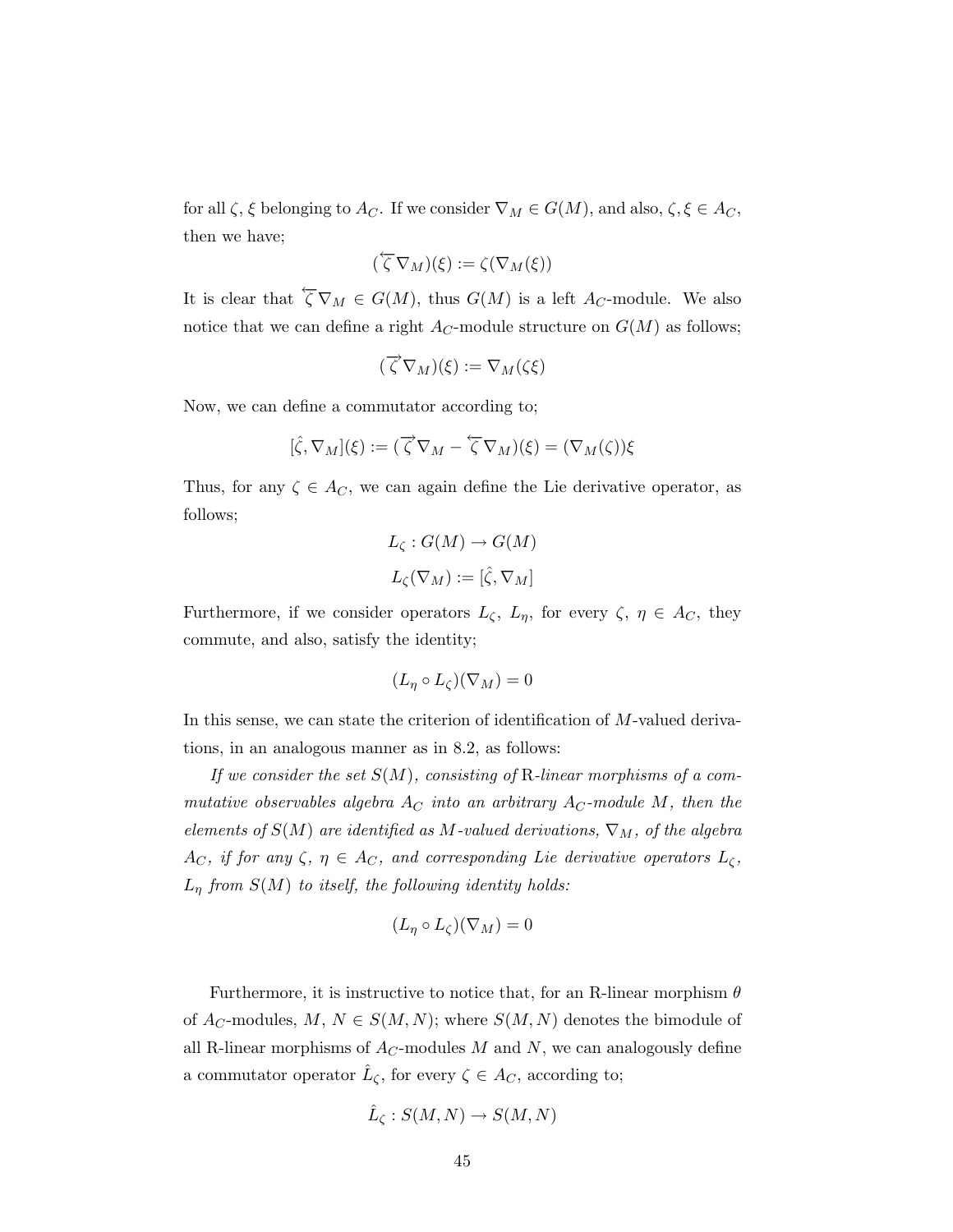for all  $\zeta$ ,  $\xi$  belonging to  $A_C$ . If we consider  $\nabla_M \in G(M)$ , and also,  $\zeta$ ,  $\xi \in A_C$ , then we have;

$$
(\overleftarrow{\zeta}\nabla_M)(\xi):=\zeta(\nabla_M(\xi))
$$

It is clear that  $\overleftarrow{\zeta} \nabla_M \in G(M)$ , thus  $G(M)$  is a left  $A_C$ -module. We also notice that we can define a right  $A_C$ -module structure on  $G(M)$  as follows;

$$
(\overrightarrow{\zeta}\nabla_M)(\xi):=\nabla_M(\zeta\xi)
$$

Now, we can define a commutator according to;

$$
[\hat{\zeta}, \nabla_M](\xi) := (\overrightarrow{\zeta} \nabla_M - \overleftarrow{\zeta} \nabla_M)(\xi) = (\nabla_M(\zeta))\xi
$$

Thus, for any  $\zeta \in A_C$ , we can again define the Lie derivative operator, as follows;

$$
L_{\zeta}: G(M) \to G(M)
$$
  

$$
L_{\zeta}(\nabla_M) := [\hat{\zeta}, \nabla_M]
$$

Furthermore, if we consider operators  $L_{\zeta}$ ,  $L_{\eta}$ , for every  $\zeta$ ,  $\eta \in A_C$ , they commute, and also, satisfy the identity;

$$
(L_{\eta} \circ L_{\zeta})(\nabla_M) = 0
$$

In this sense, we can state the criterion of identification of M-valued derivations, in an analogous manner as in 8.2, as follows:

If we consider the set  $S(M)$ , consisting of R-linear morphisms of a commutative observables algebra  $A_C$  into an arbitrary  $A_C$ -module M, then the elements of  $S(M)$  are identified as M-valued derivations,  $\nabla_M$ , of the algebra  $A_C$ , if for any  $\zeta$ ,  $\eta \in A_C$ , and corresponding Lie derivative operators  $L_{\zeta}$ ,  $L_{\eta}$  from  $S(M)$  to itself, the following identity holds:

$$
(L_{\eta} \circ L_{\zeta})(\nabla_M) = 0
$$

Furthermore, it is instructive to notice that, for an R-linear morphism  $\theta$ of  $A_C$ -modules,  $M, N \in S(M, N)$ ; where  $S(M, N)$  denotes the bimodule of all R-linear morphisms of  $A_C$ -modules M and N, we can analogously define a commutator operator  $\hat{L}_{\zeta}$ , for every  $\zeta \in A_C$ , according to;

$$
\hat{L}_{\zeta}:S(M,N)\to S(M,N)
$$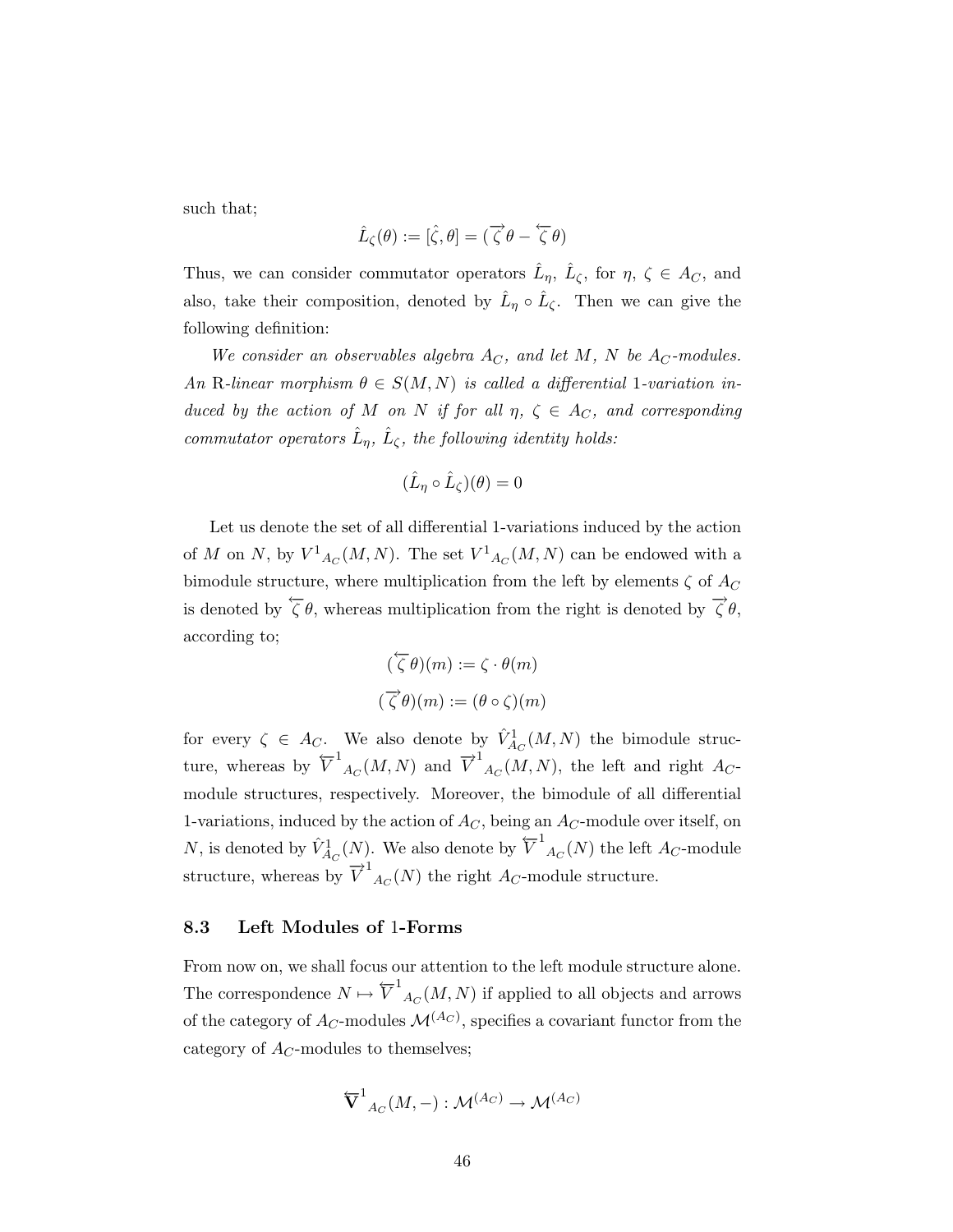such that;

$$
\hat{L}_{\zeta}(\theta) := [\hat{\zeta}, \theta] = (\overrightarrow{\zeta}\theta - \overleftarrow{\zeta}\theta)
$$

Thus, we can consider commutator operators  $\hat{L}_{\eta}$ ,  $\hat{L}_{\zeta}$ , for  $\eta$ ,  $\zeta \in A_C$ , and also, take their composition, denoted by  $\hat{L}_\eta \circ \hat{L}_\zeta$ . Then we can give the following definition:

We consider an observables algebra  $A_C$ , and let M, N be  $A_C$ -modules. An R-linear morphism  $\theta \in S(M, N)$  is called a differential 1-variation induced by the action of M on N if for all  $\eta$ ,  $\zeta \in A_C$ , and corresponding commutator operators  $\hat{L}_{\eta}$ ,  $\hat{L}_{\zeta}$ , the following identity holds:

$$
(\hat{L}_{\eta} \circ \hat{L}_{\zeta})(\theta) = 0
$$

Let us denote the set of all differential 1-variations induced by the action of M on N, by  $V^1{}_{A_C}(M,N)$ . The set  $V^1{}_{A_C}(M,N)$  can be endowed with a bimodule structure, where multiplication from the left by elements  $\zeta$  of  $A_C$ is denoted by  $\overleftrightarrow{\zeta}$ , whereas multiplication from the right is denoted by  $\overrightarrow{\zeta}$ ,  $\theta$ , according to;

$$
(\overleftarrow{\zeta}\theta)(m) := \zeta \cdot \theta(m)
$$

$$
(\overrightarrow{\zeta}\theta)(m) := (\theta \circ \zeta)(m)
$$

for every  $\zeta \in A_C$ . We also denote by  $\hat{V}^1_{A_C}(M,N)$  the bimodule structure, whereas by  $\overleftarrow{V}^1$  $A_C(M,N)$  and  $\overrightarrow{V}^1$  $A_C(M, N)$ , the left and right  $A_C$ module structures, respectively. Moreover, the bimodule of all differential 1-variations, induced by the action of  $A_C$ , being an  $A_C$ -module over itself, on N, is denoted by  $\hat{V}_{A_C}^1(N)$ . We also denote by  $\overline{V}^1$  $A_C(N)$  the left  $A_C$ -module structure, whereas by  $\overrightarrow{V}^1$  $A_C(N)$  the right  $A_C$ -module structure.

#### 8.3 Left Modules of 1-Forms

From now on, we shall focus our attention to the left module structure alone. The correspondence  $N \mapsto \overleftarrow{V}^1$  $A_C(M, N)$  if applied to all objects and arrows of the category of  $A_C$ -modules  $\mathcal{M}^{(A_C)}$ , specifies a covariant functor from the category of  $A_C$ -modules to themselves;

$$
\overleftarrow{\mathbf{V}}^1_{A_C}(M,-): \mathcal{M}^{(A_C)} \to \mathcal{M}^{(A_C)}
$$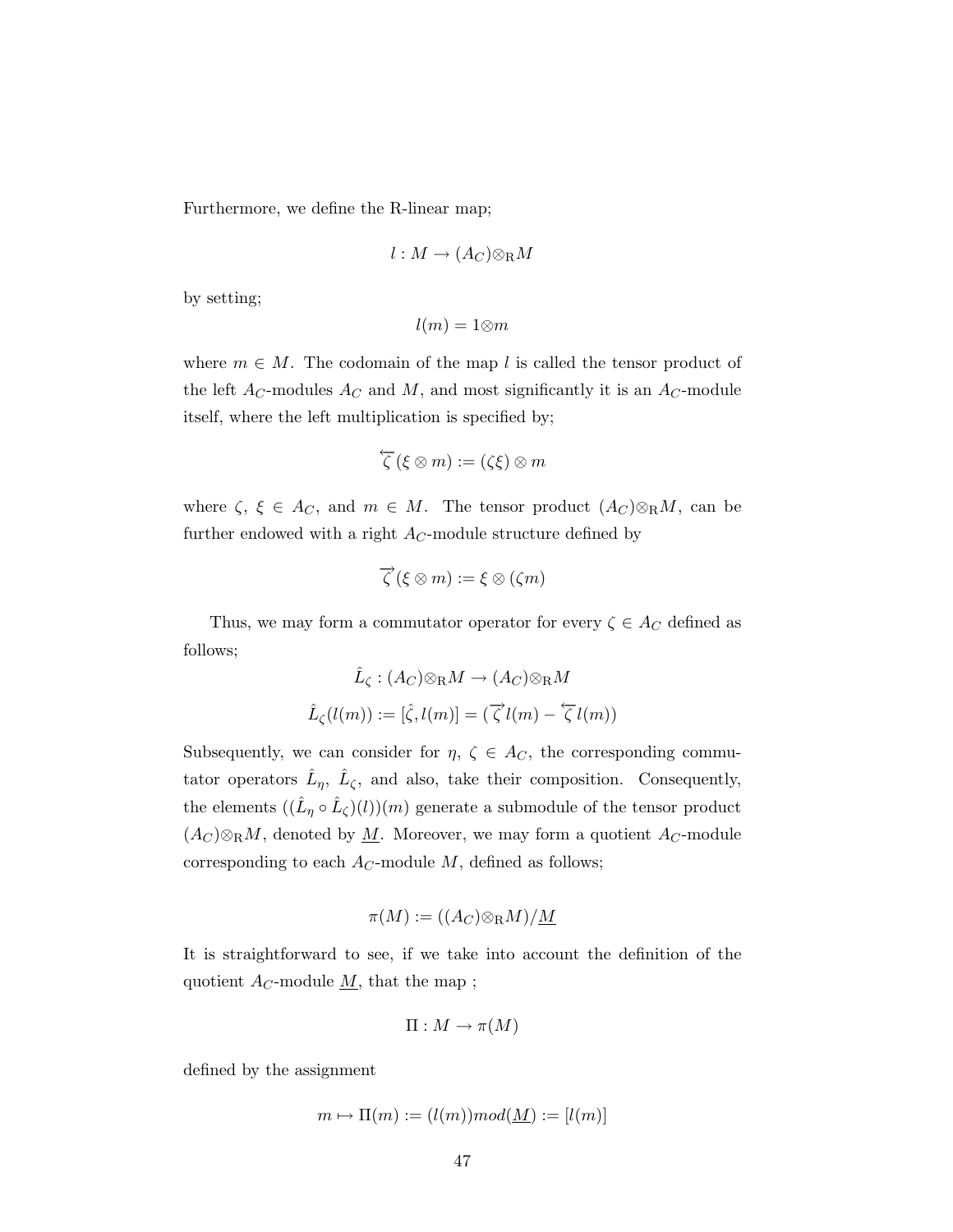Furthermore, we define the R-linear map;

$$
l:M\to (A_C)\otimes_R M
$$

by setting;

$$
l(m) = 1 \otimes m
$$

where  $m \in M$ . The codomain of the map l is called the tensor product of the left  $A_C$ -modules  $A_C$  and  $M$ , and most significantly it is an  $A_C$ -module itself, where the left multiplication is specified by;

$$
\overleftarrow{\zeta}(\xi\otimes m):=(\zeta\xi)\otimes m
$$

where  $\zeta$ ,  $\xi \in A_C$ , and  $m \in M$ . The tensor product  $(A_C) \otimes_R M$ , can be further endowed with a right  $A_C$ -module structure defined by

$$
\overrightarrow{\zeta}(\xi\otimes m):=\xi\otimes(\zeta m)
$$

Thus, we may form a commutator operator for every  $\zeta \in A_C$  defined as follows;

$$
\hat{L}_{\zeta} : (A_C) \otimes_R M \to (A_C) \otimes_R M
$$

$$
\hat{L}_{\zeta}(l(m)) := [\hat{\zeta}, l(m)] = (\overrightarrow{\zeta} l(m) - \overleftarrow{\zeta} l(m))
$$

Subsequently, we can consider for  $\eta$ ,  $\zeta \in A_C$ , the corresponding commutator operators  $\hat{L}_{\eta}$ ,  $\hat{L}_{\zeta}$ , and also, take their composition. Consequently, the elements  $((\hat{L}_{\eta} \circ \hat{L}_{\zeta})(l))(m)$  generate a submodule of the tensor product  $(A_C) \otimes_R M$ , denoted by <u>M</u>. Moreover, we may form a quotient  $A_C$ -module corresponding to each  $A_C$ -module  $M$ , defined as follows;

$$
\pi(M):=((A_C)\otimes_{\mathbf{R}}M)/\underline{M}
$$

It is straightforward to see, if we take into account the definition of the quotient  $A_C$ -module  $\underline{M}$ , that the map;

$$
\Pi: M \to \pi(M)
$$

defined by the assignment

$$
m \mapsto \Pi(m) := (l(m)) \mod(M) := [l(m)]
$$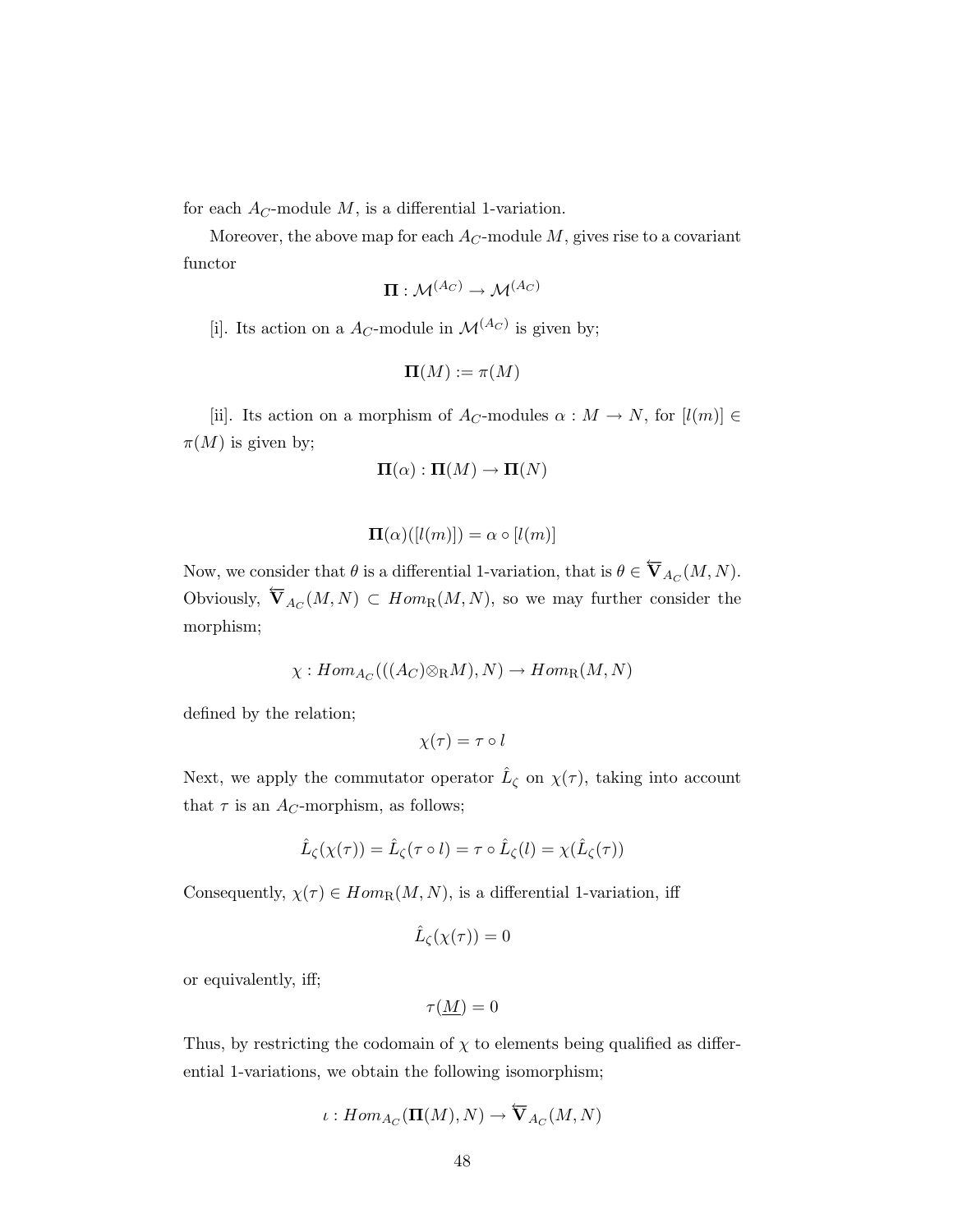for each  $A_C$ -module  $M$ , is a differential 1-variation.

Moreover, the above map for each  $A_C$ -module M, gives rise to a covariant functor

$$
\Pi: {\cal M}^{(A_C)} \rightarrow {\cal M}^{(A_C)}
$$

[i]. Its action on a  $A_C$ -module in  $\mathcal{M}^{(A_C)}$  is given by;

$$
\mathbf{\Pi}(M):=\pi(M)
$$

[ii]. Its action on a morphism of  $A_C$ -modules  $\alpha : M \to N$ , for  $[l(m)] \in$  $\pi(M)$  is given by;

$$
\mathbf{\Pi}(\alpha) : \mathbf{\Pi}(M) \to \mathbf{\Pi}(N)
$$

$$
\mathbf{\Pi}(\alpha)([l(m)]) = \alpha \circ [l(m)]
$$

Now, we consider that  $\theta$  is a differential 1-variation, that is  $\theta \in \overleftarrow{\mathbf{V}}_{A_C}(M, N)$ . Obviously,  $\overleftarrow{\mathbf{V}}_{A_C}(M,N) \subset Hom_R(M,N)$ , so we may further consider the morphism;

$$
\chi:Hom_{A_C}(((A_C)\otimes_R M),N)\to Hom_R(M,N)
$$

defined by the relation;

$$
\chi(\tau)=\tau\circ l
$$

Next, we apply the commutator operator  $\hat{L}_{\zeta}$  on  $\chi(\tau)$ , taking into account that  $\tau$  is an  $A_C$ -morphism, as follows;

$$
\hat{L}_{\zeta}(\chi(\tau)) = \hat{L}_{\zeta}(\tau \circ l) = \tau \circ \hat{L}_{\zeta}(l) = \chi(\hat{L}_{\zeta}(\tau))
$$

Consequently,  $\chi(\tau) \in Hom_R(M, N)$ , is a differential 1-variation, iff

$$
\hat{L}_{\zeta}(\chi(\tau))=0
$$

or equivalently, iff;

$$
\tau(\underline{M})=0
$$

Thus, by restricting the codomain of  $\chi$  to elements being qualified as differential 1-variations, we obtain the following isomorphism;

$$
\iota:Hom_{A_C}(\mathbf{\Pi}(M),N)\to \overleftarrow{\mathbf{V}}_{A_C}(M,N)
$$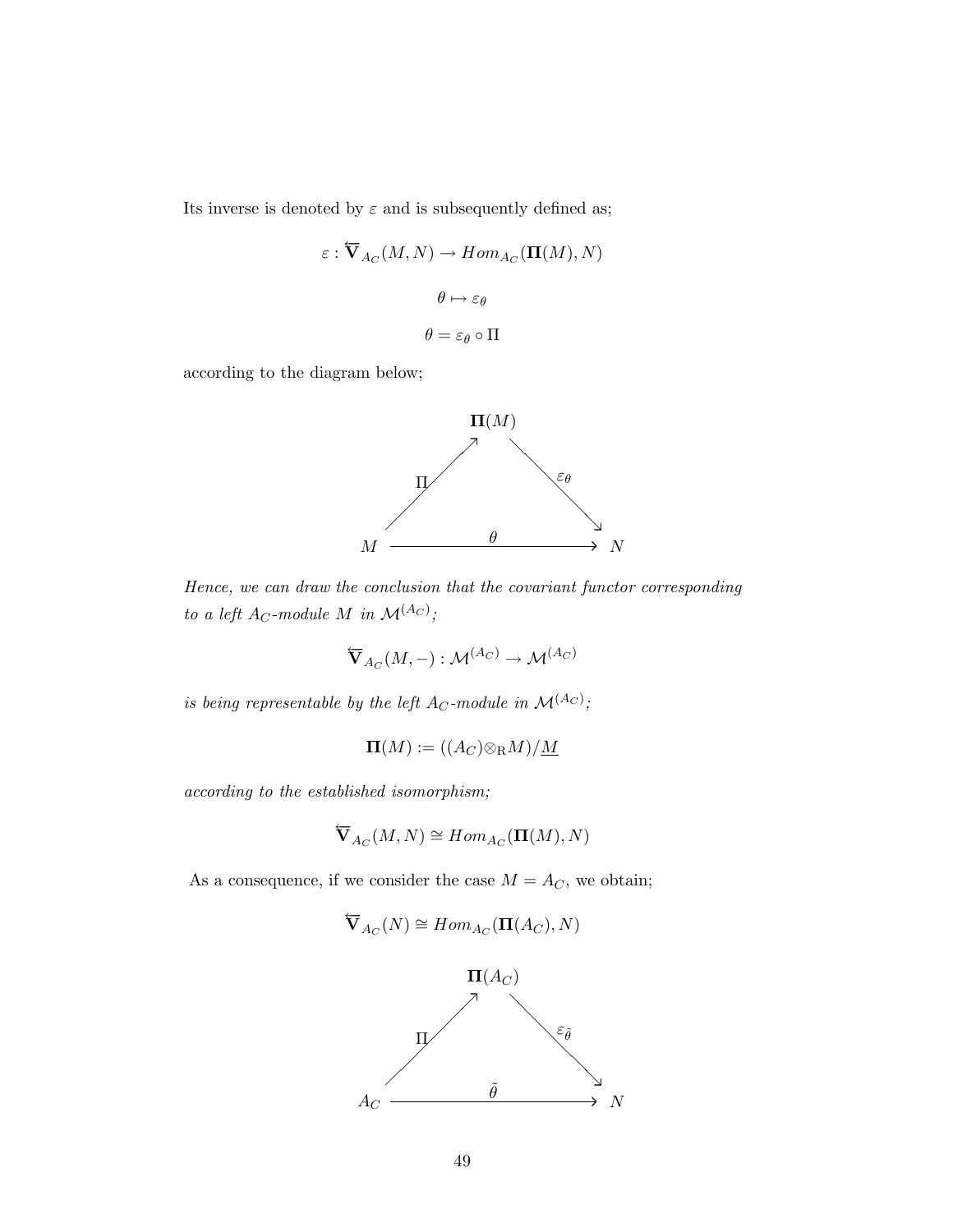Its inverse is denoted by  $\varepsilon$  and is subsequently defined as;

$$
\varepsilon : \overleftarrow{\mathbf{V}}_{A_C}(M, N) \to Hom_{A_C}(\mathbf{\Pi}(M), N)
$$

$$
\theta \mapsto \varepsilon_{\theta}
$$

$$
\theta = \varepsilon_{\theta} \circ \Pi
$$

according to the diagram below;



Hence, we can draw the conclusion that the covariant functor corresponding to a left  $A_C$ -module M in  $\mathcal{M}^{(A_C)}$ ;

$$
\overleftarrow{\mathbf{V}}_{A_C}(M,-): \mathcal{M}^{(A_C)} \to \mathcal{M}^{(A_C)}
$$

is being representable by the left  $A_C$ -module in  $\mathcal{M}^{(A_C)}$ ;

$$
\mathbf{\Pi}(M):=((A_C)\otimes_{\mathbf{R}} M)/\underline{M}
$$

according to the established isomorphism;

$$
\overleftarrow{\mathbf{V}}_{A_C}(M,N) \cong Hom_{A_C}(\mathbf{\Pi}(M),N)
$$

As a consequence, if we consider the case  $M=A_C,$  we obtain;

$$
\overleftarrow{\mathbf{V}}_{A_C}(N) \cong Hom_{A_C}(\mathbf{\Pi}(A_C), N)
$$

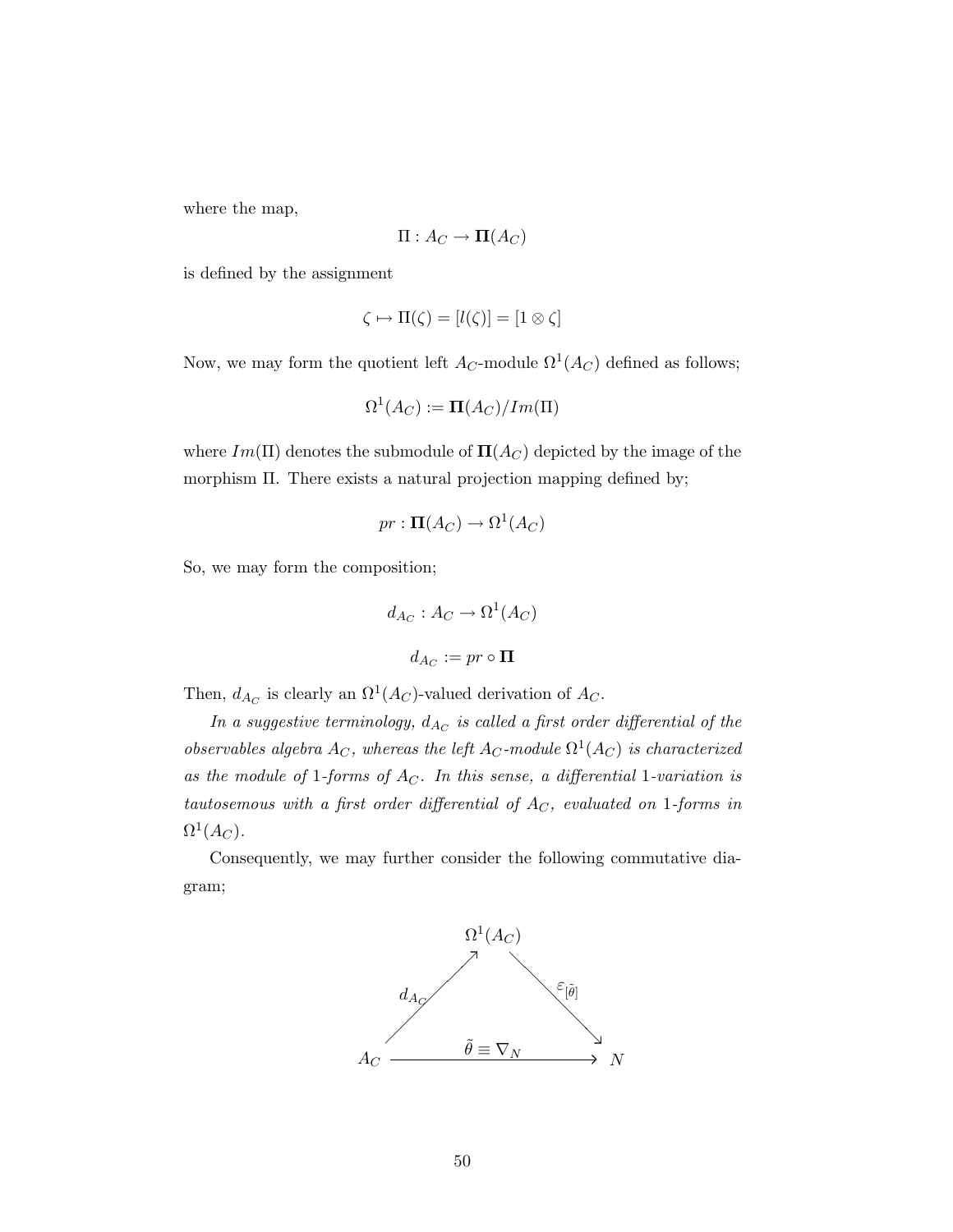where the map,

$$
\Pi: A_C \to \mathbf{\Pi}(A_C)
$$

is defined by the assignment

$$
\zeta \mapsto \Pi(\zeta) = [l(\zeta)] = [1 \otimes \zeta]
$$

Now, we may form the quotient left  $A_C$ -module  $\Omega^1(A_C)$  defined as follows;

$$
\Omega^1(A_C) := \mathbf{\Pi}(A_C)/Im(\Pi)
$$

where  $Im(\Pi)$  denotes the submodule of  $\Pi(A_C)$  depicted by the image of the morphism Π. There exists a natural projection mapping defined by;

$$
pr: \mathbf{\Pi}(A_C) \to \Omega^1(A_C)
$$

So, we may form the composition;

$$
d_{A_C}: A_C \to \Omega^1(A_C)
$$
  

$$
d_{A_C} := pr \circ \Pi
$$

Then,  $d_{A_C}$  is clearly an  $\Omega^1(A_C)$ -valued derivation of  $A_C$ .

In a suggestive terminology,  $d_{A_C}$  is called a first order differential of the observables algebra  $A_C$ , whereas the left  $A_C$ -module  $\Omega^1(A_C)$  is characterized as the module of 1-forms of  $A_C$ . In this sense, a differential 1-variation is tautosemous with a first order differential of  $A_C$ , evaluated on 1-forms in  $\Omega^1(A_C).$ 

Consequently, we may further consider the following commutative diagram;

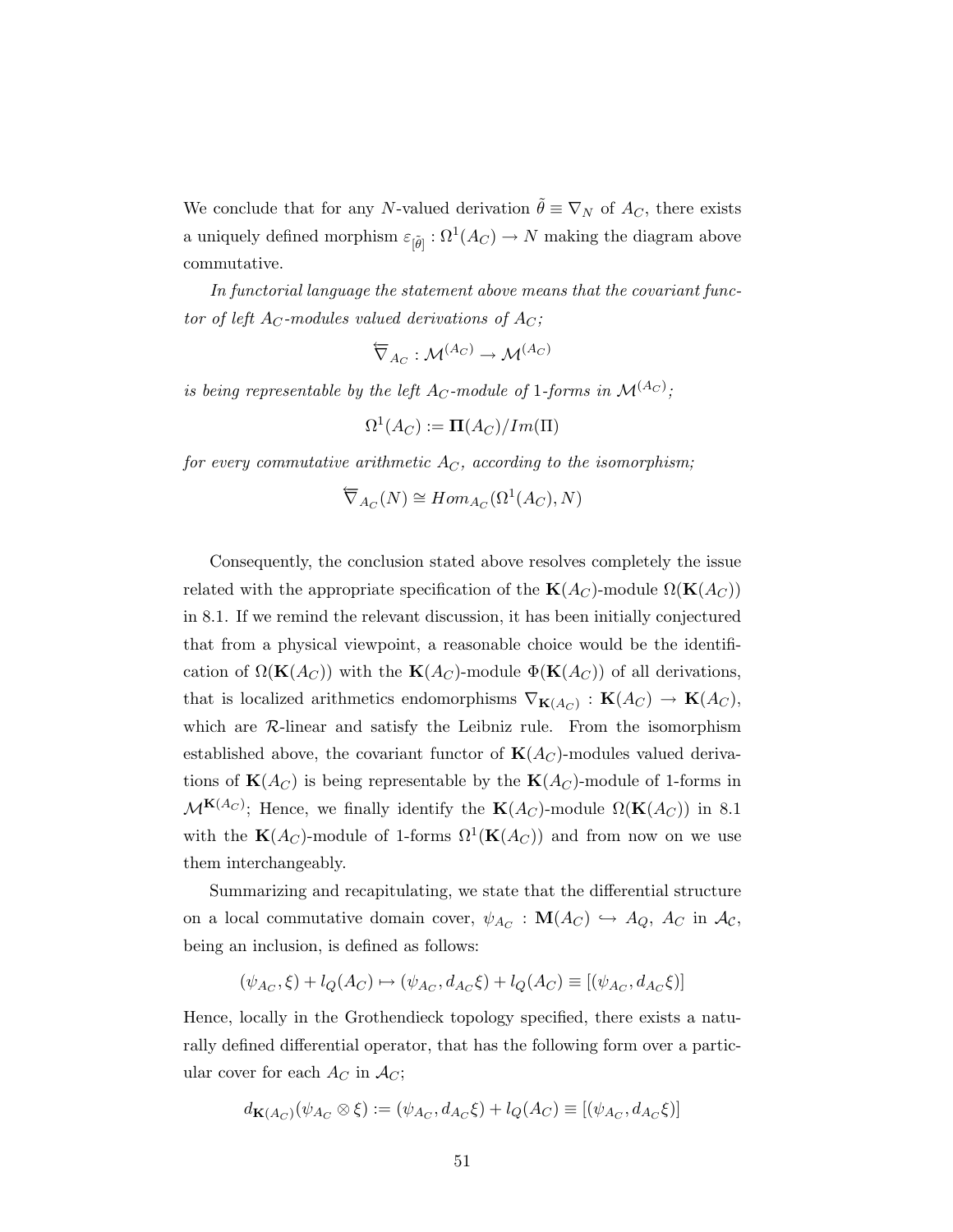We conclude that for any N-valued derivation  $\tilde{\theta} \equiv \nabla_N$  of  $A_C$ , there exists a uniquely defined morphism  $\varepsilon_{\lbrack \tilde{\theta}\rbrack} : \Omega^1(A_C) \to N$  making the diagram above commutative.

In functorial language the statement above means that the covariant functor of left  $A_C$ -modules valued derivations of  $A_C$ ;

$$
\overleftarrow{\nabla}_{A_C} : \mathcal{M}^{(A_C)} \to \mathcal{M}^{(A_C)}
$$

is being representable by the left  $A_C$ -module of 1-forms in  $\mathcal{M}^{(A_C)};$ 

$$
\Omega^1(A_C):=\Pi(A_C)/Im(\Pi)
$$

for every commutative arithmetic  $A_C$ , according to the isomorphism;

$$
\overleftarrow{\nabla}_{A_C}(N) \cong Hom_{A_C}(\Omega^1(A_C), N)
$$

Consequently, the conclusion stated above resolves completely the issue related with the appropriate specification of the  $\mathbf{K}(A_C)$ -module  $\Omega(\mathbf{K}(A_C))$ in 8.1. If we remind the relevant discussion, it has been initially conjectured that from a physical viewpoint, a reasonable choice would be the identification of  $\Omega(\mathbf{K}(A_C))$  with the  $\mathbf{K}(A_C)$ -module  $\Phi(\mathbf{K}(A_C))$  of all derivations, that is localized arithmetics endomorphisms  $\nabla_{\mathbf{K}(A_C)} : \mathbf{K}(A_C) \to \mathbf{K}(A_C)$ , which are R-linear and satisfy the Leibniz rule. From the isomorphism established above, the covariant functor of  $K(A_C)$ -modules valued derivations of  $\mathbf{K}(A_C)$  is being representable by the  $\mathbf{K}(A_C)$ -module of 1-forms in  $\mathcal{M}^{K(A_C)}$ ; Hence, we finally identify the  $K(A_C)$ -module  $\Omega(K(A_C))$  in 8.1 with the  $\mathbf{K}(A_C)$ -module of 1-forms  $\Omega^1(\mathbf{K}(A_C))$  and from now on we use them interchangeably.

Summarizing and recapitulating, we state that the differential structure on a local commutative domain cover,  $\psi_{A_C} : \mathbf{M}(A_C) \hookrightarrow A_Q$ ,  $A_C$  in  $\mathcal{A_C}$ , being an inclusion, is defined as follows:

$$
(\psi_{A_C}, \xi) + l_Q(A_C) \mapsto (\psi_{A_C}, d_{A_C}\xi) + l_Q(A_C) \equiv [(\psi_{A_C}, d_{A_C}\xi)]
$$

Hence, locally in the Grothendieck topology specified, there exists a naturally defined differential operator, that has the following form over a particular cover for each  $A_C$  in  $\mathcal{A}_C$ ;

$$
d_{\mathbf{K}(A_C)}(\psi_{A_C} \otimes \xi) := (\psi_{A_C}, d_{A_C} \xi) + l_Q(A_C) \equiv [(\psi_{A_C}, d_{A_C} \xi)]
$$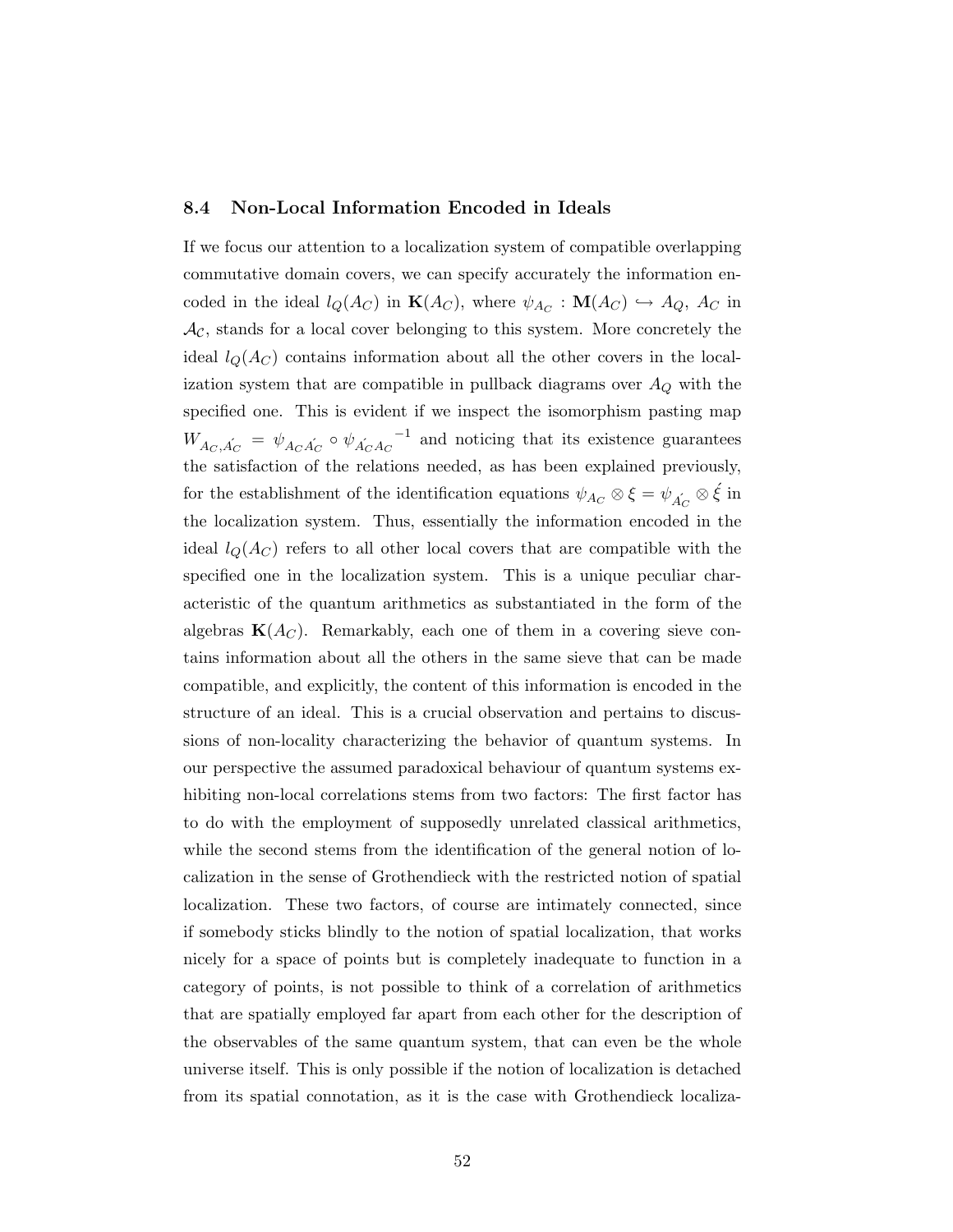#### 8.4 Non-Local Information Encoded in Ideals

If we focus our attention to a localization system of compatible overlapping commutative domain covers, we can specify accurately the information encoded in the ideal  $l_Q(A_C)$  in  $\mathbf{K}(A_C)$ , where  $\psi_{A_C} : \mathbf{M}(A_C) \hookrightarrow A_Q$ ,  $A_C$  in  $\mathcal{A}_{\mathcal{C}}$ , stands for a local cover belonging to this system. More concretely the ideal  $l_Q(A_C)$  contains information about all the other covers in the localization system that are compatible in pullback diagrams over  $A_Q$  with the specified one. This is evident if we inspect the isomorphism pasting map  $W_{A_C, A_C} = \psi_{A_C A_C} \circ \psi_{A_C A_C}^{-1}$  and noticing that its existence guarantees the satisfaction of the relations needed, as has been explained previously, for the establishment of the identification equations  $\psi_{A_C} \otimes \xi = \psi_{A_C} \otimes \acute{\xi}$  in the localization system. Thus, essentially the information encoded in the ideal  $l_Q(A_C)$  refers to all other local covers that are compatible with the specified one in the localization system. This is a unique peculiar characteristic of the quantum arithmetics as substantiated in the form of the algebras  $K(A_C)$ . Remarkably, each one of them in a covering sieve contains information about all the others in the same sieve that can be made compatible, and explicitly, the content of this information is encoded in the structure of an ideal. This is a crucial observation and pertains to discussions of non-locality characterizing the behavior of quantum systems. In our perspective the assumed paradoxical behaviour of quantum systems exhibiting non-local correlations stems from two factors: The first factor has to do with the employment of supposedly unrelated classical arithmetics, while the second stems from the identification of the general notion of localization in the sense of Grothendieck with the restricted notion of spatial localization. These two factors, of course are intimately connected, since if somebody sticks blindly to the notion of spatial localization, that works nicely for a space of points but is completely inadequate to function in a category of points, is not possible to think of a correlation of arithmetics that are spatially employed far apart from each other for the description of the observables of the same quantum system, that can even be the whole universe itself. This is only possible if the notion of localization is detached from its spatial connotation, as it is the case with Grothendieck localiza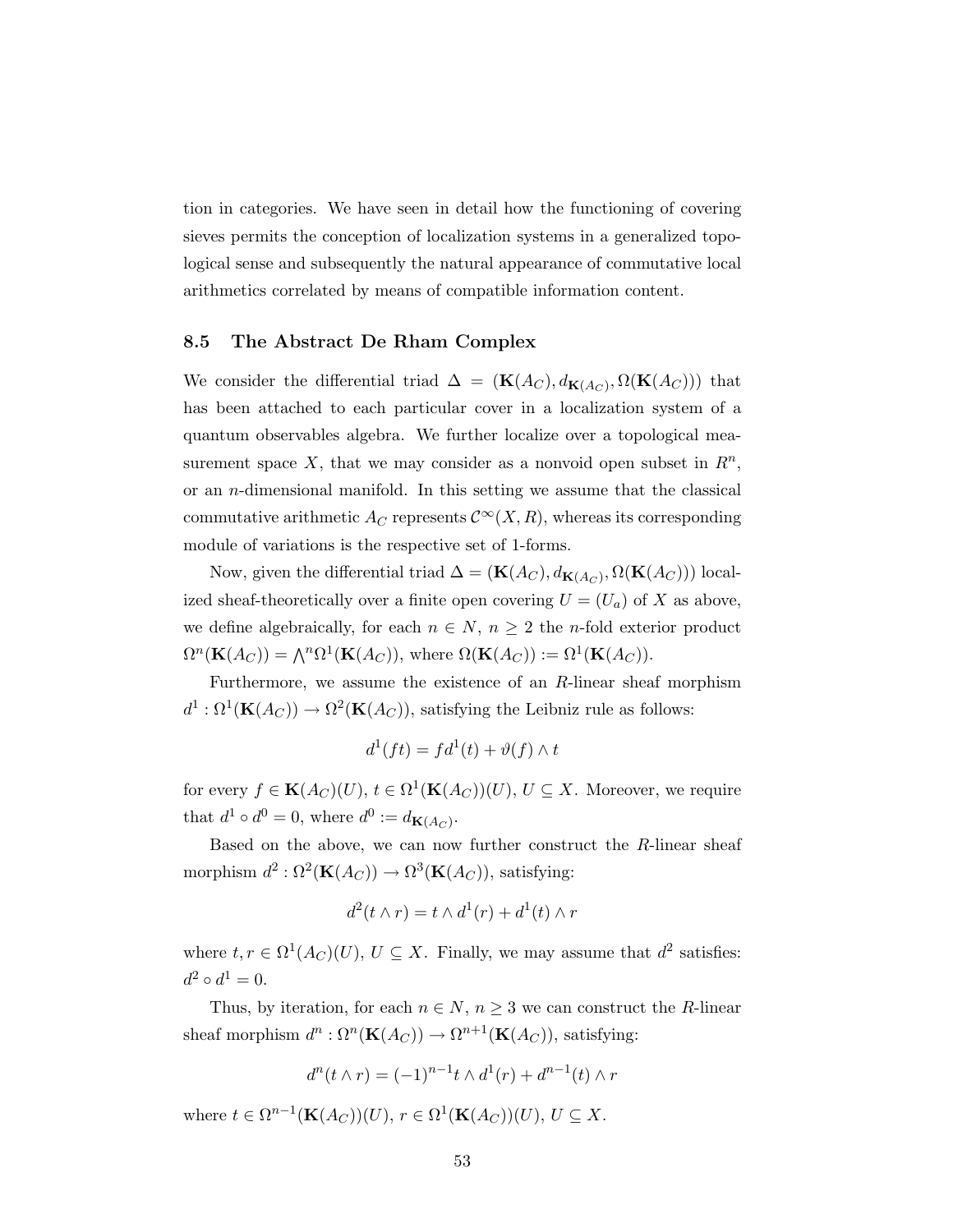tion in categories. We have seen in detail how the functioning of covering sieves permits the conception of localization systems in a generalized topological sense and subsequently the natural appearance of commutative local arithmetics correlated by means of compatible information content.

#### 8.5 The Abstract De Rham Complex

We consider the differential triad  $\Delta = (\mathbf{K}(A_C), d_{\mathbf{K}(A_C)}, \Omega(\mathbf{K}(A_C)))$  that has been attached to each particular cover in a localization system of a quantum observables algebra. We further localize over a topological measurement space X, that we may consider as a nonvoid open subset in  $\mathbb{R}^n$ , or an *n*-dimensional manifold. In this setting we assume that the classical commutative arithmetic  $A_C$  represents  $\mathcal{C}^{\infty}(X,R)$ , whereas its corresponding module of variations is the respective set of 1-forms.

Now, given the differential triad  $\Delta = (\mathbf{K}(A_C), d_{\mathbf{K}(A_C)}, \Omega(\mathbf{K}(A_C)))$  localized sheaf-theoretically over a finite open covering  $U = (U_a)$  of X as above, we define algebraically, for each  $n \in N$ ,  $n \geq 2$  the *n*-fold exterior product  $\Omega^n(\mathbf{K}(A_C)) = \bigwedge^n \Omega^1(\mathbf{K}(A_C)),$  where  $\Omega(\mathbf{K}(A_C)) := \Omega^1(\mathbf{K}(A_C)).$ 

Furthermore, we assume the existence of an R-linear sheaf morphism  $d^1: \Omega^1(\mathbf K(A_C)) \to \Omega^2(\mathbf K(A_C))$ , satisfying the Leibniz rule as follows:

$$
d^1(ft) = fd^1(t) + \vartheta(f) \wedge t
$$

for every  $f \in \mathbf{K}(A_C)(U)$ ,  $t \in \Omega^1(\mathbf{K}(A_C))(U)$ ,  $U \subseteq X$ . Moreover, we require that  $d^1 \circ d^0 = 0$ , where  $d^0 := d_{\mathbf{K}(A_C)}$ .

Based on the above, we can now further construct the  $R$ -linear sheaf morphism  $d^2 : \Omega^2(\mathbf{K}(A_C)) \to \Omega^3(\mathbf{K}(A_C))$ , satisfying:

$$
d^2(t \wedge r) = t \wedge d^1(r) + d^1(t) \wedge r
$$

where  $t, r \in \Omega^1(A_C)(U), U \subseteq X$ . Finally, we may assume that  $d^2$  satisfies:  $d^2 \circ d^1 = 0.$ 

Thus, by iteration, for each  $n \in N$ ,  $n \geq 3$  we can construct the R-linear sheaf morphism  $d^n : \Omega^n(\mathbf{K}(A_C)) \to \Omega^{n+1}(\mathbf{K}(A_C))$ , satisfying:

$$
d^{n}(t \wedge r) = (-1)^{n-1}t \wedge d^{1}(r) + d^{n-1}(t) \wedge r
$$

where  $t \in \Omega^{n-1}(\mathbf{K}(A_C))(U)$ ,  $r \in \Omega^1(\mathbf{K}(A_C))(U)$ ,  $U \subseteq X$ .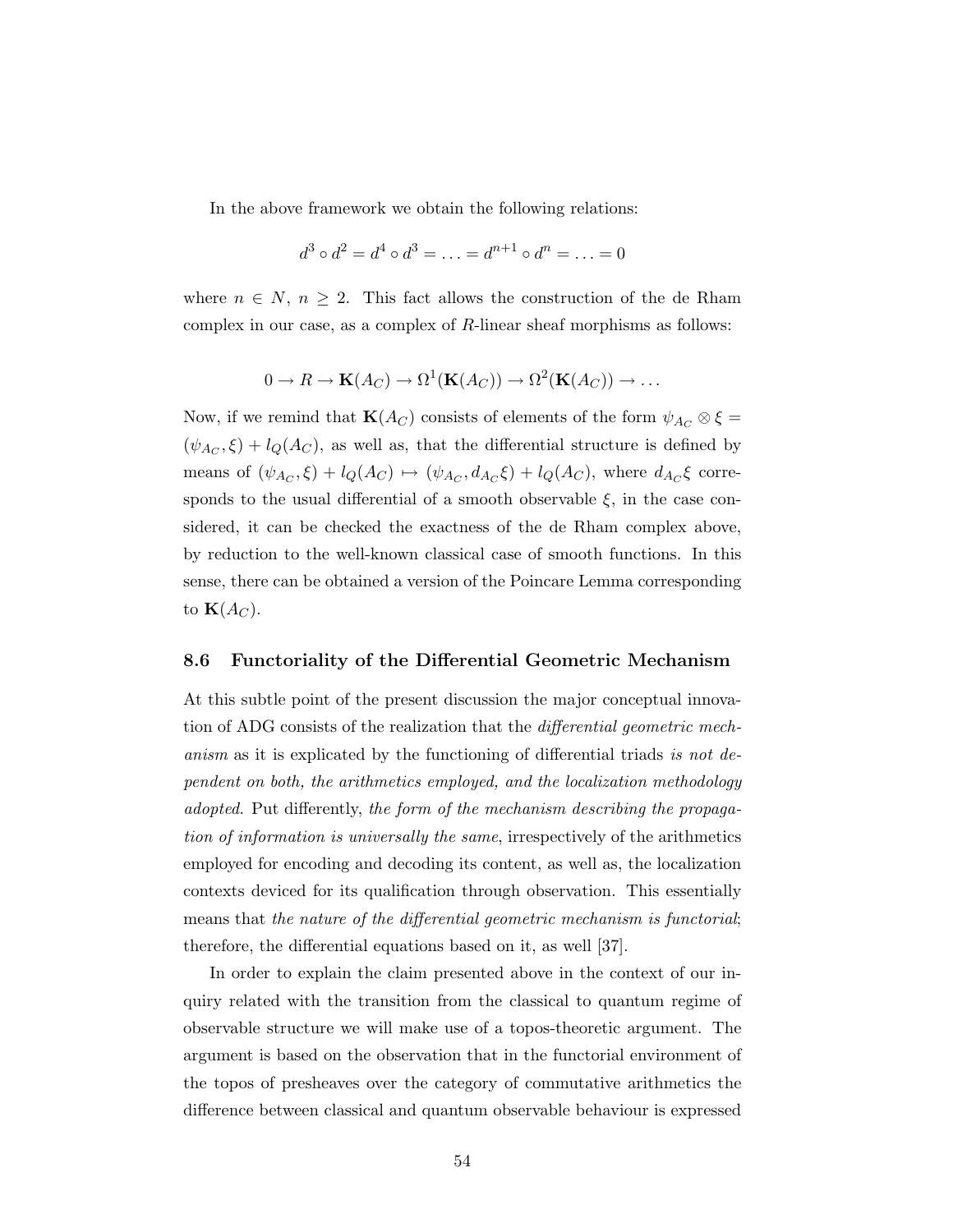In the above framework we obtain the following relations:

$$
d^3 \circ d^2 = d^4 \circ d^3 = \ldots = d^{n+1} \circ d^n = \ldots = 0
$$

where  $n \in N$ ,  $n \geq 2$ . This fact allows the construction of the de Rham complex in our case, as a complex of R-linear sheaf morphisms as follows:

$$
0 \to R \to \mathbf{K}(A_C) \to \Omega^1(\mathbf{K}(A_C)) \to \Omega^2(\mathbf{K}(A_C)) \to \dots
$$

Now, if we remind that  $\mathbf{K}(A_C)$  consists of elements of the form  $\psi_{A_C} \otimes \xi =$  $(\psi_{A_C}, \xi) + l_Q(A_C)$ , as well as, that the differential structure is defined by means of  $(\psi_{A_C}, \xi) + l_Q(A_C) \mapsto (\psi_{A_C}, d_{A_C}\xi) + l_Q(A_C)$ , where  $d_{A_C}\xi$  corresponds to the usual differential of a smooth observable  $\xi$ , in the case considered, it can be checked the exactness of the de Rham complex above, by reduction to the well-known classical case of smooth functions. In this sense, there can be obtained a version of the Poincare Lemma corresponding to  $\mathbf{K}(A_C)$ .

#### 8.6 Functoriality of the Differential Geometric Mechanism

At this subtle point of the present discussion the major conceptual innovation of ADG consists of the realization that the differential geometric mechanism as it is explicated by the functioning of differential triads is not dependent on both, the arithmetics employed, and the localization methodology adopted. Put differently, the form of the mechanism describing the propagation of information is universally the same, irrespectively of the arithmetics employed for encoding and decoding its content, as well as, the localization contexts deviced for its qualification through observation. This essentially means that the nature of the differential geometric mechanism is functorial; therefore, the differential equations based on it, as well [37].

In order to explain the claim presented above in the context of our inquiry related with the transition from the classical to quantum regime of observable structure we will make use of a topos-theoretic argument. The argument is based on the observation that in the functorial environment of the topos of presheaves over the category of commutative arithmetics the difference between classical and quantum observable behaviour is expressed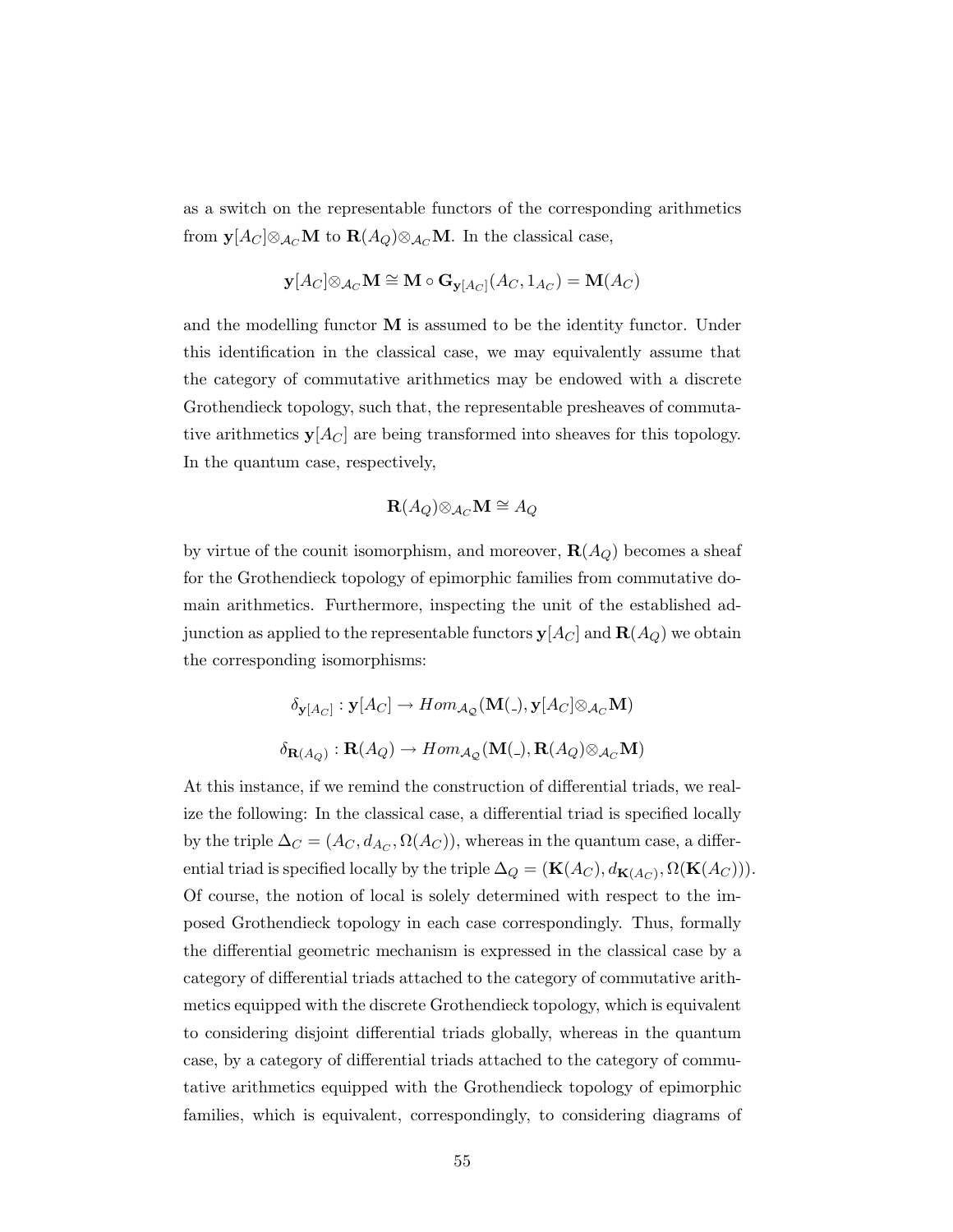as a switch on the representable functors of the corresponding arithmetics from  $\mathbf{y}[A_C]\otimes_{\mathcal{A}_C}\mathbf{M}$  to  $\mathbf{R}(A_Q)\otimes_{\mathcal{A}_C}\mathbf{M}$ . In the classical case,

$$
\mathbf{y}[A_C] \otimes_{\mathcal{A}_C} \mathbf{M} \cong \mathbf{M} \circ \mathbf{G}_{\mathbf{y}[A_C]}(A_C, 1_{A_C}) = \mathbf{M}(A_C)
$$

and the modelling functor  $M$  is assumed to be the identity functor. Under this identification in the classical case, we may equivalently assume that the category of commutative arithmetics may be endowed with a discrete Grothendieck topology, such that, the representable presheaves of commutative arithmetics  $y[A_C]$  are being transformed into sheaves for this topology. In the quantum case, respectively,

$$
\mathbf{R}(A_Q) \otimes_{\mathcal{A}_C} \mathbf{M} \cong A_Q
$$

by virtue of the counit isomorphism, and moreover,  $\mathbf{R}(A_Q)$  becomes a sheaf for the Grothendieck topology of epimorphic families from commutative domain arithmetics. Furthermore, inspecting the unit of the established adjunction as applied to the representable functors  $y[A_C]$  and  $R(A_Q)$  we obtain the corresponding isomorphisms:

$$
\delta_{\mathbf{y}[A_C]} : \mathbf{y}[A_C] \to Hom_{A_Q}(\mathbf{M}(.), \mathbf{y}[A_C] \otimes_{A_C} \mathbf{M})
$$
  

$$
\delta_{\mathbf{R}(A_Q)} : \mathbf{R}(A_Q) \to Hom_{A_Q}(\mathbf{M}(.) , \mathbf{R}(A_Q) \otimes_{A_C} \mathbf{M})
$$

At this instance, if we remind the construction of differential triads, we realize the following: In the classical case, a differential triad is specified locally by the triple  $\Delta_C = (A_C, d_{A_C}, \Omega(A_C))$ , whereas in the quantum case, a differential triad is specified locally by the triple  $\Delta_Q = (\mathbf{K}(A_C), d_{\mathbf{K}(A_C)}, \Omega(\mathbf{K}(A_C))).$ Of course, the notion of local is solely determined with respect to the imposed Grothendieck topology in each case correspondingly. Thus, formally the differential geometric mechanism is expressed in the classical case by a category of differential triads attached to the category of commutative arithmetics equipped with the discrete Grothendieck topology, which is equivalent to considering disjoint differential triads globally, whereas in the quantum case, by a category of differential triads attached to the category of commutative arithmetics equipped with the Grothendieck topology of epimorphic families, which is equivalent, correspondingly, to considering diagrams of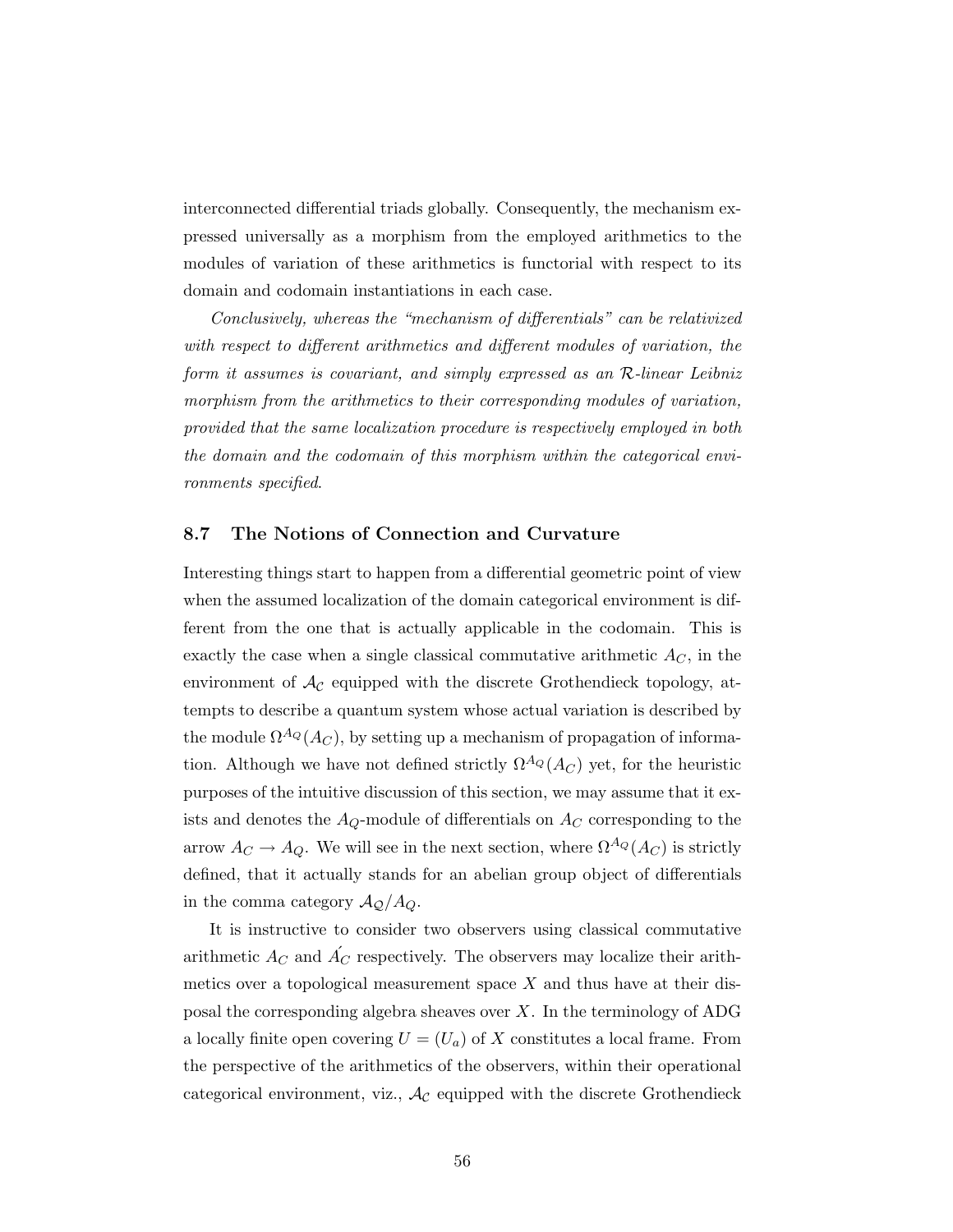interconnected differential triads globally. Consequently, the mechanism expressed universally as a morphism from the employed arithmetics to the modules of variation of these arithmetics is functorial with respect to its domain and codomain instantiations in each case.

Conclusively, whereas the "mechanism of differentials" can be relativized with respect to different arithmetics and different modules of variation, the form it assumes is covariant, and simply expressed as an R-linear Leibniz morphism from the arithmetics to their corresponding modules of variation, provided that the same localization procedure is respectively employed in both the domain and the codomain of this morphism within the categorical environments specified.

#### 8.7 The Notions of Connection and Curvature

Interesting things start to happen from a differential geometric point of view when the assumed localization of the domain categorical environment is different from the one that is actually applicable in the codomain. This is exactly the case when a single classical commutative arithmetic  $A_C$ , in the environment of  $\mathcal{A}_{\mathcal{C}}$  equipped with the discrete Grothendieck topology, attempts to describe a quantum system whose actual variation is described by the module  $\Omega^{A_Q}(A_C)$ , by setting up a mechanism of propagation of information. Although we have not defined strictly  $\Omega^{A_Q}(A_C)$  yet, for the heuristic purposes of the intuitive discussion of this section, we may assume that it exists and denotes the  $A_Q$ -module of differentials on  $A_C$  corresponding to the arrow  $A_C \to A_Q$ . We will see in the next section, where  $\Omega^{A_Q}(A_C)$  is strictly defined, that it actually stands for an abelian group object of differentials in the comma category  $A_{\mathcal{Q}}/A_{\mathcal{Q}}$ .

It is instructive to consider two observers using classical commutative arithmetic  $A_C$  and  $\overline{A}_C$  respectively. The observers may localize their arithmetics over a topological measurement space  $X$  and thus have at their disposal the corresponding algebra sheaves over  $X$ . In the terminology of ADG a locally finite open covering  $U = (U_a)$  of X constitutes a local frame. From the perspective of the arithmetics of the observers, within their operational categorical environment, viz.,  $A_{\mathcal{C}}$  equipped with the discrete Grothendieck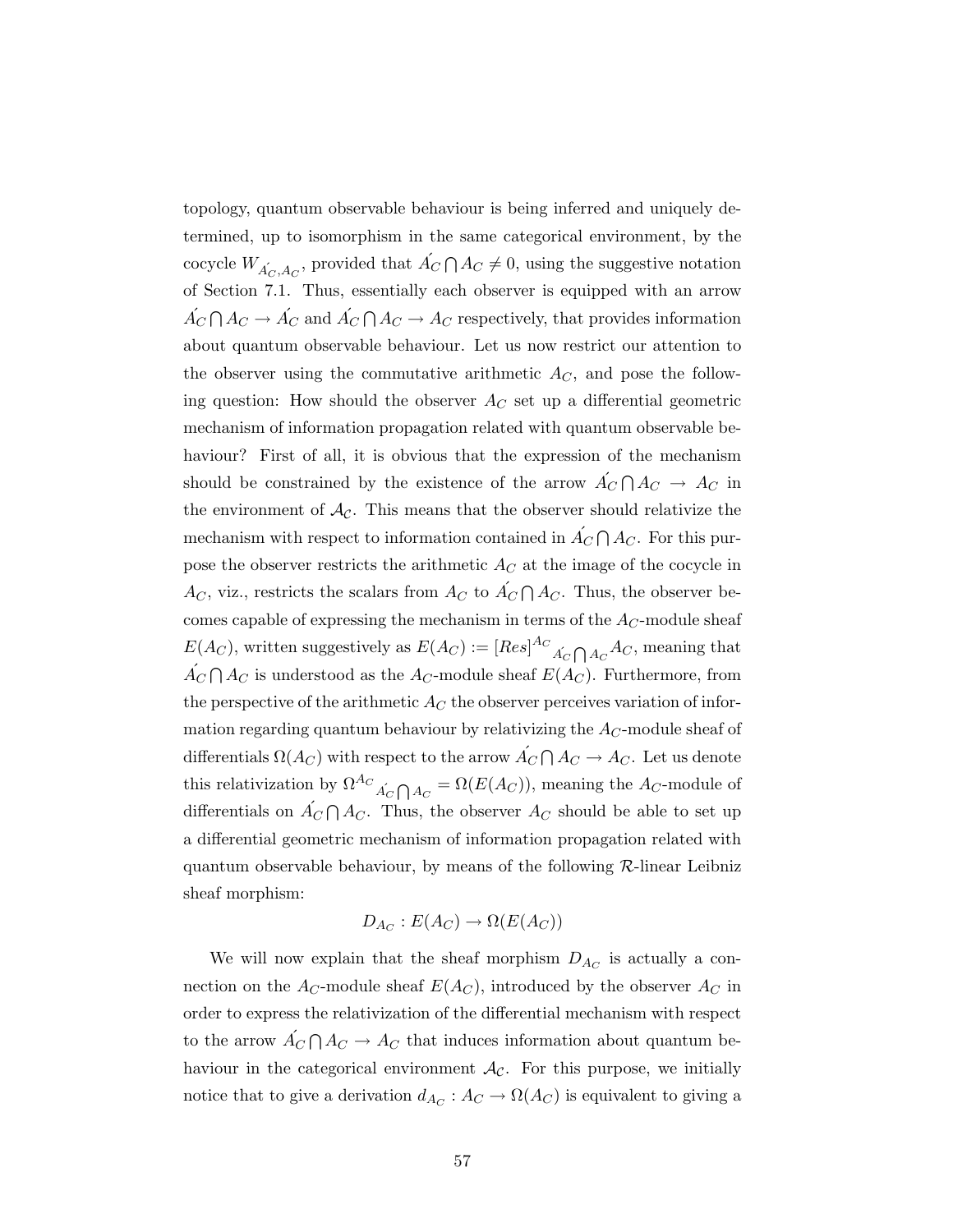topology, quantum observable behaviour is being inferred and uniquely determined, up to isomorphism in the same categorical environment, by the cocycle  $W_{A_C',A_C}$ , provided that  $A_C' \cap A_C \neq 0$ , using the suggestive notation of Section 7.1. Thus, essentially each observer is equipped with an arrow  $A_C \cap A_C \to A_C$  and  $A_C \cap A_C \to A_C$  respectively, that provides information about quantum observable behaviour. Let us now restrict our attention to the observer using the commutative arithmetic  $A_C$ , and pose the following question: How should the observer  $A_C$  set up a differential geometric mechanism of information propagation related with quantum observable behaviour? First of all, it is obvious that the expression of the mechanism should be constrained by the existence of the arrow  $\vec{A_C} \cap A_C \rightarrow A_C$  in the environment of  $A_{\mathcal{C}}$ . This means that the observer should relativize the mechanism with respect to information contained in  $\overrightarrow{A}_C \cap A_C$ . For this purpose the observer restricts the arithmetic  $A_C$  at the image of the cocycle in  $A_C$ , viz., restricts the scalars from  $A_C$  to  $\overrightarrow{A}_C \cap A_C$ . Thus, the observer becomes capable of expressing the mechanism in terms of the  $A_C$ -module sheaf  $E(A_C)$ , written suggestively as  $E(A_C) := [Res]^{A_C}{}_{A_C \bigcap A_C}{}^{A_C}$ , meaning that  $\overrightarrow{A}_{C}\bigcap A_{C}$  is understood as the  $A_{C}$ -module sheaf  $E(A_{C})$ . Furthermore, from the perspective of the arithmetic  $A_C$  the observer perceives variation of information regarding quantum behaviour by relativizing the  $A_C$ -module sheaf of differentials  $\Omega(A_C)$  with respect to the arrow  $\vec{A_C} \bigcap A_C \to A_C$ . Let us denote this relativization by  $\Omega^{A_C}{}_{\Lambda_C} \cap A_C = \Omega(E(A_C))$ , meaning the  $A_C$ -module of differentials on  $\Lambda_C \cap A_C$ . Thus, the observer  $A_C$  should be able to set up a differential geometric mechanism of information propagation related with quantum observable behaviour, by means of the following R-linear Leibniz sheaf morphism:

$$
D_{A_C}: E(A_C) \to \Omega(E(A_C))
$$

We will now explain that the sheaf morphism  $D_{A_C}$  is actually a connection on the  $A_C$ -module sheaf  $E(A_C)$ , introduced by the observer  $A_C$  in order to express the relativization of the differential mechanism with respect to the arrow  $\Lambda_C \cap A_C \to A_C$  that induces information about quantum behaviour in the categorical environment  $\mathcal{A}_{\mathcal{C}}$ . For this purpose, we initially notice that to give a derivation  $d_{A_C}: A_C \to \Omega(A_C)$  is equivalent to giving a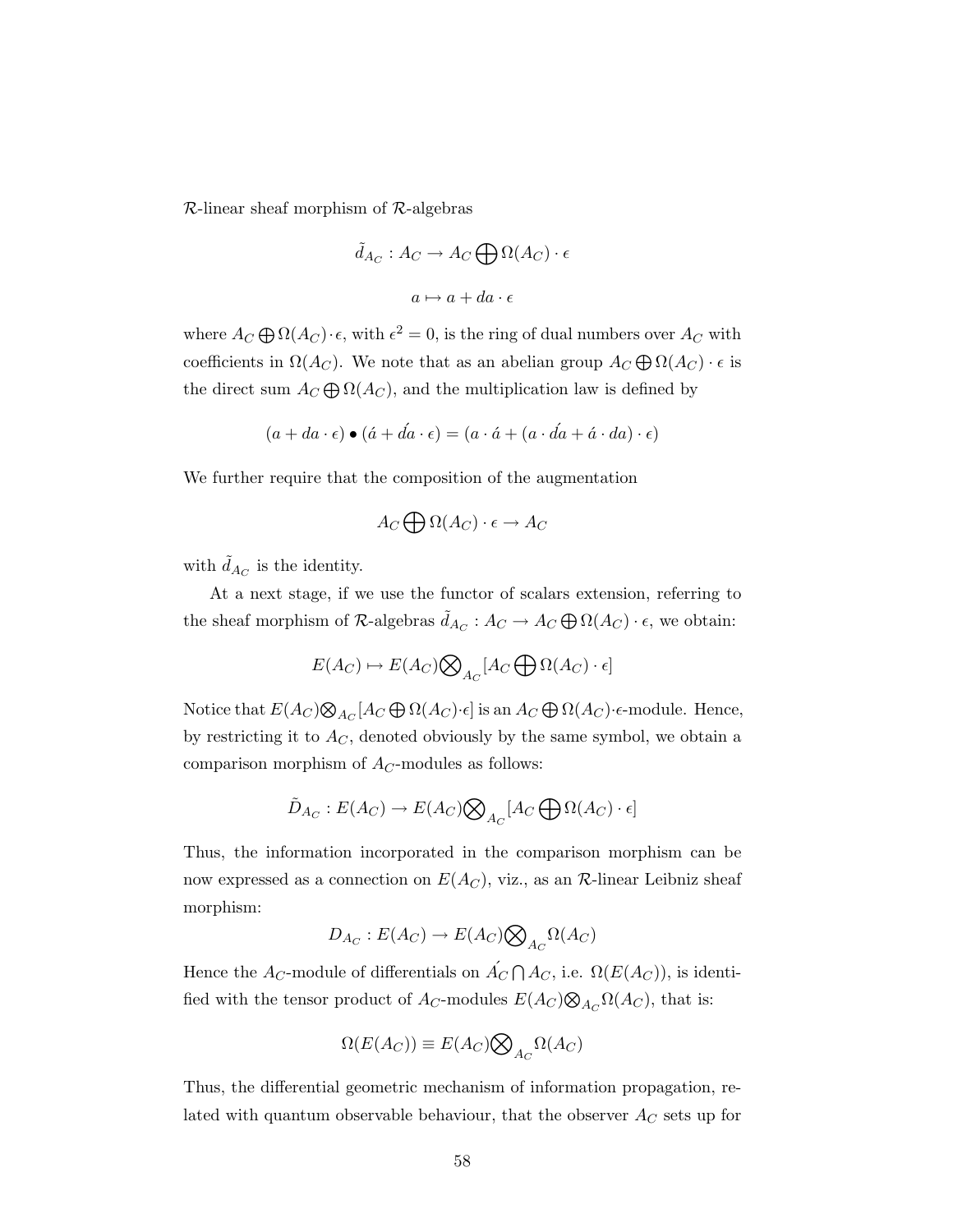R-linear sheaf morphism of R-algebras

$$
\tilde{d}_{A_C}: A_C \to A_C \bigoplus \Omega(A_C) \cdot \epsilon
$$

$$
a \mapsto a + da \cdot \epsilon
$$

where  $A_C \bigoplus \Omega(A_C) \cdot \epsilon$ , with  $\epsilon^2 = 0$ , is the ring of dual numbers over  $A_C$  with coefficients in  $\Omega(A_C)$ . We note that as an abelian group  $A_C \bigoplus \Omega(A_C) \cdot \epsilon$  is the direct sum  $A_C \bigoplus \Omega(A_C)$ , and the multiplication law is defined by

$$
(a + da \cdot \epsilon) \bullet (\acute{a} + d\acute{a} \cdot \epsilon) = (a \cdot \acute{a} + (a \cdot \acute{a} \acute{a} + \acute{a} \cdot da) \cdot \epsilon)
$$

We further require that the composition of the augmentation

$$
A_C \bigoplus \Omega(A_C) \cdot \epsilon \to A_C
$$

with  $\tilde{d}_{A_C}$  is the identity.

At a next stage, if we use the functor of scalars extension, referring to the sheaf morphism of  $\mathcal{R}$ -algebras  $\tilde{d}_{A_C}: A_C \to A_C \bigoplus \Omega(A_C) \cdot \epsilon$ , we obtain:

$$
E(A_C) \mapsto E(A_C) \bigotimes_{A_C} [A_C \bigoplus \Omega(A_C) \cdot \epsilon]
$$

Notice that  $E(A_C) \otimes_{A_C} [A_C \oplus \Omega(A_C) \cdot \epsilon]$  is an  $A_C \oplus \Omega(A_C) \cdot \epsilon$ -module. Hence, by restricting it to  $A_C$ , denoted obviously by the same symbol, we obtain a comparison morphism of  $A_C$ -modules as follows:

$$
\tilde{D}_{A_C}: E(A_C) \to E(A_C) \bigotimes_{A_C} [A_C \bigoplus \Omega(A_C) \cdot \epsilon]
$$

Thus, the information incorporated in the comparison morphism can be now expressed as a connection on  $E(A_C)$ , viz., as an  $\mathcal{R}$ -linear Leibniz sheaf morphism:

$$
D_{A_C}: E(A_C) \to E(A_C) \bigotimes_{A_C} \Omega(A_C)
$$

Hence the  $A_C$ -module of differentials on  $\vec{A_C} \cap A_C$ , i.e.  $\Omega(E(A_C))$ , is identified with the tensor product of  $A_C$ -modules  $E(A_C) \otimes_{A_C} \Omega(A_C)$ , that is:

$$
\Omega(E(A_C)) \equiv E(A_C) \bigotimes_{A_C} \Omega(A_C)
$$

Thus, the differential geometric mechanism of information propagation, related with quantum observable behaviour, that the observer  $A_C$  sets up for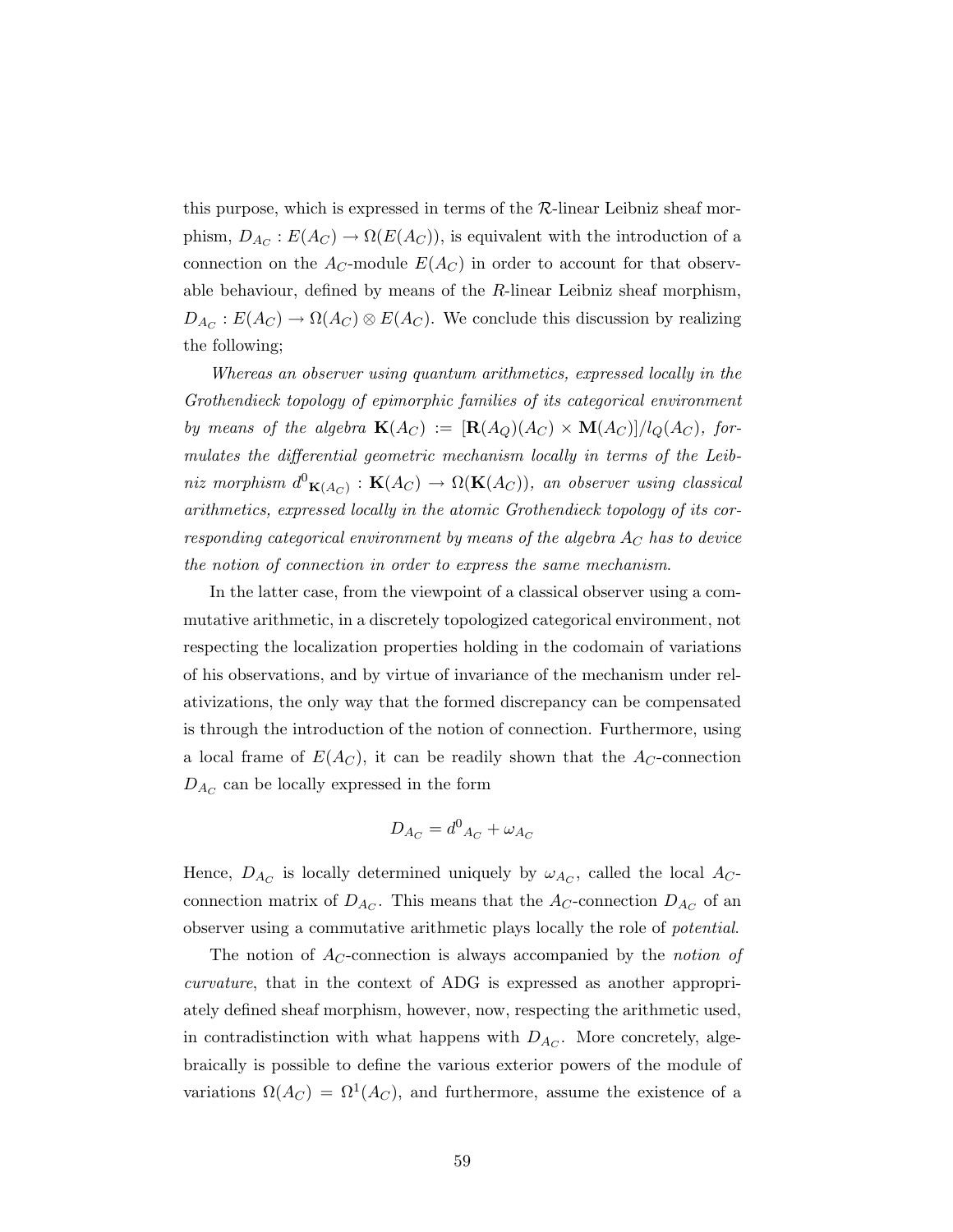this purpose, which is expressed in terms of the  $\mathcal{R}$ -linear Leibniz sheaf morphism,  $D_{A_C}: E(A_C) \to \Omega(E(A_C))$ , is equivalent with the introduction of a connection on the  $A_C$ -module  $E(A_C)$  in order to account for that observable behaviour, defined by means of the  $R$ -linear Leibniz sheaf morphism,  $D_{A_C}: E(A_C) \to \Omega(A_C) \otimes E(A_C)$ . We conclude this discussion by realizing the following;

Whereas an observer using quantum arithmetics, expressed locally in the Grothendieck topology of epimorphic families of its categorical environment by means of the algebra  $\mathbf{K}(A_C) := [\mathbf{R}(A_Q)(A_C) \times \mathbf{M}(A_C)]/l_Q(A_C)$ , formulates the differential geometric mechanism locally in terms of the Leibniz morphism  $d^0_{\mathbf K(A_C)} : \mathbf K(A_C) \to \Omega(\mathbf K(A_C)),$  an observer using classical arithmetics, expressed locally in the atomic Grothendieck topology of its corresponding categorical environment by means of the algebra  $A_C$  has to device the notion of connection in order to express the same mechanism.

In the latter case, from the viewpoint of a classical observer using a commutative arithmetic, in a discretely topologized categorical environment, not respecting the localization properties holding in the codomain of variations of his observations, and by virtue of invariance of the mechanism under relativizations, the only way that the formed discrepancy can be compensated is through the introduction of the notion of connection. Furthermore, using a local frame of  $E(A_C)$ , it can be readily shown that the  $A_C$ -connection  $D_{A_C}$  can be locally expressed in the form

$$
D_{A_C} = d^0_{A_C} + \omega_{A_C}
$$

Hence,  $D_{A_C}$  is locally determined uniquely by  $\omega_{A_C}$ , called the local  $A_C$ connection matrix of  $D_{A_C}$ . This means that the  $A_C$ -connection  $D_{A_C}$  of an observer using a commutative arithmetic plays locally the role of potential.

The notion of  $A_C$ -connection is always accompanied by the *notion of* curvature, that in the context of ADG is expressed as another appropriately defined sheaf morphism, however, now, respecting the arithmetic used, in contradistinction with what happens with  $D_{A_C}$ . More concretely, algebraically is possible to define the various exterior powers of the module of variations  $\Omega(A_C) = \Omega^1(A_C)$ , and furthermore, assume the existence of a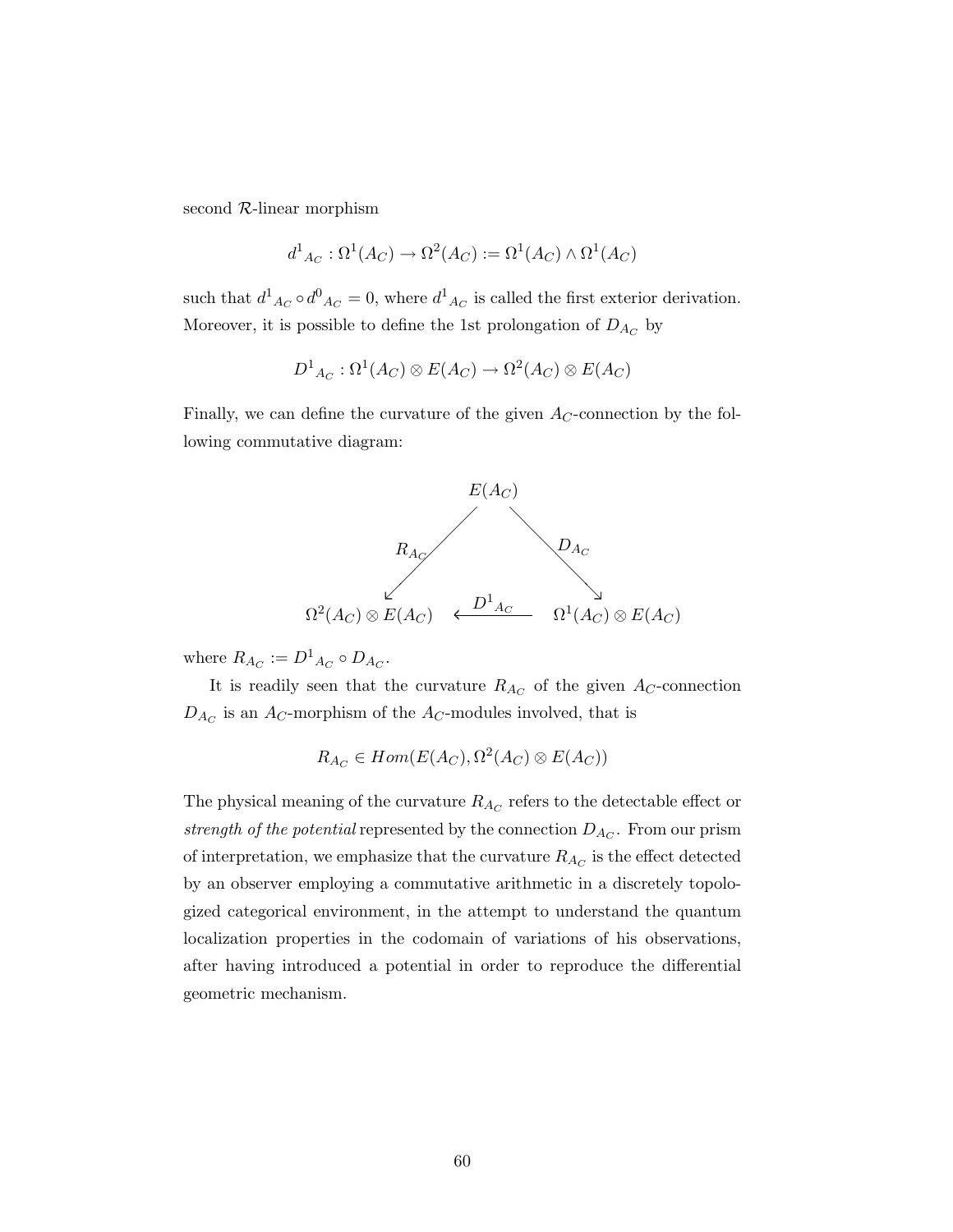second  $\mathcal{R}$ -linear morphism

$$
d^1_{AC} : \Omega^1(AC) \to \Omega^2(AC) := \Omega^1(AC) \wedge \Omega^1(AC)
$$

such that  $d^1{}_{A_C} \circ d^0{}_{A_C} = 0$ , where  $d^1{}_{A_C}$  is called the first exterior derivation. Moreover, it is possible to define the 1st prolongation of  $D_{A_C}$  by

$$
D^1{}_{A_C} : \Omega^1(A_C) \otimes E(A_C) \to \Omega^2(A_C) \otimes E(A_C)
$$

Finally, we can define the curvature of the given  $A_C$ -connection by the following commutative diagram:



where  $R_{A_C} := D^1{}_{A_C} \circ D_{A_C}$ .

It is readily seen that the curvature  $R_{A_C}$  of the given  $A_C$ -connection  $D_{A_C}$  is an  $A_C$ -morphism of the  $A_C$ -modules involved, that is

$$
R_{A_C} \in Hom(E(A_C), \Omega^2(A_C) \otimes E(A_C))
$$

The physical meaning of the curvature  $R_{A_C}$  refers to the detectable effect or strength of the potential represented by the connection  $D_{A_C}$ . From our prism of interpretation, we emphasize that the curvature  $R_{A_C}$  is the effect detected by an observer employing a commutative arithmetic in a discretely topologized categorical environment, in the attempt to understand the quantum localization properties in the codomain of variations of his observations, after having introduced a potential in order to reproduce the differential geometric mechanism.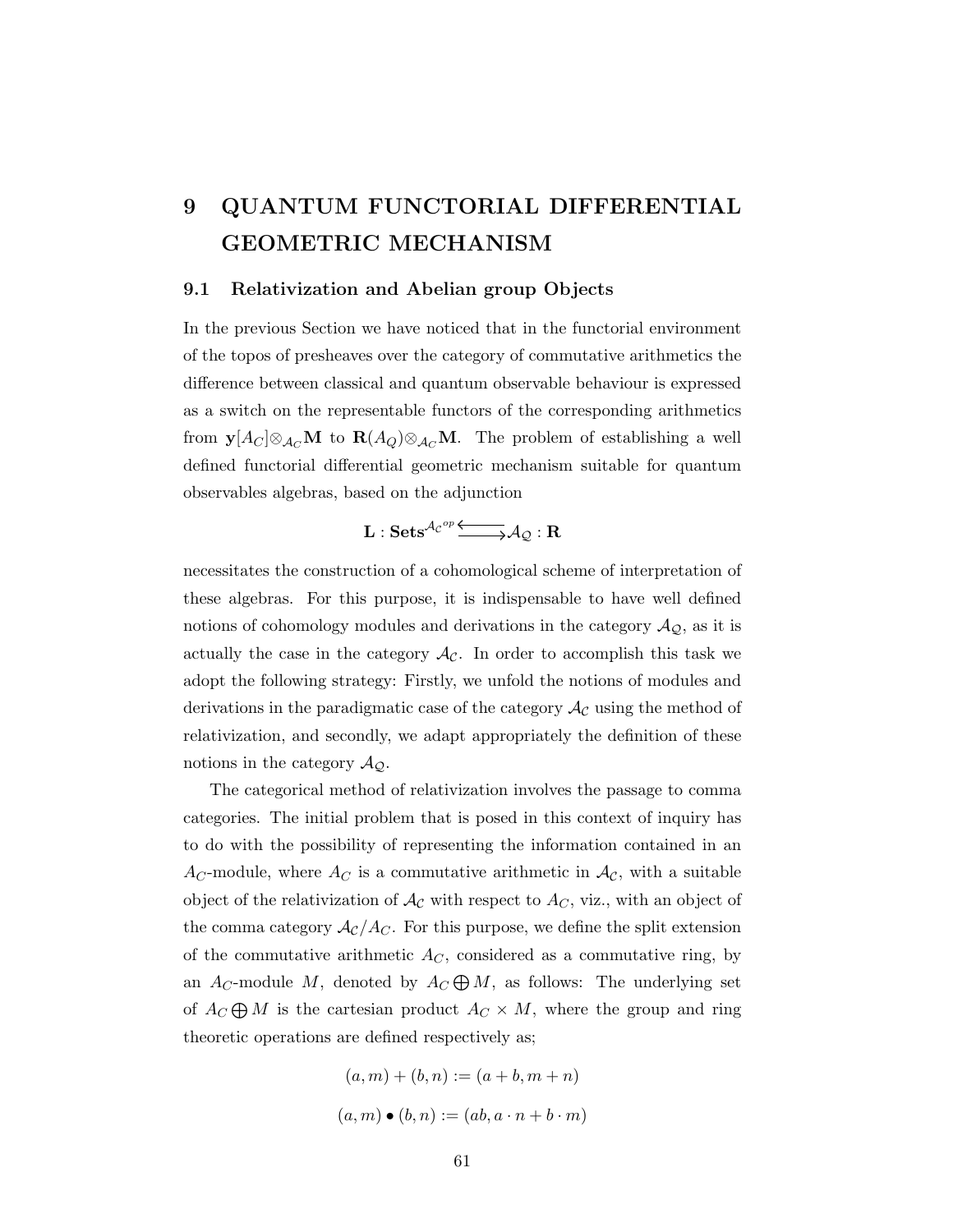# 9 QUANTUM FUNCTORIAL DIFFERENTIAL GEOMETRIC MECHANISM

#### 9.1 Relativization and Abelian group Objects

In the previous Section we have noticed that in the functorial environment of the topos of presheaves over the category of commutative arithmetics the difference between classical and quantum observable behaviour is expressed as a switch on the representable functors of the corresponding arithmetics from  $\mathbf{y}[A_C]\otimes_{\mathcal{A}_C} M$  to  $\mathbf{R}(A_Q)\otimes_{\mathcal{A}_C} M$ . The problem of establishing a well defined functorial differential geometric mechanism suitable for quantum observables algebras, based on the adjunction

### $\mathbf{L}:\mathbf{Sets}^{\mathcal{A}_{\mathcal{C}}^{op}}\overline{\longrightarrow} \mathcal{A}_{\mathcal{Q}}:\mathbf{R}$

necessitates the construction of a cohomological scheme of interpretation of these algebras. For this purpose, it is indispensable to have well defined notions of cohomology modules and derivations in the category  $A_{\mathcal{Q}}$ , as it is actually the case in the category  $\mathcal{A}_{\mathcal{C}}$ . In order to accomplish this task we adopt the following strategy: Firstly, we unfold the notions of modules and derivations in the paradigmatic case of the category  $\mathcal{A}_{\mathcal{C}}$  using the method of relativization, and secondly, we adapt appropriately the definition of these notions in the category  $\mathcal{A}_{\mathcal{Q}}$ .

The categorical method of relativization involves the passage to comma categories. The initial problem that is posed in this context of inquiry has to do with the possibility of representing the information contained in an  $A_C$ -module, where  $A_C$  is a commutative arithmetic in  $\mathcal{A_C}$ , with a suitable object of the relativization of  $\mathcal{A}_{\mathcal{C}}$  with respect to  $\mathcal{A}_{\mathcal{C}}$ , viz., with an object of the comma category  $A_{\mathcal{C}}/A_{\mathcal{C}}$ . For this purpose, we define the split extension of the commutative arithmetic  $A_C$ , considered as a commutative ring, by an  $A_C$ -module M, denoted by  $A_C \bigoplus M$ , as follows: The underlying set of  $A_C \oplus M$  is the cartesian product  $A_C \times M$ , where the group and ring theoretic operations are defined respectively as;

$$
(a, m) + (b, n) := (a + b, m + n)
$$

$$
(a, m) \bullet (b, n) := (ab, a \cdot n + b \cdot m)
$$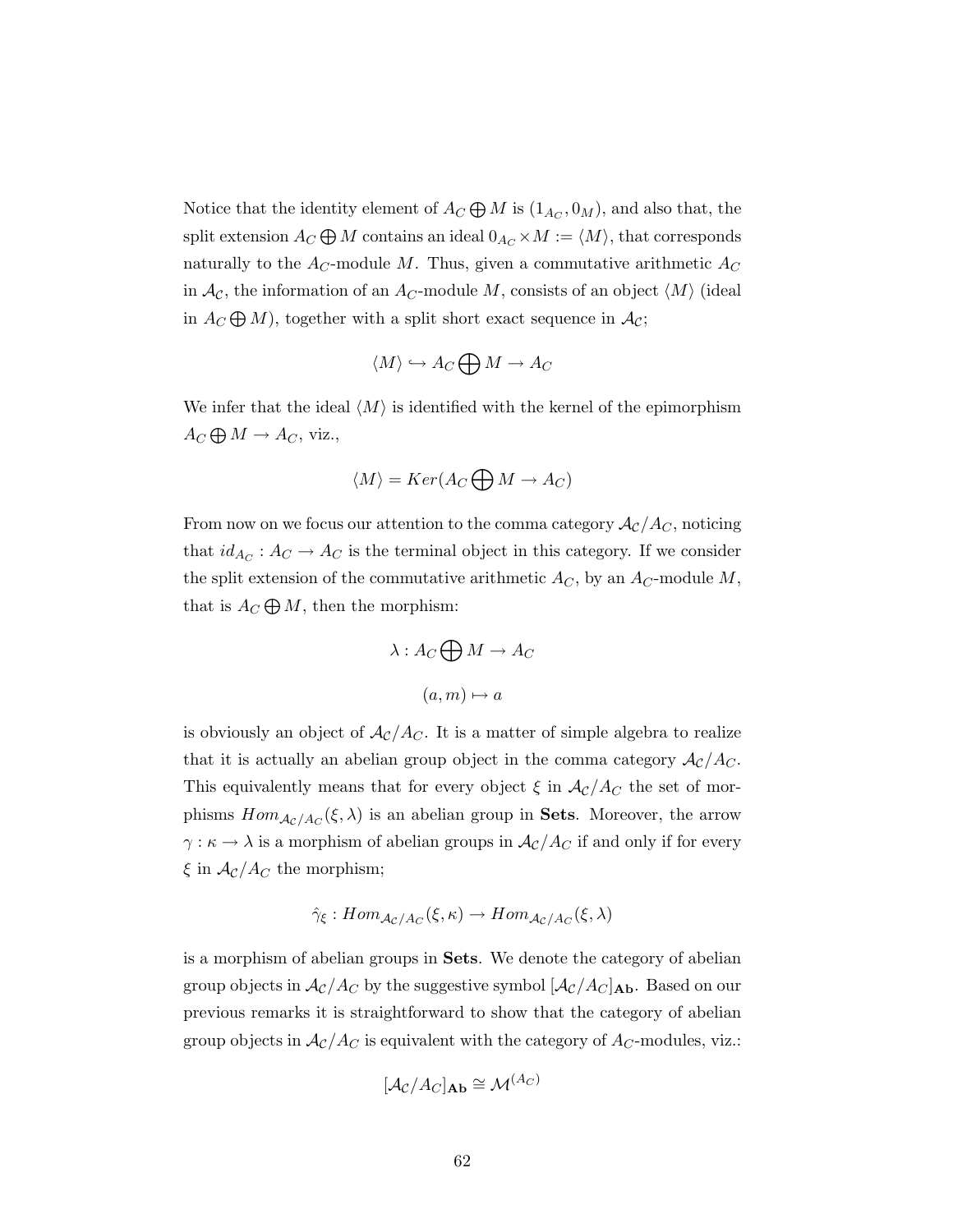Notice that the identity element of  $A_C \bigoplus M$  is  $(1_{A_C}, 0_M)$ , and also that, the  $\mathrm{split~extension~}A_{C}\bigoplus M\text{ contains an ideal}~0_{A_{C}}\!\times\! M:=\langle M\rangle, \text{that corresponds}$ naturally to the  $A_C$ -module M. Thus, given a commutative arithmetic  $A_C$ in  $\mathcal{A}_{\mathcal{C}}$ , the information of an  $A_C$ -module M, consists of an object  $\langle M \rangle$  (ideal in  $A_C \bigoplus M$ ), together with a split short exact sequence in  $\mathcal{A}_{\mathcal{C}}$ ;

$$
\langle M\rangle \hookrightarrow A_C \bigoplus M \to A_C
$$

We infer that the ideal  $\langle M \rangle$  is identified with the kernel of the epimorphism  $A_C \bigoplus M \to A_C$ , viz.,

$$
\langle M \rangle = Ker(A_C \bigoplus M \to A_C)
$$

From now on we focus our attention to the comma category  $\mathcal{A}_{\mathcal{C}}/A_C$ , noticing that  $id_{A_C}: A_C \to A_C$  is the terminal object in this category. If we consider the split extension of the commutative arithmetic  $A_C$ , by an  $A_C$ -module M, that is  $A_C \bigoplus M$ , then the morphism:

$$
\lambda: A_C \bigoplus M \to A_C
$$

$$
(a, m) \mapsto a
$$

is obviously an object of  $\mathcal{A}_{\mathcal{C}}/A_{\mathcal{C}}$ . It is a matter of simple algebra to realize that it is actually an abelian group object in the comma category  $A_{\mathcal{C}}/A_{\mathcal{C}}$ . This equivalently means that for every object  $\xi$  in  $\mathcal{A}_{\mathcal{C}}/A_C$  the set of morphisms  $Hom_{A_{\mathcal{C}}/A_{\mathcal{C}}}(\xi,\lambda)$  is an abelian group in **Sets**. Moreover, the arrow  $\gamma : \kappa \to \lambda$  is a morphism of abelian groups in  $\mathcal{A}_{\mathcal{C}}/A_C$  if and only if for every  $\xi$  in  $\mathcal{A}_{\mathcal{C}}/A_C$  the morphism;

$$
\hat{\gamma}_{\xi}:Hom_{\mathcal{A}_{\mathcal{C}}/A_{\mathcal{C}}}(\xi,\kappa)\to Hom_{\mathcal{A}_{\mathcal{C}}/A_{\mathcal{C}}}(\xi,\lambda)
$$

is a morphism of abelian groups in Sets. We denote the category of abelian group objects in  $\mathcal{A}_{\mathcal{C}}/A_C$  by the suggestive symbol  $[\mathcal{A}_{\mathcal{C}}/A_C]_{\mathbf{Ab}}$ . Based on our previous remarks it is straightforward to show that the category of abelian group objects in  $\mathcal{A}_{\mathcal{C}}/A_C$  is equivalent with the category of  $A_C$ -modules, viz.:

$$
[\mathcal{A}_{\mathcal{C}}/A_{C}]_{\mathbf{Ab}} \cong \mathcal{M}^{(A_{C})}
$$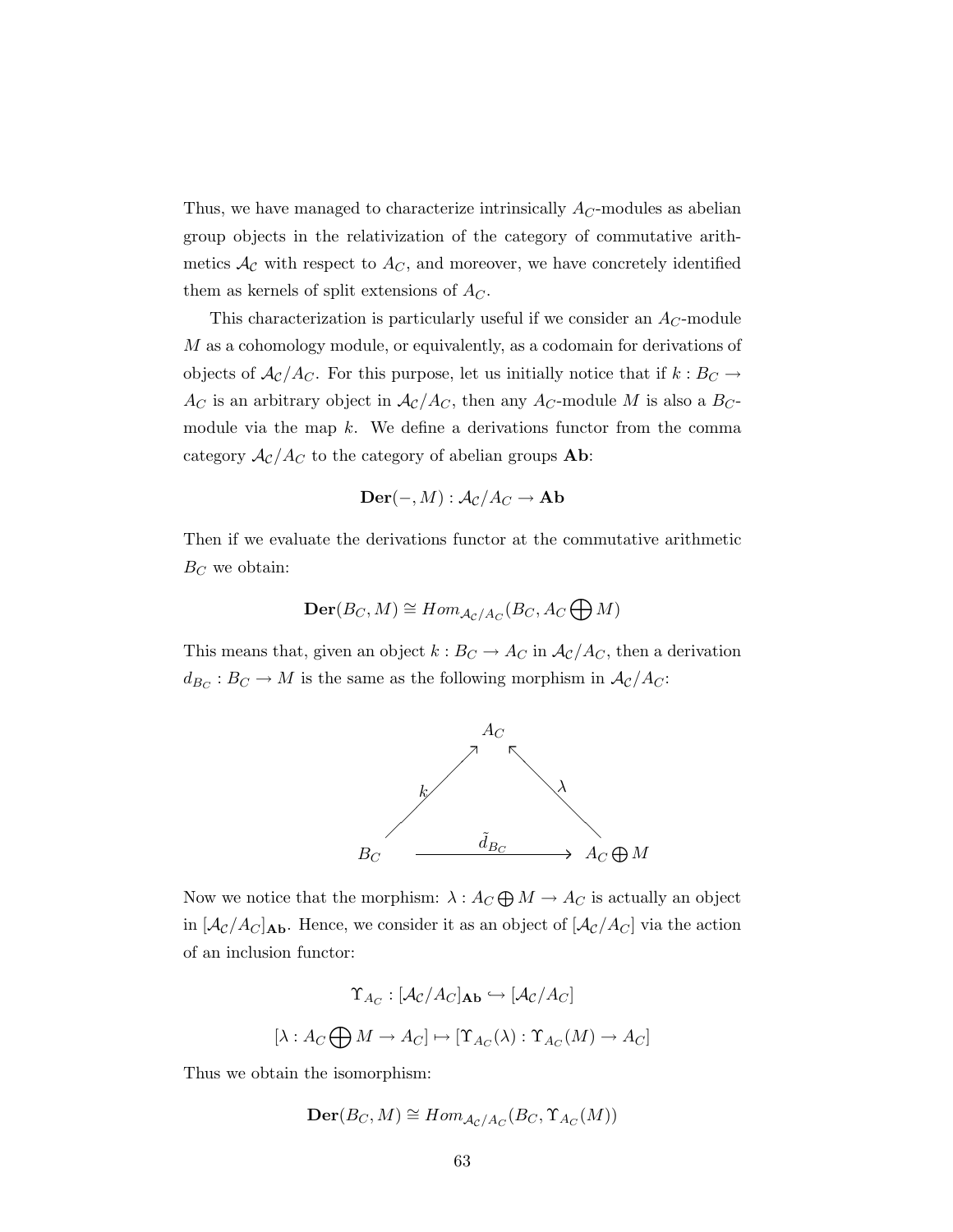Thus, we have managed to characterize intrinsically  $A_C$ -modules as abelian group objects in the relativization of the category of commutative arithmetics  $\mathcal{A}_{\mathcal{C}}$  with respect to  $\mathcal{A}_{\mathcal{C}}$ , and moreover, we have concretely identified them as kernels of split extensions of  $A_C$ .

This characterization is particularly useful if we consider an  $A_C$ -module M as a cohomology module, or equivalently, as a codomain for derivations of objects of  $A_C/A_C$ . For this purpose, let us initially notice that if  $k : B_C \rightarrow$  $A_C$  is an arbitrary object in  $\mathcal{A}_C/A_C$ , then any  $A_C$ -module M is also a  $B_C$ module via the map  $k$ . We define a derivations functor from the comma category  $A_{\mathcal{C}}/A_C$  to the category of abelian groups **Ab**:

$$
\mathbf{Der}(-,M): \mathcal{A}_{\mathcal{C}}/A_{C} \to \mathbf{Ab}
$$

Then if we evaluate the derivations functor at the commutative arithmetic  $B_C$  we obtain:

$$
\mathbf{Der}(B_C, M) \cong Hom_{\mathcal{A}_C/A_C}(B_C, A_C \bigoplus M)
$$

This means that, given an object  $k : B_C \to A_C$  in  $A_C/A_C$ , then a derivation  $d_{B_C}: B_C \to M$  is the same as the following morphism in  $\mathcal{A}_{\mathcal{C}}/A_C$ :



Now we notice that the morphism:  $\lambda: A_C \bigoplus M \to A_C$  is actually an object in  $[\mathcal{A}_{\mathcal{C}}/A_C]_{\mathbf{Ab}}$ . Hence, we consider it as an object of  $[\mathcal{A}_{\mathcal{C}}/A_C]$  via the action of an inclusion functor:

$$
\Upsilon_{A_C} : [\mathcal{A}_C/\mathcal{A}_C]_{\mathbf{Ab}} \hookrightarrow [\mathcal{A}_C/\mathcal{A}_C]
$$

$$
[\lambda : A_C \bigoplus M \to A_C] \mapsto [\Upsilon_{A_C}(\lambda) : \Upsilon_{A_C}(M) \to A_C]
$$

Thus we obtain the isomorphism:

$$
\mathbf{Der}(B_C, M) \cong Hom_{\mathcal{A}_C/A_C}(B_C, \Upsilon_{A_C}(M))
$$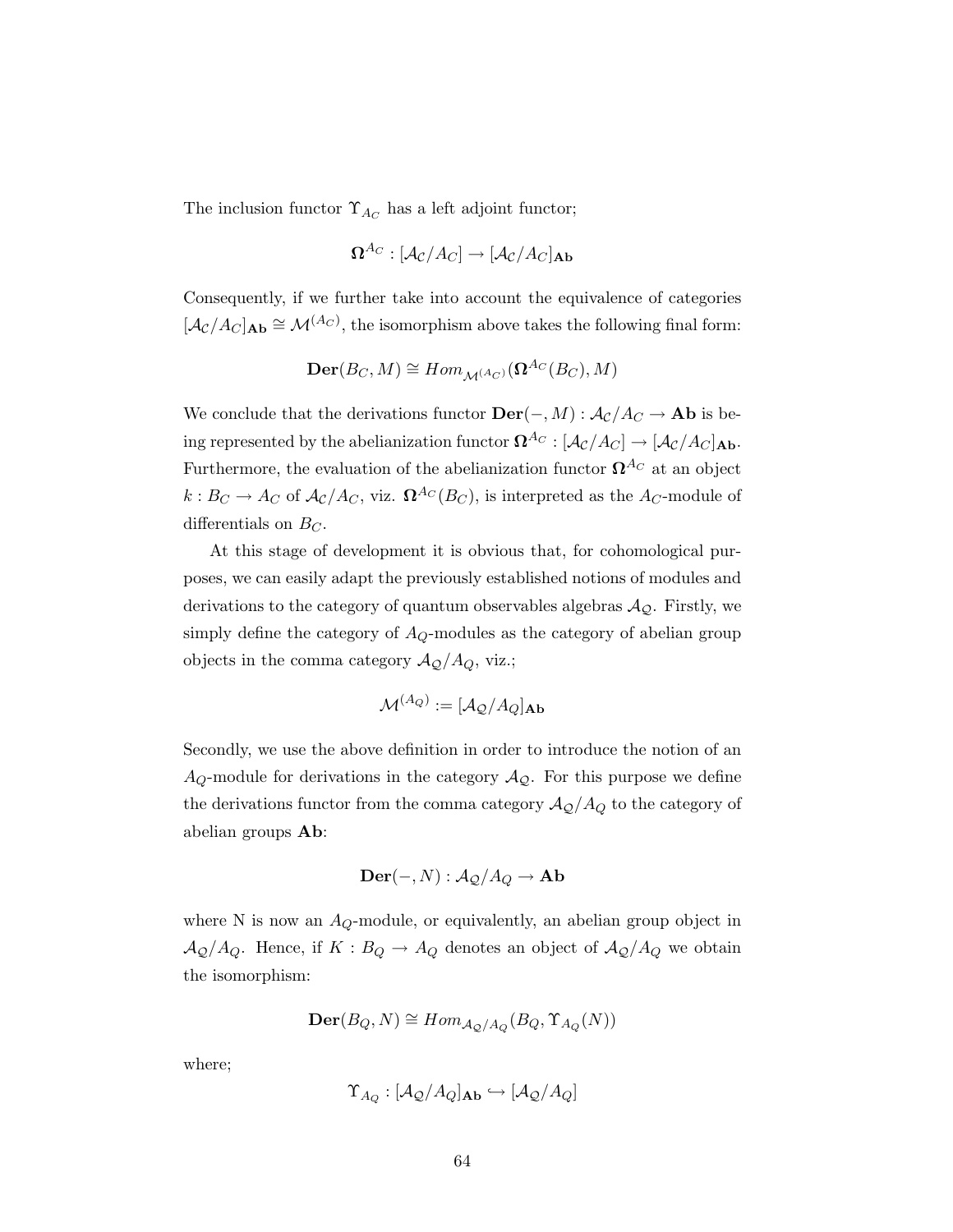The inclusion functor  $\Upsilon_{A_C}$  has a left adjoint functor;

$$
\mathbf{\Omega}^{A_C} : [\mathcal{A}_C / A_C] \to [\mathcal{A}_C / A_C]_{\mathbf{Ab}}
$$

Consequently, if we further take into account the equivalence of categories  $[\mathcal{A}_{\mathcal{C}}/A_{\mathcal{C}}]_{\mathbf{Ab}} \cong \mathcal{M}^{(A_{\mathcal{C}})}$ , the isomorphism above takes the following final form:

$$
\mathbf{Der}(B_C, M) \cong Hom_{\mathcal{M}^{(A_C)}}(\mathbf{\Omega}^{A_C}(B_C), M)
$$

We conclude that the derivations functor  $\mathbf{Der}(-, M) : \mathcal{A}_{\mathcal{C}}/A_C \to \mathbf{Ab}$  is being represented by the abelianization functor  $\mathbf{\Omega}^{A_C} : [\mathcal{A_C}/A_C] \to [\mathcal{A_C}/A_C]_{\mathbf{Ab}}$ . Furthermore, the evaluation of the abelianization functor  $\mathbf{\Omega}^{A_C}$  at an object  $k: B_C \to A_C$  of  $\mathcal{A}_{\mathcal{C}}/A_C$ , viz.  $\mathbf{\Omega}^{A_C}(B_C)$ , is interpreted as the  $A_C$ -module of differentials on  $B_C$ .

At this stage of development it is obvious that, for cohomological purposes, we can easily adapt the previously established notions of modules and derivations to the category of quantum observables algebras  $A_{\mathcal{Q}}$ . Firstly, we simply define the category of  $A_Q$ -modules as the category of abelian group objects in the comma category  $A_{\mathcal{Q}}/A_Q$ , viz.;

$$
\mathcal{M}^{(A_Q)} := [\mathcal{A}_\mathcal{Q}/A_Q]_{\mathbf{Ab}}
$$

Secondly, we use the above definition in order to introduce the notion of an  $A_Q$ -module for derivations in the category  $A_Q$ . For this purpose we define the derivations functor from the comma category  $\mathcal{A}_{\mathcal{Q}}/A_Q$  to the category of abelian groups Ab:

$$
\mathbf{Der}(-,N): \mathcal{A}_{\mathcal{Q}}/A_Q \to \mathbf{Ab}
$$

where N is now an  $A_Q$ -module, or equivalently, an abelian group object in  $A_{\mathcal{Q}}/A_{Q}$ . Hence, if  $K : B_{Q} \to A_{Q}$  denotes an object of  $A_{Q}/A_{Q}$  we obtain the isomorphism:

$$
\mathbf{Der}(B_Q,N)\cong Hom_{\mathcal{A}_Q/A_Q}(B_Q,\Upsilon_{A_Q}(N))
$$

where;

$$
\Upsilon_{A_Q} : [\mathcal{A}_Q / A_Q]_{\mathbf{Ab}} \hookrightarrow [\mathcal{A}_Q / A_Q]
$$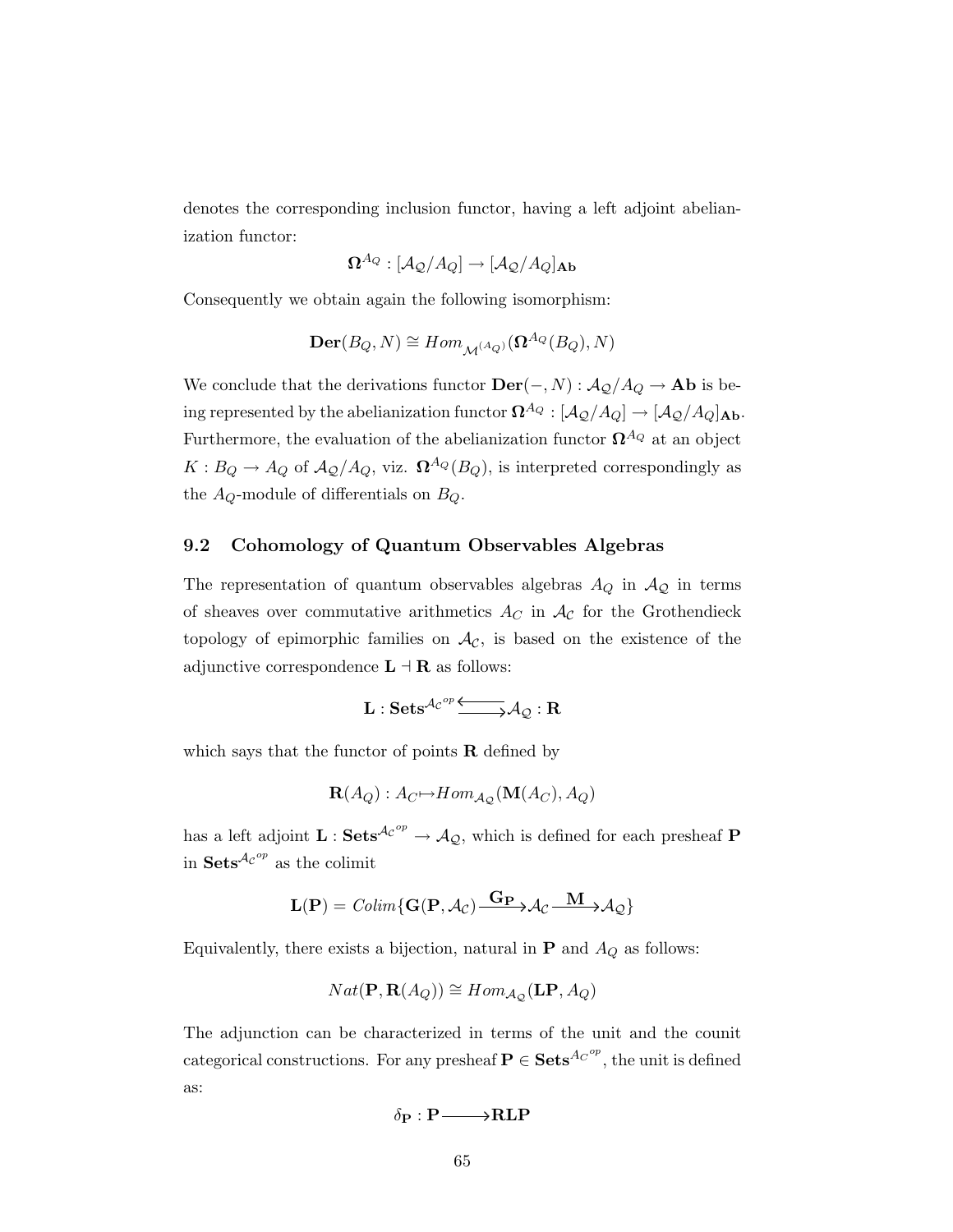denotes the corresponding inclusion functor, having a left adjoint abelianization functor:

$$
\Omega^{A_Q} : [\mathcal{A}_Q/A_Q] \to [\mathcal{A}_Q/A_Q]_{\bf Ab}
$$

Consequently we obtain again the following isomorphism:

$$
\mathbf{Der}(B_Q,N)\cong Hom_{\mathcal{M}^{(A_Q)}}(\mathbf{\Omega}^{A_Q}(B_Q),N)
$$

We conclude that the derivations functor  $\mathbf{Der}(-, N) : \mathcal{A}_{\mathcal{Q}}/A_Q \to \mathbf{Ab}$  is being represented by the abelianization functor  $\mathbf{\Omega}^{A_Q} : [\mathcal{A}_Q/\mathcal{A}_Q] \to [\mathcal{A}_Q/\mathcal{A}_Q]_{\mathbf{Ab}}$ . Furthermore, the evaluation of the abelianization functor  $\Omega^{A_Q}$  at an object  $K: B_Q \to A_Q$  of  $A_Q/A_Q$ , viz.  $\Omega^{A_Q}(B_Q)$ , is interpreted correspondingly as the  $A_Q$ -module of differentials on  $B_Q$ .

#### 9.2 Cohomology of Quantum Observables Algebras

The representation of quantum observables algebras  $A_Q$  in  $\mathcal{A}_Q$  in terms of sheaves over commutative arithmetics  $A_C$  in  $\mathcal{A}_{\mathcal{C}}$  for the Grothendieck topology of epimorphic families on  $\mathcal{A}_{\mathcal{C}}$ , is based on the existence of the adjunctive correspondence  $\mathbf{L} \dashv \mathbf{R}$  as follows:

$$
\mathbf{L}: \mathbf{Sets}^{\mathcal{A}_{\mathcal{C}}^{op}} \overline{\xrightarrow{\hspace{1cm}} \mathcal{A}_{\mathcal{Q}}}: \mathbf{R}
$$

which says that the functor of points  $\bf R$  defined by

$$
\mathbf{R}(A_Q): A_C \rightarrow Hom_{\mathcal{A}_Q}(\mathbf{M}(A_C), A_Q)
$$

has a left adjoint  $\mathbf{L} : \mathbf{Sets}^{\mathcal{A}_{\mathcal{C}}^{op}} \to \mathcal{A}_{\mathcal{Q}}$ , which is defined for each presheaf **P** in  $\textbf{Sets}^{\mathcal{A}_{\mathcal{C}}^{op}}$  as the colimit

$$
\mathbf{L}(\mathbf{P}) = \text{Colim}\{\mathbf{G}(\mathbf{P}, \mathcal{A}_{\mathcal{C}}) \xrightarrow{\mathbf{G}_{\mathbf{P}}} \mathcal{A}_{\mathcal{C}} \xrightarrow{\mathbf{M}} \mathcal{A}_{\mathcal{Q}}\}
$$

Equivalently, there exists a bijection, natural in  $P$  and  $A_Q$  as follows:

$$
Nat(\mathbf{P}, \mathbf{R}(A_Q)) \cong Hom_{\mathcal{A}_{\mathcal{Q}}}(\mathbf{LP}, A_Q)
$$

The adjunction can be characterized in terms of the unit and the counit categorical constructions. For any presheaf  $P \in \mathbf{Sets}^{A_C^{op}}$ , the unit is defined as:

$$
\delta_{\mathbf{P}}:\mathbf{P}{\:\longrightarrow\:}\mathbf{RLP}
$$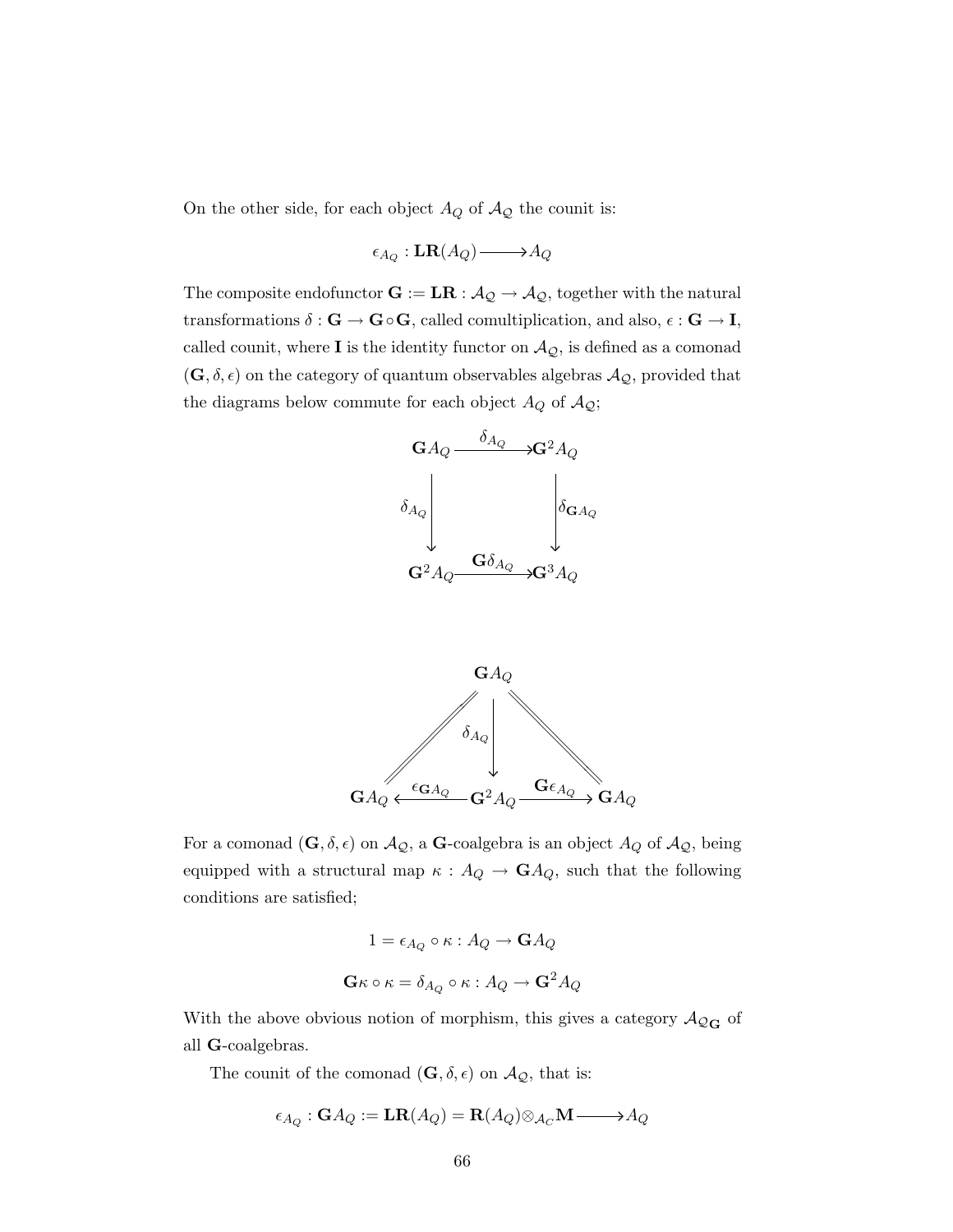On the other side, for each object  $A_Q$  of  $A_Q$  the counit is:

$$
\epsilon_{A_Q} : \mathbf{LR}(A_Q) {\longrightarrow} A_Q
$$

The composite endofunctor  $G := LR : \mathcal{A}_{\mathcal{Q}} \to \mathcal{A}_{\mathcal{Q}}$ , together with the natural transformations  $\delta : G \to G \circ G$ , called comultiplication, and also,  $\epsilon : G \to I$ , called counit, where **I** is the identity functor on  $A_{\mathcal{Q}}$ , is defined as a comonad  $(\mathbf{G}, \delta, \epsilon)$  on the category of quantum observables algebras  $\mathcal{A}_{\mathcal{Q}}$ , provided that the diagrams below commute for each object  $A_Q$  of  $\mathcal{A}_Q$ ;





For a comonad  $(G, \delta, \epsilon)$  on  $\mathcal{A}_{\mathcal{Q}}$ , a G-coalgebra is an object  $A_Q$  of  $\mathcal{A}_{\mathcal{Q}}$ , being equipped with a structural map  $\kappa : A_Q \to \mathbf{G} A_Q$ , such that the following conditions are satisfied;

$$
1 = \epsilon_{A_Q} \circ \kappa : A_Q \to \mathbf{G} A_Q
$$

$$
\mathbf{G} \kappa \circ \kappa = \delta_{A_Q} \circ \kappa : A_Q \to \mathbf{G}^2 A_Q
$$

With the above obvious notion of morphism, this gives a category  $\mathcal{A}_{\mathcal{Q}_{\mathbf{G}}}$  of all G-coalgebras.

The counit of the comonad  $(G, \delta, \epsilon)$  on  $\mathcal{A}_{\mathcal{Q}}$ , that is:

$$
\epsilon_{A_Q}: \mathbf{G} A_Q := \mathbf{LR}(A_Q) = \mathbf{R}(A_Q) \otimes_{\mathcal{A}_C} \mathbf{M} \longrightarrow A_Q
$$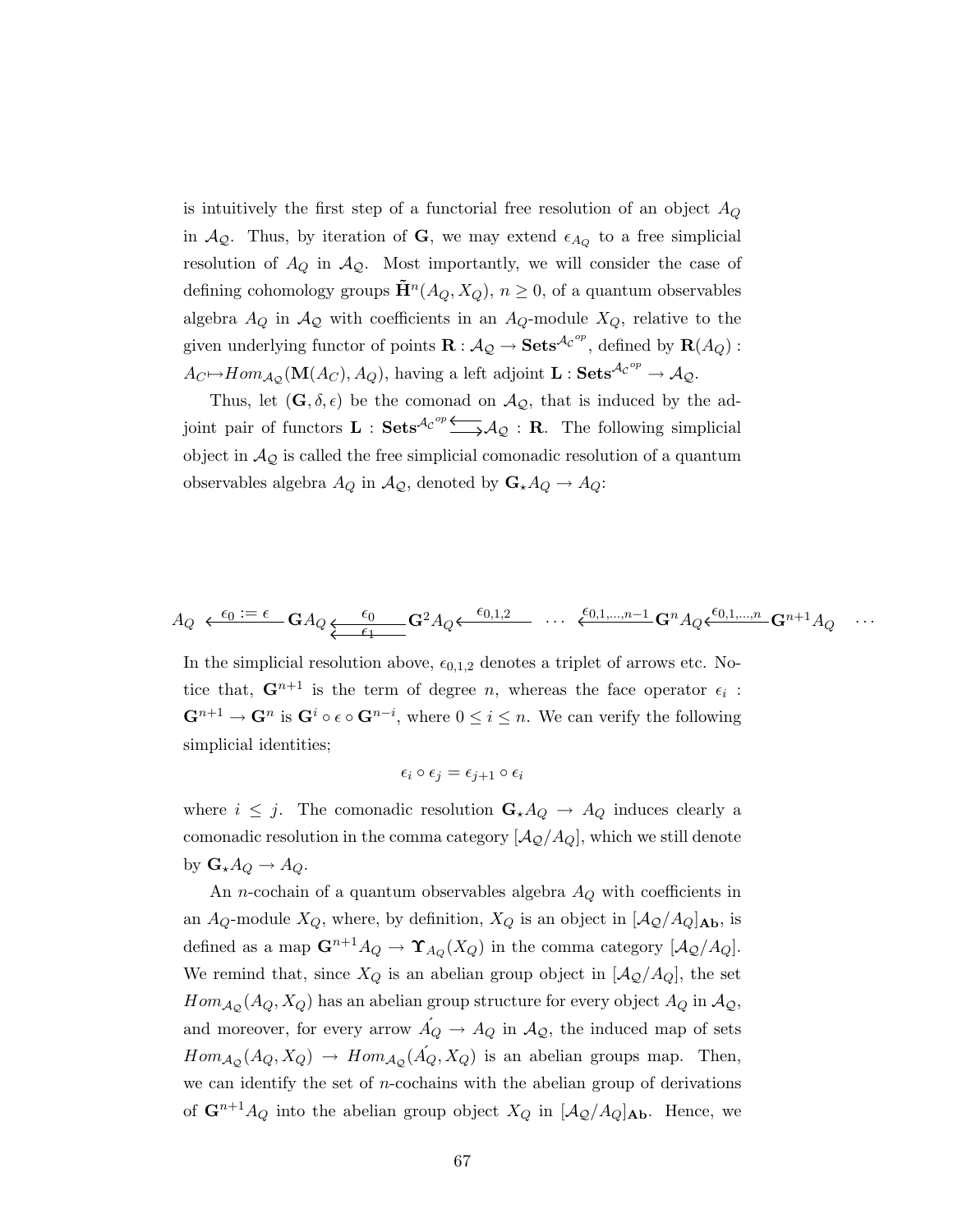is intuitively the first step of a functorial free resolution of an object  $A_Q$ in  $\mathcal{A}_{\mathcal{Q}}$ . Thus, by iteration of **G**, we may extend  $\epsilon_{A_Q}$  to a free simplicial resolution of  $A_Q$  in  $A_Q$ . Most importantly, we will consider the case of defining cohomology groups  $\tilde{\mathbf{H}}^n(A_Q, X_Q)$ ,  $n \geq 0$ , of a quantum observables algebra  $A_Q$  in  $A_Q$  with coefficients in an  $A_Q$ -module  $X_Q$ , relative to the given underlying functor of points  $\mathbf{R} : \mathcal{A}_{\mathcal{Q}} \to \mathbf{Sets}^{\mathcal{A}_{\mathcal{C}}^{op}}$ , defined by  $\mathbf{R}(A_Q)$ :  $A_C \mapsto Hom_{\mathcal{A}_{\mathcal{Q}}}(\mathbf{M}(A_C), A_Q)$ , having a left adjoint  $\mathbf{L} : \mathbf{Sets}^{\mathcal{A}_{\mathcal{C}}^{op}} \to \mathcal{A}_{\mathcal{Q}}$ .

Thus, let  $(G, \delta, \epsilon)$  be the comonad on  $\mathcal{A}_{\mathcal{Q}}$ , that is induced by the adjoint pair of functors  $L : \mathbf{Sets}^{\mathcal{A}_{\mathcal{C}}^{op}} \longrightarrow \mathcal{A}_{\mathcal{Q}} : R$ . The following simplicial object in  $A_{\mathcal{Q}}$  is called the free simplicial comonadic resolution of a quantum observables algebra  $A_Q$  in  $A_Q$ , denoted by  $\mathbf{G}_{\star}A_Q \to A_Q$ :

$$
A_Q \leftarrow^{\epsilon_0 := \epsilon} \mathbf{G} A_Q \underbrace{\epsilon_0}_{\epsilon_1 \epsilon_2 \epsilon_3 \epsilon_4} \mathbf{G}^2 A_Q \underbrace{\epsilon_0, 1, 2}_{\epsilon_2 \epsilon_3 \epsilon_4} \cdots \underbrace{\epsilon_0, 1, \ldots, n-1}_{\epsilon_1 \epsilon_2 \epsilon_3 \epsilon_4} \mathbf{G}^n A_Q \underbrace{\epsilon_0, 1, \ldots, n}_{\epsilon_1 \epsilon_2 \epsilon_3 \epsilon_4} \mathbf{G}^{n+1} A_Q \cdots
$$

In the simplicial resolution above,  $\epsilon_{0,1,2}$  denotes a triplet of arrows etc. Notice that,  $\mathbf{G}^{n+1}$  is the term of degree n, whereas the face operator  $\epsilon_i$ :  $\mathbf{G}^{n+1} \to \mathbf{G}^n$  is  $\mathbf{G}^i \circ \epsilon \circ \mathbf{G}^{n-i}$ , where  $0 \leq i \leq n$ . We can verify the following simplicial identities;

$$
\epsilon_i \circ \epsilon_j = \epsilon_{j+1} \circ \epsilon_i
$$

where  $i \leq j$ . The comonadic resolution  $\mathbf{G}_{\star} A_Q \to A_Q$  induces clearly a comonadic resolution in the comma category  $[\mathcal{A}_{\mathcal{Q}}/A_Q]$ , which we still denote by  $\mathbf{G}_{\star}A_Q \to A_Q$ .

An *n*-cochain of a quantum observables algebra  $A_Q$  with coefficients in an  $A_Q$ -module  $X_Q$ , where, by definition,  $X_Q$  is an object in  $[\mathcal{A}_Q/\mathcal{A}_Q]_{\mathbf{Ab}}$ , is defined as a map  $\mathbf{G}^{n+1}A_Q \to \Upsilon_{A_Q}(X_Q)$  in the comma category  $[\mathcal{A}_{\mathcal{Q}}/A_Q]$ . We remind that, since  $X_Q$  is an abelian group object in  $[\mathcal{A}_{\mathcal{Q}}/A_Q]$ , the set  $Hom_{\mathcal{A}_{\mathcal{Q}}}(A_Q, X_Q)$  has an abelian group structure for every object  $A_Q$  in  $\mathcal{A}_{\mathcal{Q}},$ and moreover, for every arrow  $A_Q \rightarrow A_Q$  in  $A_Q$ , the induced map of sets  $Hom_{\mathcal{A}_{\mathcal{Q}}}(A_Q, X_Q) \to Hom_{\mathcal{A}_{\mathcal{Q}}}(A_Q, X_Q)$  is an abelian groups map. Then, we can identify the set of *n*-cochains with the abelian group of derivations of  $\mathbf{G}^{n+1}A_Q$  into the abelian group object  $X_Q$  in  $[\mathcal{A}_{\mathcal{Q}}/A_Q]_{\mathbf{Ab}}$ . Hence, we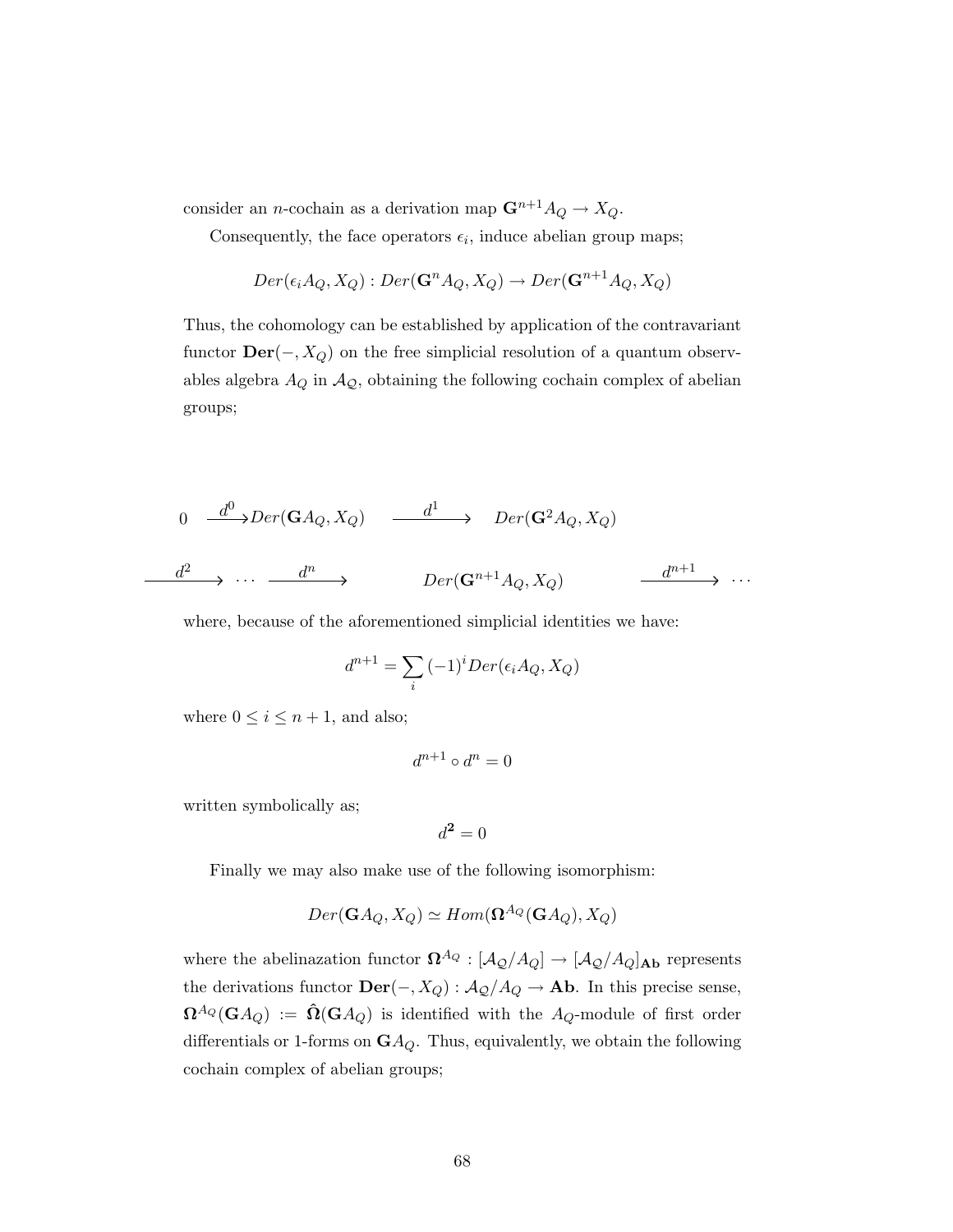consider an *n*-cochain as a derivation map  $\mathbf{G}^{n+1}A_Q \to X_Q$ .

Consequently, the face operators  $\epsilon_i$ , induce abelian group maps;

$$
Der(\epsilon_i A_Q, X_Q): Der(\mathbf{G}^n A_Q, X_Q) \to Der(\mathbf{G}^{n+1} A_Q, X_Q)
$$

Thus, the cohomology can be established by application of the contravariant functor  $\text{Der}(-, X_Q)$  on the free simplicial resolution of a quantum observables algebra  $A_Q$  in  $A_Q$ , obtaining the following cochain complex of abelian groups;

$$
\begin{array}{ccccccccc}\n0 & \xrightarrow{d^0} Der(\mathbf{G}A_Q, X_Q) & \xrightarrow{d^1} Der(\mathbf{G}^2A_Q, X_Q) \\
\downarrow^{d^2} & \cdots & \xrightarrow{d^n} Der(\mathbf{G}^{n+1}A_Q, X_Q) & \xrightarrow{d^{n+1}} \cdots\n\end{array}
$$

where, because of the aforementioned simplicial identities we have:

$$
d^{n+1} = \sum_{i} (-1)^i Der(\epsilon_i A_Q, X_Q)
$$

where  $0 \le i \le n+1$ , and also;

$$
d^{n+1} \circ d^n = 0
$$

written symbolically as;

$$
d^{\mathbf{2}}=0
$$

Finally we may also make use of the following isomorphism:

$$
Der(\mathbf{G} A_Q, X_Q) \simeq Hom(\mathbf{\Omega}^{A_Q}(\mathbf{G} A_Q), X_Q)
$$

where the abelinazation functor  $\Omega^{A_Q} : [\mathcal{A}_Q/A_Q] \to [\mathcal{A}_Q/A_Q]_{Ab}$  represents the derivations functor  $\textbf{Der}(-, X_Q) : \mathcal{A}_{\mathcal{Q}}/A_Q \to \textbf{Ab}$ . In this precise sense,  $\Omega^{A_Q}(\mathbf{G} A_Q) := \hat{\Omega}(\mathbf{G} A_Q)$  is identified with the  $A_Q$ -module of first order differentials or 1-forms on  $GA_Q$ . Thus, equivalently, we obtain the following cochain complex of abelian groups;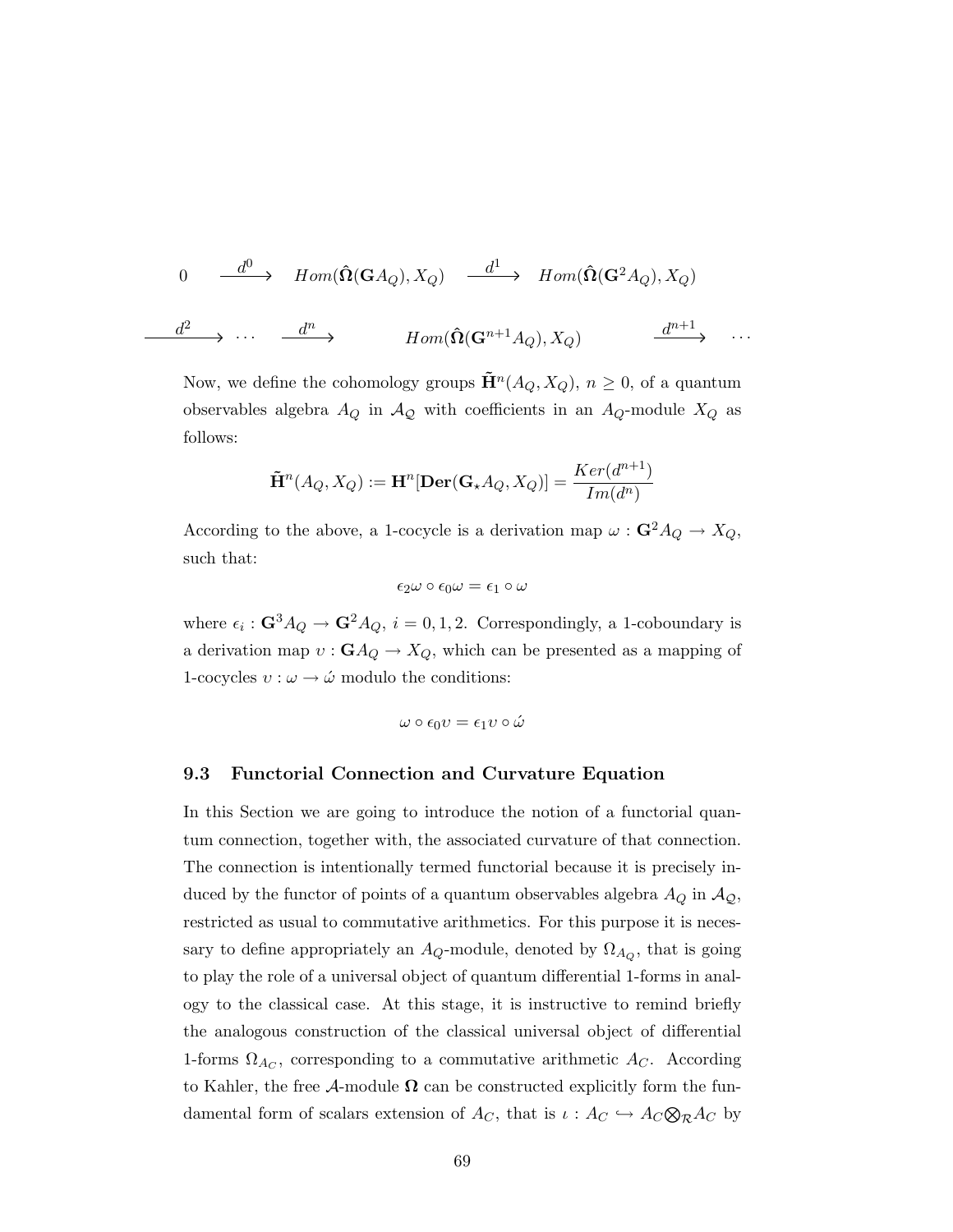$$
\begin{array}{ccccccccc}\n0 & \xrightarrow{d^0} & Hom(\hat{\Omega}(\mathbf{G}A_Q), X_Q) & \xrightarrow{d^1} & Hom(\hat{\Omega}(\mathbf{G}^2A_Q), X_Q) \\
\downarrow^{d^2} & \cdots & \xrightarrow{d^n} & Hom(\hat{\Omega}(\mathbf{G}^{n+1}A_Q), X_Q) & \xrightarrow{d^{n+1}} & \cdots\n\end{array}
$$

Now, we define the cohomology groups  $\tilde{\mathbf{H}}^n(A_Q,X_Q),\,n\geq 0,$  of a quantum observables algebra  $A_Q$  in  $A_Q$  with coefficients in an  $A_Q$ -module  $X_Q$  as follows:

$$
\tilde{\mathbf{H}}^n(A_Q,X_Q):=\mathbf{H}^n[\mathbf{Der}(\mathbf{G}_{\star}A_Q,X_Q)]=\frac{Ker(d^{n+1})}{Im(d^n)}
$$

According to the above, a 1-cocycle is a derivation map  $\omega : \mathbf{G}^2 A_Q \to X_Q$ , such that:

$$
\epsilon_2\omega\circ\epsilon_0\omega=\epsilon_1\circ\omega
$$

where  $\epsilon_i$ :  $\mathbf{G}^3 A_Q \rightarrow \mathbf{G}^2 A_Q$ ,  $i = 0, 1, 2$ . Correspondingly, a 1-coboundary is a derivation map  $v : \mathbf{G} A_Q \to X_Q$ , which can be presented as a mapping of 1-cocycles  $v : \omega \to \omega$  modulo the conditions:

$$
\omega\circ\epsilon_0\upsilon=\epsilon_1\upsilon\circ\acute\omega
$$

#### 9.3 Functorial Connection and Curvature Equation

In this Section we are going to introduce the notion of a functorial quantum connection, together with, the associated curvature of that connection. The connection is intentionally termed functorial because it is precisely induced by the functor of points of a quantum observables algebra  $A_Q$  in  $A_Q$ , restricted as usual to commutative arithmetics. For this purpose it is necessary to define appropriately an  $A_Q$ -module, denoted by  $\Omega_{A_Q}$ , that is going to play the role of a universal object of quantum differential 1-forms in analogy to the classical case. At this stage, it is instructive to remind briefly the analogous construction of the classical universal object of differential 1-forms  $\Omega_{A_C}$ , corresponding to a commutative arithmetic  $A_C$ . According to Kahler, the free A-module  $\Omega$  can be constructed explicitly form the fundamental form of scalars extension of  $A_C$ , that is  $\iota: A_C \hookrightarrow A_C \otimes_R A_C$  by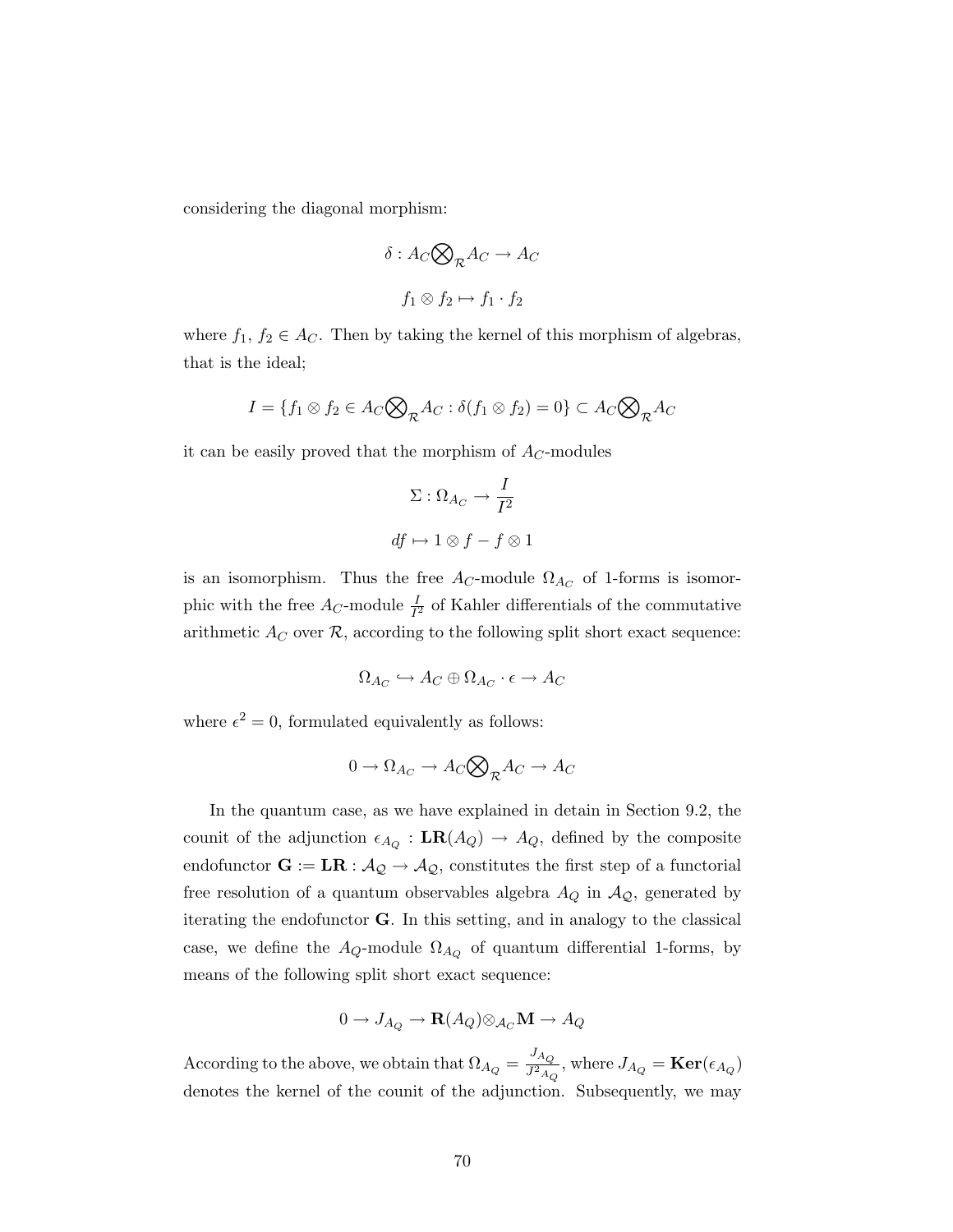considering the diagonal morphism:

$$
\delta: A_C \bigotimes_{\mathcal{R}} A_C \to A_C
$$

$$
f_1 \otimes f_2 \mapsto f_1 \cdot f_2
$$

where  $f_1, f_2 \in A_C$ . Then by taking the kernel of this morphism of algebras, that is the ideal;

$$
I = \{ f_1 \otimes f_2 \in A_C \bigotimes_{\mathcal{R}} A_C : \delta(f_1 \otimes f_2) = 0 \} \subset A_C \bigotimes_{\mathcal{R}} A_C
$$

it can be easily proved that the morphism of  $A_C$ -modules

$$
\Sigma: \Omega_{A_C} \to \frac{I}{I^2}
$$
  

$$
df \mapsto 1 \otimes f - f \otimes 1
$$

is an isomorphism. Thus the free  $A_C$ -module  $\Omega_{A_C}$  of 1-forms is isomorphic with the free  $A_C$ -module  $\frac{I}{I^2}$  of Kahler differentials of the commutative arithmetic  $A_C$  over  $R$ , according to the following split short exact sequence:

$$
\Omega_{A_C} \hookrightarrow A_C \oplus \Omega_{A_C} \cdot \epsilon \to A_C
$$

where  $\epsilon^2 = 0$ , formulated equivalently as follows:

$$
0\to \Omega_{A_C}\to A_C\bigotimes_{\mathcal{R}}A_C\to A_C
$$

In the quantum case, as we have explained in detain in Section 9.2, the counit of the adjunction  $\epsilon_{A_Q} : \mathbf{LR}(A_Q) \to A_Q$ , defined by the composite endofunctor  $\mathbf{G} := \mathbf{LR} : \mathcal{A}_{\mathcal{Q}} \to \mathcal{A}_{\mathcal{Q}}$ , constitutes the first step of a functorial free resolution of a quantum observables algebra  $A_Q$  in  $A_Q$ , generated by iterating the endofunctor G. In this setting, and in analogy to the classical case, we define the  $A_Q$ -module  $\Omega_{A_Q}$  of quantum differential 1-forms, by means of the following split short exact sequence:

$$
0 \to J_{A_Q} \to \mathbf{R}(A_Q) \otimes_{\mathcal{A}_C} \mathbf{M} \to A_Q
$$

According to the above, we obtain that  $\Omega_{A_Q} = \frac{J_{A_Q}}{J_{A_Q}^2}$  $\frac{\sigma_{A_Q}}{J^2_{A_Q}}$ , where  $J_{A_Q} = \textbf{Ker}(\epsilon_{A_Q})$ denotes the kernel of the counit of the adjunction. Subsequently, we may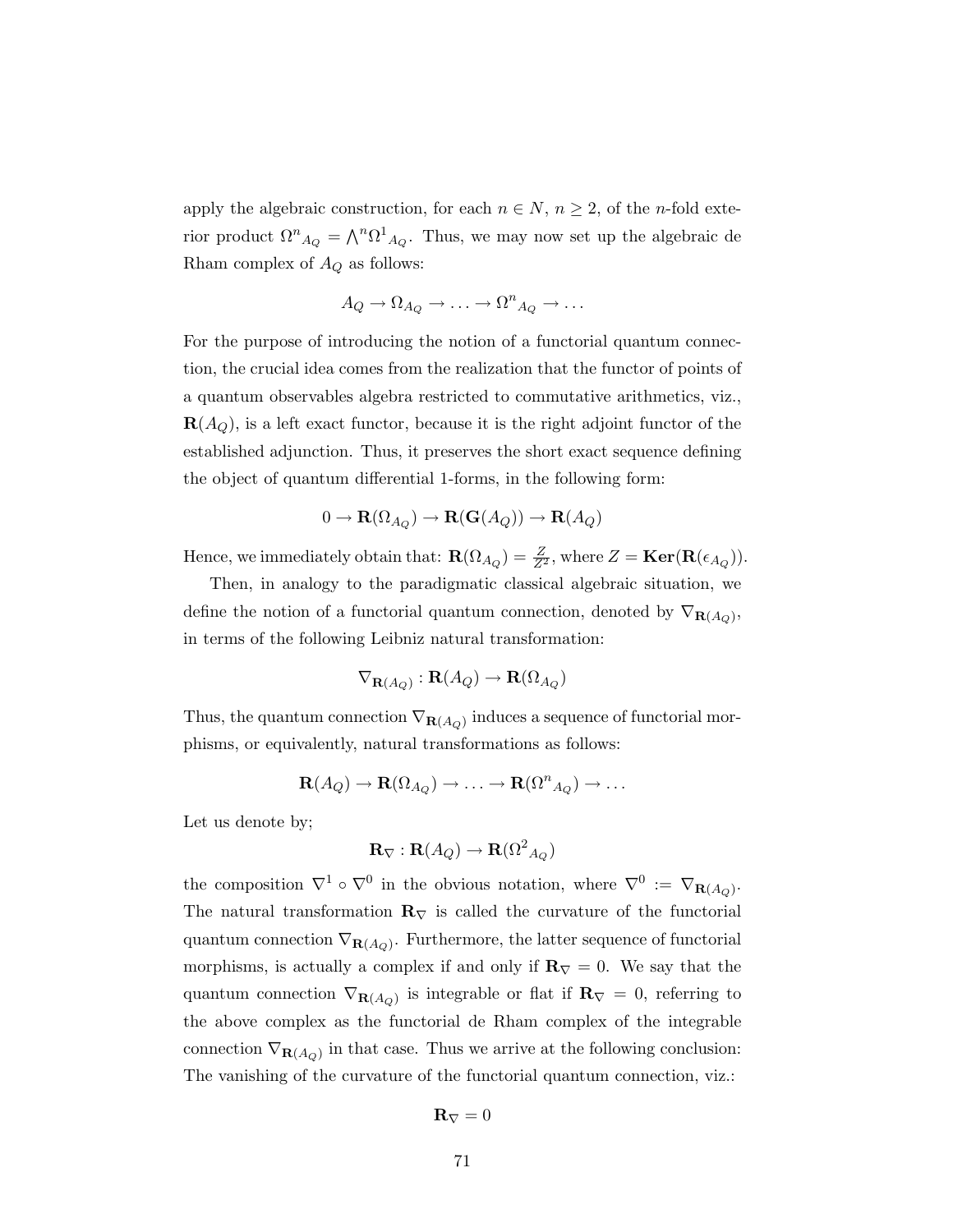apply the algebraic construction, for each  $n \in N$ ,  $n \geq 2$ , of the *n*-fold exterior product  $\Omega^n_{A_Q} = \Lambda^n \Omega^1_{A_Q}$ . Thus, we may now set up the algebraic de Rham complex of  $A_Q$  as follows:

$$
A_Q \to \Omega_{A_Q} \to \ldots \to \Omega^n_{A_Q} \to \ldots
$$

For the purpose of introducing the notion of a functorial quantum connection, the crucial idea comes from the realization that the functor of points of a quantum observables algebra restricted to commutative arithmetics, viz.,  $\mathbf{R}(A_Q)$ , is a left exact functor, because it is the right adjoint functor of the established adjunction. Thus, it preserves the short exact sequence defining the object of quantum differential 1-forms, in the following form:

$$
0 \to \mathbf{R}(\Omega_{A_Q}) \to \mathbf{R}(\mathbf{G}(A_Q)) \to \mathbf{R}(A_Q)
$$

Hence, we immediately obtain that:  $\mathbf{R}(\Omega_{A_Q}) = \frac{Z}{Z^2}$ , where  $Z = \textbf{Ker}(\mathbf{R}(\epsilon_{A_Q}))$ .

Then, in analogy to the paradigmatic classical algebraic situation, we define the notion of a functorial quantum connection, denoted by  $\nabla_{\mathbf{R}(A_Q)}$ , in terms of the following Leibniz natural transformation:

$$
\nabla_{\mathbf{R}(A_Q)} : \mathbf{R}(A_Q) \to \mathbf{R}(\Omega_{A_Q})
$$

Thus, the quantum connection  $\nabla_{\mathbf{R}(A_Q)}$  induces a sequence of functorial morphisms, or equivalently, natural transformations as follows:

$$
\mathbf{R}(A_Q) \to \mathbf{R}(\Omega_{A_Q}) \to \ldots \to \mathbf{R}(\Omega^n_{A_Q}) \to \ldots
$$

Let us denote by;

$$
\mathbf{R}_{\nabla} : \mathbf{R}(A_Q) \to \mathbf{R}(\Omega^2_{A_Q})
$$

the composition  $\nabla^1 \circ \nabla^0$  in the obvious notation, where  $\nabla^0 := \nabla_{\mathbf{R}(A_Q)}$ . The natural transformation  $\mathbf{R}_{\nabla}$  is called the curvature of the functorial quantum connection  $\nabla_{\mathbf{R}(A_Q)}$ . Furthermore, the latter sequence of functorial morphisms, is actually a complex if and only if  $\mathbf{R}_{\nabla} = 0$ . We say that the quantum connection  $\nabla_{\mathbf{R}(A_Q)}$  is integrable or flat if  $\mathbf{R}_{\nabla} = 0$ , referring to the above complex as the functorial de Rham complex of the integrable connection  $\nabla_{\mathbf{R}(A_Q)}$  in that case. Thus we arrive at the following conclusion: The vanishing of the curvature of the functorial quantum connection, viz.:

$$
\mathbf{R}_{\nabla}=0
$$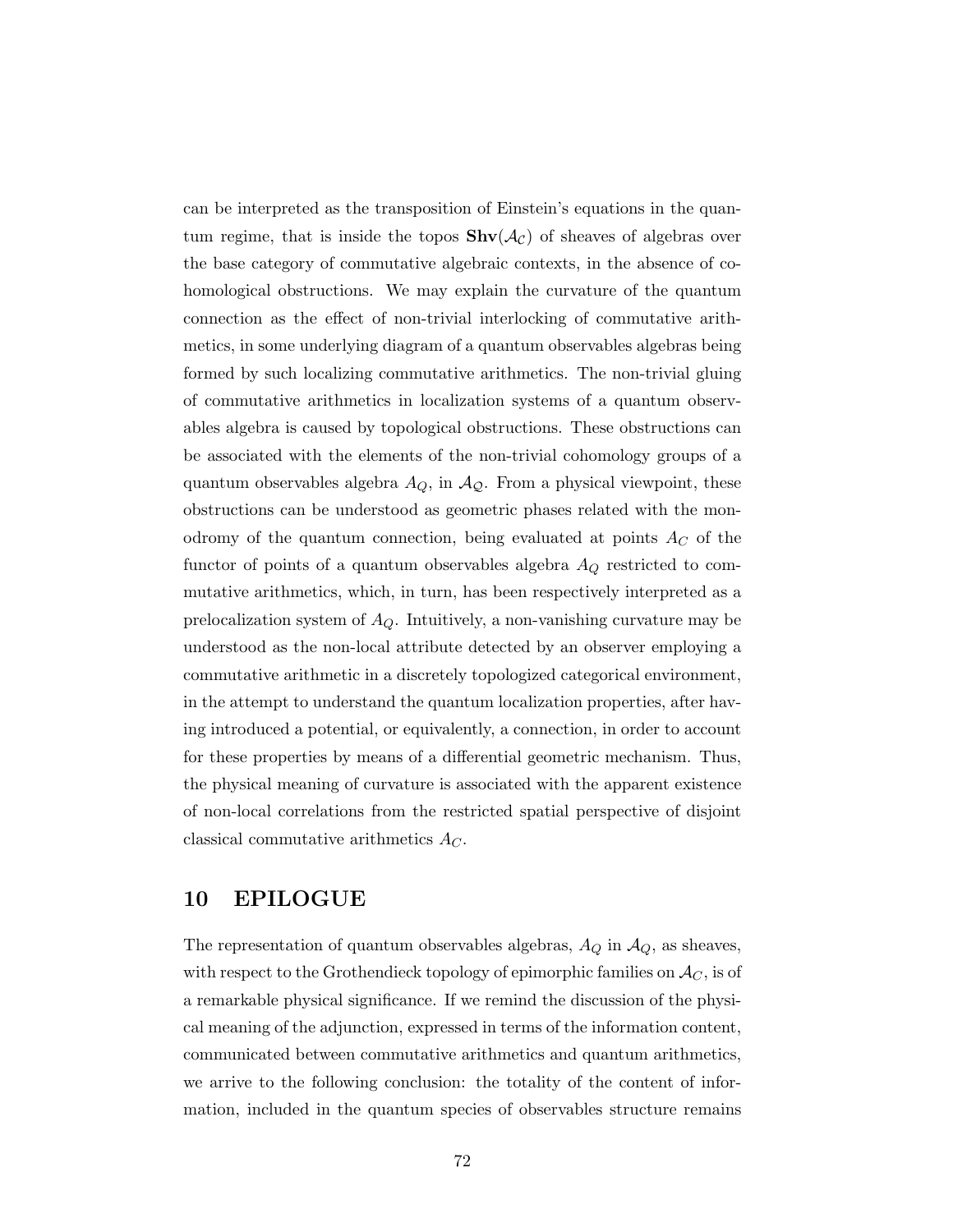can be interpreted as the transposition of Einstein's equations in the quantum regime, that is inside the topos  $\text{Shv}(\mathcal{A}_{\mathcal{C}})$  of sheaves of algebras over the base category of commutative algebraic contexts, in the absence of cohomological obstructions. We may explain the curvature of the quantum connection as the effect of non-trivial interlocking of commutative arithmetics, in some underlying diagram of a quantum observables algebras being formed by such localizing commutative arithmetics. The non-trivial gluing of commutative arithmetics in localization systems of a quantum observables algebra is caused by topological obstructions. These obstructions can be associated with the elements of the non-trivial cohomology groups of a quantum observables algebra  $A_Q$ , in  $A_Q$ . From a physical viewpoint, these obstructions can be understood as geometric phases related with the monodromy of the quantum connection, being evaluated at points  $A_C$  of the functor of points of a quantum observables algebra  $A_Q$  restricted to commutative arithmetics, which, in turn, has been respectively interpreted as a prelocalization system of  $A_Q$ . Intuitively, a non-vanishing curvature may be understood as the non-local attribute detected by an observer employing a commutative arithmetic in a discretely topologized categorical environment, in the attempt to understand the quantum localization properties, after having introduced a potential, or equivalently, a connection, in order to account for these properties by means of a differential geometric mechanism. Thus, the physical meaning of curvature is associated with the apparent existence of non-local correlations from the restricted spatial perspective of disjoint classical commutative arithmetics  $A_C$ .

### 10 EPILOGUE

The representation of quantum observables algebras,  $A_Q$  in  $A_Q$ , as sheaves, with respect to the Grothendieck topology of epimorphic families on  $\mathcal{A}_C,$  is of a remarkable physical significance. If we remind the discussion of the physical meaning of the adjunction, expressed in terms of the information content, communicated between commutative arithmetics and quantum arithmetics, we arrive to the following conclusion: the totality of the content of information, included in the quantum species of observables structure remains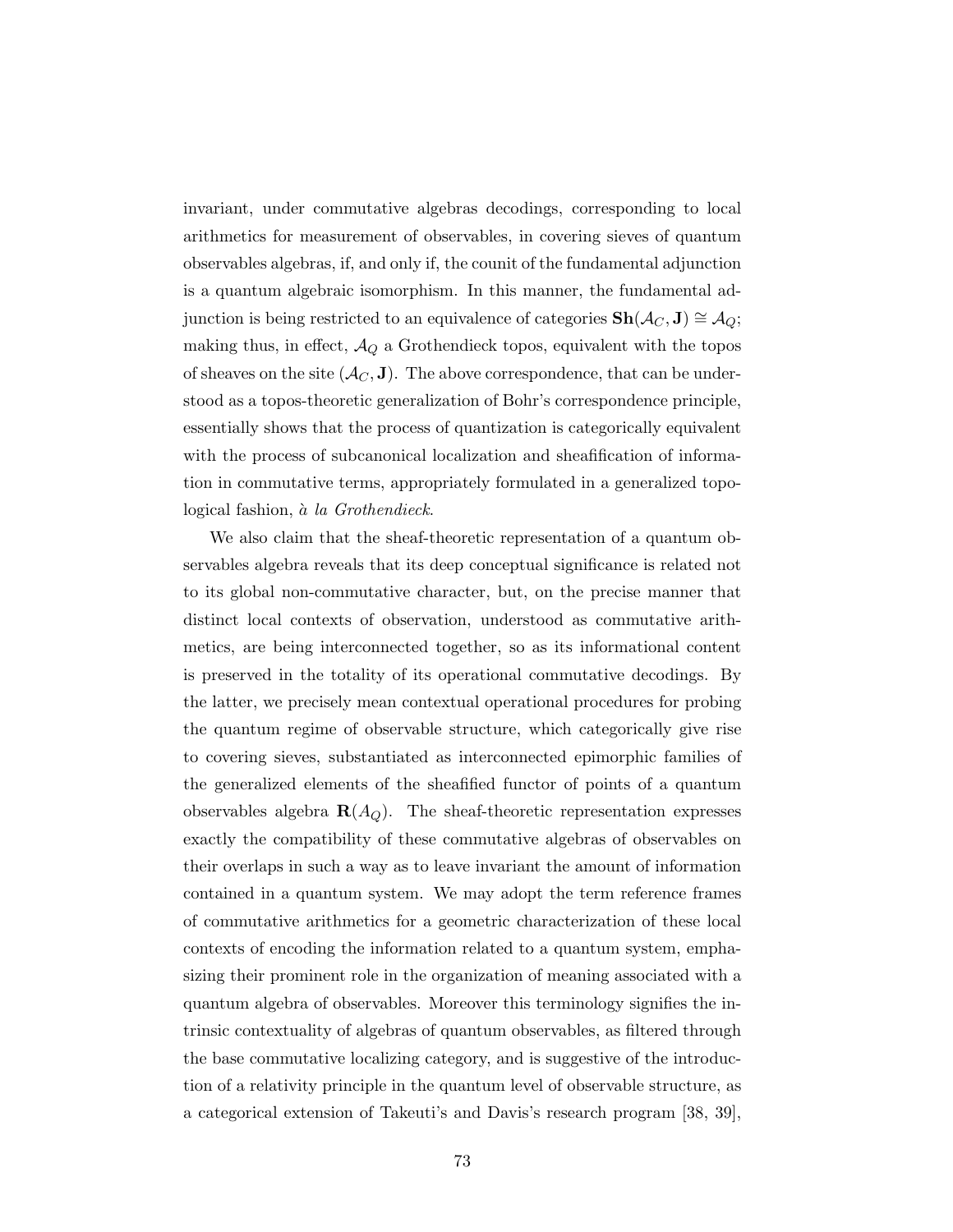invariant, under commutative algebras decodings, corresponding to local arithmetics for measurement of observables, in covering sieves of quantum observables algebras, if, and only if, the counit of the fundamental adjunction is a quantum algebraic isomorphism. In this manner, the fundamental adjunction is being restricted to an equivalence of categories  $\mathbf{Sh}(\mathcal{A}_{C}, \mathbf{J}) \cong \mathcal{A}_{Q};$ making thus, in effect,  $\mathcal{A}_{Q}$  a Grothendieck topos, equivalent with the topos of sheaves on the site  $(\mathcal{A}_{C}, \mathbf{J})$ . The above correspondence, that can be understood as a topos-theoretic generalization of Bohr's correspondence principle, essentially shows that the process of quantization is categorically equivalent with the process of subcanonical localization and sheafification of information in commutative terms, appropriately formulated in a generalized topological fashion,  $\hat{a}$  la Grothendieck.

We also claim that the sheaf-theoretic representation of a quantum observables algebra reveals that its deep conceptual significance is related not to its global non-commutative character, but, on the precise manner that distinct local contexts of observation, understood as commutative arithmetics, are being interconnected together, so as its informational content is preserved in the totality of its operational commutative decodings. By the latter, we precisely mean contextual operational procedures for probing the quantum regime of observable structure, which categorically give rise to covering sieves, substantiated as interconnected epimorphic families of the generalized elements of the sheafified functor of points of a quantum observables algebra  $\mathbf{R}(A_Q)$ . The sheaf-theoretic representation expresses exactly the compatibility of these commutative algebras of observables on their overlaps in such a way as to leave invariant the amount of information contained in a quantum system. We may adopt the term reference frames of commutative arithmetics for a geometric characterization of these local contexts of encoding the information related to a quantum system, emphasizing their prominent role in the organization of meaning associated with a quantum algebra of observables. Moreover this terminology signifies the intrinsic contextuality of algebras of quantum observables, as filtered through the base commutative localizing category, and is suggestive of the introduction of a relativity principle in the quantum level of observable structure, as a categorical extension of Takeuti's and Davis's research program [38, 39],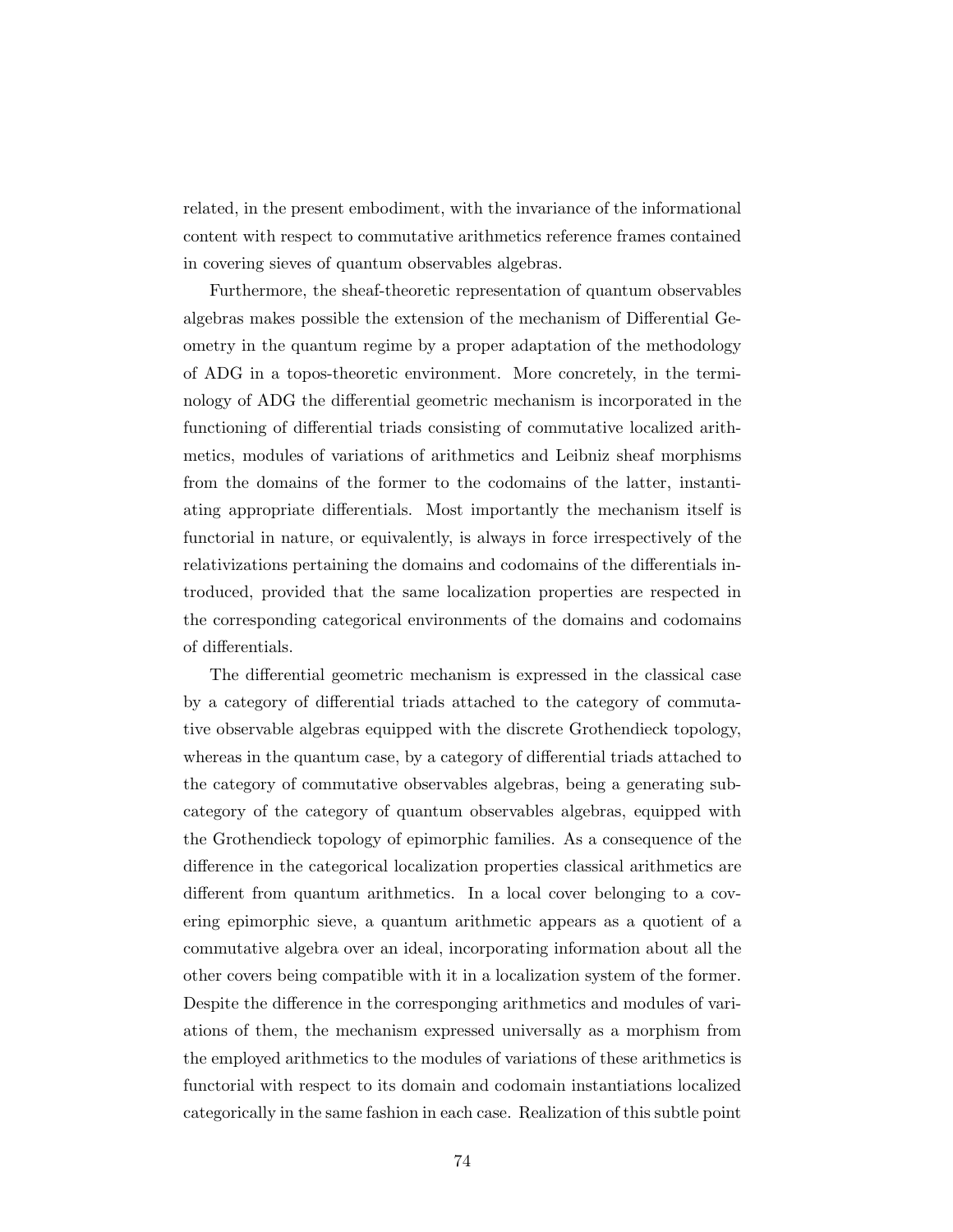related, in the present embodiment, with the invariance of the informational content with respect to commutative arithmetics reference frames contained in covering sieves of quantum observables algebras.

Furthermore, the sheaf-theoretic representation of quantum observables algebras makes possible the extension of the mechanism of Differential Geometry in the quantum regime by a proper adaptation of the methodology of ADG in a topos-theoretic environment. More concretely, in the terminology of ADG the differential geometric mechanism is incorporated in the functioning of differential triads consisting of commutative localized arithmetics, modules of variations of arithmetics and Leibniz sheaf morphisms from the domains of the former to the codomains of the latter, instantiating appropriate differentials. Most importantly the mechanism itself is functorial in nature, or equivalently, is always in force irrespectively of the relativizations pertaining the domains and codomains of the differentials introduced, provided that the same localization properties are respected in the corresponding categorical environments of the domains and codomains of differentials.

The differential geometric mechanism is expressed in the classical case by a category of differential triads attached to the category of commutative observable algebras equipped with the discrete Grothendieck topology, whereas in the quantum case, by a category of differential triads attached to the category of commutative observables algebras, being a generating subcategory of the category of quantum observables algebras, equipped with the Grothendieck topology of epimorphic families. As a consequence of the difference in the categorical localization properties classical arithmetics are different from quantum arithmetics. In a local cover belonging to a covering epimorphic sieve, a quantum arithmetic appears as a quotient of a commutative algebra over an ideal, incorporating information about all the other covers being compatible with it in a localization system of the former. Despite the difference in the corresponging arithmetics and modules of variations of them, the mechanism expressed universally as a morphism from the employed arithmetics to the modules of variations of these arithmetics is functorial with respect to its domain and codomain instantiations localized categorically in the same fashion in each case. Realization of this subtle point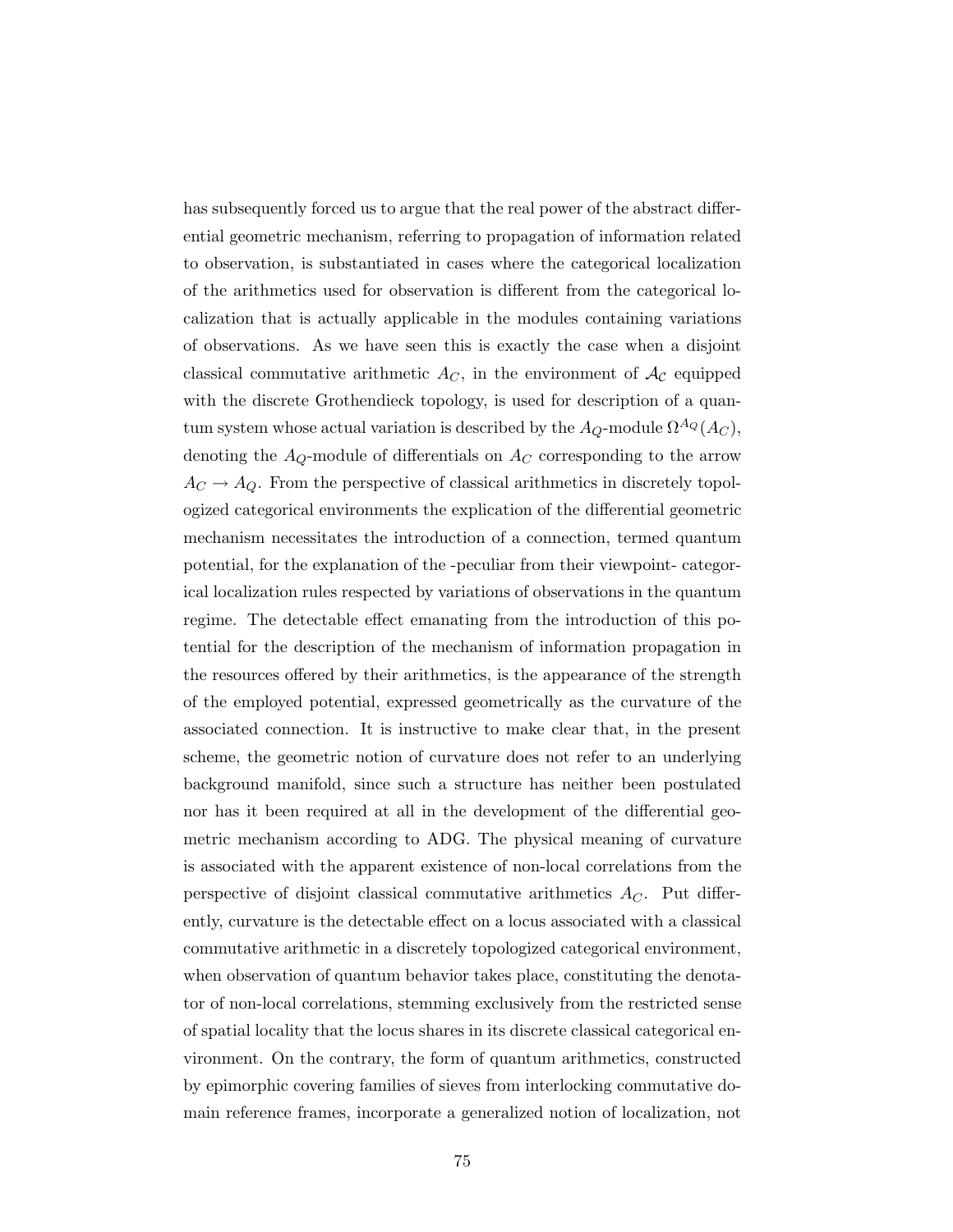has subsequently forced us to argue that the real power of the abstract differential geometric mechanism, referring to propagation of information related to observation, is substantiated in cases where the categorical localization of the arithmetics used for observation is different from the categorical localization that is actually applicable in the modules containing variations of observations. As we have seen this is exactly the case when a disjoint classical commutative arithmetic  $A_C$ , in the environment of  $A_C$  equipped with the discrete Grothendieck topology, is used for description of a quantum system whose actual variation is described by the  $A_Q$ -module  $\Omega^{A_Q}(A_C)$ , denoting the  $A_Q$ -module of differentials on  $A_C$  corresponding to the arrow  $A_C \rightarrow A_Q$ . From the perspective of classical arithmetics in discretely topologized categorical environments the explication of the differential geometric mechanism necessitates the introduction of a connection, termed quantum potential, for the explanation of the -peculiar from their viewpoint- categorical localization rules respected by variations of observations in the quantum regime. The detectable effect emanating from the introduction of this potential for the description of the mechanism of information propagation in the resources offered by their arithmetics, is the appearance of the strength of the employed potential, expressed geometrically as the curvature of the associated connection. It is instructive to make clear that, in the present scheme, the geometric notion of curvature does not refer to an underlying background manifold, since such a structure has neither been postulated nor has it been required at all in the development of the differential geometric mechanism according to ADG. The physical meaning of curvature is associated with the apparent existence of non-local correlations from the perspective of disjoint classical commutative arithmetics  $A_C$ . Put differently, curvature is the detectable effect on a locus associated with a classical commutative arithmetic in a discretely topologized categorical environment, when observation of quantum behavior takes place, constituting the denotator of non-local correlations, stemming exclusively from the restricted sense of spatial locality that the locus shares in its discrete classical categorical environment. On the contrary, the form of quantum arithmetics, constructed by epimorphic covering families of sieves from interlocking commutative domain reference frames, incorporate a generalized notion of localization, not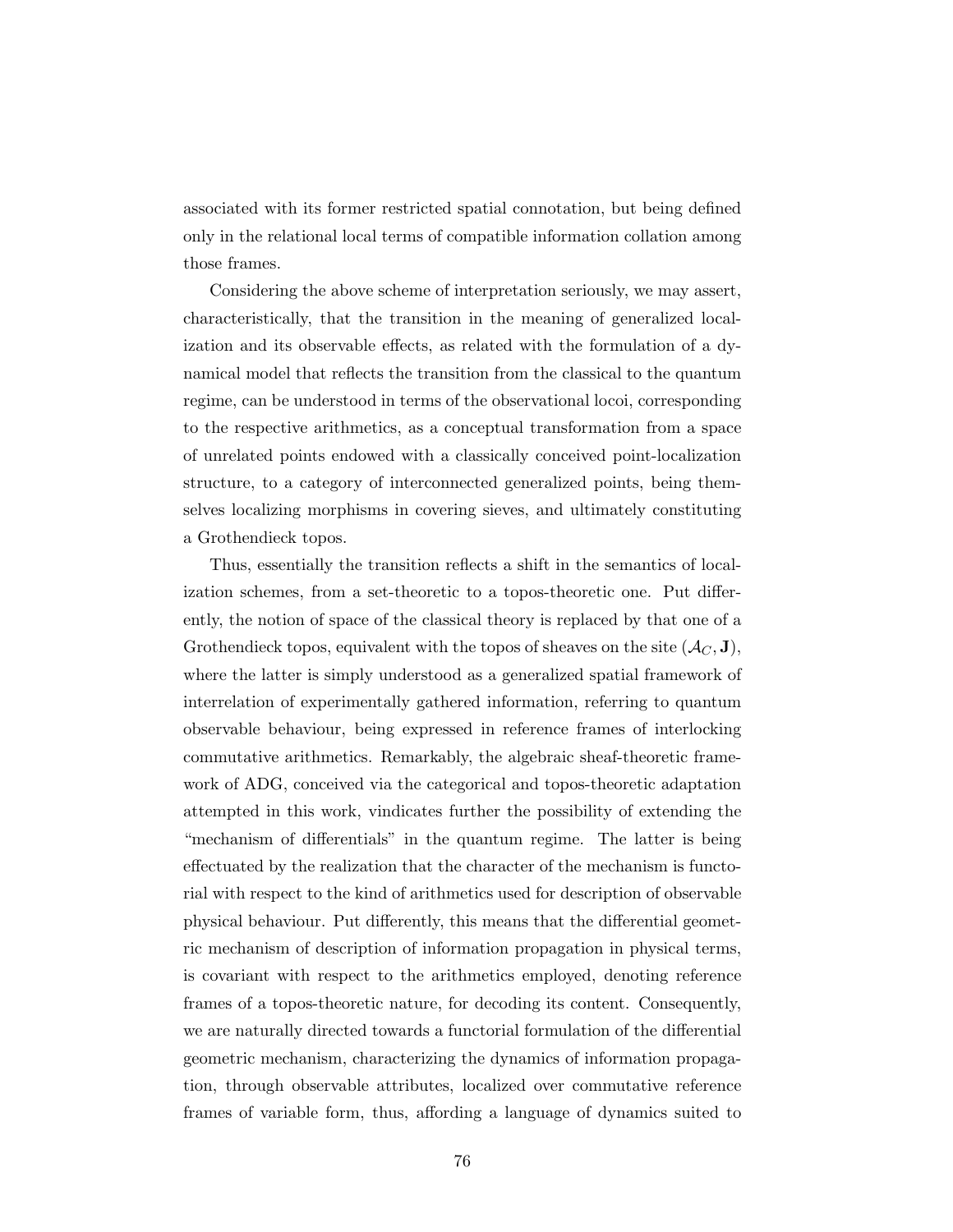associated with its former restricted spatial connotation, but being defined only in the relational local terms of compatible information collation among those frames.

Considering the above scheme of interpretation seriously, we may assert, characteristically, that the transition in the meaning of generalized localization and its observable effects, as related with the formulation of a dynamical model that reflects the transition from the classical to the quantum regime, can be understood in terms of the observational locoi, corresponding to the respective arithmetics, as a conceptual transformation from a space of unrelated points endowed with a classically conceived point-localization structure, to a category of interconnected generalized points, being themselves localizing morphisms in covering sieves, and ultimately constituting a Grothendieck topos.

Thus, essentially the transition reflects a shift in the semantics of localization schemes, from a set-theoretic to a topos-theoretic one. Put differently, the notion of space of the classical theory is replaced by that one of a Grothendieck topos, equivalent with the topos of sheaves on the site  $(\mathcal{A}_C, \mathbf{J})$ , where the latter is simply understood as a generalized spatial framework of interrelation of experimentally gathered information, referring to quantum observable behaviour, being expressed in reference frames of interlocking commutative arithmetics. Remarkably, the algebraic sheaf-theoretic framework of ADG, conceived via the categorical and topos-theoretic adaptation attempted in this work, vindicates further the possibility of extending the "mechanism of differentials" in the quantum regime. The latter is being effectuated by the realization that the character of the mechanism is functorial with respect to the kind of arithmetics used for description of observable physical behaviour. Put differently, this means that the differential geometric mechanism of description of information propagation in physical terms, is covariant with respect to the arithmetics employed, denoting reference frames of a topos-theoretic nature, for decoding its content. Consequently, we are naturally directed towards a functorial formulation of the differential geometric mechanism, characterizing the dynamics of information propagation, through observable attributes, localized over commutative reference frames of variable form, thus, affording a language of dynamics suited to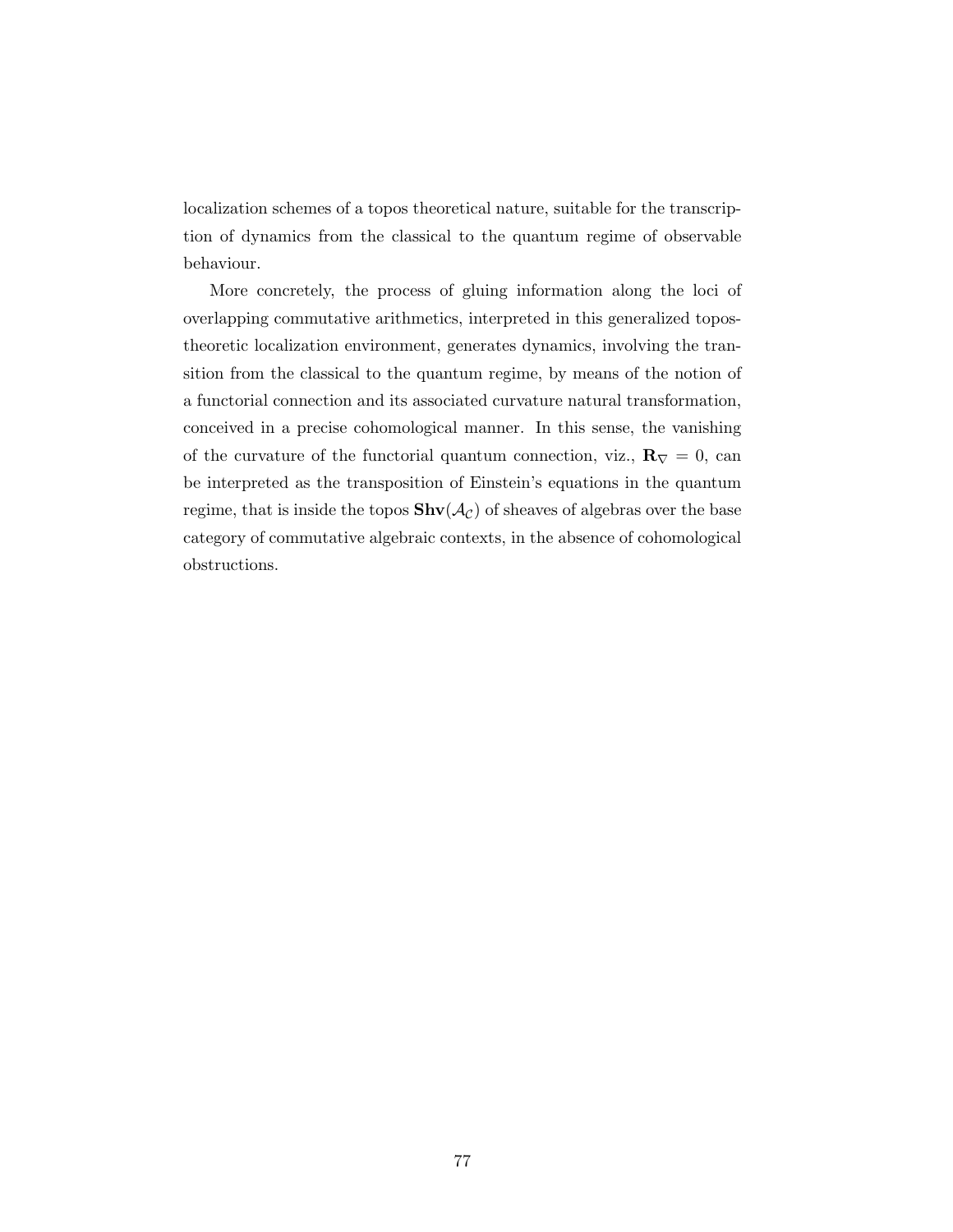localization schemes of a topos theoretical nature, suitable for the transcription of dynamics from the classical to the quantum regime of observable behaviour.

More concretely, the process of gluing information along the loci of overlapping commutative arithmetics, interpreted in this generalized topostheoretic localization environment, generates dynamics, involving the transition from the classical to the quantum regime, by means of the notion of a functorial connection and its associated curvature natural transformation, conceived in a precise cohomological manner. In this sense, the vanishing of the curvature of the functorial quantum connection, viz.,  $\mathbf{R}_{\nabla} = 0$ , can be interpreted as the transposition of Einstein's equations in the quantum regime, that is inside the topos  $\text{Shv}(\mathcal{A}_{\mathcal{C}})$  of sheaves of algebras over the base category of commutative algebraic contexts, in the absence of cohomological obstructions.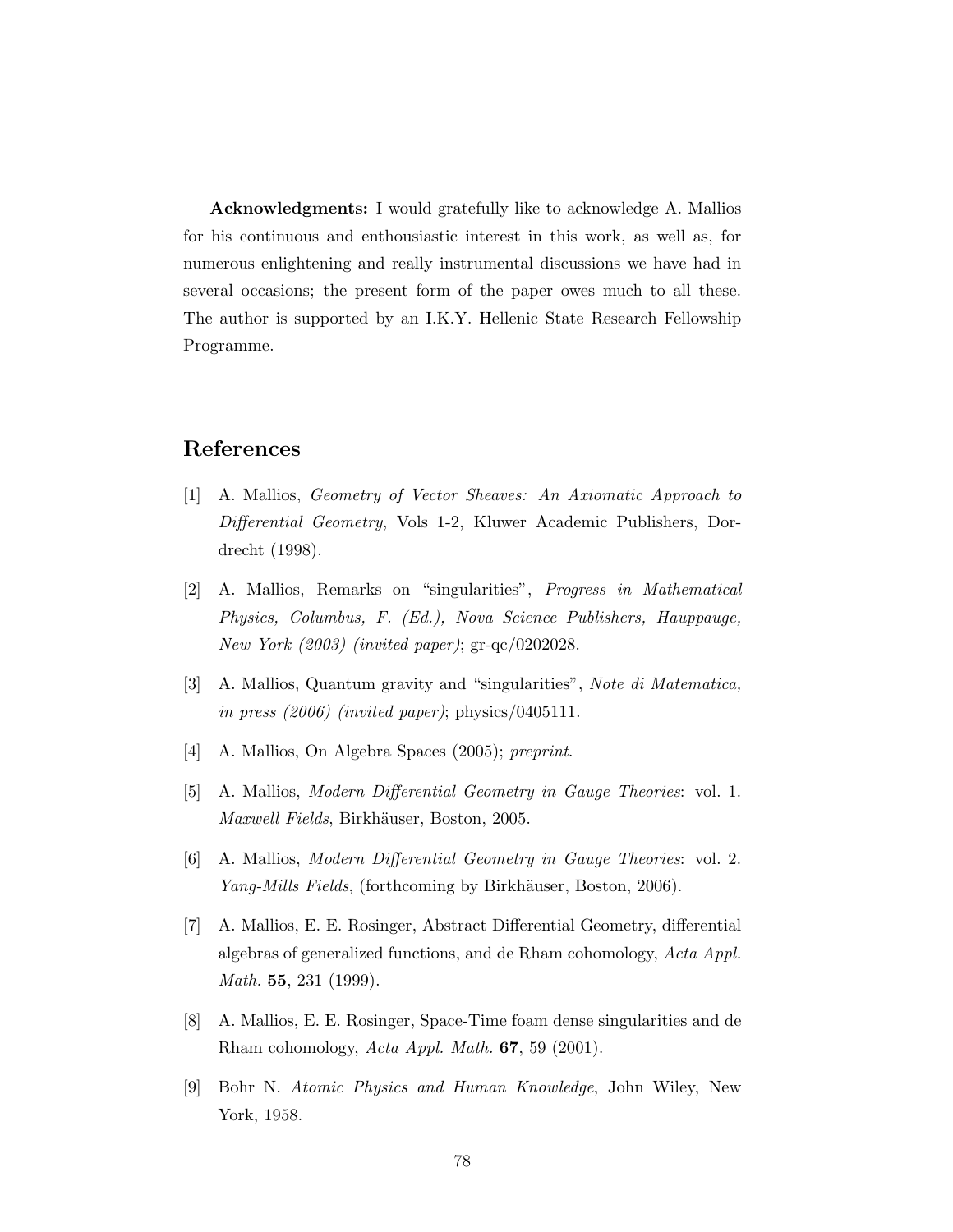Acknowledgments: I would gratefully like to acknowledge A. Mallios for his continuous and enthousiastic interest in this work, as well as, for numerous enlightening and really instrumental discussions we have had in several occasions; the present form of the paper owes much to all these. The author is supported by an I.K.Y. Hellenic State Research Fellowship Programme.

## References

- [1] A. Mallios, Geometry of Vector Sheaves: An Axiomatic Approach to Differential Geometry, Vols 1-2, Kluwer Academic Publishers, Dordrecht (1998).
- [2] A. Mallios, Remarks on "singularities", Progress in Mathematical Physics, Columbus, F. (Ed.), Nova Science Publishers, Hauppauge, New York (2003) (invited paper); gr-qc/0202028.
- [3] A. Mallios, Quantum gravity and "singularities", Note di Matematica, in press (2006) (invited paper); physics/0405111.
- [4] A. Mallios, On Algebra Spaces (2005); preprint.
- [5] A. Mallios, Modern Differential Geometry in Gauge Theories: vol. 1. Maxwell Fields, Birkhäuser, Boston, 2005.
- [6] A. Mallios, Modern Differential Geometry in Gauge Theories: vol. 2. Yang-Mills Fields, (forthcoming by Birkhäuser, Boston, 2006).
- [7] A. Mallios, E. E. Rosinger, Abstract Differential Geometry, differential algebras of generalized functions, and de Rham cohomology, Acta Appl. Math. **55**, 231 (1999).
- [8] A. Mallios, E. E. Rosinger, Space-Time foam dense singularities and de Rham cohomology, Acta Appl. Math. 67, 59 (2001).
- [9] Bohr N. Atomic Physics and Human Knowledge, John Wiley, New York, 1958.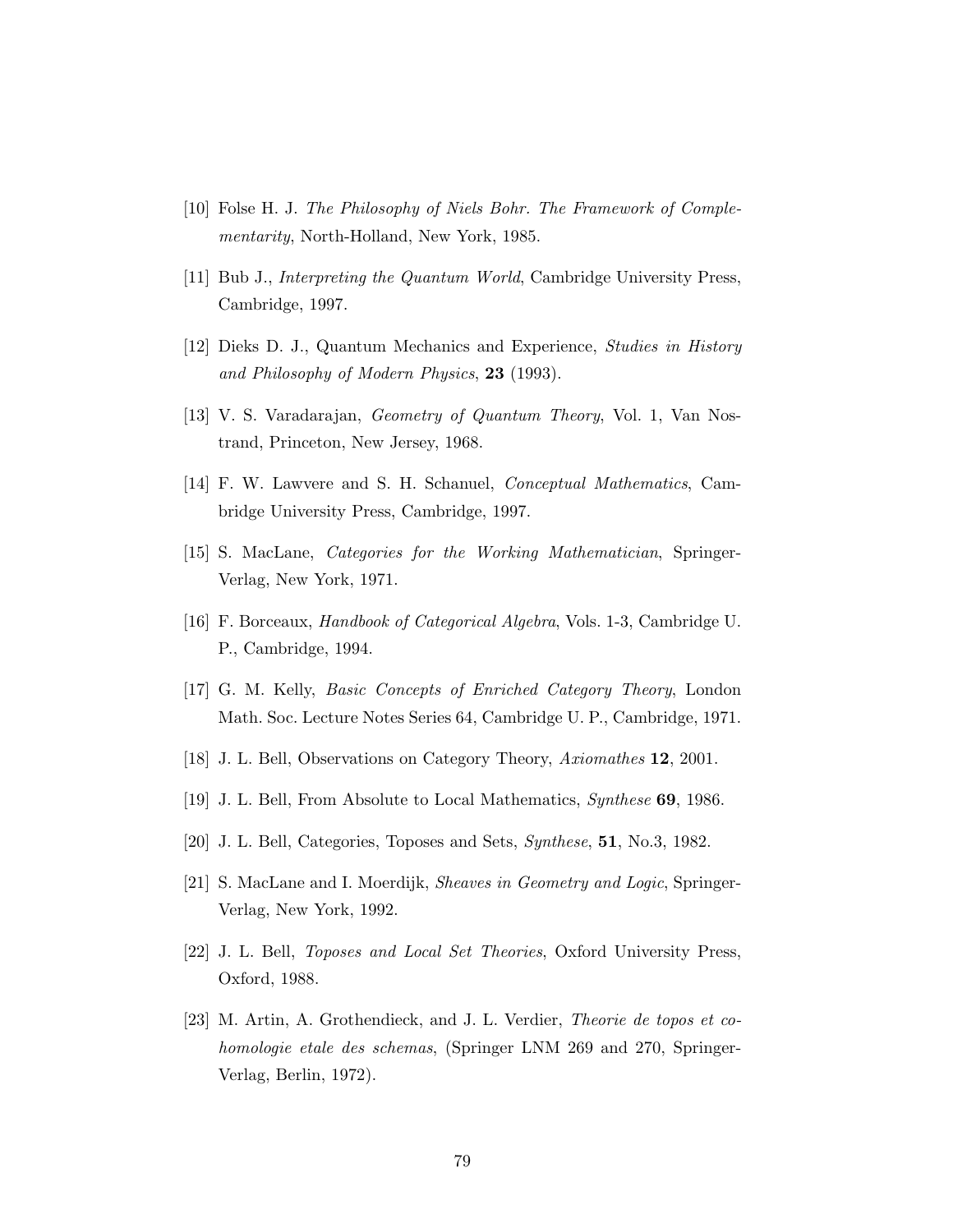- [10] Folse H. J. The Philosophy of Niels Bohr. The Framework of Complementarity, North-Holland, New York, 1985.
- [11] Bub J., Interpreting the Quantum World, Cambridge University Press, Cambridge, 1997.
- [12] Dieks D. J., Quantum Mechanics and Experience, Studies in History and Philosophy of Modern Physics, 23 (1993).
- [13] V. S. Varadarajan, Geometry of Quantum Theory, Vol. 1, Van Nostrand, Princeton, New Jersey, 1968.
- [14] F. W. Lawvere and S. H. Schanuel, Conceptual Mathematics, Cambridge University Press, Cambridge, 1997.
- [15] S. MacLane, Categories for the Working Mathematician, Springer-Verlag, New York, 1971.
- [16] F. Borceaux, Handbook of Categorical Algebra, Vols. 1-3, Cambridge U. P., Cambridge, 1994.
- [17] G. M. Kelly, Basic Concepts of Enriched Category Theory, London Math. Soc. Lecture Notes Series 64, Cambridge U. P., Cambridge, 1971.
- [18] J. L. Bell, Observations on Category Theory, Axiomathes 12, 2001.
- [19] J. L. Bell, From Absolute to Local Mathematics, Synthese 69, 1986.
- [20] J. L. Bell, Categories, Toposes and Sets, Synthese, 51, No.3, 1982.
- [21] S. MacLane and I. Moerdijk, Sheaves in Geometry and Logic, Springer-Verlag, New York, 1992.
- [22] J. L. Bell, Toposes and Local Set Theories, Oxford University Press, Oxford, 1988.
- [23] M. Artin, A. Grothendieck, and J. L. Verdier, *Theorie de topos et co*homologie etale des schemas, (Springer LNM 269 and 270, Springer-Verlag, Berlin, 1972).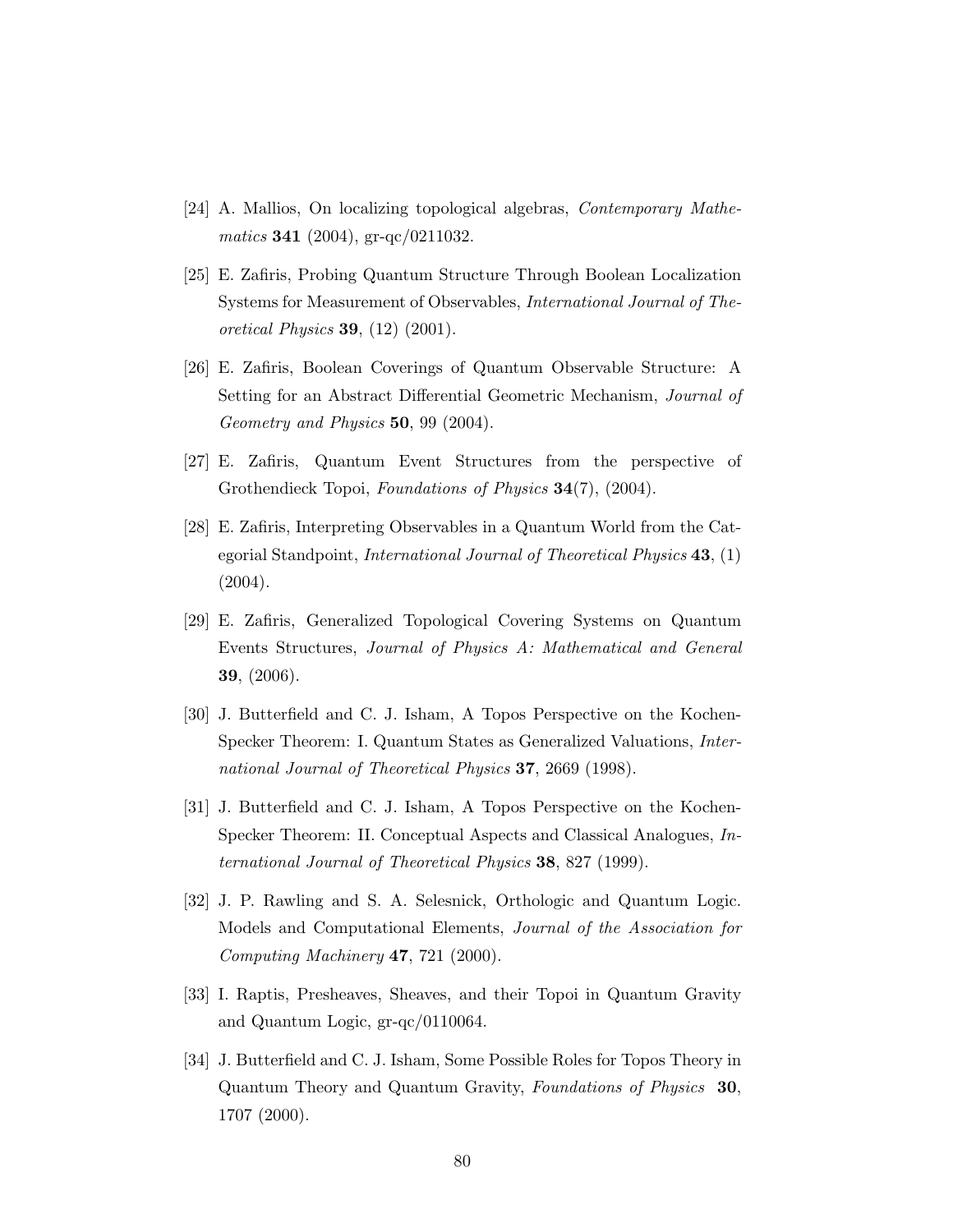- [24] A. Mallios, On localizing topological algebras, Contemporary Mathematics **341** (2004), gr-qc/0211032.
- [25] E. Zafiris, Probing Quantum Structure Through Boolean Localization Systems for Measurement of Observables, International Journal of Theoretical Physics  $39, (12)$   $(2001)$ .
- [26] E. Zafiris, Boolean Coverings of Quantum Observable Structure: A Setting for an Abstract Differential Geometric Mechanism, Journal of Geometry and Physics 50, 99 (2004).
- [27] E. Zafiris, Quantum Event Structures from the perspective of Grothendieck Topoi, Foundations of Physics 34(7), (2004).
- [28] E. Zafiris, Interpreting Observables in a Quantum World from the Categorial Standpoint, *International Journal of Theoretical Physics* 43, (1) (2004).
- [29] E. Zafiris, Generalized Topological Covering Systems on Quantum Events Structures, Journal of Physics A: Mathematical and General 39, (2006).
- [30] J. Butterfield and C. J. Isham, A Topos Perspective on the Kochen-Specker Theorem: I. Quantum States as Generalized Valuations, International Journal of Theoretical Physics 37, 2669 (1998).
- [31] J. Butterfield and C. J. Isham, A Topos Perspective on the Kochen-Specker Theorem: II. Conceptual Aspects and Classical Analogues, International Journal of Theoretical Physics 38, 827 (1999).
- [32] J. P. Rawling and S. A. Selesnick, Orthologic and Quantum Logic. Models and Computational Elements, Journal of the Association for Computing Machinery 47, 721 (2000).
- [33] I. Raptis, Presheaves, Sheaves, and their Topoi in Quantum Gravity and Quantum Logic, gr-qc/0110064.
- [34] J. Butterfield and C. J. Isham, Some Possible Roles for Topos Theory in Quantum Theory and Quantum Gravity, Foundations of Physics 30, 1707 (2000).